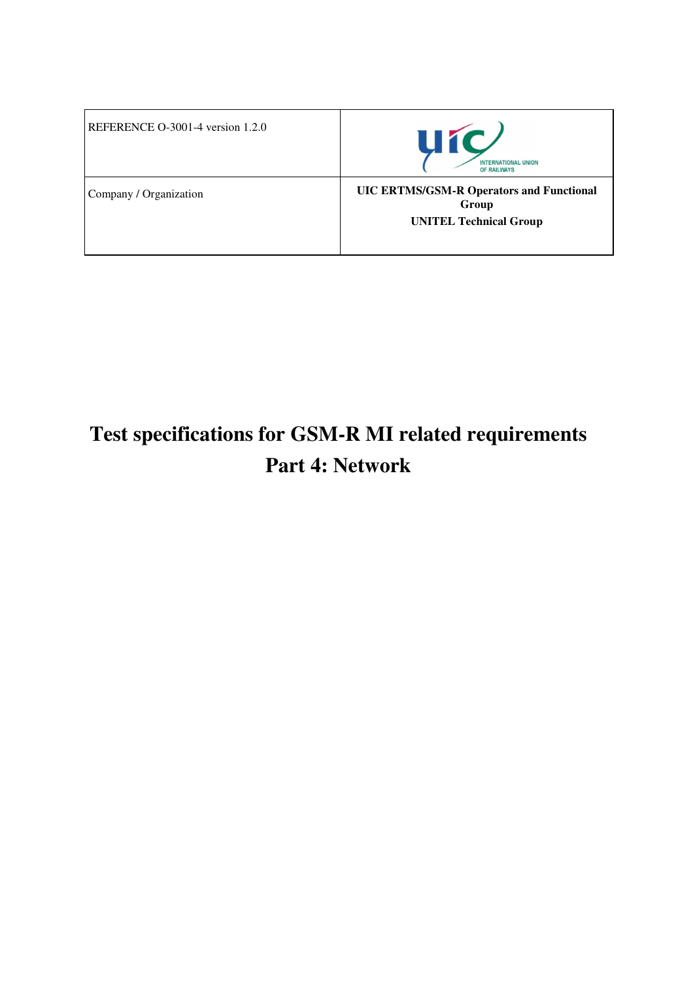| REFERENCE O-3001-4 version 1.2.0 | <b>UíC</b><br><b>INTERNATIONAL UNION</b><br>OF RAILWAYS                                   |
|----------------------------------|-------------------------------------------------------------------------------------------|
| Company / Organization           | <b>UIC ERTMS/GSM-R Operators and Functional</b><br>Group<br><b>UNITEL Technical Group</b> |

# **Test specifications for GSM-R MI related requirements Part 4: Network**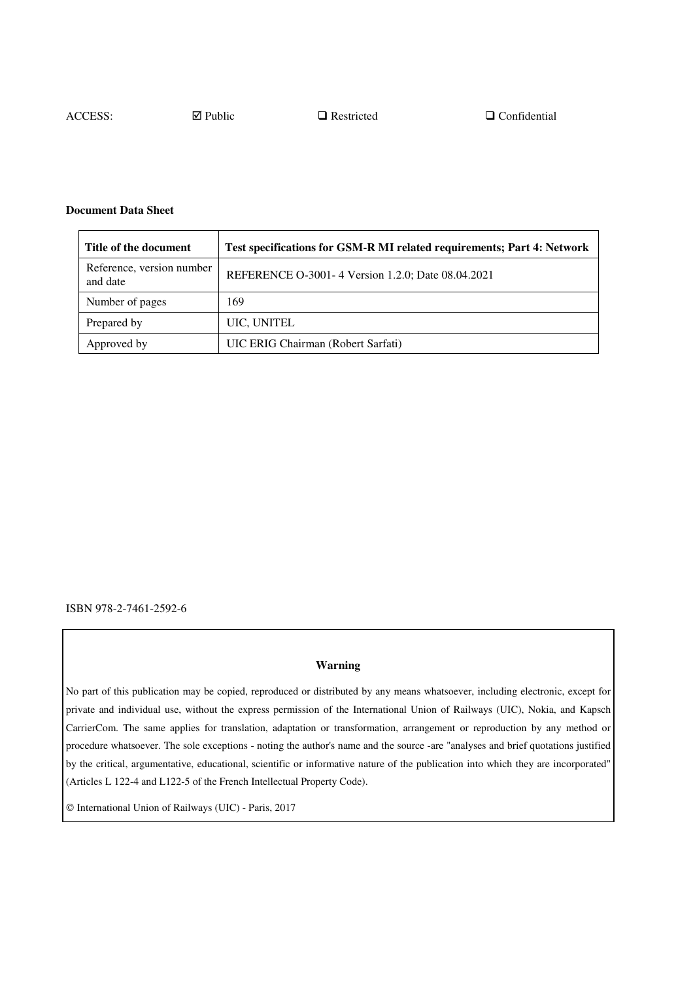ACCESS:  $\Box$  Public  $\Box$  Restricted  $\Box$  Confidential

#### **Document Data Sheet**

| Title of the document                 | Test specifications for GSM-R MI related requirements; Part 4: Network |
|---------------------------------------|------------------------------------------------------------------------|
| Reference, version number<br>and date | REFERENCE O-3001-4 Version 1.2.0; Date 08.04.2021                      |
| Number of pages                       | 169                                                                    |
| Prepared by                           | UIC, UNITEL                                                            |
| Approved by                           | UIC ERIG Chairman (Robert Sarfati)                                     |

ISBN 978-2-7461-2592-6

#### **Warning**

No part of this publication may be copied, reproduced or distributed by any means whatsoever, including electronic, except for private and individual use, without the express permission of the International Union of Railways (UIC), Nokia, and Kapsch CarrierCom. The same applies for translation, adaptation or transformation, arrangement or reproduction by any method or procedure whatsoever. The sole exceptions - noting the author's name and the source -are "analyses and brief quotations justified by the critical, argumentative, educational, scientific or informative nature of the publication into which they are incorporated" (Articles L 122-4 and L122-5 of the French Intellectual Property Code).

International Union of Railways (UIC) - Paris, 2017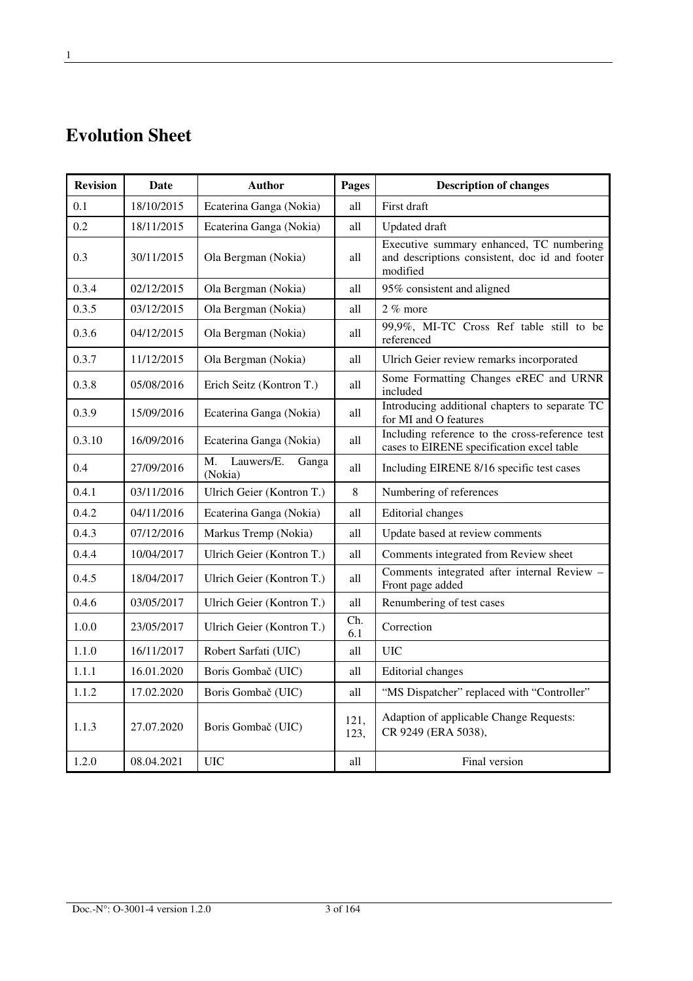# **Evolution Sheet**

| <b>Revision</b> | Date       | <b>Author</b>                        | Pages        | <b>Description of changes</b>                                                                          |
|-----------------|------------|--------------------------------------|--------------|--------------------------------------------------------------------------------------------------------|
| 0.1             | 18/10/2015 | Ecaterina Ganga (Nokia)              | all          | First draft                                                                                            |
| 0.2             | 18/11/2015 | Ecaterina Ganga (Nokia)              | all          | <b>Updated</b> draft                                                                                   |
| 0.3             | 30/11/2015 | Ola Bergman (Nokia)                  | all          | Executive summary enhanced, TC numbering<br>and descriptions consistent, doc id and footer<br>modified |
| 0.3.4           | 02/12/2015 | Ola Bergman (Nokia)                  | all          | 95% consistent and aligned                                                                             |
| 0.3.5           | 03/12/2015 | Ola Bergman (Nokia)                  | all          | $2\%$ more                                                                                             |
| 0.3.6           | 04/12/2015 | Ola Bergman (Nokia)                  | all          | 99,9%, MI-TC Cross Ref table still to be<br>referenced                                                 |
| 0.3.7           | 11/12/2015 | Ola Bergman (Nokia)                  | all          | Ulrich Geier review remarks incorporated                                                               |
| 0.3.8           | 05/08/2016 | Erich Seitz (Kontron T.)             | all          | Some Formatting Changes eREC and URNR<br>included                                                      |
| 0.3.9           | 15/09/2016 | Ecaterina Ganga (Nokia)              | all          | Introducing additional chapters to separate TC<br>for MI and O features                                |
| 0.3.10          | 16/09/2016 | Ecaterina Ganga (Nokia)              | all          | Including reference to the cross-reference test<br>cases to EIRENE specification excel table           |
| 0.4             | 27/09/2016 | Lauwers/E.<br>Ganga<br>M.<br>(Nokia) | all          | Including EIRENE 8/16 specific test cases                                                              |
| 0.4.1           | 03/11/2016 | Ulrich Geier (Kontron T.)            | $\,8\,$      | Numbering of references                                                                                |
| 0.4.2           | 04/11/2016 | Ecaterina Ganga (Nokia)              | all          | <b>Editorial</b> changes                                                                               |
| 0.4.3           | 07/12/2016 | Markus Tremp (Nokia)                 | all          | Update based at review comments                                                                        |
| 0.4.4           | 10/04/2017 | Ulrich Geier (Kontron T.)            | all          | Comments integrated from Review sheet                                                                  |
| 0.4.5           | 18/04/2017 | Ulrich Geier (Kontron T.)            | all          | Comments integrated after internal Review -<br>Front page added                                        |
| 0.4.6           | 03/05/2017 | Ulrich Geier (Kontron T.)            | all          | Renumbering of test cases                                                                              |
| 1.0.0           | 23/05/2017 | Ulrich Geier (Kontron T.)            | Ch.<br>6.1   | Correction                                                                                             |
| 1.1.0           | 16/11/2017 | Robert Sarfati (UIC)                 | all          | <b>UIC</b>                                                                                             |
| 1.1.1           | 16.01.2020 | Boris Gombač (UIC)                   | all          | <b>Editorial</b> changes                                                                               |
| 1.1.2           | 17.02.2020 | Boris Gombač (UIC)                   | all          | "MS Dispatcher" replaced with "Controller"                                                             |
| 1.1.3           | 27.07.2020 | Boris Gombač (UIC)                   | 121,<br>123, | Adaption of applicable Change Requests:<br>CR 9249 (ERA 5038),                                         |
| 1.2.0           | 08.04.2021 | <b>UIC</b>                           | all          | Final version                                                                                          |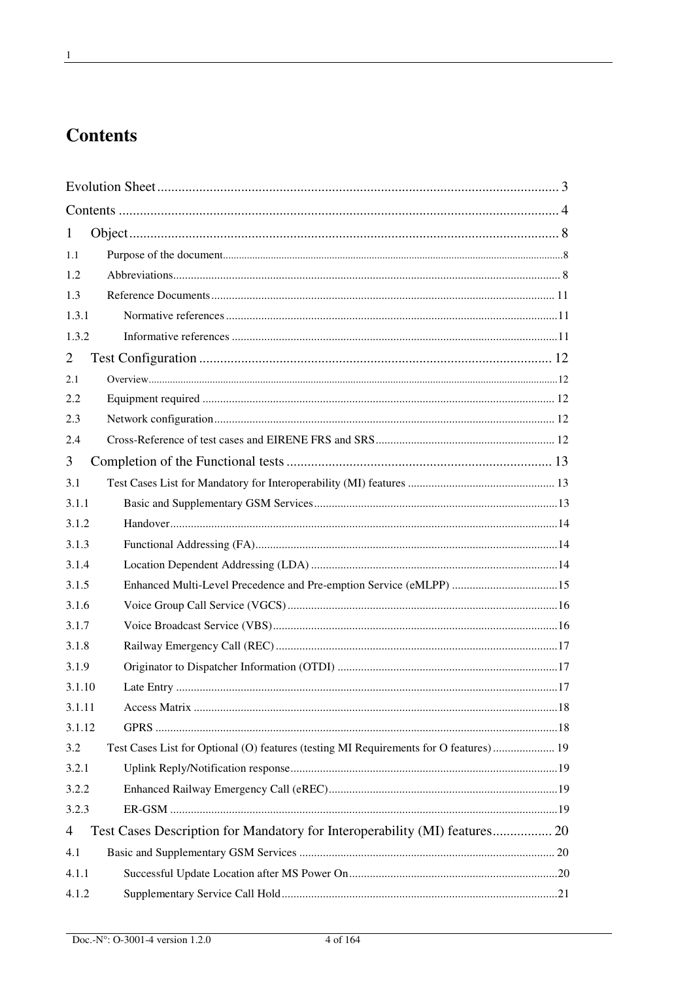# **Contents**

| 1              |                                                                                       |  |
|----------------|---------------------------------------------------------------------------------------|--|
| 1.1            |                                                                                       |  |
| 1.2            |                                                                                       |  |
| 1.3            |                                                                                       |  |
| 1.3.1          |                                                                                       |  |
| 1.3.2          |                                                                                       |  |
| 2              |                                                                                       |  |
| 2.1            |                                                                                       |  |
| 2.2            |                                                                                       |  |
| 2.3            |                                                                                       |  |
| 2.4            |                                                                                       |  |
| 3              |                                                                                       |  |
| 3.1            |                                                                                       |  |
| 3.1.1          |                                                                                       |  |
| 3.1.2          |                                                                                       |  |
| 3.1.3          |                                                                                       |  |
| 3.1.4          |                                                                                       |  |
| 3.1.5          | Enhanced Multi-Level Precedence and Pre-emption Service (eMLPP) 15                    |  |
| 3.1.6          |                                                                                       |  |
| 3.1.7          |                                                                                       |  |
| 3.1.8          |                                                                                       |  |
| 3.1.9          |                                                                                       |  |
| 3.1.10         |                                                                                       |  |
| 3.1.11         |                                                                                       |  |
| 3.1.12         |                                                                                       |  |
| 3.2            | Test Cases List for Optional (O) features (testing MI Requirements for O features) 19 |  |
| 3.2.1          |                                                                                       |  |
| 3.2.2          |                                                                                       |  |
| 3.2.3          |                                                                                       |  |
| $\overline{4}$ | Test Cases Description for Mandatory for Interoperability (MI) features 20            |  |
| 4.1            |                                                                                       |  |
| 4.1.1          |                                                                                       |  |
| 4.1.2          |                                                                                       |  |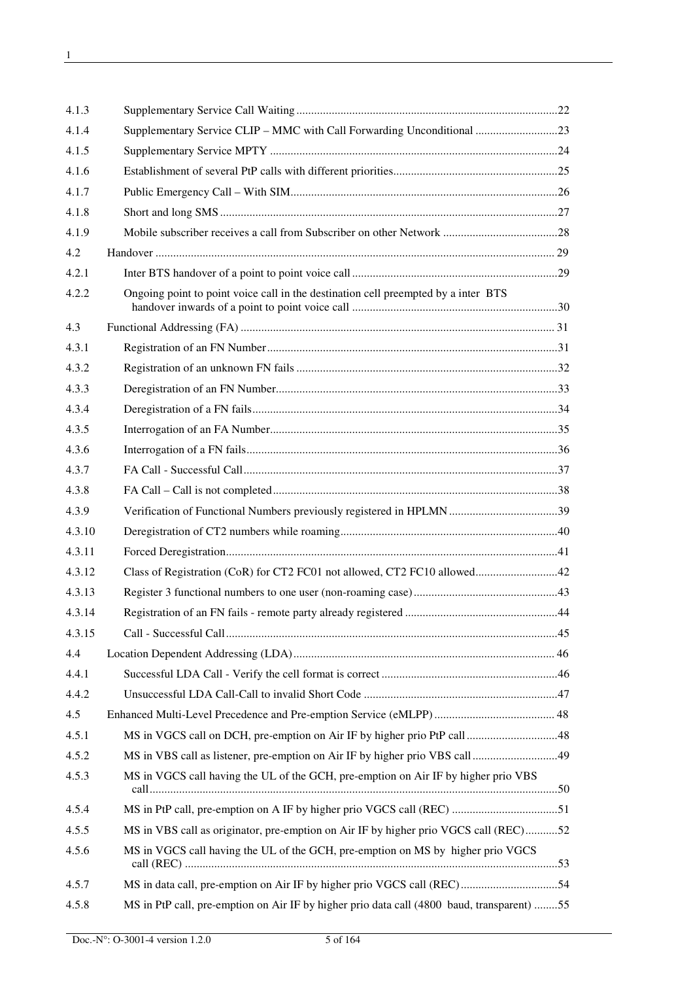| 4.1.3  |                                                                                            |  |
|--------|--------------------------------------------------------------------------------------------|--|
| 4.1.4  | Supplementary Service CLIP - MMC with Call Forwarding Unconditional 23                     |  |
| 4.1.5  |                                                                                            |  |
| 4.1.6  |                                                                                            |  |
| 4.1.7  |                                                                                            |  |
| 4.1.8  |                                                                                            |  |
| 4.1.9  |                                                                                            |  |
| 4.2    |                                                                                            |  |
| 4.2.1  |                                                                                            |  |
| 4.2.2  | Ongoing point to point voice call in the destination cell preempted by a inter BTS         |  |
| 4.3    |                                                                                            |  |
| 4.3.1  |                                                                                            |  |
| 4.3.2  |                                                                                            |  |
| 4.3.3  |                                                                                            |  |
| 4.3.4  |                                                                                            |  |
| 4.3.5  |                                                                                            |  |
| 4.3.6  |                                                                                            |  |
| 4.3.7  |                                                                                            |  |
| 4.3.8  |                                                                                            |  |
| 4.3.9  |                                                                                            |  |
| 4.3.10 |                                                                                            |  |
| 4.3.11 |                                                                                            |  |
| 4.3.12 |                                                                                            |  |
| 4.3.13 |                                                                                            |  |
| 4.3.14 |                                                                                            |  |
| 4.3.15 |                                                                                            |  |
| 4.4    |                                                                                            |  |
| 4.4.1  |                                                                                            |  |
| 4.4.2  |                                                                                            |  |
| 4.5    |                                                                                            |  |
| 4.5.1  |                                                                                            |  |
| 4.5.2  | MS in VBS call as listener, pre-emption on Air IF by higher prio VBS call 49               |  |
| 4.5.3  | MS in VGCS call having the UL of the GCH, pre-emption on Air IF by higher prio VBS         |  |
| 4.5.4  | MS in PtP call, pre-emption on A IF by higher prio VGCS call (REC) 51                      |  |
| 4.5.5  | MS in VBS call as originator, pre-emption on Air IF by higher prio VGCS call (REC)52       |  |
| 4.5.6  | MS in VGCS call having the UL of the GCH, pre-emption on MS by higher prio VGCS            |  |
| 4.5.7  |                                                                                            |  |
| 4.5.8  | MS in PtP call, pre-emption on Air IF by higher prio data call (4800 baud, transparent) 55 |  |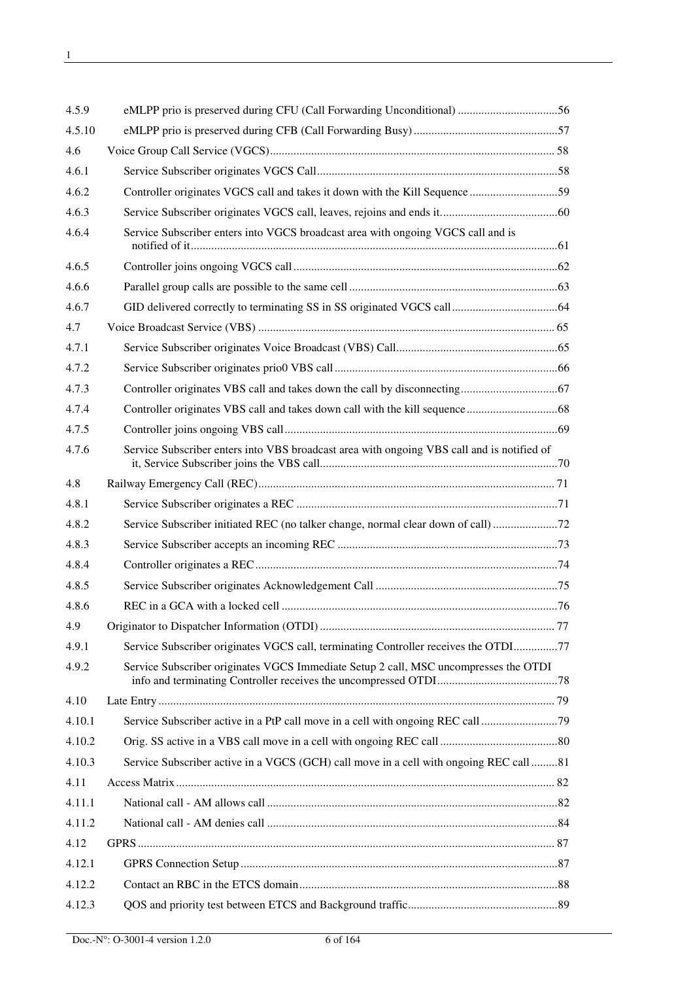| 4.5.9  | eMLPP prio is preserved during CFU (Call Forwarding Unconditional) 56                      |  |
|--------|--------------------------------------------------------------------------------------------|--|
| 4.5.10 |                                                                                            |  |
| 4.6    |                                                                                            |  |
| 4.6.1  |                                                                                            |  |
| 4.6.2  |                                                                                            |  |
| 4.6.3  |                                                                                            |  |
| 4.6.4  | Service Subscriber enters into VGCS broadcast area with ongoing VGCS call and is           |  |
| 4.6.5  |                                                                                            |  |
| 4.6.6  |                                                                                            |  |
| 4.6.7  |                                                                                            |  |
| 4.7    |                                                                                            |  |
| 4.7.1  |                                                                                            |  |
| 4.7.2  |                                                                                            |  |
| 4.7.3  |                                                                                            |  |
| 4.7.4  |                                                                                            |  |
| 4.7.5  |                                                                                            |  |
| 4.7.6  | Service Subscriber enters into VBS broadcast area with ongoing VBS call and is notified of |  |
| 4.8    |                                                                                            |  |
| 4.8.1  |                                                                                            |  |
| 4.8.2  | Service Subscriber initiated REC (no talker change, normal clear down of call)             |  |
| 4.8.3  |                                                                                            |  |
| 4.8.4  |                                                                                            |  |
| 4.8.5  |                                                                                            |  |
| 4.8.6  |                                                                                            |  |
| 4.9    |                                                                                            |  |
| 4.9.1  | Service Subscriber originates VGCS call, terminating Controller receives the OTDI77        |  |
| 4.9.2  | Service Subscriber originates VGCS Immediate Setup 2 call, MSC uncompresses the OTDI       |  |
| 4.10   |                                                                                            |  |
| 4.10.1 | Service Subscriber active in a PtP call move in a cell with ongoing REC call               |  |
| 4.10.2 |                                                                                            |  |
| 4.10.3 | Service Subscriber active in a VGCS (GCH) call move in a cell with ongoing REC call 81     |  |
| 4.11   |                                                                                            |  |
| 4.11.1 |                                                                                            |  |
| 4.11.2 |                                                                                            |  |
| 4.12   |                                                                                            |  |
| 4.12.1 |                                                                                            |  |
| 4.12.2 |                                                                                            |  |
| 4.12.3 |                                                                                            |  |
|        |                                                                                            |  |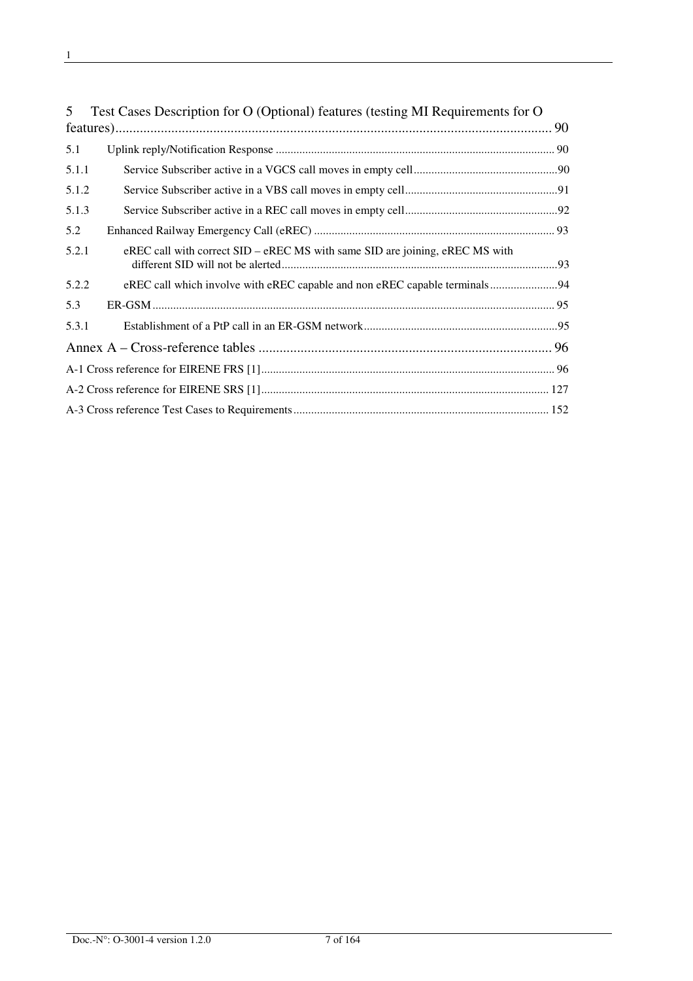| 5     | Test Cases Description for O (Optional) features (testing MI Requirements for O |  |
|-------|---------------------------------------------------------------------------------|--|
|       |                                                                                 |  |
| 5.1   |                                                                                 |  |
| 5.1.1 |                                                                                 |  |
| 5.1.2 |                                                                                 |  |
| 5.1.3 |                                                                                 |  |
| 5.2   |                                                                                 |  |
| 5.2.1 | eREC call with correct SID – eREC MS with same SID are joining, eREC MS with    |  |
| 5.2.2 | eREC call which involve with eREC capable and non eREC capable terminals94      |  |
| 5.3   |                                                                                 |  |
| 5.3.1 |                                                                                 |  |
|       |                                                                                 |  |
|       |                                                                                 |  |
|       |                                                                                 |  |
|       |                                                                                 |  |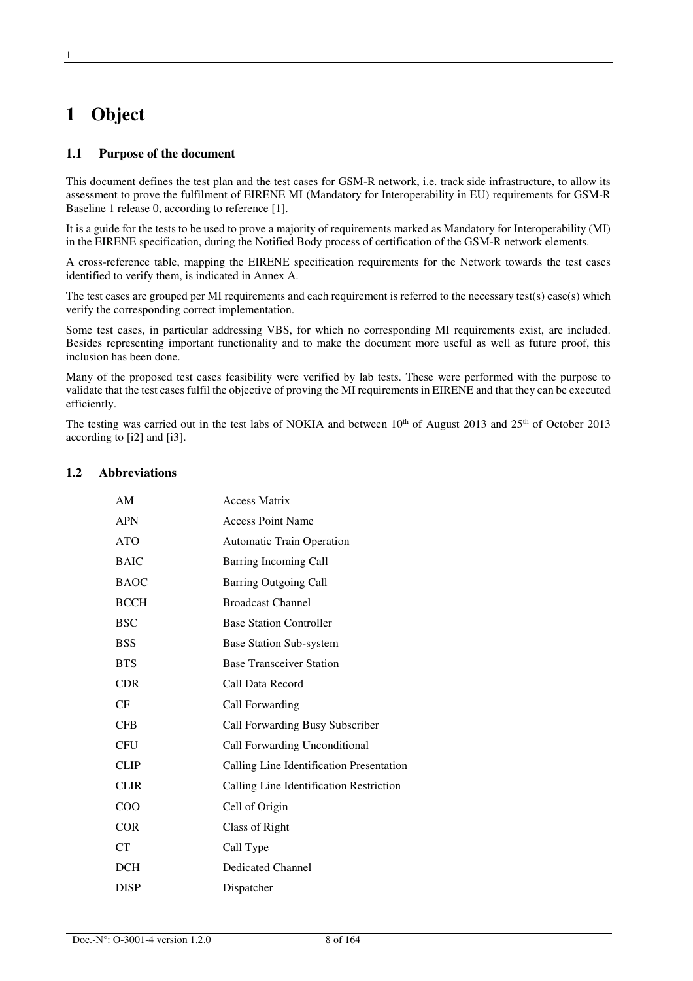# **1 Object**

### **1.1 Purpose of the document**

This document defines the test plan and the test cases for GSM-R network, i.e. track side infrastructure, to allow its assessment to prove the fulfilment of EIRENE MI (Mandatory for Interoperability in EU) requirements for GSM-R Baseline 1 release 0, according to reference [1].

It is a guide for the tests to be used to prove a majority of requirements marked as Mandatory for Interoperability (MI) in the EIRENE specification, during the Notified Body process of certification of the GSM-R network elements.

A cross-reference table, mapping the EIRENE specification requirements for the Network towards the test cases identified to verify them, is indicated in Annex A.

The test cases are grouped per MI requirements and each requirement is referred to the necessary test(s) case(s) which verify the corresponding correct implementation.

Some test cases, in particular addressing VBS, for which no corresponding MI requirements exist, are included. Besides representing important functionality and to make the document more useful as well as future proof, this inclusion has been done.

Many of the proposed test cases feasibility were verified by lab tests. These were performed with the purpose to validate that the test cases fulfil the objective of proving the MI requirements in EIRENE and that they can be executed efficiently.

The testing was carried out in the test labs of NOKIA and between 10<sup>th</sup> of August 2013 and 25<sup>th</sup> of October 2013 according to [i2] and [i3].

#### **1.2 Abbreviations**

| AM          | <b>Access Matrix</b>                     |
|-------------|------------------------------------------|
| <b>APN</b>  | <b>Access Point Name</b>                 |
| <b>ATO</b>  | <b>Automatic Train Operation</b>         |
| <b>BAIC</b> | Barring Incoming Call                    |
| <b>BAOC</b> | <b>Barring Outgoing Call</b>             |
| <b>BCCH</b> | <b>Broadcast Channel</b>                 |
| <b>BSC</b>  | <b>Base Station Controller</b>           |
| <b>BSS</b>  | <b>Base Station Sub-system</b>           |
| <b>BTS</b>  | <b>Base Transceiver Station</b>          |
| <b>CDR</b>  | Call Data Record                         |
| CF          | Call Forwarding                          |
| <b>CFB</b>  | Call Forwarding Busy Subscriber          |
| <b>CFU</b>  | Call Forwarding Unconditional            |
| <b>CLIP</b> | Calling Line Identification Presentation |
| <b>CLIR</b> | Calling Line Identification Restriction  |
| COO         | Cell of Origin                           |
| <b>COR</b>  | Class of Right                           |
| <b>CT</b>   | Call Type                                |
| DCH         | Dedicated Channel                        |
| <b>DISP</b> | Dispatcher                               |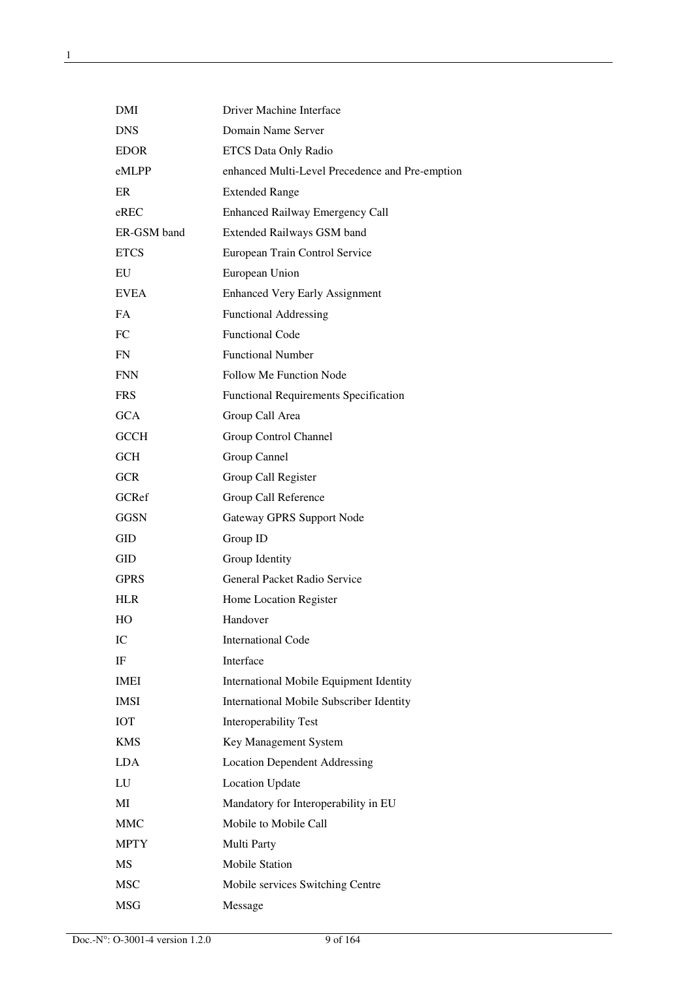| DMI         | Driver Machine Interface                        |
|-------------|-------------------------------------------------|
| <b>DNS</b>  | Domain Name Server                              |
| <b>EDOR</b> | ETCS Data Only Radio                            |
| eMLPP       | enhanced Multi-Level Precedence and Pre-emption |
| ER          | <b>Extended Range</b>                           |
| eREC        | <b>Enhanced Railway Emergency Call</b>          |
| ER-GSM band | Extended Railways GSM band                      |
| <b>ETCS</b> | European Train Control Service                  |
| EU          | European Union                                  |
| <b>EVEA</b> | <b>Enhanced Very Early Assignment</b>           |
| FA          | <b>Functional Addressing</b>                    |
| FC          | <b>Functional Code</b>                          |
| FN          | <b>Functional Number</b>                        |
| <b>FNN</b>  | <b>Follow Me Function Node</b>                  |
| <b>FRS</b>  | <b>Functional Requirements Specification</b>    |
| <b>GCA</b>  | Group Call Area                                 |
| <b>GCCH</b> | Group Control Channel                           |
| <b>GCH</b>  | Group Cannel                                    |
| <b>GCR</b>  | Group Call Register                             |
| GCRef       | Group Call Reference                            |
| <b>GGSN</b> | Gateway GPRS Support Node                       |
| GID         | Group ID                                        |
| GID         | Group Identity                                  |
| GPRS        | General Packet Radio Service                    |
| <b>HLR</b>  | Home Location Register                          |
| HO          | Handover                                        |
| IС          | <b>International Code</b>                       |
| IF          | Interface                                       |
| <b>IMEI</b> | <b>International Mobile Equipment Identity</b>  |
| <b>IMSI</b> | <b>International Mobile Subscriber Identity</b> |
| <b>IOT</b>  | Interoperability Test                           |
| <b>KMS</b>  | Key Management System                           |
| LDA.        | <b>Location Dependent Addressing</b>            |
| LU          | <b>Location Update</b>                          |
| MI          | Mandatory for Interoperability in EU            |
| <b>MMC</b>  | Mobile to Mobile Call                           |
| <b>MPTY</b> | Multi Party                                     |
| <b>MS</b>   | <b>Mobile Station</b>                           |
| <b>MSC</b>  | Mobile services Switching Centre                |
| MSG         | Message                                         |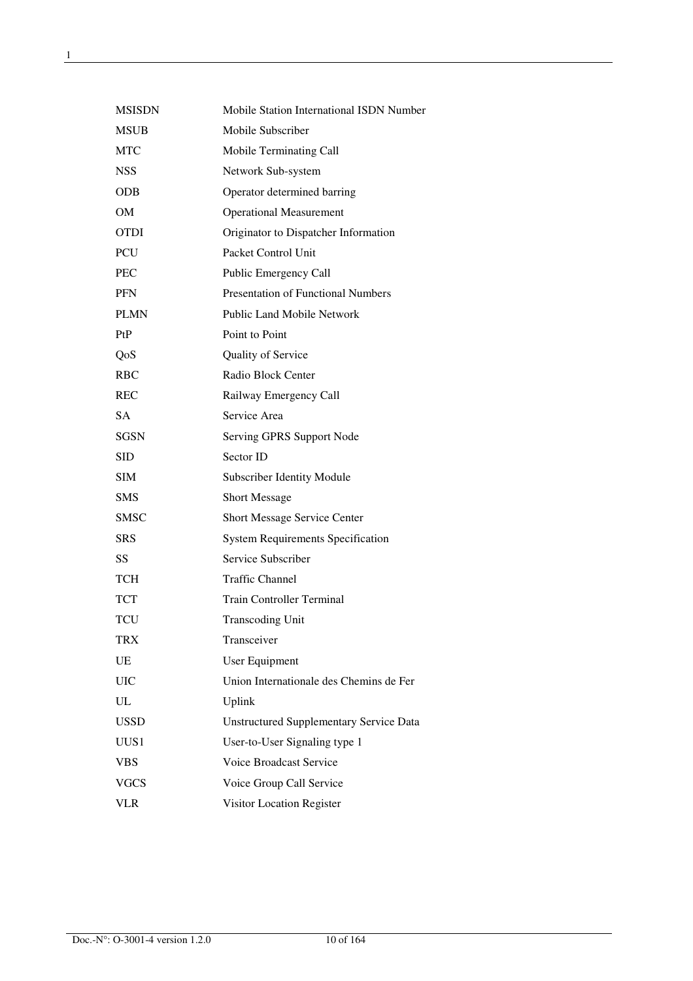| <b>MSISDN</b> | Mobile Station International ISDN Number       |
|---------------|------------------------------------------------|
| <b>MSUB</b>   | Mobile Subscriber                              |
| <b>MTC</b>    | Mobile Terminating Call                        |
| <b>NSS</b>    | Network Sub-system                             |
| <b>ODB</b>    | Operator determined barring                    |
| <b>OM</b>     | <b>Operational Measurement</b>                 |
| OTDI          | Originator to Dispatcher Information           |
| PCU           | Packet Control Unit                            |
| <b>PEC</b>    | Public Emergency Call                          |
| <b>PFN</b>    | <b>Presentation of Functional Numbers</b>      |
| <b>PLMN</b>   | <b>Public Land Mobile Network</b>              |
| PtP           | Point to Point                                 |
| QoS           | Quality of Service                             |
| <b>RBC</b>    | Radio Block Center                             |
| <b>REC</b>    | Railway Emergency Call                         |
| <b>SA</b>     | Service Area                                   |
| <b>SGSN</b>   | Serving GPRS Support Node                      |
| SID           | Sector ID                                      |
| <b>SIM</b>    | <b>Subscriber Identity Module</b>              |
| <b>SMS</b>    | <b>Short Message</b>                           |
| <b>SMSC</b>   | <b>Short Message Service Center</b>            |
| <b>SRS</b>    | <b>System Requirements Specification</b>       |
| SS            | Service Subscriber                             |
| <b>TCH</b>    | <b>Traffic Channel</b>                         |
| TCT           | <b>Train Controller Terminal</b>               |
| TCU           | Transcoding Unit                               |
| <b>TRX</b>    | Transceiver                                    |
| UE            | User Equipment                                 |
| <b>UIC</b>    | Union Internationale des Chemins de Fer        |
| UL            | Uplink                                         |
| <b>USSD</b>   | <b>Unstructured Supplementary Service Data</b> |
| UUS1          | User-to-User Signaling type 1                  |
| <b>VBS</b>    | Voice Broadcast Service                        |
| <b>VGCS</b>   | Voice Group Call Service                       |
| <b>VLR</b>    | Visitor Location Register                      |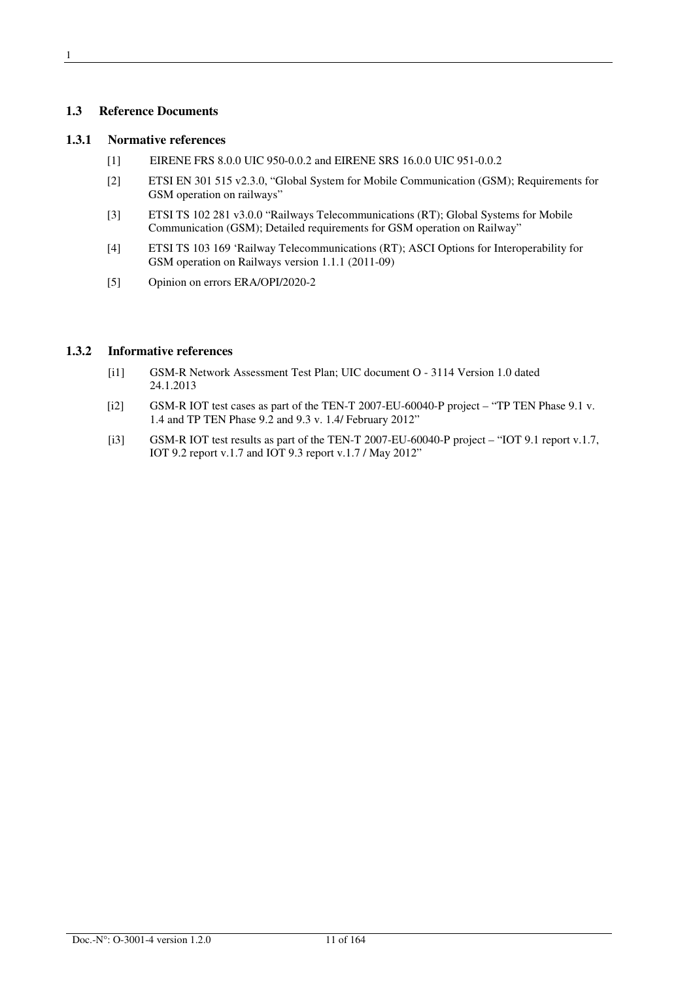### **1.3 Reference Documents**

#### **1.3.1 Normative references**

- [1] EIRENE FRS 8.0.0 UIC 950-0.0.2 and EIRENE SRS 16.0.0 UIC 951-0.0.2
- [2] ETSI EN 301 515 v2.3.0, "Global System for Mobile Communication (GSM); Requirements for GSM operation on railways"
- [3] ETSI TS 102 281 v3.0.0 "Railways Telecommunications (RT); Global Systems for Mobile Communication (GSM); Detailed requirements for GSM operation on Railway"
- [4] ETSI TS 103 169 'Railway Telecommunications (RT); ASCI Options for Interoperability for GSM operation on Railways version 1.1.1 (2011-09)
- [5] Opinion on errors ERA/OPI/2020-2

### **1.3.2 Informative references**

- [i1] GSM-R Network Assessment Test Plan; UIC document O 3114 Version 1.0 dated 24.1.2013
- [i2] GSM-R IOT test cases as part of the TEN-T 2007-EU-60040-P project "TP TEN Phase 9.1 v. 1.4 and TP TEN Phase 9.2 and 9.3 v. 1.4/ February 2012"
- [i3] GSM-R IOT test results as part of the TEN-T 2007-EU-60040-P project "IOT 9.1 report v.1.7, IOT 9.2 report v.1.7 and IOT 9.3 report v.1.7 / May 2012"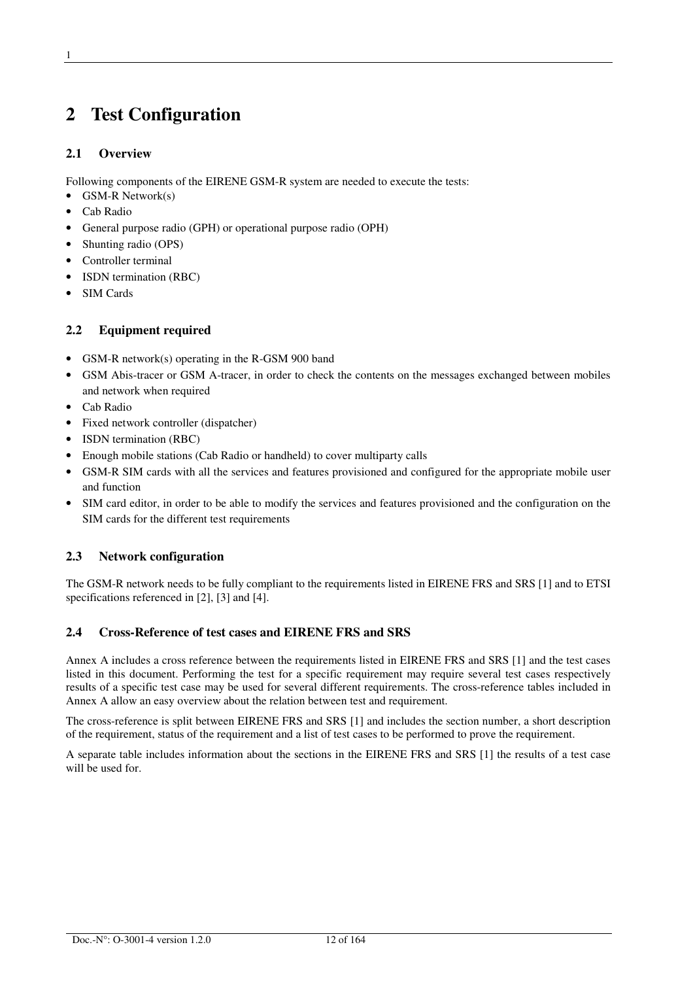# **2 Test Configuration**

### **2.1 Overview**

Following components of the EIRENE GSM-R system are needed to execute the tests:

- GSM-R Network(s)
- Cab Radio
- General purpose radio (GPH) or operational purpose radio (OPH)
- Shunting radio (OPS)
- Controller terminal
- ISDN termination (RBC)
- SIM Cards

### **2.2 Equipment required**

- GSM-R network(s) operating in the R-GSM 900 band
- GSM Abis-tracer or GSM A-tracer, in order to check the contents on the messages exchanged between mobiles and network when required
- Cab Radio
- Fixed network controller (dispatcher)
- ISDN termination (RBC)
- Enough mobile stations (Cab Radio or handheld) to cover multiparty calls
- GSM-R SIM cards with all the services and features provisioned and configured for the appropriate mobile user and function
- SIM card editor, in order to be able to modify the services and features provisioned and the configuration on the SIM cards for the different test requirements

### **2.3 Network configuration**

The GSM-R network needs to be fully compliant to the requirements listed in EIRENE FRS and SRS [1] and to ETSI specifications referenced in [2], [3] and [4].

### **2.4 Cross-Reference of test cases and EIRENE FRS and SRS**

Annex A includes a cross reference between the requirements listed in EIRENE FRS and SRS [1] and the test cases listed in this document. Performing the test for a specific requirement may require several test cases respectively results of a specific test case may be used for several different requirements. The cross-reference tables included in Annex A allow an easy overview about the relation between test and requirement.

The cross-reference is split between EIRENE FRS and SRS [1] and includes the section number, a short description of the requirement, status of the requirement and a list of test cases to be performed to prove the requirement.

A separate table includes information about the sections in the EIRENE FRS and SRS [1] the results of a test case will be used for.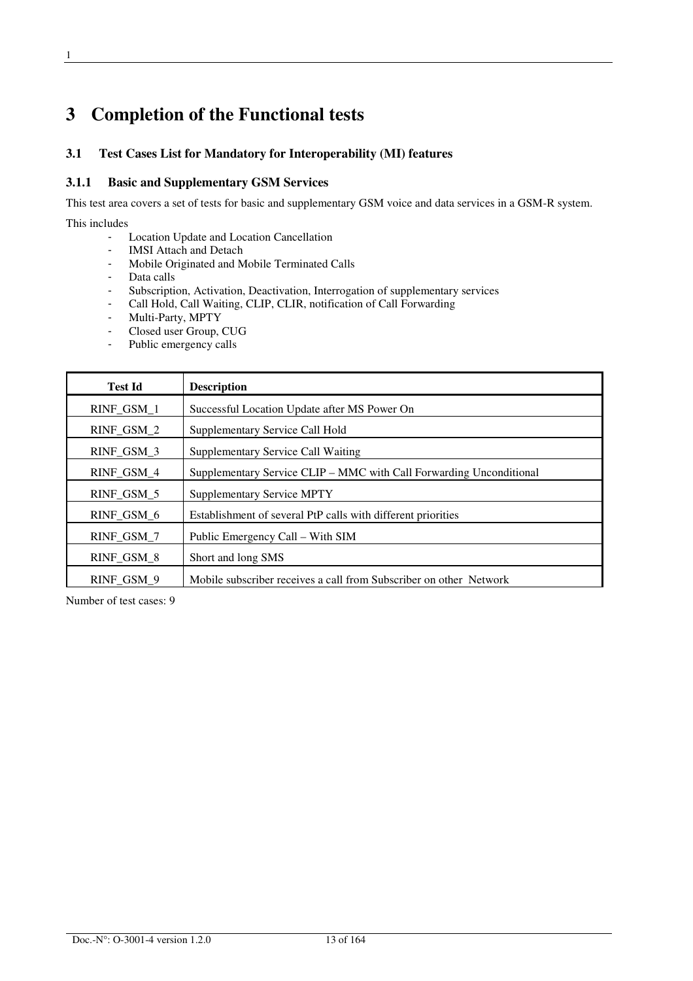# **3 Completion of the Functional tests**

### **3.1 Test Cases List for Mandatory for Interoperability (MI) features**

#### **3.1.1 Basic and Supplementary GSM Services**

This test area covers a set of tests for basic and supplementary GSM voice and data services in a GSM-R system.

### This includes

- Location Update and Location Cancellation
- IMSI Attach and Detach
- Mobile Originated and Mobile Terminated Calls
- Data calls
- Subscription, Activation, Deactivation, Interrogation of supplementary services
- Call Hold, Call Waiting, CLIP, CLIR, notification of Call Forwarding
- Multi-Party, MPTY<br>- Closed user Group.
- Closed user Group, CUG
- Public emergency calls

| <b>Test Id</b> | <b>Description</b>                                                  |
|----------------|---------------------------------------------------------------------|
| RINF_GSM_1     | Successful Location Update after MS Power On                        |
| RINF_GSM_2     | Supplementary Service Call Hold                                     |
| RINF_GSM_3     | Supplementary Service Call Waiting                                  |
| RINF_GSM_4     | Supplementary Service CLIP – MMC with Call Forwarding Unconditional |
| RINF_GSM_5     | <b>Supplementary Service MPTY</b>                                   |
| RINF GSM 6     | Establishment of several PtP calls with different priorities        |
| RINF_GSM_7     | Public Emergency Call – With SIM                                    |
| RINF_GSM_8     | Short and long SMS                                                  |
| RINF_GSM_9     | Mobile subscriber receives a call from Subscriber on other Network  |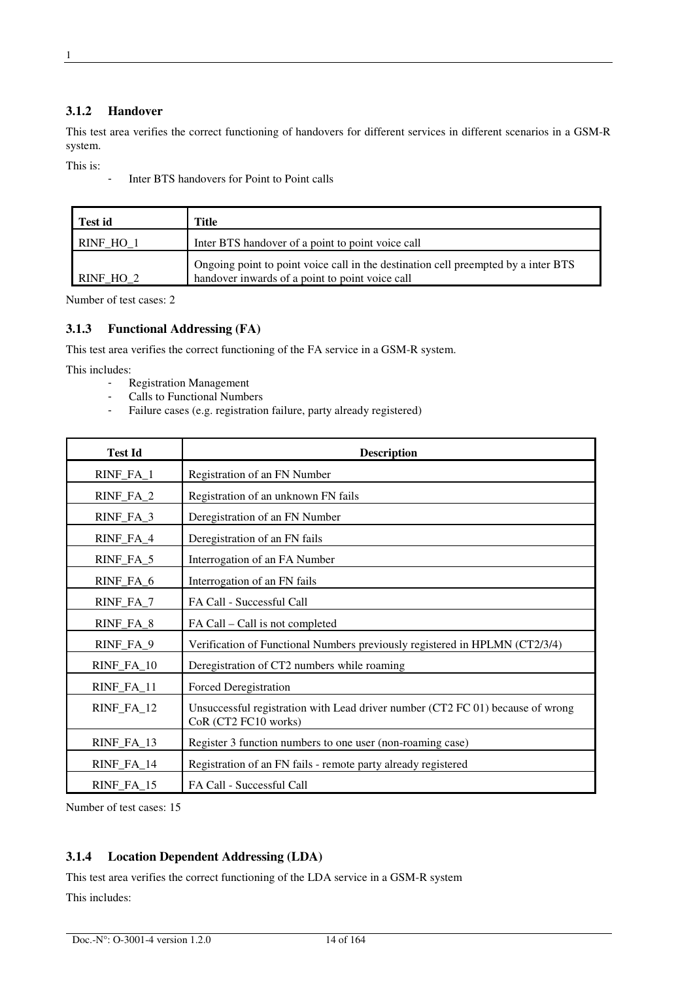This test area verifies the correct functioning of handovers for different services in different scenarios in a GSM-R system.

This is:

- Inter BTS handovers for Point to Point calls

| <b>Test id</b> | Title                                                                                                                                 |
|----------------|---------------------------------------------------------------------------------------------------------------------------------------|
| RINF HO 1      | Inter BTS handover of a point to point voice call                                                                                     |
| RINF HO 2      | Ongoing point to point voice call in the destination cell preempted by a inter BTS<br>handover inwards of a point to point voice call |

Number of test cases: 2

### **3.1.3 Functional Addressing (FA)**

This test area verifies the correct functioning of the FA service in a GSM-R system.

This includes:

- Registration Management
- Calls to Functional Numbers
- Failure cases (e.g. registration failure, party already registered)

| <b>Test Id</b> | <b>Description</b>                                                                                     |
|----------------|--------------------------------------------------------------------------------------------------------|
| RINF_FA_1      | Registration of an FN Number                                                                           |
| RINF_FA_2      | Registration of an unknown FN fails                                                                    |
| $RINF_FA_3$    | Deregistration of an FN Number                                                                         |
| RINF_FA_4      | Deregistration of an FN fails                                                                          |
| RINF_FA_5      | Interrogation of an FA Number                                                                          |
| RINF_FA_6      | Interrogation of an FN fails                                                                           |
| RINF_FA_7      | FA Call - Successful Call                                                                              |
| RINF_FA_8      | FA Call – Call is not completed                                                                        |
| RINF_FA_9      | Verification of Functional Numbers previously registered in HPLMN (CT2/3/4)                            |
| RINF_FA_10     | Deregistration of CT2 numbers while roaming                                                            |
| RINF_FA_11     | Forced Deregistration                                                                                  |
| RINF_FA_12     | Unsuccessful registration with Lead driver number (CT2 FC 01) because of wrong<br>CoR (CT2 FC10 works) |
| RINF_FA_13     | Register 3 function numbers to one user (non-roaming case)                                             |
| RINF_FA_14     | Registration of an FN fails - remote party already registered                                          |
| RINF_FA_15     | FA Call - Successful Call                                                                              |

Number of test cases: 15

### **3.1.4 Location Dependent Addressing (LDA)**

This test area verifies the correct functioning of the LDA service in a GSM-R system This includes: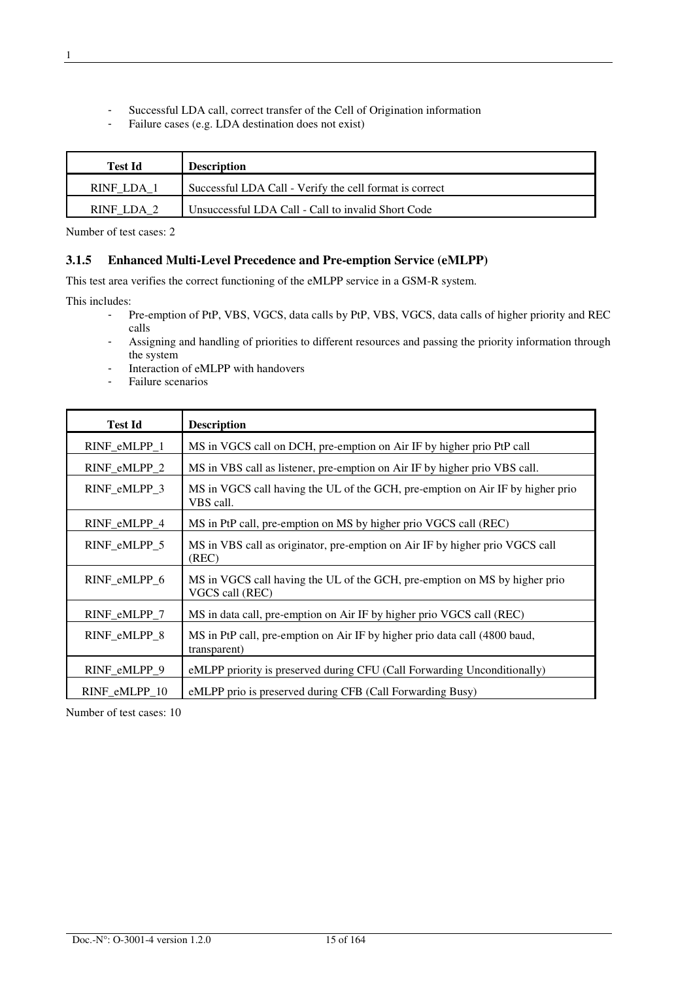- Successful LDA call, correct transfer of the Cell of Origination information<br>Failure cases (e.g. LDA destination does not exist)
- Failure cases (e.g. LDA destination does not exist)

| Test Id    | <b>Description</b>                                      |
|------------|---------------------------------------------------------|
| RINF LDA 1 | Successful LDA Call - Verify the cell format is correct |
| RINF LDA 2 | Unsuccessful LDA Call - Call to invalid Short Code      |

Number of test cases: 2

#### **3.1.5 Enhanced Multi-Level Precedence and Pre-emption Service (eMLPP)**

This test area verifies the correct functioning of the eMLPP service in a GSM-R system.

This includes:

- Pre-emption of PtP, VBS, VGCS, data calls by PtP, VBS, VGCS, data calls of higher priority and REC calls
- Assigning and handling of priorities to different resources and passing the priority information through the system
- Interaction of eMLPP with handovers
- Failure scenarios

| <b>Test Id</b> | <b>Description</b>                                                                            |
|----------------|-----------------------------------------------------------------------------------------------|
| RINF_eMLPP_1   | MS in VGCS call on DCH, pre-emption on Air IF by higher prio PtP call                         |
| RINF_eMLPP_2   | MS in VBS call as listener, pre-emption on Air IF by higher prio VBS call.                    |
| RINF_eMLPP_3   | MS in VGCS call having the UL of the GCH, pre-emption on Air IF by higher prio<br>VBS call.   |
| RINF_eMLPP_4   | MS in PtP call, pre-emption on MS by higher prio VGCS call (REC)                              |
| RINF_eMLPP_5   | MS in VBS call as originator, pre-emption on Air IF by higher prio VGCS call<br>(REC)         |
| RINF_eMLPP_6   | MS in VGCS call having the UL of the GCH, pre-emption on MS by higher prio<br>VGCS call (REC) |
| RINF_eMLPP_7   | MS in data call, pre-emption on Air IF by higher prio VGCS call (REC)                         |
| RINF_eMLPP_8   | MS in PtP call, pre-emption on Air IF by higher prio data call (4800 baud,<br>transparent)    |
| RINF_eMLPP_9   | eMLPP priority is preserved during CFU (Call Forwarding Unconditionally)                      |
| RINF_eMLPP_10  | eMLPP prio is preserved during CFB (Call Forwarding Busy)                                     |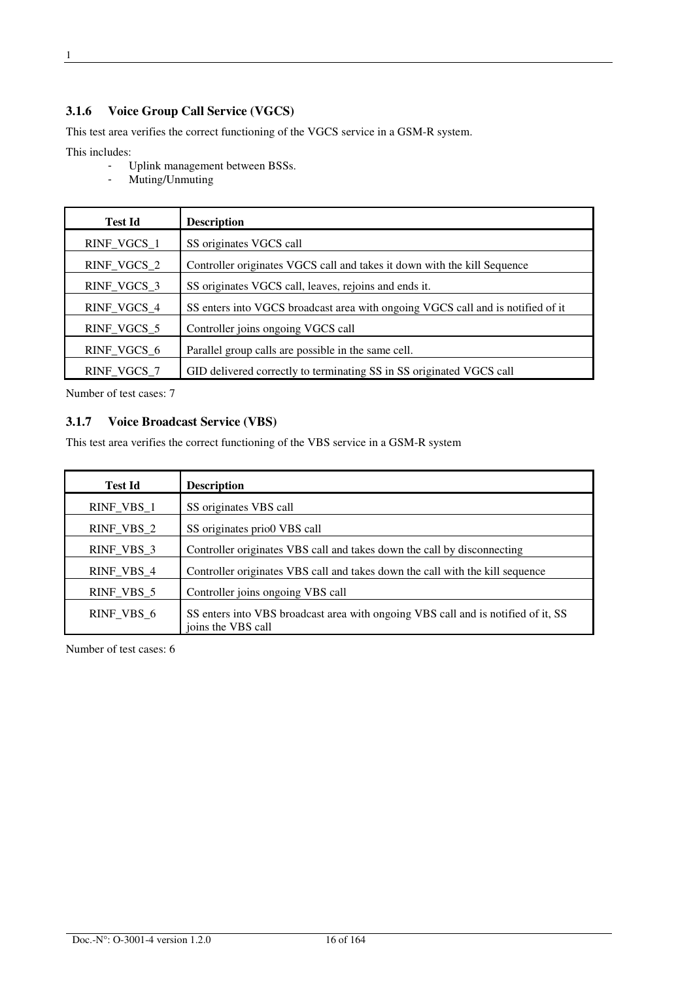This test area verifies the correct functioning of the VGCS service in a GSM-R system.

This includes:

- Uplink management between BSSs.
- Muting/Unmuting

| <b>Test Id</b> | <b>Description</b>                                                              |
|----------------|---------------------------------------------------------------------------------|
| RINF_VGCS_1    | SS originates VGCS call                                                         |
| RINF_VGCS_2    | Controller originates VGCS call and takes it down with the kill Sequence        |
| RINF_VGCS_3    | SS originates VGCS call, leaves, rejoins and ends it.                           |
| RINF_VGCS_4    | SS enters into VGCS broadcast area with ongoing VGCS call and is notified of it |
| RINF_VGCS_5    | Controller joins ongoing VGCS call                                              |
| RINF_VGCS_6    | Parallel group calls are possible in the same cell.                             |
| RINF_VGCS_7    | GID delivered correctly to terminating SS in SS originated VGCS call            |

Number of test cases: 7

### **3.1.7 Voice Broadcast Service (VBS)**

This test area verifies the correct functioning of the VBS service in a GSM-R system

| <b>Test Id</b> | <b>Description</b>                                                                                      |
|----------------|---------------------------------------------------------------------------------------------------------|
| $RINF_VBS_1$   | SS originates VBS call                                                                                  |
| RINF_VBS_2     | SS originates prio0 VBS call                                                                            |
| RINF_VBS_3     | Controller originates VBS call and takes down the call by disconnecting                                 |
| RINF_VBS_4     | Controller originates VBS call and takes down the call with the kill sequence                           |
| RINF_VBS_5     | Controller joins ongoing VBS call                                                                       |
| RINF VBS 6     | SS enters into VBS broadcast area with ongoing VBS call and is notified of it, SS<br>joins the VBS call |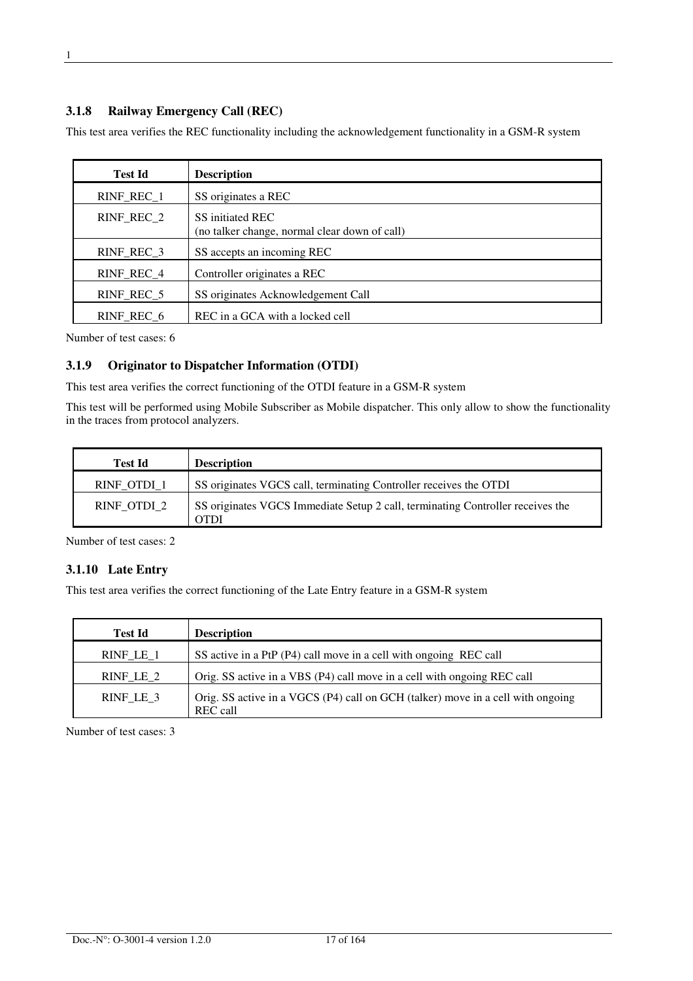#### **3.1.8 Railway Emergency Call (REC)**

This test area verifies the REC functionality including the acknowledgement functionality in a GSM-R system

| <b>Test Id</b> | <b>Description</b>                                                |
|----------------|-------------------------------------------------------------------|
| RINF_REC_1     | SS originates a REC                                               |
| RINF_REC_2     | SS initiated REC<br>(no talker change, normal clear down of call) |
| RINF_REC_3     | SS accepts an incoming REC                                        |
| RINF REC 4     | Controller originates a REC                                       |
| RINF REC 5     | SS originates Acknowledgement Call                                |
| RINF REC 6     | REC in a GCA with a locked cell                                   |

Number of test cases: 6

#### **3.1.9 Originator to Dispatcher Information (OTDI)**

This test area verifies the correct functioning of the OTDI feature in a GSM-R system

This test will be performed using Mobile Subscriber as Mobile dispatcher. This only allow to show the functionality in the traces from protocol analyzers.

| <b>Test Id</b> | <b>Description</b>                                                                     |
|----------------|----------------------------------------------------------------------------------------|
| RINF OTDI 1    | SS originates VGCS call, terminating Controller receives the OTDI                      |
| RINF OTDI 2    | SS originates VGCS Immediate Setup 2 call, terminating Controller receives the<br>OTDI |

Number of test cases: 2

#### **3.1.10 Late Entry**

This test area verifies the correct functioning of the Late Entry feature in a GSM-R system

| <b>Test Id</b> | <b>Description</b>                                                                                 |
|----------------|----------------------------------------------------------------------------------------------------|
| $RINF_LE_1$    | SS active in a PtP (P4) call move in a cell with ongoing REC call                                  |
| RINF LE 2      | Orig. SS active in a VBS (P4) call move in a cell with ongoing REC call                            |
| $RINF_LE_3$    | Orig. SS active in a VGCS (P4) call on GCH (talker) move in a cell with ongoing<br><b>REC</b> call |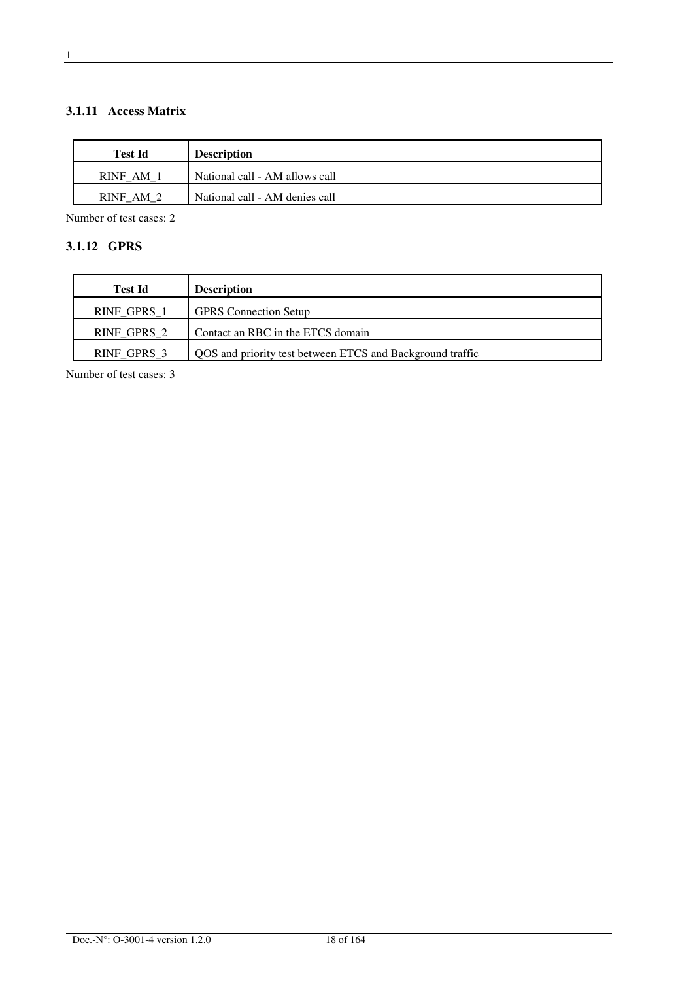### **3.1.11 Access Matrix**

| <b>Test Id</b> | <b>Description</b>             |
|----------------|--------------------------------|
| <b>RINF AM</b> | National call - AM allows call |
| RINF AM 2      | National call - AM denies call |

Number of test cases: 2

### **3.1.12 GPRS**

| <b>Test Id</b> | <b>Description</b>                                        |
|----------------|-----------------------------------------------------------|
| RINF GPRS 1    | <b>GPRS</b> Connection Setup                              |
| RINF GPRS 2    | Contact an RBC in the ETCS domain                         |
| RINF GPRS 3    | QOS and priority test between ETCS and Background traffic |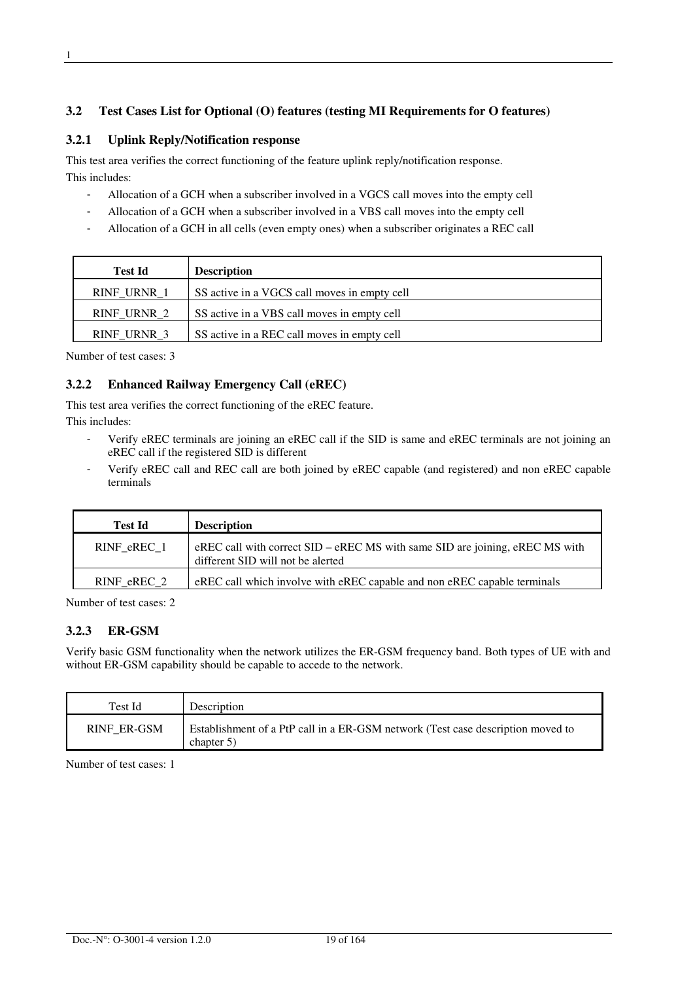### **3.2 Test Cases List for Optional (O) features (testing MI Requirements for O features)**

### **3.2.1 Uplink Reply/Notification response**

This test area verifies the correct functioning of the feature uplink reply/notification response. This includes:

- Allocation of a GCH when a subscriber involved in a VGCS call moves into the empty cell
- Allocation of a GCH when a subscriber involved in a VBS call moves into the empty cell
- Allocation of a GCH in all cells (even empty ones) when a subscriber originates a REC call

| <b>Test Id</b>     | <b>Description</b>                           |
|--------------------|----------------------------------------------|
| <b>RINF URNR 1</b> | SS active in a VGCS call moves in empty cell |
| RINF URNR 2        | SS active in a VBS call moves in empty cell  |
| <b>RINF URNR 3</b> | SS active in a REC call moves in empty cell  |

Number of test cases: 3

### **3.2.2 Enhanced Railway Emergency Call (eREC)**

This test area verifies the correct functioning of the eREC feature.

This includes:

- Verify eREC terminals are joining an eREC call if the SID is same and eREC terminals are not joining an eREC call if the registered SID is different
- Verify eREC call and REC call are both joined by eREC capable (and registered) and non eREC capable terminals

| Test Id     | <b>Description</b>                                                                                                    |
|-------------|-----------------------------------------------------------------------------------------------------------------------|
| RINF eREC 1 | eREC call with correct $SID - eREC$ MS with same $SID$ are joining, eREC MS with<br>different SID will not be alerted |
| RINF eREC 2 | eREC call which involve with eREC capable and non eREC capable terminals                                              |

Number of test cases: 2

### **3.2.3 ER-GSM**

Verify basic GSM functionality when the network utilizes the ER-GSM frequency band. Both types of UE with and without ER-GSM capability should be capable to accede to the network.

| Test Id            | Description                                                                                   |
|--------------------|-----------------------------------------------------------------------------------------------|
| <b>RINF ER-GSM</b> | Establishment of a PtP call in a ER-GSM network (Test case description moved to<br>chapter 5) |

1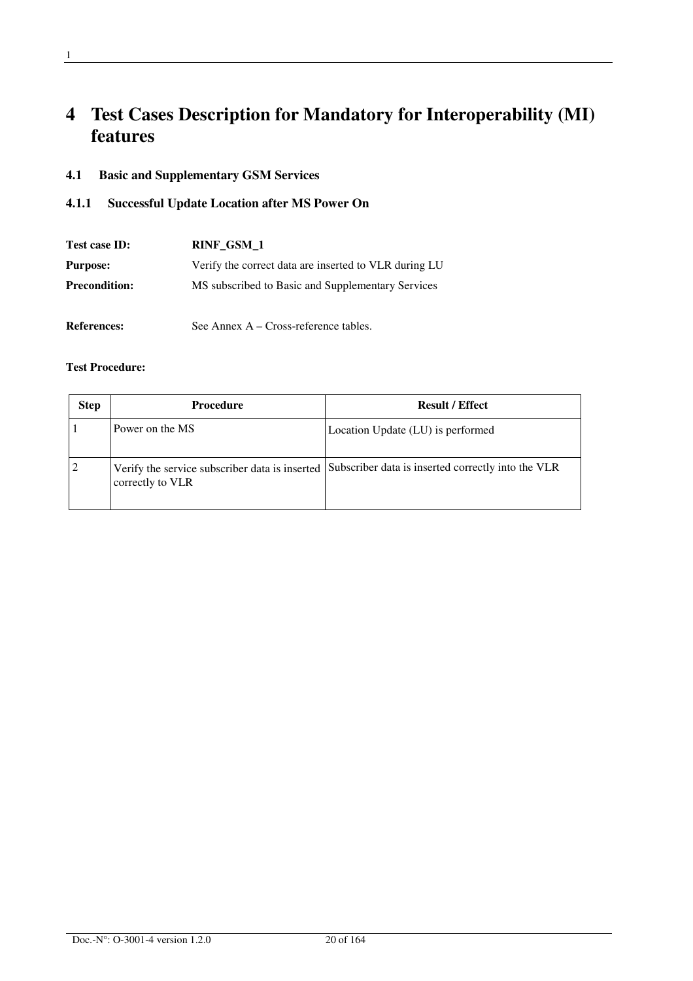# **4 Test Cases Description for Mandatory for Interoperability (MI) features**

### **4.1 Basic and Supplementary GSM Services**

### **4.1.1 Successful Update Location after MS Power On**

| Test case ID:        | RINF GSM 1                                            |  |
|----------------------|-------------------------------------------------------|--|
| <b>Purpose:</b>      | Verify the correct data are inserted to VLR during LU |  |
| <b>Precondition:</b> | MS subscribed to Basic and Supplementary Services     |  |
| <b>References:</b>   | See Annex A – Cross-reference tables.                 |  |

| <b>Step</b> | Procedure        | <b>Result / Effect</b>                                                                              |
|-------------|------------------|-----------------------------------------------------------------------------------------------------|
|             | Power on the MS  | Location Update (LU) is performed                                                                   |
|             | correctly to VLR | Verify the service subscriber data is inserted   Subscriber data is inserted correctly into the VLR |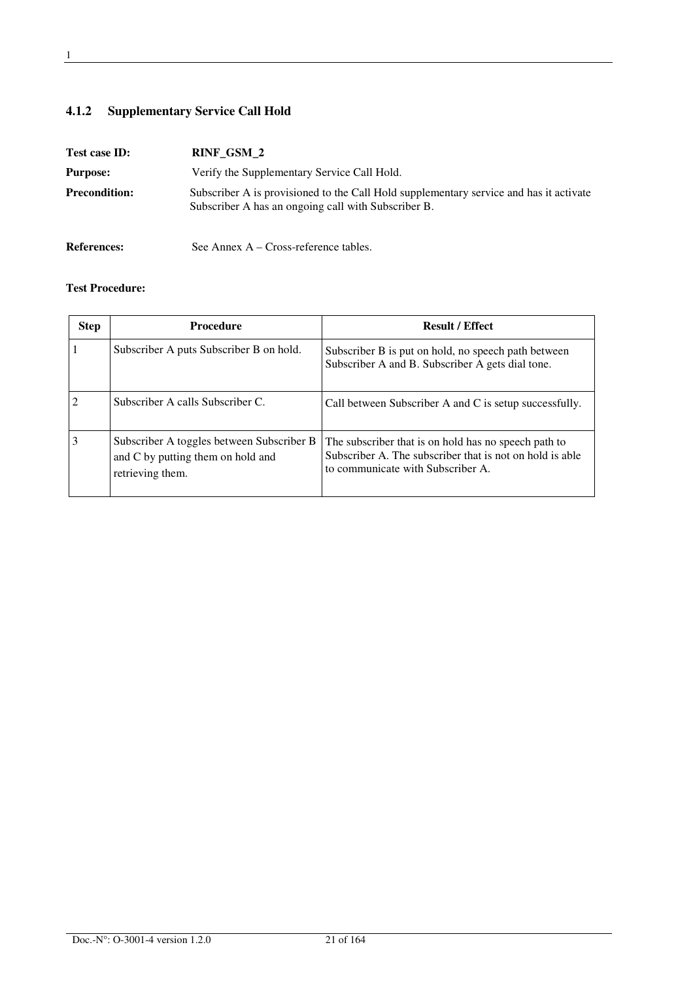## **4.1.2 Supplementary Service Call Hold**

| Test case ID:        | RINF_GSM_2                                                                                                                                    |  |
|----------------------|-----------------------------------------------------------------------------------------------------------------------------------------------|--|
| <b>Purpose:</b>      | Verify the Supplementary Service Call Hold.                                                                                                   |  |
| <b>Precondition:</b> | Subscriber A is provisioned to the Call Hold supplementary service and has it activate<br>Subscriber A has an ongoing call with Subscriber B. |  |
| <b>References:</b>   | See Annex $A - Cross-reference$ tables.                                                                                                       |  |

| <b>Step</b> | <b>Procedure</b>                                                                                   | <b>Result / Effect</b>                                                                                                                                |
|-------------|----------------------------------------------------------------------------------------------------|-------------------------------------------------------------------------------------------------------------------------------------------------------|
|             | Subscriber A puts Subscriber B on hold.                                                            | Subscriber B is put on hold, no speech path between<br>Subscriber A and B. Subscriber A gets dial tone.                                               |
| 2           | Subscriber A calls Subscriber C.                                                                   | Call between Subscriber A and C is setup successfully.                                                                                                |
|             | Subscriber A toggles between Subscriber B<br>and C by putting them on hold and<br>retrieving them. | The subscriber that is on hold has no speech path to<br>Subscriber A. The subscriber that is not on hold is able<br>to communicate with Subscriber A. |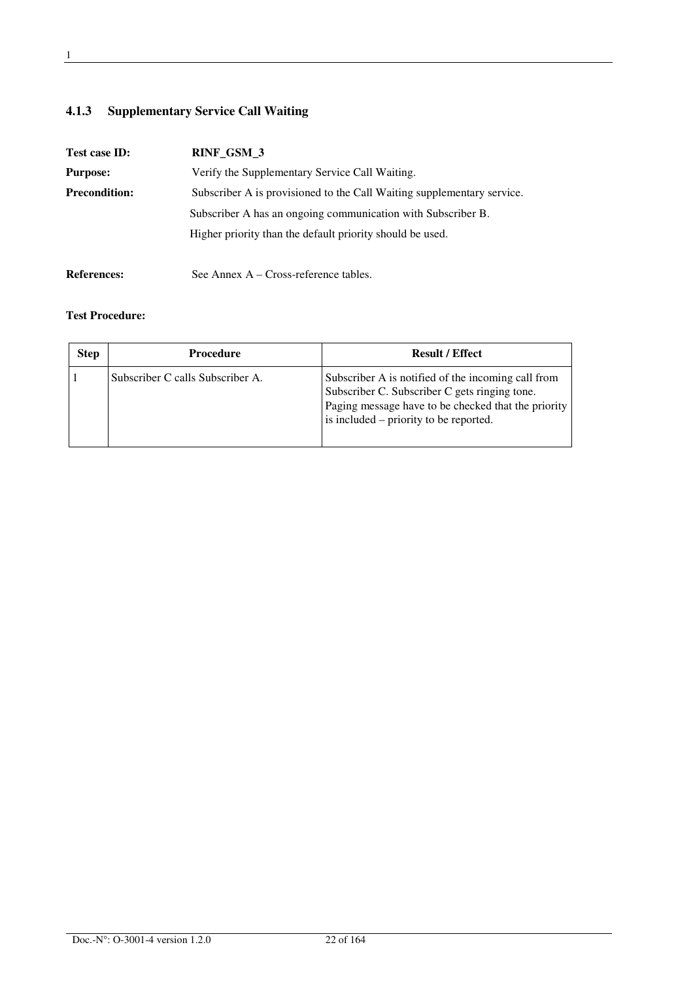## **4.1.3 Supplementary Service Call Waiting**

| Test case ID:        | RINF_GSM_3                                                             |  |
|----------------------|------------------------------------------------------------------------|--|
| <b>Purpose:</b>      | Verify the Supplementary Service Call Waiting.                         |  |
| <b>Precondition:</b> | Subscriber A is provisioned to the Call Waiting supplementary service. |  |
|                      | Subscriber A has an ongoing communication with Subscriber B.           |  |
|                      | Higher priority than the default priority should be used.              |  |
| <b>References:</b>   | See Annex A – Cross-reference tables.                                  |  |

| <b>Step</b> | <b>Procedure</b>                 | <b>Result / Effect</b>                                                                                                                                                                               |
|-------------|----------------------------------|------------------------------------------------------------------------------------------------------------------------------------------------------------------------------------------------------|
|             | Subscriber C calls Subscriber A. | Subscriber A is notified of the incoming call from<br>Subscriber C. Subscriber C gets ringing tone.<br>Paging message have to be checked that the priority<br>is included – priority to be reported. |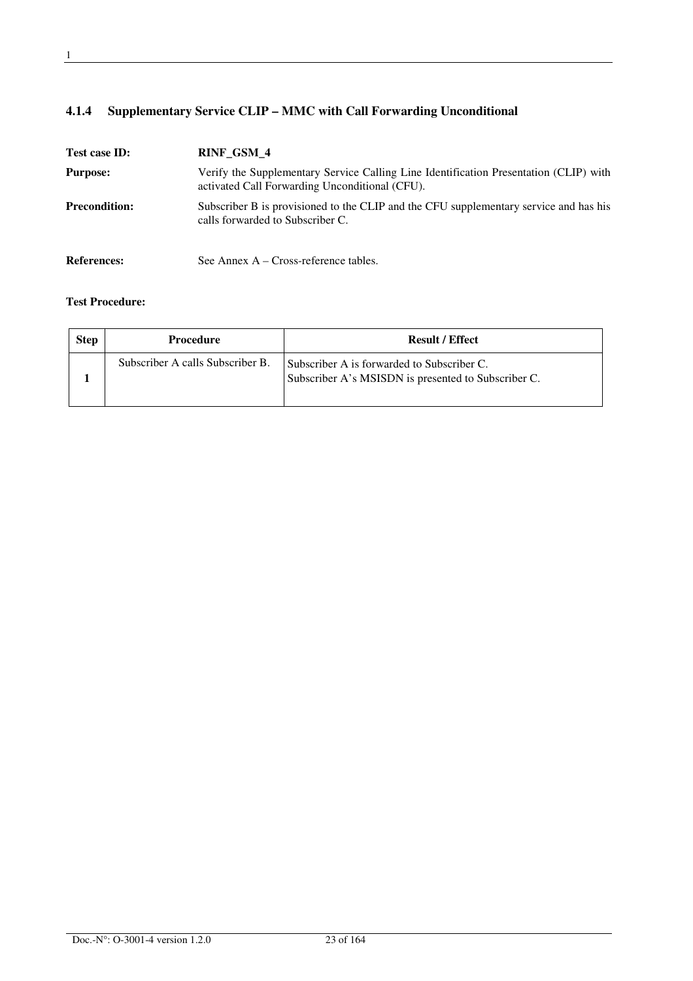## **4.1.4 Supplementary Service CLIP – MMC with Call Forwarding Unconditional**

| Test case ID:        | RINF_GSM_4                                                                                                                              |
|----------------------|-----------------------------------------------------------------------------------------------------------------------------------------|
| <b>Purpose:</b>      | Verify the Supplementary Service Calling Line Identification Presentation (CLIP) with<br>activated Call Forwarding Unconditional (CFU). |
| <b>Precondition:</b> | Subscriber B is provisioned to the CLIP and the CFU supplementary service and has his<br>calls forwarded to Subscriber C.               |
| <b>References:</b>   | See Annex $A - Cross-reference$ tables.                                                                                                 |

| <b>Step</b> | <b>Procedure</b>                 | <b>Result / Effect</b>                                                                            |
|-------------|----------------------------------|---------------------------------------------------------------------------------------------------|
|             | Subscriber A calls Subscriber B. | Subscriber A is forwarded to Subscriber C.<br>Subscriber A's MSISDN is presented to Subscriber C. |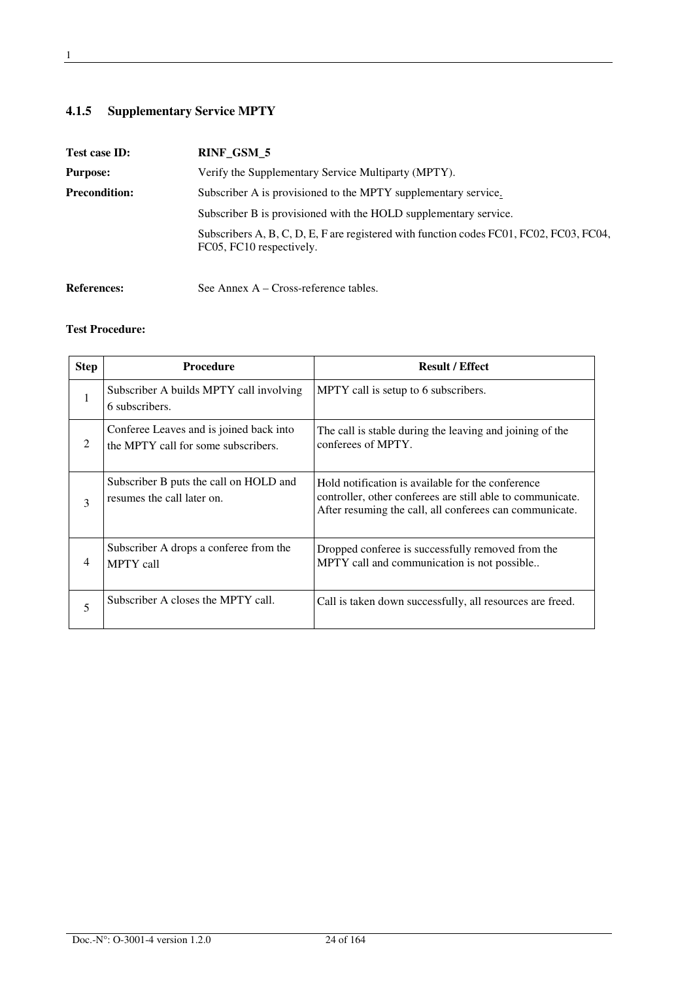## **4.1.5 Supplementary Service MPTY**

| Test case ID:        | RINF_GSM_5                                                                                                          |  |
|----------------------|---------------------------------------------------------------------------------------------------------------------|--|
| <b>Purpose:</b>      | Verify the Supplementary Service Multiparty (MPTY).                                                                 |  |
| <b>Precondition:</b> | Subscriber A is provisioned to the MPTY supplementary service.                                                      |  |
|                      | Subscriber B is provisioned with the HOLD supplementary service.                                                    |  |
|                      | Subscribers A, B, C, D, E, F are registered with function codes FC01, FC02, FC03, FC04,<br>FC05, FC10 respectively. |  |
|                      |                                                                                                                     |  |

References: See Annex A – Cross-reference tables.

| <b>Step</b> | <b>Procedure</b>                                                               | <b>Result / Effect</b>                                                                                                                                                     |
|-------------|--------------------------------------------------------------------------------|----------------------------------------------------------------------------------------------------------------------------------------------------------------------------|
| 1           | Subscriber A builds MPTY call involving<br>6 subscribers.                      | MPTY call is setup to 6 subscribers.                                                                                                                                       |
| 2           | Conferee Leaves and is joined back into<br>the MPTY call for some subscribers. | The call is stable during the leaving and joining of the<br>conferees of MPTY.                                                                                             |
| 3           | Subscriber B puts the call on HOLD and<br>resumes the call later on.           | Hold notification is available for the conference<br>controller, other conferees are still able to communicate.<br>After resuming the call, all conferees can communicate. |
| 4           | Subscriber A drops a conferee from the<br><b>MPTY</b> call                     | Dropped conferee is successfully removed from the<br>MPTY call and communication is not possible                                                                           |
| 5           | Subscriber A closes the MPTY call.                                             | Call is taken down successfully, all resources are freed.                                                                                                                  |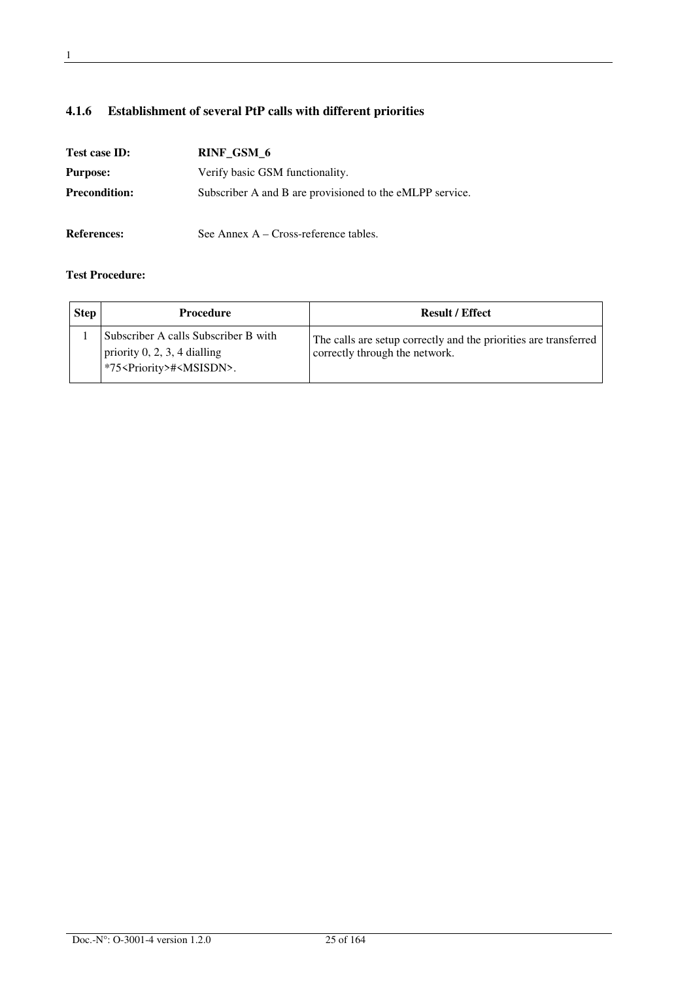### **4.1.6 Establishment of several PtP calls with different priorities**

| Test case ID:                                      | RINF GSM 6                                               |
|----------------------------------------------------|----------------------------------------------------------|
| Verify basic GSM functionality.<br><b>Purpose:</b> |                                                          |
| <b>Precondition:</b>                               | Subscriber A and B are provisioned to the eMLPP service. |
| <b>References:</b>                                 | See Annex $A - Cross-reference$ tables.                  |

| <b>Step</b> | <b>Procedure</b>                                                                                                         | <b>Result / Effect</b>                                                                             |
|-------------|--------------------------------------------------------------------------------------------------------------------------|----------------------------------------------------------------------------------------------------|
|             | Subscriber A calls Subscriber B with<br>priority $0, 2, 3, 4$ dialling<br>l *75 <priority>#<msisdn>.</msisdn></priority> | The calls are setup correctly and the priorities are transferred<br>correctly through the network. |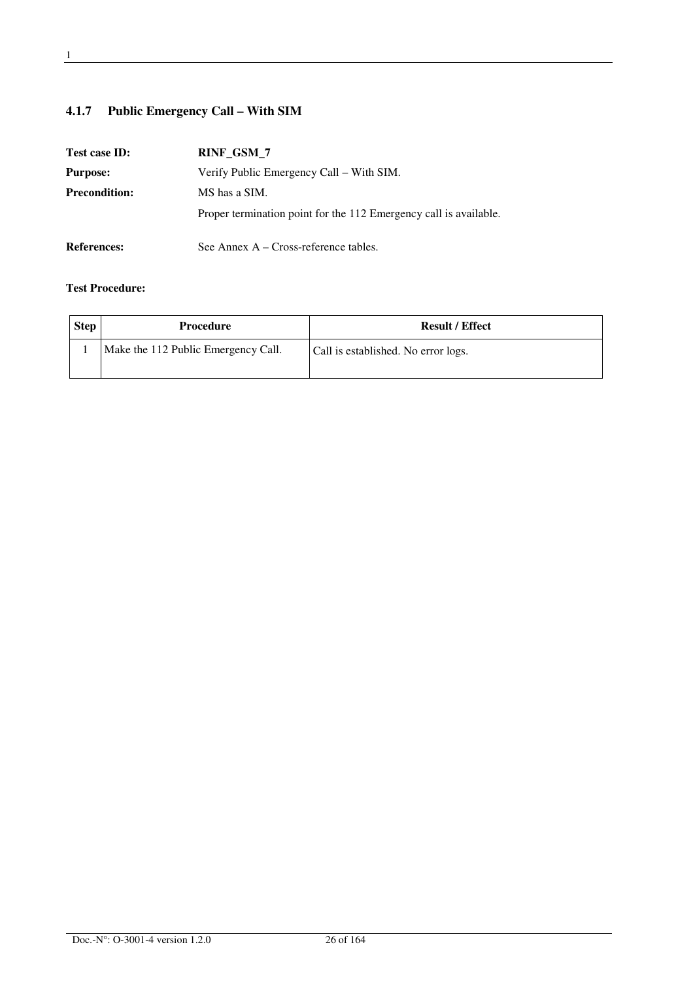## **4.1.7 Public Emergency Call – With SIM**

| Test case ID:        | RINF_GSM_7                                                        |
|----------------------|-------------------------------------------------------------------|
| <b>Purpose:</b>      | Verify Public Emergency Call – With SIM.                          |
| <b>Precondition:</b> | MS has a SIM.                                                     |
|                      | Proper termination point for the 112 Emergency call is available. |
| <b>References:</b>   | See Annex $A - Cross-reference$ tables.                           |

| <b>Step</b> | <b>Procedure</b>                    | <b>Result / Effect</b>              |
|-------------|-------------------------------------|-------------------------------------|
|             | Make the 112 Public Emergency Call. | Call is established. No error logs. |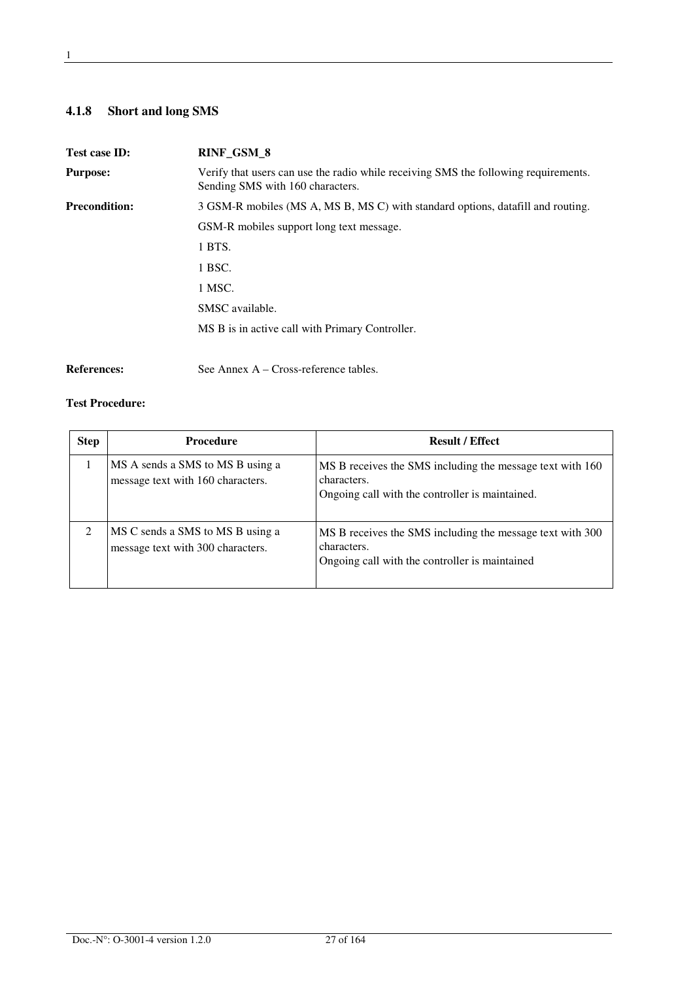### **4.1.8 Short and long SMS**

| Test case ID:        | RINF_GSM_8                                                                                                              |
|----------------------|-------------------------------------------------------------------------------------------------------------------------|
| <b>Purpose:</b>      | Verify that users can use the radio while receiving SMS the following requirements.<br>Sending SMS with 160 characters. |
| <b>Precondition:</b> | 3 GSM-R mobiles (MS A, MS B, MS C) with standard options, datafill and routing.                                         |
|                      | GSM-R mobiles support long text message.                                                                                |
|                      | 1 BTS.                                                                                                                  |
|                      | 1 BSC.                                                                                                                  |
|                      | 1 MSC.                                                                                                                  |
|                      | SMSC available.                                                                                                         |
|                      | MS B is in active call with Primary Controller.                                                                         |
|                      |                                                                                                                         |
| <b>References:</b>   | See Annex $A - Cross-reference$ tables.                                                                                 |

| <b>Step</b> | <b>Procedure</b>                                                      | <b>Result / Effect</b>                                                                                                      |
|-------------|-----------------------------------------------------------------------|-----------------------------------------------------------------------------------------------------------------------------|
|             | MS A sends a SMS to MS B using a<br>message text with 160 characters. | MS B receives the SMS including the message text with 160<br>characters.<br>Ongoing call with the controller is maintained. |
| 2           | MS C sends a SMS to MS B using a<br>message text with 300 characters. | MS B receives the SMS including the message text with 300<br>characters.<br>Ongoing call with the controller is maintained  |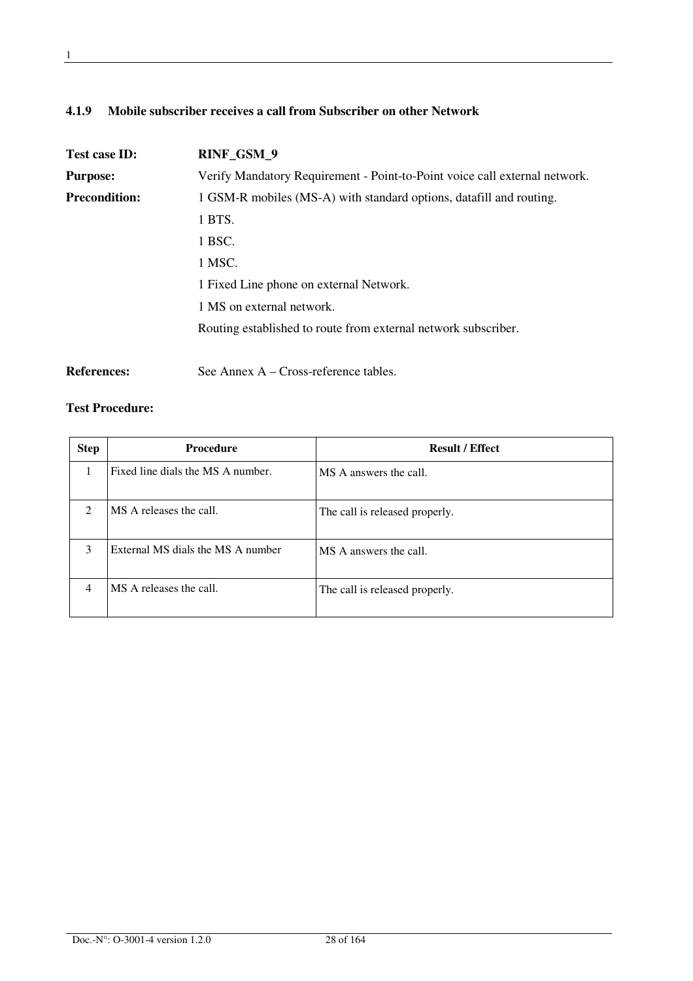### **4.1.9 Mobile subscriber receives a call from Subscriber on other Network**

| Test case ID:        | RINF_GSM_9                                                                 |
|----------------------|----------------------------------------------------------------------------|
| <b>Purpose:</b>      | Verify Mandatory Requirement - Point-to-Point voice call external network. |
| <b>Precondition:</b> | 1 GSM-R mobiles (MS-A) with standard options, datafill and routing.        |
|                      | 1 BTS.                                                                     |
|                      | 1 BSC.                                                                     |
|                      | 1 MSC.                                                                     |
|                      | 1 Fixed Line phone on external Network.                                    |
|                      | 1 MS on external network.                                                  |
|                      | Routing established to route from external network subscriber.             |
|                      |                                                                            |

References: See Annex A – Cross-reference tables.

| <b>Step</b>                   | <b>Procedure</b>                  | <b>Result / Effect</b>         |
|-------------------------------|-----------------------------------|--------------------------------|
|                               | Fixed line dials the MS A number. | MS A answers the call.         |
| $\mathfrak{D}_{\mathfrak{p}}$ | MS A releases the call.           | The call is released properly. |
| 3                             | External MS dials the MS A number | MS A answers the call.         |
| 4                             | MS A releases the call.           | The call is released properly. |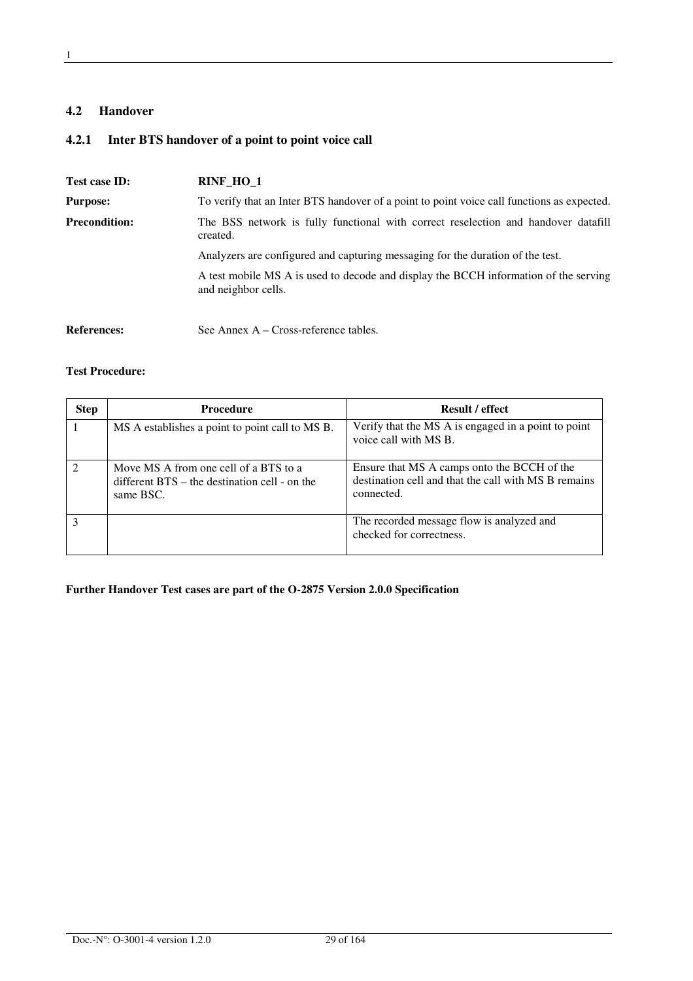### **4.2 Handover**

### **4.2.1 Inter BTS handover of a point to point voice call**

| Test case ID:                                                                                                          | RINF_HO_1                                                                                                   |
|------------------------------------------------------------------------------------------------------------------------|-------------------------------------------------------------------------------------------------------------|
| <b>Purpose:</b>                                                                                                        | To verify that an Inter BTS handover of a point to point voice call functions as expected.                  |
| <b>Precondition:</b><br>The BSS network is fully functional with correct reselection and handover datafill<br>created. |                                                                                                             |
|                                                                                                                        | Analyzers are configured and capturing messaging for the duration of the test.                              |
|                                                                                                                        | A test mobile MS A is used to decode and display the BCCH information of the serving<br>and neighbor cells. |
| <b>References:</b>                                                                                                     | See Annex $A - Cross-reference$ tables.                                                                     |

#### **Test Procedure:**

| <b>Step</b> | <b>Procedure</b>                                                                                      | <b>Result / effect</b>                                                                                            |
|-------------|-------------------------------------------------------------------------------------------------------|-------------------------------------------------------------------------------------------------------------------|
|             | MS A establishes a point to point call to MS B.                                                       | Verify that the MS A is engaged in a point to point<br>voice call with MS B.                                      |
|             | Move MS A from one cell of a BTS to a<br>different $BTS -$ the destination cell - on the<br>same BSC. | Ensure that MS A camps onto the BCCH of the<br>destination cell and that the call with MS B remains<br>connected. |
|             |                                                                                                       | The recorded message flow is analyzed and<br>checked for correctness.                                             |

### **Further Handover Test cases are part of the O-2875 Version 2.0.0 Specification**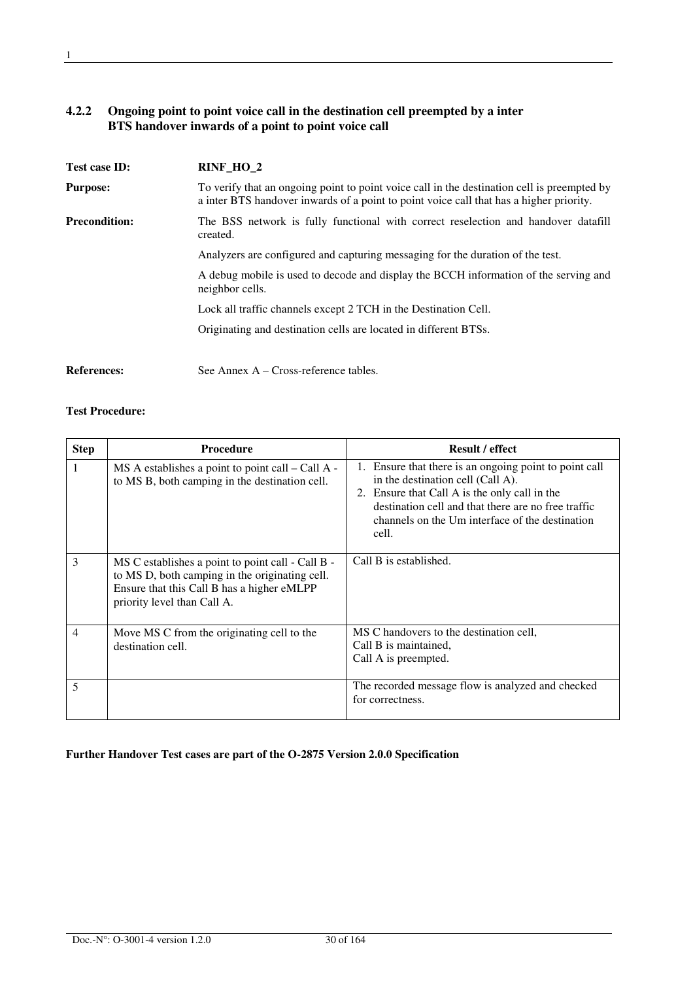### **4.2.2 Ongoing point to point voice call in the destination cell preempted by a inter BTS handover inwards of a point to point voice call**

| Test case ID:        | RINF_HO_2                                                                                                                                                                              |  |
|----------------------|----------------------------------------------------------------------------------------------------------------------------------------------------------------------------------------|--|
| <b>Purpose:</b>      | To verify that an ongoing point to point voice call in the destination cell is preempted by<br>a inter BTS handover inwards of a point to point voice call that has a higher priority. |  |
| <b>Precondition:</b> | The BSS network is fully functional with correct reselection and handover datafill<br>created.                                                                                         |  |
|                      | Analyzers are configured and capturing messaging for the duration of the test.                                                                                                         |  |
|                      | A debug mobile is used to decode and display the BCCH information of the serving and<br>neighbor cells.                                                                                |  |
|                      | Lock all traffic channels except 2 TCH in the Destination Cell.                                                                                                                        |  |
|                      | Originating and destination cells are located in different BTSs.                                                                                                                       |  |
| <b>References:</b>   | See Annex A – Cross-reference tables.                                                                                                                                                  |  |

#### **Test Procedure:**

| <b>Step</b>    | <b>Procedure</b>                                                                                                                                                                 | <b>Result / effect</b>                                                                                                                                                                                                                                          |
|----------------|----------------------------------------------------------------------------------------------------------------------------------------------------------------------------------|-----------------------------------------------------------------------------------------------------------------------------------------------------------------------------------------------------------------------------------------------------------------|
| 1              | $MS A$ establishes a point to point call $-$ Call A -<br>to MS B, both camping in the destination cell.                                                                          | 1. Ensure that there is an ongoing point to point call<br>in the destination cell (Call A).<br>2. Ensure that Call A is the only call in the<br>destination cell and that there are no free traffic<br>channels on the Um interface of the destination<br>cell. |
| 3              | MS C establishes a point to point call - Call B -<br>to MS D, both camping in the originating cell.<br>Ensure that this Call B has a higher eMLPP<br>priority level than Call A. | Call B is established.                                                                                                                                                                                                                                          |
| $\overline{4}$ | Move MS C from the originating cell to the<br>destination cell.                                                                                                                  | MS C handovers to the destination cell,<br>Call B is maintained,<br>Call A is preempted.                                                                                                                                                                        |
| 5              |                                                                                                                                                                                  | The recorded message flow is analyzed and checked<br>for correctness.                                                                                                                                                                                           |

#### **Further Handover Test cases are part of the O-2875 Version 2.0.0 Specification**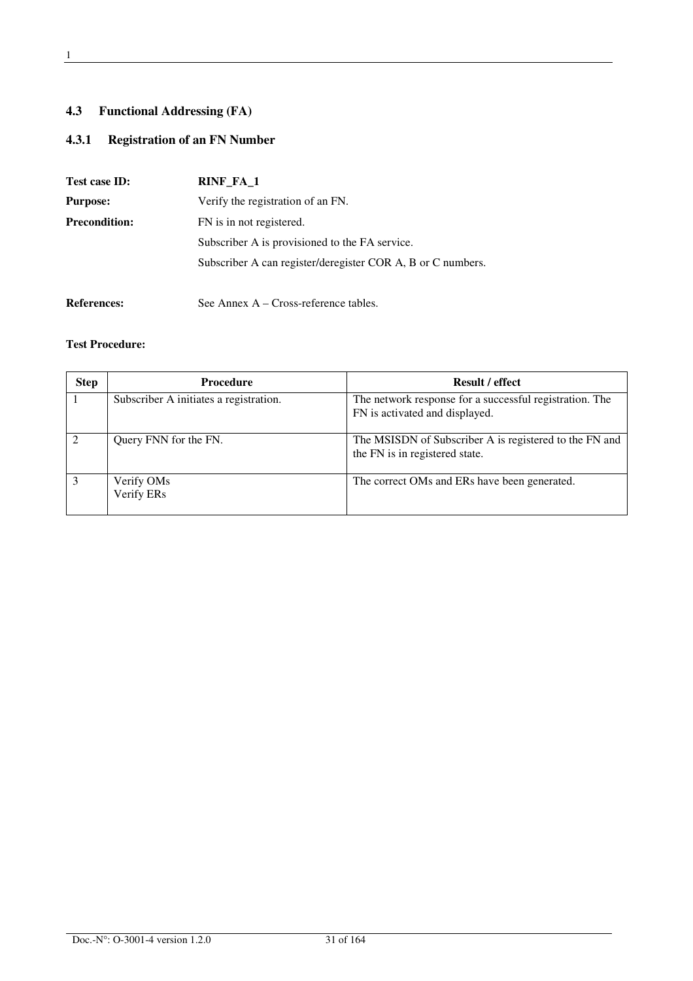### **4.3 Functional Addressing (FA)**

### **4.3.1 Registration of an FN Number**

| Test case ID:        | RINF_FA_1                                                   |  |
|----------------------|-------------------------------------------------------------|--|
| <b>Purpose:</b>      | Verify the registration of an FN.                           |  |
| <b>Precondition:</b> | FN is in not registered.                                    |  |
|                      | Subscriber A is provisioned to the FA service.              |  |
|                      | Subscriber A can register/deregister COR A, B or C numbers. |  |
|                      |                                                             |  |

# References: See Annex A – Cross-reference tables.

| <b>Step</b> | <b>Procedure</b>                       | <b>Result / effect</b>                                                                    |
|-------------|----------------------------------------|-------------------------------------------------------------------------------------------|
|             | Subscriber A initiates a registration. | The network response for a successful registration. The<br>FN is activated and displayed. |
|             |                                        |                                                                                           |
|             | Query FNN for the FN.                  | The MSISDN of Subscriber A is registered to the FN and<br>the FN is in registered state.  |
|             | Verify OMs<br>Verify ERs               | The correct OMs and ERs have been generated.                                              |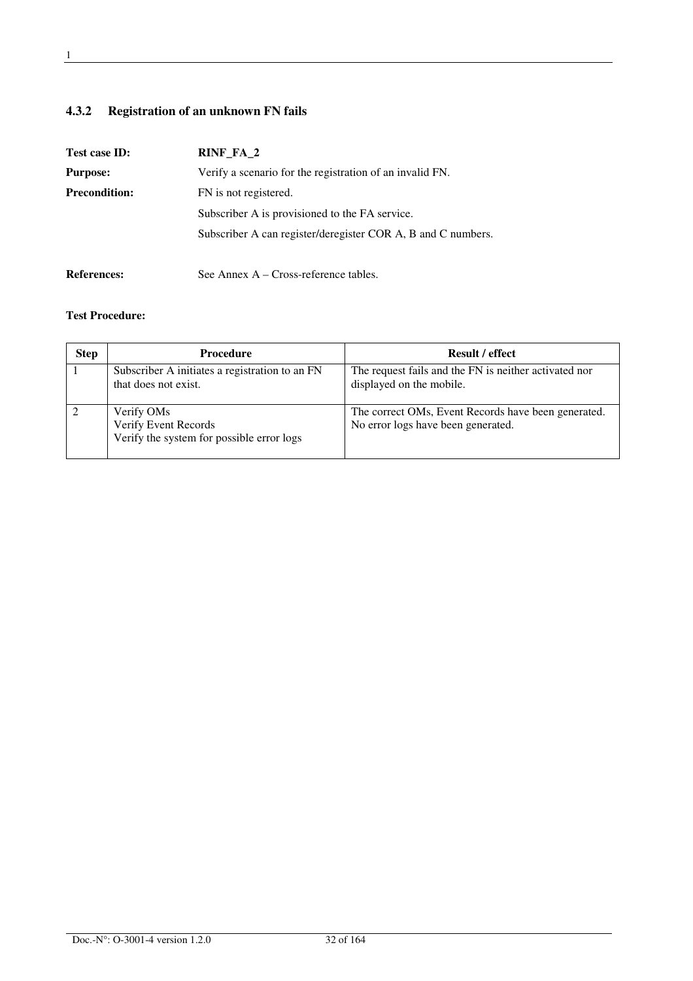### **4.3.2 Registration of an unknown FN fails**

| Test case ID:        | RINF FA 2                                                    |
|----------------------|--------------------------------------------------------------|
| <b>Purpose:</b>      | Verify a scenario for the registration of an invalid FN.     |
| <b>Precondition:</b> | FN is not registered.                                        |
|                      | Subscriber A is provisioned to the FA service.               |
|                      | Subscriber A can register/deregister COR A, B and C numbers. |
| <b>References:</b>   | See Annex A – Cross-reference tables.                        |

| <b>Step</b> | Procedure                                                                       | <b>Result / effect</b>                                                                    |
|-------------|---------------------------------------------------------------------------------|-------------------------------------------------------------------------------------------|
|             | Subscriber A initiates a registration to an FN<br>that does not exist.          | The request fails and the FN is neither activated nor<br>displayed on the mobile.         |
|             | Verify OMs<br>Verify Event Records<br>Verify the system for possible error logs | The correct OMs, Event Records have been generated.<br>No error logs have been generated. |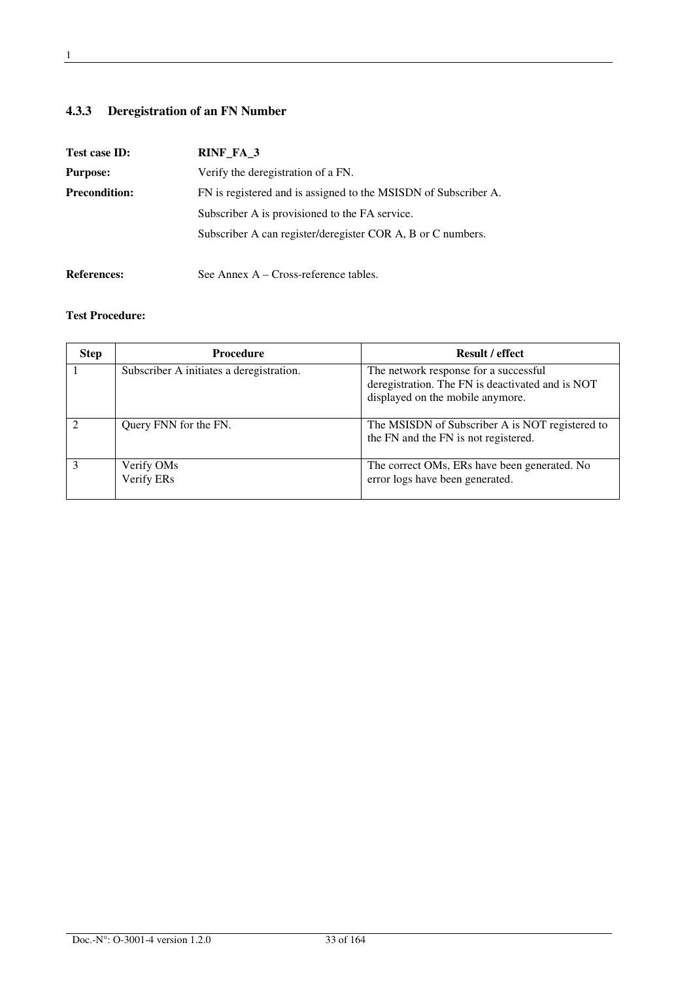### **4.3.3 Deregistration of an FN Number**

| Test case ID:        | RINF FA 3                                                       |
|----------------------|-----------------------------------------------------------------|
| <b>Purpose:</b>      | Verify the deregistration of a FN.                              |
| <b>Precondition:</b> | FN is registered and is assigned to the MSISDN of Subscriber A. |
|                      | Subscriber A is provisioned to the FA service.                  |
|                      | Subscriber A can register/deregister COR A, B or C numbers.     |
|                      |                                                                 |

# References: See Annex A – Cross-reference tables.

| <b>Step</b>   | <b>Procedure</b>                         | <b>Result / effect</b>                                                                                                        |
|---------------|------------------------------------------|-------------------------------------------------------------------------------------------------------------------------------|
|               | Subscriber A initiates a deregistration. | The network response for a successful<br>deregistration. The FN is deactivated and is NOT<br>displayed on the mobile anymore. |
|               | Query FNN for the FN.                    | The MSISDN of Subscriber A is NOT registered to<br>the FN and the FN is not registered.                                       |
| $\mathcal{R}$ | Verify OMs<br>Verify ERs                 | The correct OMs, ERs have been generated. No<br>error logs have been generated.                                               |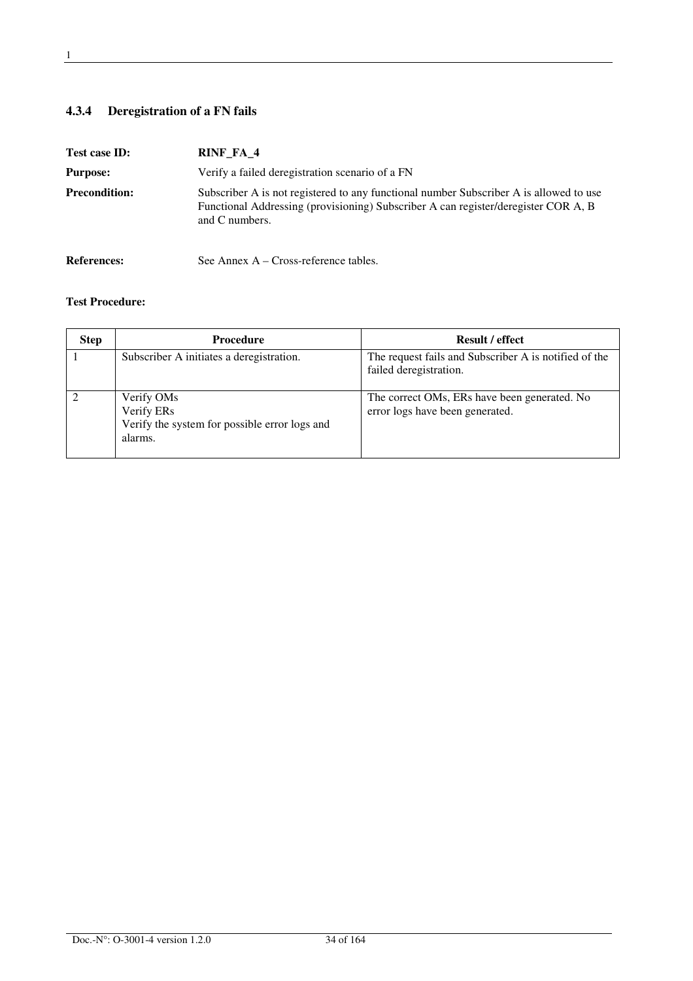## **4.3.4 Deregistration of a FN fails**

| Test case ID:        | RINF_FA_4                                                                                                                                                                                      |
|----------------------|------------------------------------------------------------------------------------------------------------------------------------------------------------------------------------------------|
| <b>Purpose:</b>      | Verify a failed deregistration scenario of a FN                                                                                                                                                |
| <b>Precondition:</b> | Subscriber A is not registered to any functional number Subscriber A is allowed to use<br>Functional Addressing (provisioning) Subscriber A can register/deregister COR A, B<br>and C numbers. |
| <b>References:</b>   | See Annex $A - Cross-reference$ tables.                                                                                                                                                        |

| <b>Step</b> | <b>Procedure</b>                                                                     | <b>Result / effect</b>                                                          |
|-------------|--------------------------------------------------------------------------------------|---------------------------------------------------------------------------------|
|             | Subscriber A initiates a deregistration.                                             | The request fails and Subscriber A is notified of the<br>failed deregistration. |
|             | Verify OMs<br>Verify ERs<br>Verify the system for possible error logs and<br>alarms. | The correct OMs, ERs have been generated. No<br>error logs have been generated. |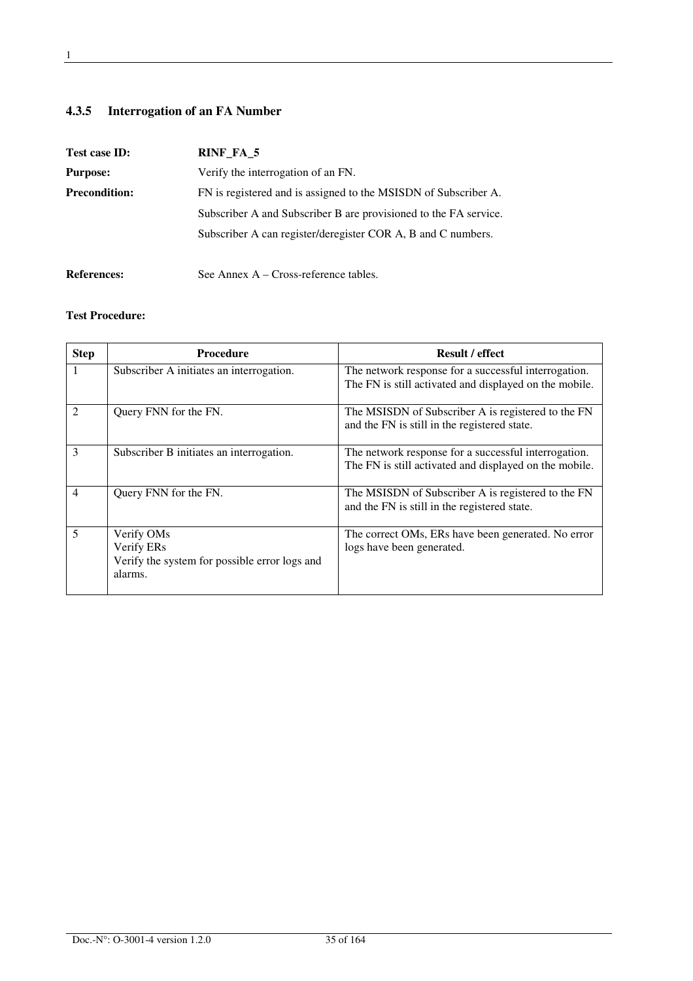### **4.3.5 Interrogation of an FA Number**

| Test case ID:        | RINF_FA_5                                                        |
|----------------------|------------------------------------------------------------------|
| <b>Purpose:</b>      | Verify the interrogation of an FN.                               |
| <b>Precondition:</b> | FN is registered and is assigned to the MSISDN of Subscriber A.  |
|                      | Subscriber A and Subscriber B are provisioned to the FA service. |
|                      | Subscriber A can register/deregister COR A, B and C numbers.     |
|                      |                                                                  |

### References: See Annex A – Cross-reference tables.

| <b>Step</b>              | <b>Procedure</b>                                                                                 | <b>Result / effect</b>                                                                                         |
|--------------------------|--------------------------------------------------------------------------------------------------|----------------------------------------------------------------------------------------------------------------|
|                          | Subscriber A initiates an interrogation.                                                         | The network response for a successful interrogation.<br>The FN is still activated and displayed on the mobile. |
| $\mathfrak{D}$           | Query FNN for the FN.                                                                            | The MSISDN of Subscriber A is registered to the FN<br>and the FN is still in the registered state.             |
| 3                        | Subscriber B initiates an interrogation.                                                         | The network response for a successful interrogation.<br>The FN is still activated and displayed on the mobile. |
| $\overline{\mathcal{A}}$ | Query FNN for the FN.                                                                            | The MSISDN of Subscriber A is registered to the FN<br>and the FN is still in the registered state.             |
| 5                        | Verify OM <sub>s</sub><br>Verify ERs<br>Verify the system for possible error logs and<br>alarms. | The correct OMs, ERs have been generated. No error<br>logs have been generated.                                |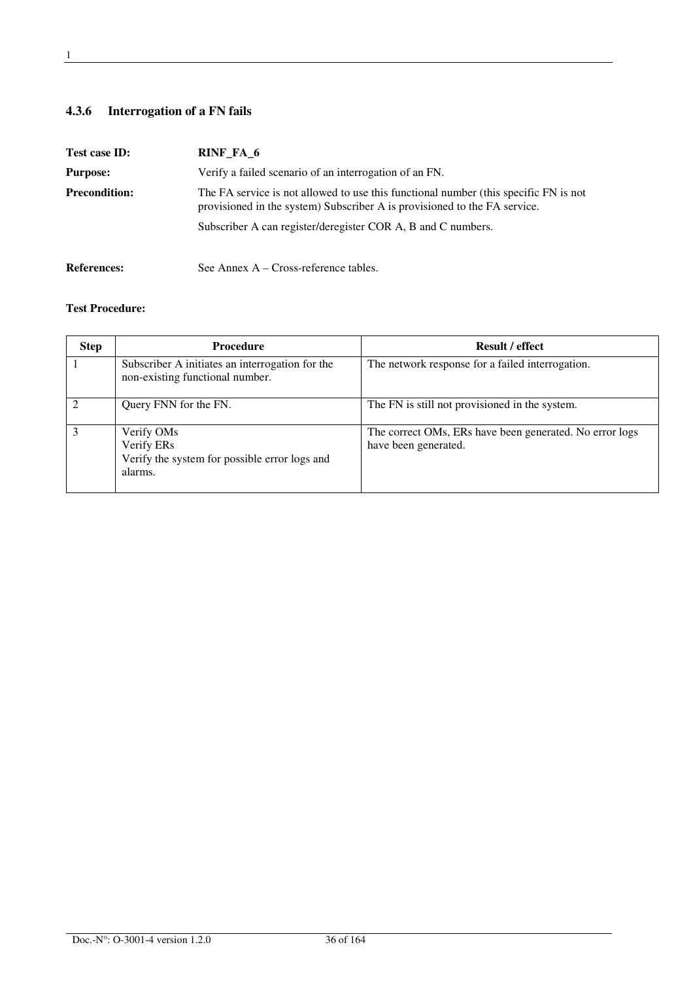### **4.3.6 Interrogation of a FN fails**

**References:** See Annex A – Cross-reference tables.

| Test case ID:        | RINF FA 6                                                                                                                                                         |
|----------------------|-------------------------------------------------------------------------------------------------------------------------------------------------------------------|
| <b>Purpose:</b>      | Verify a failed scenario of an interrogation of an FN.                                                                                                            |
| <b>Precondition:</b> | The FA service is not allowed to use this functional number (this specific FN is not<br>provisioned in the system) Subscriber A is provisioned to the FA service. |
|                      | Subscriber A can register/deregister COR A, B and C numbers.                                                                                                      |
|                      |                                                                                                                                                                   |

| <b>Step</b> | <b>Procedure</b>                                                                     | <b>Result / effect</b>                                                          |
|-------------|--------------------------------------------------------------------------------------|---------------------------------------------------------------------------------|
|             | Subscriber A initiates an interrogation for the<br>non-existing functional number.   | The network response for a failed interrogation.                                |
|             | Query FNN for the FN.                                                                | The FN is still not provisioned in the system.                                  |
|             | Verify OMs<br>Verify ERs<br>Verify the system for possible error logs and<br>alarms. | The correct OMs, ERs have been generated. No error logs<br>have been generated. |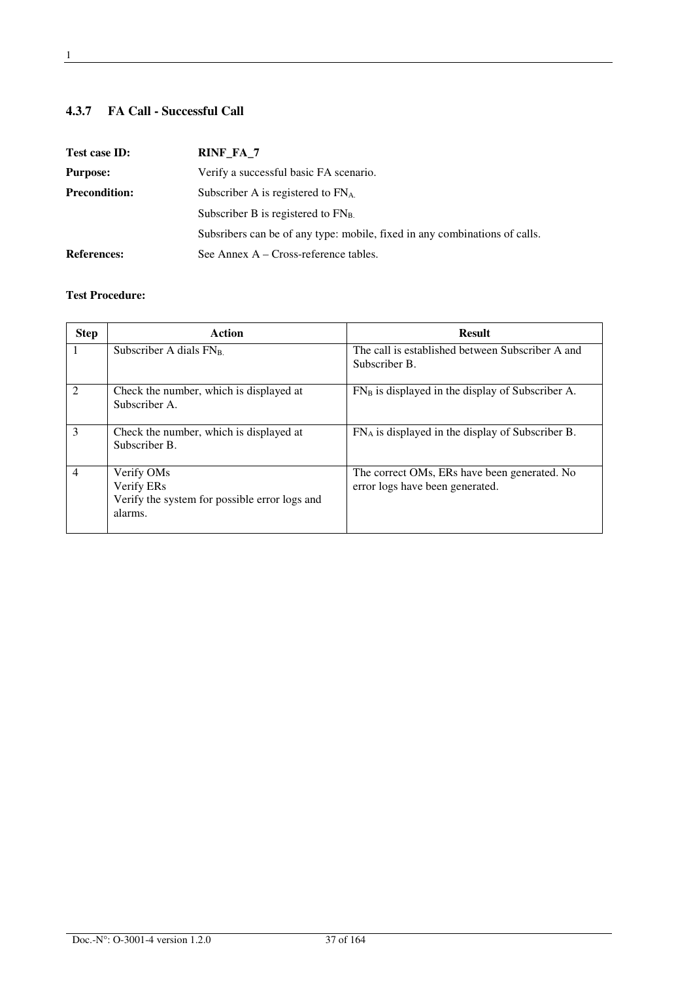## **4.3.7 FA Call - Successful Call**

| Test case ID:        | RINF_FA_7                                                                  |
|----------------------|----------------------------------------------------------------------------|
| <b>Purpose:</b>      | Verify a successful basic FA scenario.                                     |
| <b>Precondition:</b> | Subscriber A is registered to $FN_A$ .                                     |
|                      | Subscriber B is registered to $FN_B$                                       |
|                      | Subsribers can be of any type: mobile, fixed in any combinations of calls. |
| <b>References:</b>   | See Annex $A - Cross-reference tables$ .                                   |

| <b>Step</b>                 | Action                                                                                           | <b>Result</b>                                                                   |
|-----------------------------|--------------------------------------------------------------------------------------------------|---------------------------------------------------------------------------------|
|                             | Subscriber A dials $FN_B$                                                                        | The call is established between Subscriber A and<br>Subscriber B.               |
| $\mathcal{D}_{\mathcal{L}}$ | Check the number, which is displayed at<br>Subscriber A.                                         | $FN_B$ is displayed in the display of Subscriber A.                             |
| 3                           | Check the number, which is displayed at<br>Subscriber B.                                         | $FN_A$ is displayed in the display of Subscriber B.                             |
| $\overline{4}$              | Verify OM <sub>s</sub><br>Verify ERs<br>Verify the system for possible error logs and<br>alarms. | The correct OMs, ERs have been generated. No<br>error logs have been generated. |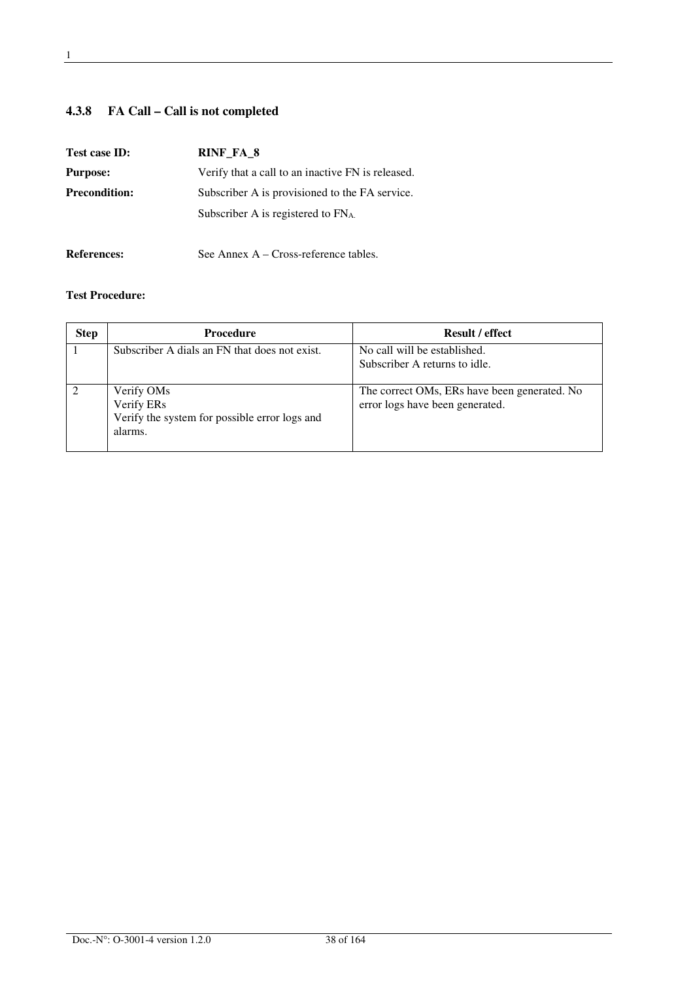## **4.3.8 FA Call – Call is not completed**

| Test case ID:        | RINF FA 8                                         |
|----------------------|---------------------------------------------------|
| <b>Purpose:</b>      | Verify that a call to an inactive FN is released. |
| <b>Precondition:</b> | Subscriber A is provisioned to the FA service.    |
|                      | Subscriber A is registered to $FN_A$ .            |
|                      |                                                   |

## References: See Annex A – Cross-reference tables.

| <b>Step</b> | <b>Procedure</b>                                                                     | <b>Result / effect</b>                                                          |
|-------------|--------------------------------------------------------------------------------------|---------------------------------------------------------------------------------|
|             | Subscriber A dials an FN that does not exist.                                        | No call will be established.<br>Subscriber A returns to idle.                   |
|             | Verify OMs<br>Verify ERs<br>Verify the system for possible error logs and<br>alarms. | The correct OMs, ERs have been generated. No<br>error logs have been generated. |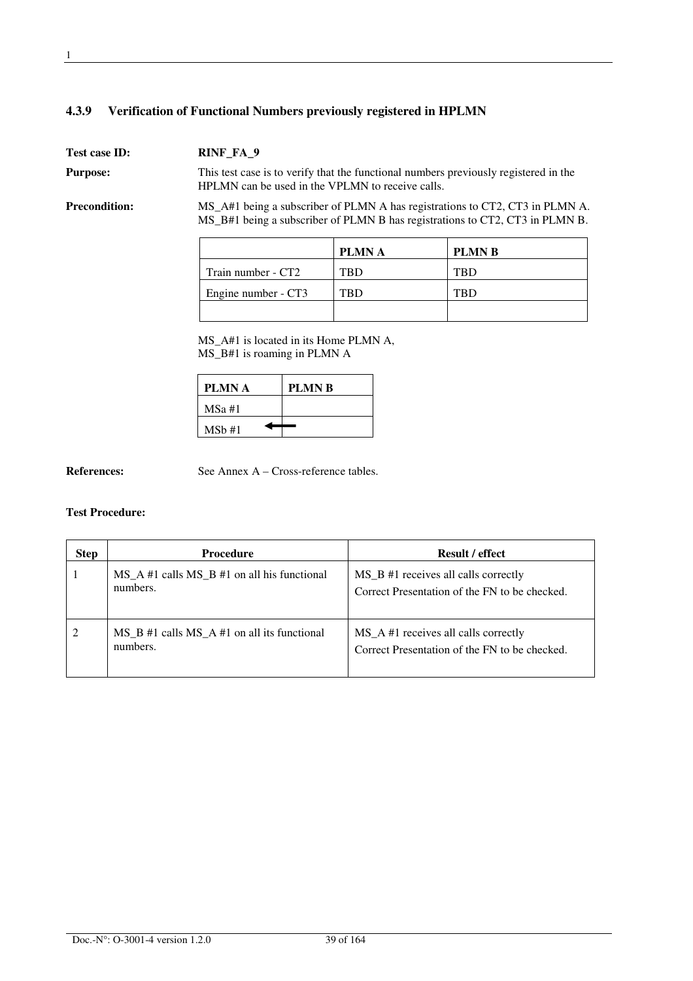#### **4.3.9 Verification of Functional Numbers previously registered in HPLMN**

**Test case ID: RINF\_FA\_9 Purpose:** This test case is to verify that the functional numbers previously registered in the HPLMN can be used in the VPLMN to receive calls. **Precondition:** MS\_A#1 being a subscriber of PLMN A has registrations to CT2, CT3 in PLMN A. MS\_B#1 being a subscriber of PLMN B has registrations to CT2, CT3 in PLMN B.

> PLMN A PLMN B Train number - CT2 TBD TBD TBD Engine number - CT3 TBD TBD

MS A#1 is located in its Home PLMN A, MS\_B#1 is roaming in PLMN A

| PLMN A    | <b>PLMNB</b> |
|-----------|--------------|
| $MSa \#1$ |              |
| MSb#1     |              |

**References:** See Annex A – Cross-reference tables.

| <b>Step</b> | <b>Procedure</b>                                            | <b>Result / effect</b>                                                                           |
|-------------|-------------------------------------------------------------|--------------------------------------------------------------------------------------------------|
|             | $MS_A #1$ calls $MS_B #1$ on all his functional<br>numbers. | MS <sub>B</sub> #1 receives all calls correctly<br>Correct Presentation of the FN to be checked. |
| 2           | $MS$ B #1 calls MS A #1 on all its functional<br>numbers.   | MS_A #1 receives all calls correctly<br>Correct Presentation of the FN to be checked.            |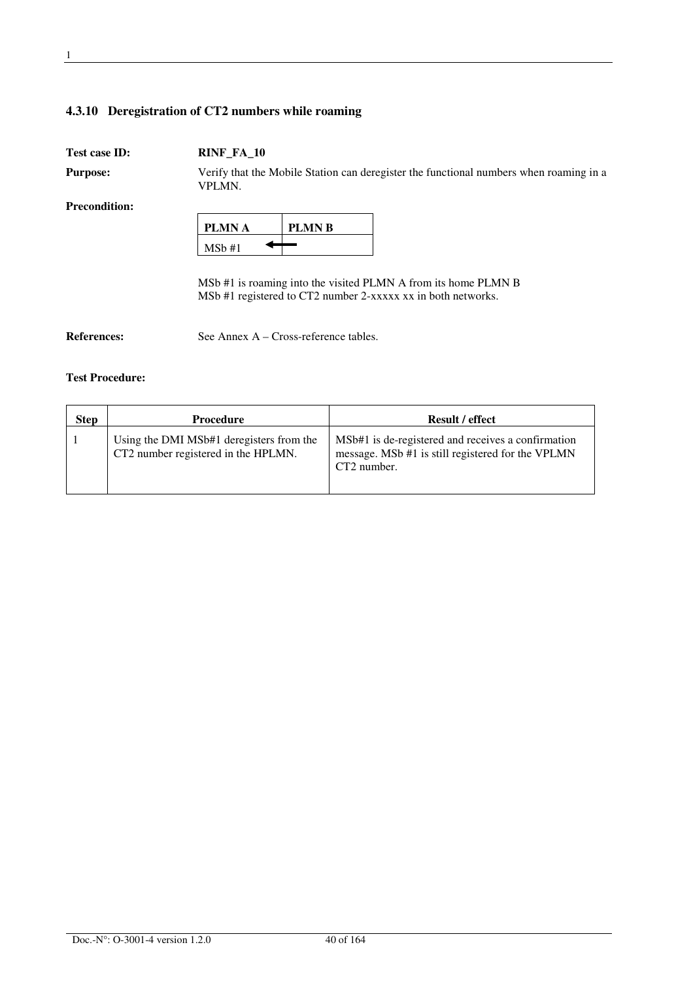#### **4.3.10 Deregistration of CT2 numbers while roaming**

#### **Test case ID: RINF\_FA\_10**

**Purpose:** Verify that the Mobile Station can deregister the functional numbers when roaming in a VPLMN.

**Precondition:** 

| PLMN A | <b>PLMN B</b> |
|--------|---------------|
| MSb#1  |               |

MSb #1 is roaming into the visited PLMN A from its home PLMN B MSb #1 registered to CT2 number 2-xxxxx xx in both networks.

**References:** See Annex A – Cross-reference tables.

| <b>Step</b> | Procedure                                                                       | <b>Result / effect</b>                                                                                                 |
|-------------|---------------------------------------------------------------------------------|------------------------------------------------------------------------------------------------------------------------|
|             | Using the DMI MSb#1 deregisters from the<br>CT2 number registered in the HPLMN. | MSb#1 is de-registered and receives a confirmation<br>message. MSb #1 is still registered for the VPLMN<br>CT2 number. |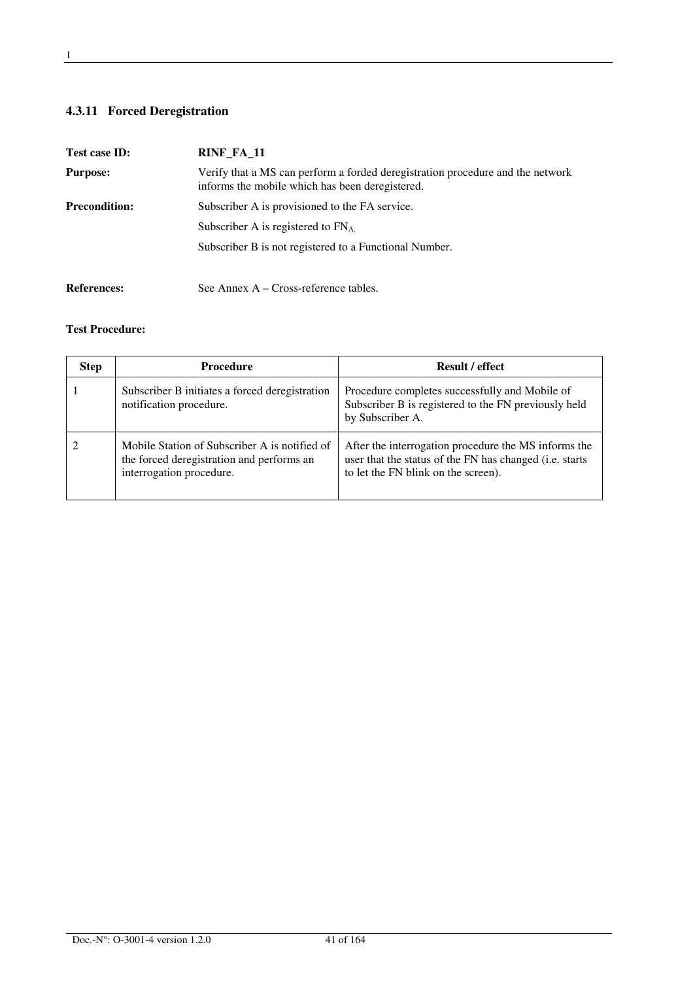## **4.3.11 Forced Deregistration**

| Test case ID:        | RINF_FA_11                                                                                                                        |
|----------------------|-----------------------------------------------------------------------------------------------------------------------------------|
| <b>Purpose:</b>      | Verify that a MS can perform a forded deregistration procedure and the network<br>informs the mobile which has been deregistered. |
| <b>Precondition:</b> | Subscriber A is provisioned to the FA service.                                                                                    |
|                      | Subscriber A is registered to $FNA$ .                                                                                             |
|                      | Subscriber B is not registered to a Functional Number.                                                                            |
| <b>References:</b>   | See Annex $A - Cross-reference$ tables.                                                                                           |

| <b>Step</b> | <b>Procedure</b>                                                                                                       | <b>Result / effect</b>                                                                                                                                 |
|-------------|------------------------------------------------------------------------------------------------------------------------|--------------------------------------------------------------------------------------------------------------------------------------------------------|
|             | Subscriber B initiates a forced deregistration<br>notification procedure.                                              | Procedure completes successfully and Mobile of<br>Subscriber B is registered to the FN previously held<br>by Subscriber A.                             |
|             | Mobile Station of Subscriber A is notified of<br>the forced deregistration and performs an<br>interrogation procedure. | After the interrogation procedure the MS informs the<br>user that the status of the FN has changed (i.e. starts<br>to let the FN blink on the screen). |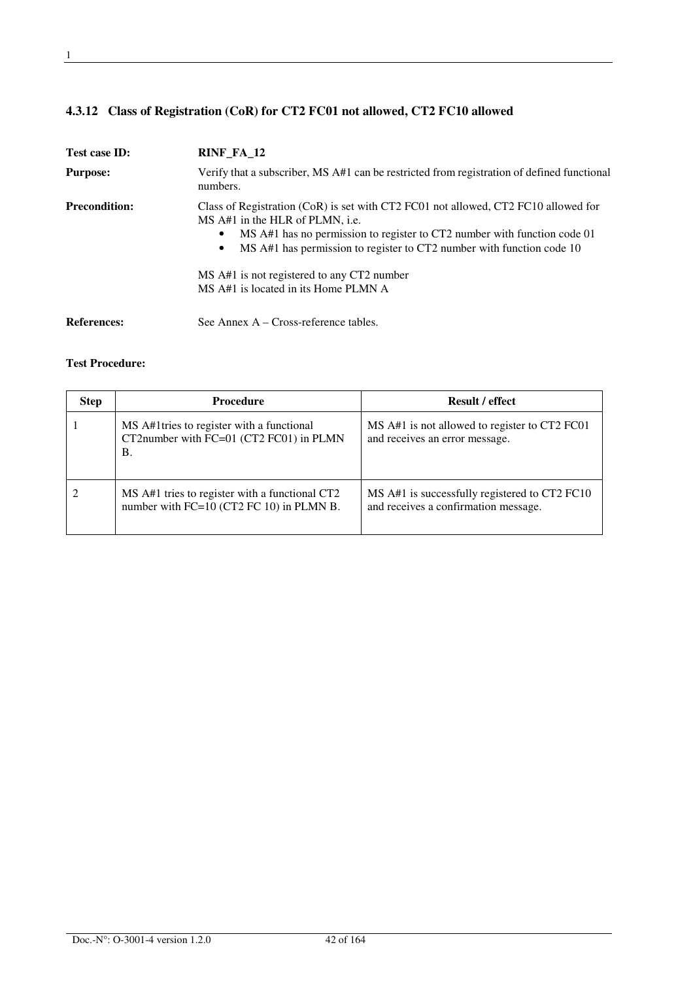## **4.3.12 Class of Registration (CoR) for CT2 FC01 not allowed, CT2 FC10 allowed**

| Test case ID:                                                                                                                                                                                                                                                                                                                                                                                 | RINF_FA_12                                                                                             |  |
|-----------------------------------------------------------------------------------------------------------------------------------------------------------------------------------------------------------------------------------------------------------------------------------------------------------------------------------------------------------------------------------------------|--------------------------------------------------------------------------------------------------------|--|
| <b>Purpose:</b>                                                                                                                                                                                                                                                                                                                                                                               | Verify that a subscriber, MS A#1 can be restricted from registration of defined functional<br>numbers. |  |
| <b>Precondition:</b><br>Class of Registration (CoR) is set with CT2 FC01 not allowed, CT2 FC10 allowed for<br>MS A#1 in the HLR of PLMN, i.e.<br>MS A#1 has no permission to register to CT2 number with function code 01<br>MS A#1 has permission to register to CT2 number with function code 10<br>٠<br>MS A#1 is not registered to any CT2 number<br>MS A#1 is located in its Home PLMN A |                                                                                                        |  |
| <b>References:</b>                                                                                                                                                                                                                                                                                                                                                                            | See Annex $A - Cross-reference tables$ .                                                               |  |

| <b>Step</b> | <b>Procedure</b>                                                                            | <b>Result / effect</b>                                                                |
|-------------|---------------------------------------------------------------------------------------------|---------------------------------------------------------------------------------------|
|             | MS A#1 tries to register with a functional<br>CT2number with FC=01 (CT2 FC01) in PLMN<br>Β. | MS A#1 is not allowed to register to CT2 FC01<br>and receives an error message.       |
|             | MS A#1 tries to register with a functional CT2<br>number with FC=10 (CT2 FC 10) in PLMN B.  | MS A#1 is successfully registered to CT2 FC10<br>and receives a confirmation message. |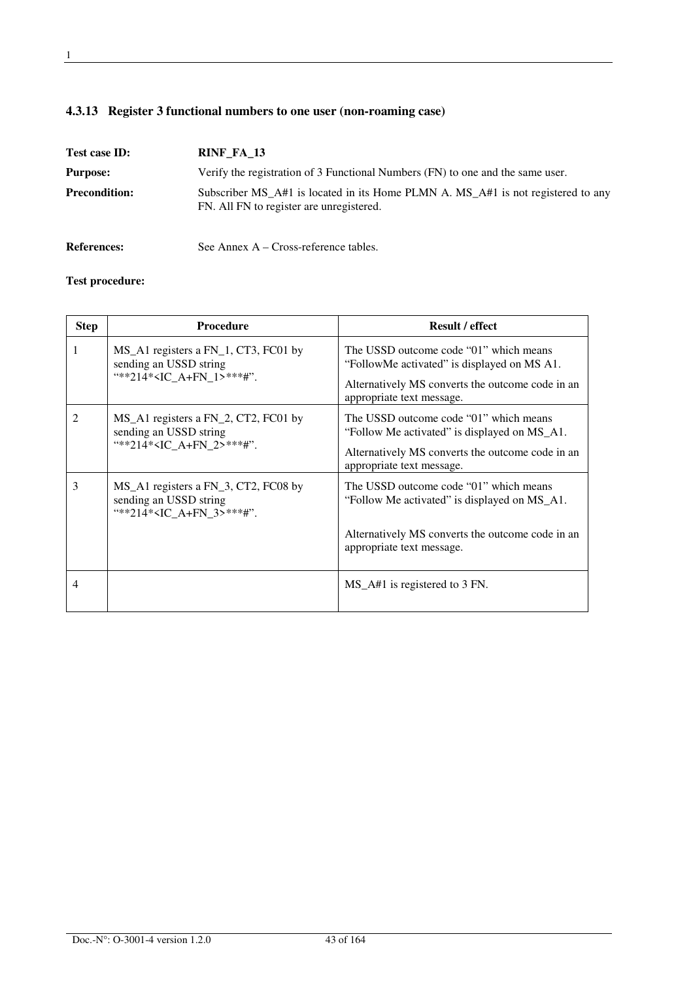|  |  | 4.3.13 Register 3 functional numbers to one user (non-roaming case) |  |
|--|--|---------------------------------------------------------------------|--|
|--|--|---------------------------------------------------------------------|--|

| Test case ID:        | RINF FA 13                                                                                                                   |
|----------------------|------------------------------------------------------------------------------------------------------------------------------|
| <b>Purpose:</b>      | Verify the registration of 3 Functional Numbers (FN) to one and the same user.                                               |
| <b>Precondition:</b> | Subscriber MS_A#1 is located in its Home PLMN A. MS_A#1 is not registered to any<br>FN. All FN to register are unregistered. |
| <b>References:</b>   | See Annex $A - Cross-reference$ tables.                                                                                      |

| <b>Step</b> | <b>Procedure</b>                                                                                       | <b>Result / effect</b>                                                                                                                                                  |
|-------------|--------------------------------------------------------------------------------------------------------|-------------------------------------------------------------------------------------------------------------------------------------------------------------------------|
| 1           | MS_A1 registers a FN_1, CT3, FC01 by<br>sending an USSD string<br>"**214* <ic 1="" a+fn="">***#".</ic> | The USSD outcome code "01" which means<br>"FollowMe activated" is displayed on MS A1.<br>Alternatively MS converts the outcome code in an<br>appropriate text message.  |
| 2           | MS_A1 registers a FN_2, CT2, FC01 by<br>sending an USSD string<br>"**214* <ic 2="" a+fn="">***#".</ic> | The USSD outcome code "01" which means<br>"Follow Me activated" is displayed on MS_A1.<br>Alternatively MS converts the outcome code in an<br>appropriate text message. |
| 3           | MS_A1 registers a FN_3, CT2, FC08 by<br>sending an USSD string<br>"**214* <ic 3="" a+fn="">***#".</ic> | The USSD outcome code "01" which means<br>"Follow Me activated" is displayed on MS_A1.<br>Alternatively MS converts the outcome code in an<br>appropriate text message. |
| 4           |                                                                                                        | MS_A#1 is registered to 3 FN.                                                                                                                                           |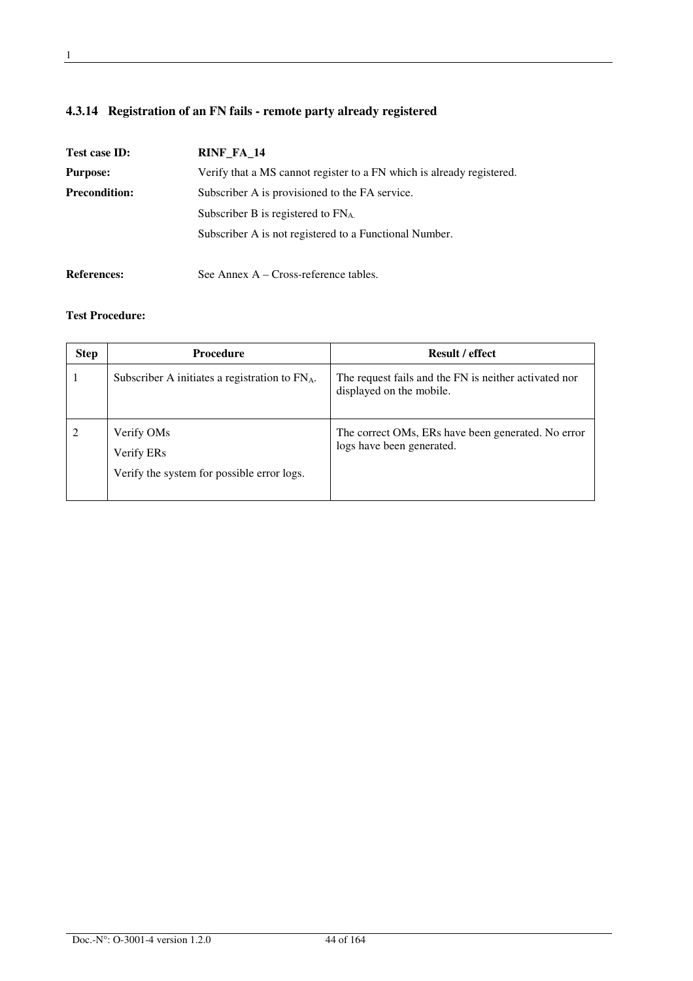## **4.3.14 Registration of an FN fails - remote party already registered**

| Test case ID:        | RINF FA 14                                                            |
|----------------------|-----------------------------------------------------------------------|
| <b>Purpose:</b>      | Verify that a MS cannot register to a FN which is already registered. |
| <b>Precondition:</b> | Subscriber A is provisioned to the FA service.                        |
|                      | Subscriber B is registered to $FN_A$                                  |
|                      | Subscriber A is not registered to a Functional Number.                |
| <b>References:</b>   | See Annex A – Cross-reference tables.                                 |

| <b>Step</b> | <b>Procedure</b>                                                                   | <b>Result / effect</b>                                                            |
|-------------|------------------------------------------------------------------------------------|-----------------------------------------------------------------------------------|
|             | Subscriber A initiates a registration to FN <sub>A</sub> .                         | The request fails and the FN is neither activated nor<br>displayed on the mobile. |
|             | Verify OM <sub>s</sub><br>Verify ERs<br>Verify the system for possible error logs. | The correct OMs, ERs have been generated. No error<br>logs have been generated.   |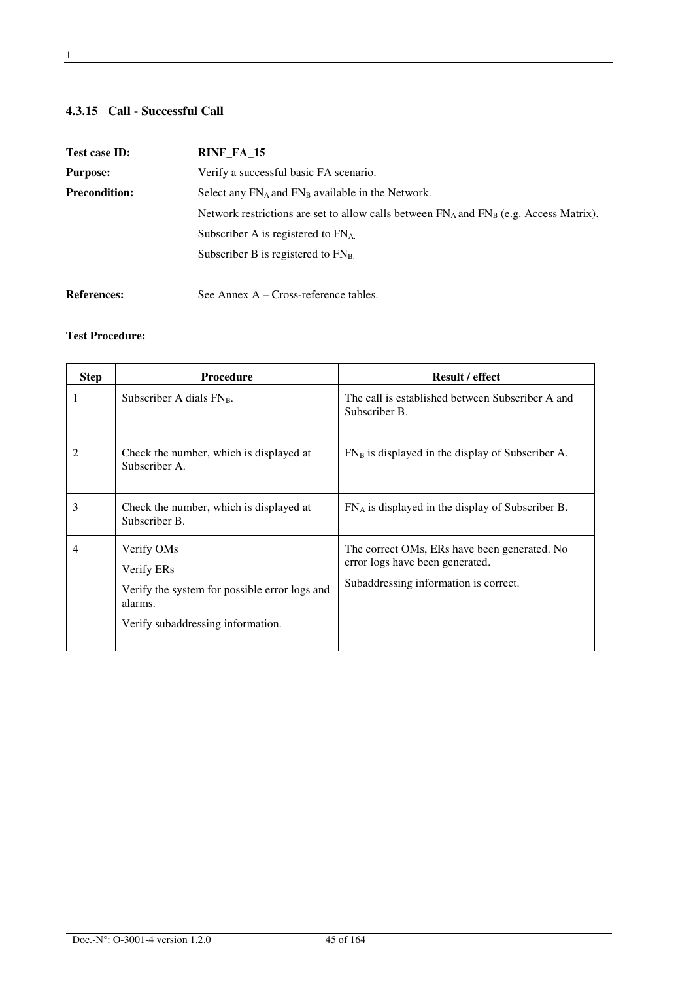#### **4.3.15 Call - Successful Call**

| Test case ID:                                                                                    | RINF_FA_15                                                                                  |
|--------------------------------------------------------------------------------------------------|---------------------------------------------------------------------------------------------|
| <b>Purpose:</b>                                                                                  | Verify a successful basic FA scenario.                                                      |
| <b>Precondition:</b><br>Select any FN <sub>A</sub> and FN <sub>B</sub> available in the Network. |                                                                                             |
|                                                                                                  | Network restrictions are set to allow calls between $FN_A$ and $FN_B$ (e.g. Access Matrix). |
|                                                                                                  | Subscriber A is registered to $FN_A$ .                                                      |
|                                                                                                  | Subscriber B is registered to $FNB$ .                                                       |
|                                                                                                  |                                                                                             |
| <b>References:</b>                                                                               | See Annex A – Cross-reference tables.                                                       |

| <b>Step</b> | <b>Procedure</b>                                                                                                          | <b>Result / effect</b>                                                                                                   |
|-------------|---------------------------------------------------------------------------------------------------------------------------|--------------------------------------------------------------------------------------------------------------------------|
| 1           | Subscriber A dials $FN_B$ .                                                                                               | The call is established between Subscriber A and<br>Subscriber B.                                                        |
| 2           | Check the number, which is displayed at<br>Subscriber A.                                                                  | $FN_B$ is displayed in the display of Subscriber A.                                                                      |
| 3           | Check the number, which is displayed at<br>Subscriber B.                                                                  | $FN_A$ is displayed in the display of Subscriber B.                                                                      |
| 4           | Verify OMs<br>Verify ERs<br>Verify the system for possible error logs and<br>alarms.<br>Verify subaddressing information. | The correct OMs, ERs have been generated. No<br>error logs have been generated.<br>Subaddressing information is correct. |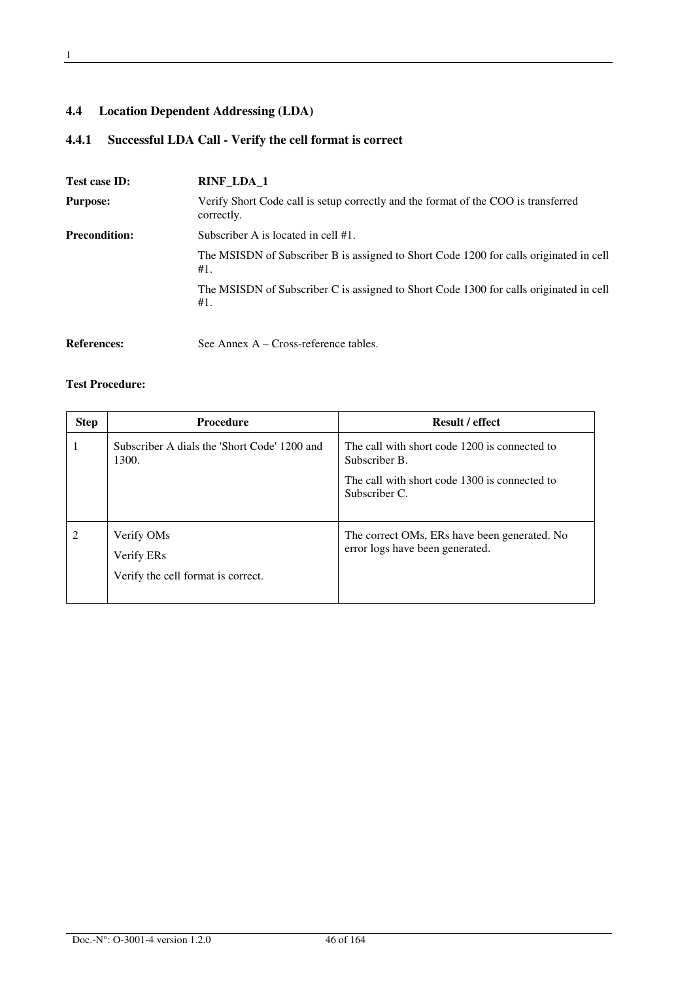## **4.4 Location Dependent Addressing (LDA)**

## **4.4.1 Successful LDA Call - Verify the cell format is correct**

| Test case ID:        | <b>RINF_LDA_1</b>                                                                                |
|----------------------|--------------------------------------------------------------------------------------------------|
| <b>Purpose:</b>      | Verify Short Code call is setup correctly and the format of the COO is transferred<br>correctly. |
| <b>Precondition:</b> | Subscriber A is located in cell #1.                                                              |
|                      | The MSISDN of Subscriber B is assigned to Short Code 1200 for calls originated in cell<br>#1.    |
|                      | The MSISDN of Subscriber C is assigned to Short Code 1300 for calls originated in cell<br>#1.    |
| <b>References:</b>   | See Annex $A - Cross-reference tables$ .                                                         |

| <b>Step</b> | <b>Procedure</b>                                                           | <b>Result / effect</b>                                                          |
|-------------|----------------------------------------------------------------------------|---------------------------------------------------------------------------------|
|             | Subscriber A dials the 'Short Code' 1200 and<br>1300.                      | The call with short code 1200 is connected to<br>Subscriber B.                  |
|             |                                                                            | The call with short code 1300 is connected to<br>Subscriber C.                  |
| 2           | Verify OM <sub>s</sub><br>Verify ERs<br>Verify the cell format is correct. | The correct OMs, ERs have been generated. No<br>error logs have been generated. |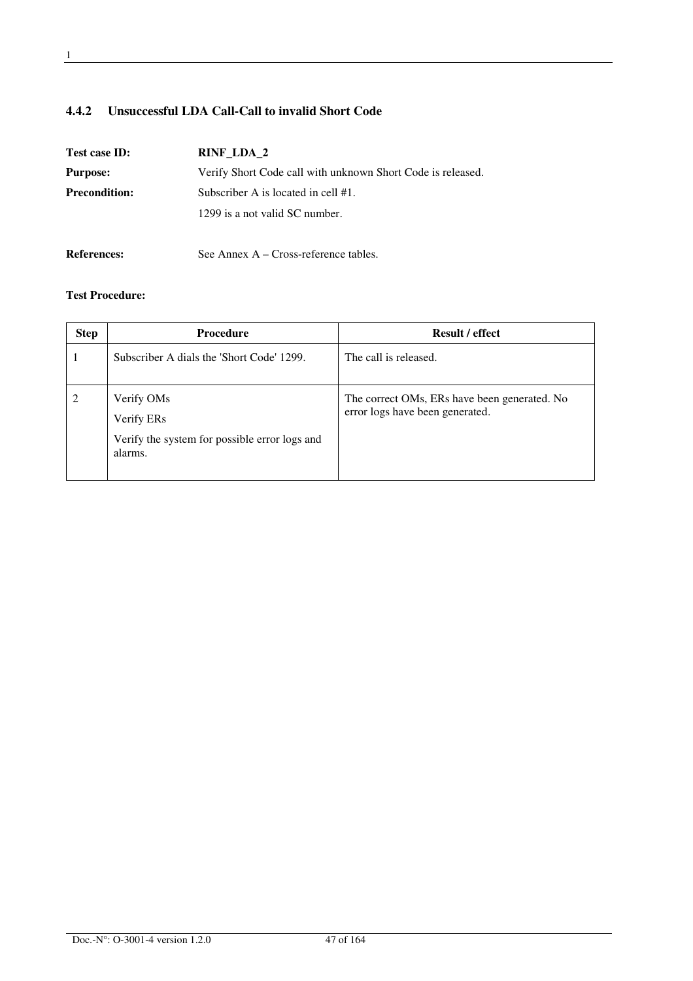## **4.4.2 Unsuccessful LDA Call-Call to invalid Short Code**

| Test case ID:        | RINF LDA 2                                                  |
|----------------------|-------------------------------------------------------------|
| <b>Purpose:</b>      | Verify Short Code call with unknown Short Code is released. |
| <b>Precondition:</b> | Subscriber A is located in cell #1.                         |
|                      | 1299 is a not valid SC number.                              |
| <b>References:</b>   | See Annex $A - Cross-reference$ tables.                     |

| <b>Step</b> | <b>Procedure</b>                                                                     | <b>Result / effect</b>                                                          |
|-------------|--------------------------------------------------------------------------------------|---------------------------------------------------------------------------------|
|             | Subscriber A dials the 'Short Code' 1299.                                            | The call is released.                                                           |
|             | Verify OMs<br>Verify ERs<br>Verify the system for possible error logs and<br>alarms. | The correct OMs, ERs have been generated. No<br>error logs have been generated. |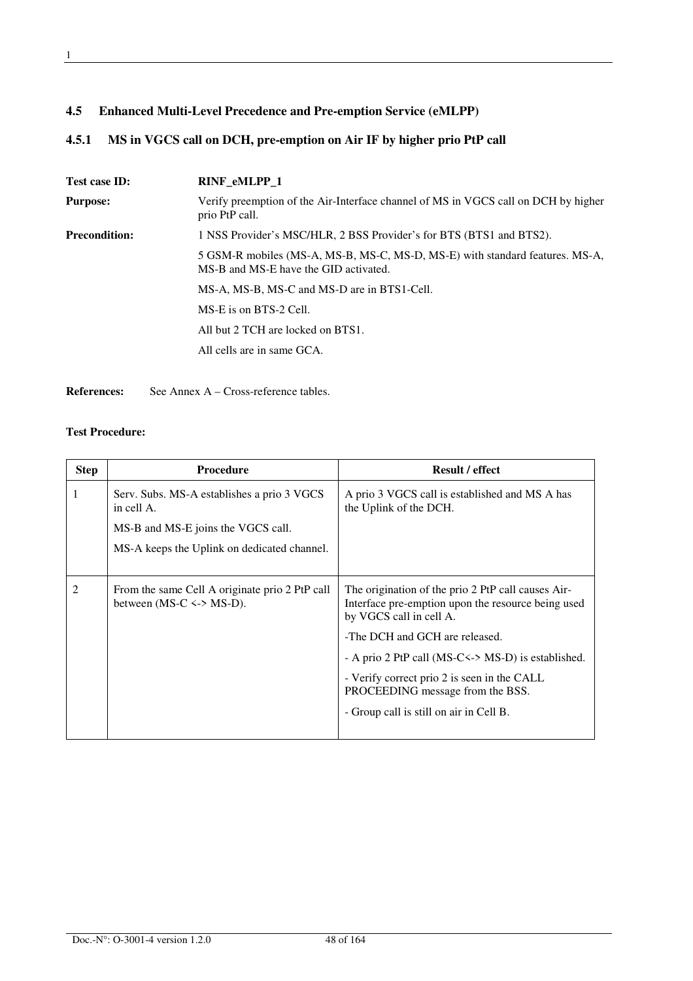## **4.5.1 MS in VGCS call on DCH, pre-emption on Air IF by higher prio PtP call**

| Test case ID:        | <b>RINF eMLPP 1</b>                                                                                                   |
|----------------------|-----------------------------------------------------------------------------------------------------------------------|
| <b>Purpose:</b>      | Verify preemption of the Air-Interface channel of MS in VGCS call on DCH by higher<br>prio PtP call.                  |
| <b>Precondition:</b> | 1 NSS Provider's MSC/HLR, 2 BSS Provider's for BTS (BTS1 and BTS2).                                                   |
|                      | 5 GSM-R mobiles (MS-A, MS-B, MS-C, MS-D, MS-E) with standard features. MS-A,<br>MS-B and MS-E have the GID activated. |
|                      | MS-A, MS-B, MS-C and MS-D are in BTS1-Cell.                                                                           |
|                      | MS-E is on BTS-2 Cell.                                                                                                |
|                      | All but 2 TCH are locked on BTS1.                                                                                     |
|                      | All cells are in same GCA.                                                                                            |
|                      |                                                                                                                       |

**References:** See Annex A – Cross-reference tables.

| <b>Step</b> | <b>Procedure</b>                                                               | Result / effect                                                                                                                     |
|-------------|--------------------------------------------------------------------------------|-------------------------------------------------------------------------------------------------------------------------------------|
| 1           | Serv. Subs. MS-A establishes a prio 3 VGCS<br>in cell A.                       | A prio 3 VGCS call is established and MS A has<br>the Uplink of the DCH.                                                            |
|             | MS-B and MS-E joins the VGCS call.                                             |                                                                                                                                     |
|             | MS-A keeps the Uplink on dedicated channel.                                    |                                                                                                                                     |
| 2           | From the same Cell A originate prio 2 PtP call<br>between (MS-C $\le$ > MS-D). | The origination of the prio 2 PtP call causes Air-<br>Interface pre-emption upon the resource being used<br>by VGCS call in cell A. |
|             |                                                                                | -The DCH and GCH are released.                                                                                                      |
|             |                                                                                | - A prio 2 PtP call (MS-C <-> MS-D) is established.                                                                                 |
|             |                                                                                | - Verify correct prio 2 is seen in the CALL<br>PROCEEDING message from the BSS.                                                     |
|             |                                                                                | - Group call is still on air in Cell B.                                                                                             |
|             |                                                                                |                                                                                                                                     |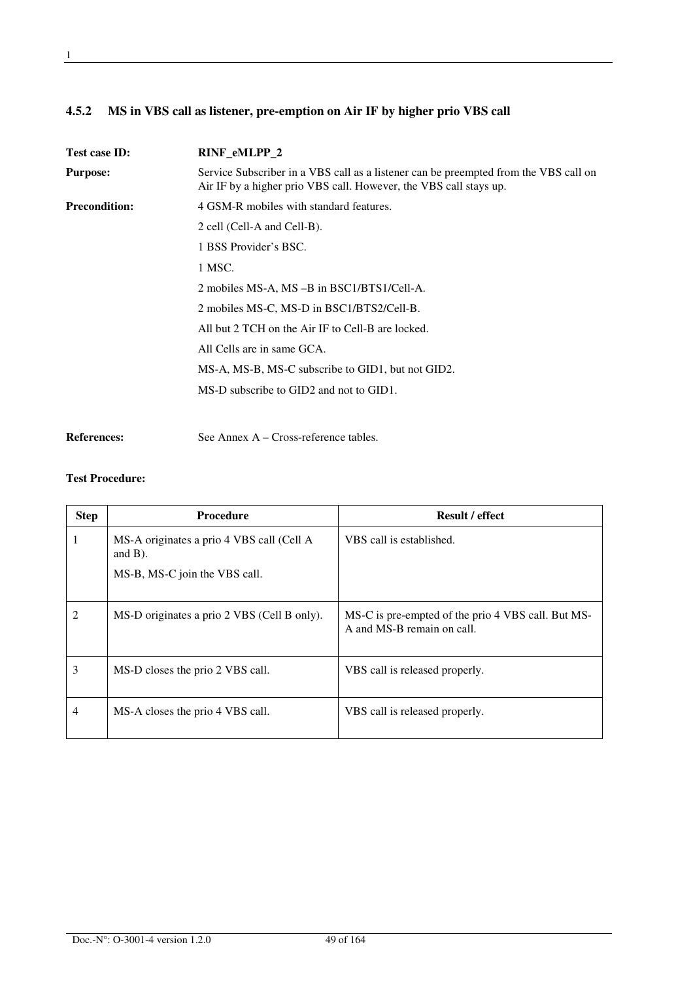| 4.5.2 MS in VBS call as listener, pre-emption on Air IF by higher prio VBS call |  |
|---------------------------------------------------------------------------------|--|
|                                                                                 |  |

| <b>Test case ID:</b> | RINF eMLPP 2                                                                                                                                              |
|----------------------|-----------------------------------------------------------------------------------------------------------------------------------------------------------|
| <b>Purpose:</b>      | Service Subscriber in a VBS call as a listener can be preempted from the VBS call on<br>Air IF by a higher prio VBS call. However, the VBS call stays up. |
| <b>Precondition:</b> | 4 GSM-R mobiles with standard features.                                                                                                                   |
|                      | 2 cell (Cell-A and Cell-B).                                                                                                                               |
|                      | 1 BSS Provider's BSC.                                                                                                                                     |
|                      | 1 MSC.                                                                                                                                                    |
|                      | 2 mobiles MS-A, MS-B in BSC1/BTS1/Cell-A.                                                                                                                 |
|                      | 2 mobiles MS-C, MS-D in BSC1/BTS2/Cell-B.                                                                                                                 |
|                      | All but 2 TCH on the Air IF to Cell-B are locked.                                                                                                         |
|                      | All Cells are in same GCA.                                                                                                                                |
|                      | MS-A, MS-B, MS-C subscribe to GID1, but not GID2.                                                                                                         |
|                      | MS-D subscribe to GID2 and not to GID1.                                                                                                                   |
|                      |                                                                                                                                                           |

**References:** See Annex A – Cross-reference tables.

| <b>Step</b>    | <b>Procedure</b>                                                                         | <b>Result / effect</b>                                                           |
|----------------|------------------------------------------------------------------------------------------|----------------------------------------------------------------------------------|
|                | MS-A originates a prio 4 VBS call (Cell A<br>and $B$ ).<br>MS-B, MS-C join the VBS call. | VBS call is established.                                                         |
| 2              | MS-D originates a prio 2 VBS (Cell B only).                                              | MS-C is pre-empted of the prio 4 VBS call. But MS-<br>A and MS-B remain on call. |
| 3              | MS-D closes the prio 2 VBS call.                                                         | VBS call is released properly.                                                   |
| $\overline{4}$ | MS-A closes the prio 4 VBS call.                                                         | VBS call is released properly.                                                   |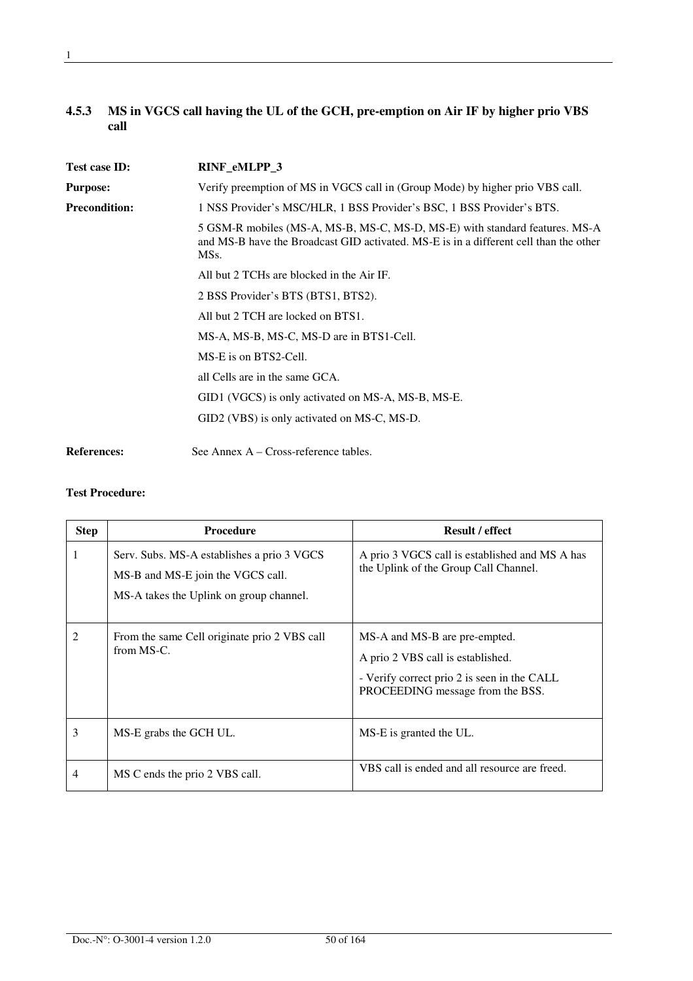## **4.5.3 MS in VGCS call having the UL of the GCH, pre-emption on Air IF by higher prio VBS call**

| Test case ID:        | RINF_eMLPP_3                                                                                                                                                                 |
|----------------------|------------------------------------------------------------------------------------------------------------------------------------------------------------------------------|
| <b>Purpose:</b>      | Verify preemption of MS in VGCS call in (Group Mode) by higher prio VBS call.                                                                                                |
| <b>Precondition:</b> | 1 NSS Provider's MSC/HLR, 1 BSS Provider's BSC, 1 BSS Provider's BTS.                                                                                                        |
|                      | 5 GSM-R mobiles (MS-A, MS-B, MS-C, MS-D, MS-E) with standard features. MS-A<br>and MS-B have the Broadcast GID activated. MS-E is in a different cell than the other<br>MSs. |
|                      | All but 2 TCHs are blocked in the Air IF.                                                                                                                                    |
|                      | 2 BSS Provider's BTS (BTS1, BTS2).                                                                                                                                           |
|                      | All but 2 TCH are locked on BTS1.                                                                                                                                            |
|                      | MS-A, MS-B, MS-C, MS-D are in BTS1-Cell.                                                                                                                                     |
|                      | MS-E is on BTS2-Cell.                                                                                                                                                        |
|                      | all Cells are in the same GCA.                                                                                                                                               |
|                      | GID1 (VGCS) is only activated on MS-A, MS-B, MS-E.                                                                                                                           |
|                      | GID2 (VBS) is only activated on MS-C, MS-D.                                                                                                                                  |
| <b>References:</b>   | See Annex $A - Cross-reference$ tables.                                                                                                                                      |

| <b>Step</b>    | <b>Procedure</b>                                                                                                           | <b>Result / effect</b>                                                                                                                                |
|----------------|----------------------------------------------------------------------------------------------------------------------------|-------------------------------------------------------------------------------------------------------------------------------------------------------|
| 1              | Serv. Subs. MS-A establishes a prio 3 VGCS<br>MS-B and MS-E join the VGCS call.<br>MS-A takes the Uplink on group channel. | A prio 3 VGCS call is established and MS A has<br>the Uplink of the Group Call Channel.                                                               |
| $\overline{2}$ | From the same Cell originate prio 2 VBS call<br>from MS-C.                                                                 | MS-A and MS-B are pre-empted.<br>A prio 2 VBS call is established.<br>- Verify correct prio 2 is seen in the CALL<br>PROCEEDING message from the BSS. |
| 3              | MS-E grabs the GCH UL.                                                                                                     | MS-E is granted the UL.                                                                                                                               |
| 4              | MS C ends the prio 2 VBS call.                                                                                             | VBS call is ended and all resource are freed.                                                                                                         |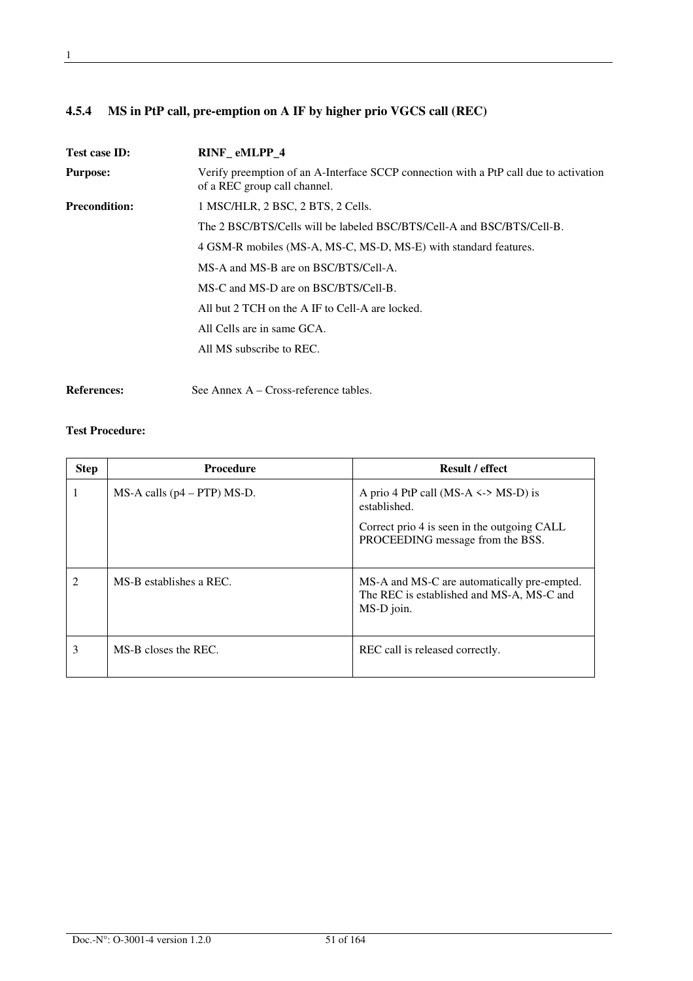## **4.5.4 MS in PtP call, pre-emption on A IF by higher prio VGCS call (REC)**

| <b>Test case ID:</b> | RINF eMLPP 4                                                                                                          |
|----------------------|-----------------------------------------------------------------------------------------------------------------------|
| <b>Purpose:</b>      | Verify preemption of an A-Interface SCCP connection with a PtP call due to activation<br>of a REC group call channel. |
| <b>Precondition:</b> | 1 MSC/HLR, 2 BSC, 2 BTS, 2 Cells.                                                                                     |
|                      | The 2 BSC/BTS/Cells will be labeled BSC/BTS/Cell-A and BSC/BTS/Cell-B.                                                |
|                      | 4 GSM-R mobiles (MS-A, MS-C, MS-D, MS-E) with standard features.                                                      |
|                      | MS-A and MS-B are on BSC/BTS/Cell-A.                                                                                  |
|                      | MS-C and MS-D are on BSC/BTS/Cell-B.                                                                                  |
|                      | All but 2 TCH on the A IF to Cell-A are locked.                                                                       |
|                      | All Cells are in same GCA.                                                                                            |
|                      | All MS subscribe to REC.                                                                                              |
|                      |                                                                                                                       |

**References:** See Annex A – Cross-reference tables.

| <b>Step</b>    | <b>Procedure</b>                  | <b>Result / effect</b>                                                                                                                      |
|----------------|-----------------------------------|---------------------------------------------------------------------------------------------------------------------------------------------|
| 1              | $MS-A$ calls ( $p4 - PTP$ ) MS-D. | A prio 4 PtP call (MS-A $\le$ > MS-D) is<br>established.<br>Correct prio 4 is seen in the outgoing CALL<br>PROCEEDING message from the BSS. |
| $\mathfrak{D}$ | MS-B establishes a REC.           | MS-A and MS-C are automatically pre-empted.<br>The REC is established and MS-A, MS-C and<br>MS-D join.                                      |
| 3              | MS-B closes the REC.              | REC call is released correctly.                                                                                                             |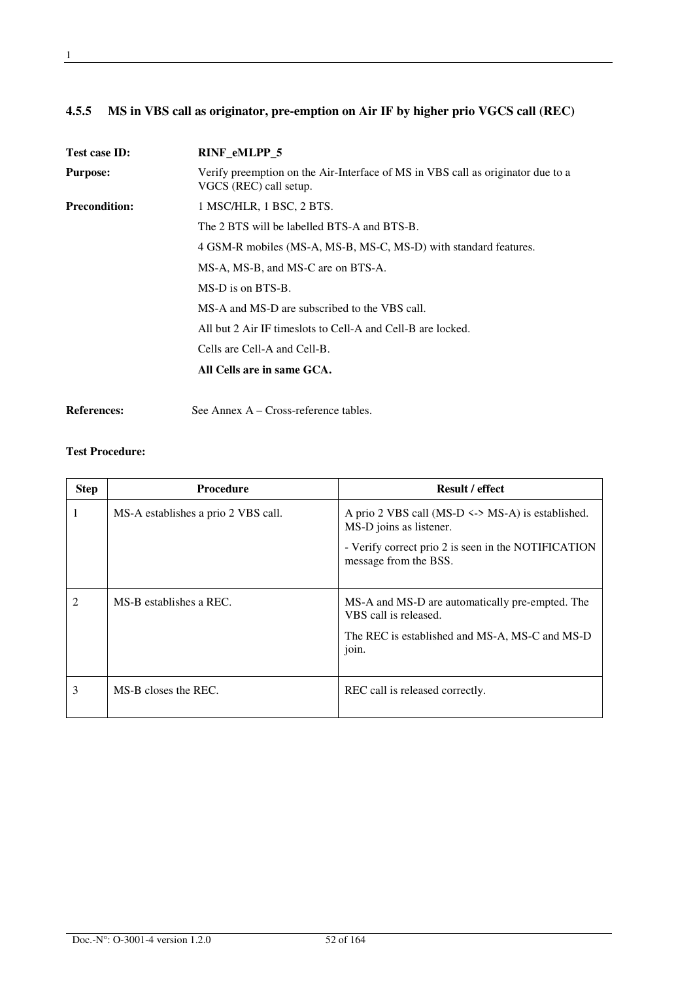## **4.5.5 MS in VBS call as originator, pre-emption on Air IF by higher prio VGCS call (REC)**

| <b>Test case ID:</b> | <b>RINF eMLPP 5</b>                                                                                       |
|----------------------|-----------------------------------------------------------------------------------------------------------|
| <b>Purpose:</b>      | Verify preemption on the Air-Interface of MS in VBS call as originator due to a<br>VGCS (REC) call setup. |
| <b>Precondition:</b> | 1 MSC/HLR, 1 BSC, 2 BTS.                                                                                  |
|                      | The 2 BTS will be labelled BTS-A and BTS-B.                                                               |
|                      | 4 GSM-R mobiles (MS-A, MS-B, MS-C, MS-D) with standard features.                                          |
|                      | MS-A, MS-B, and MS-C are on BTS-A.                                                                        |
|                      | MS-D is on BTS-B.                                                                                         |
|                      | MS-A and MS-D are subscribed to the VBS call.                                                             |
|                      | All but 2 Air IF timeslots to Cell-A and Cell-B are locked.                                               |
|                      | Cells are Cell-A and Cell-B.                                                                              |
|                      | All Cells are in same GCA.                                                                                |
|                      |                                                                                                           |

**References:** See Annex A – Cross-reference tables.

| <b>Step</b>                 | <b>Procedure</b>                    | <b>Result / effect</b>                                                                                                                                           |
|-----------------------------|-------------------------------------|------------------------------------------------------------------------------------------------------------------------------------------------------------------|
| 1                           | MS-A establishes a prio 2 VBS call. | A prio 2 VBS call (MS-D $\le$ > MS-A) is established.<br>MS-D joins as listener.<br>- Verify correct prio 2 is seen in the NOTIFICATION<br>message from the BSS. |
| $\mathcal{D}_{\mathcal{A}}$ | MS-B establishes a REC.             | MS-A and MS-D are automatically pre-empted. The<br>VBS call is released.<br>The REC is established and MS-A, MS-C and MS-D<br>join.                              |
| 3                           | MS-B closes the REC.                | REC call is released correctly.                                                                                                                                  |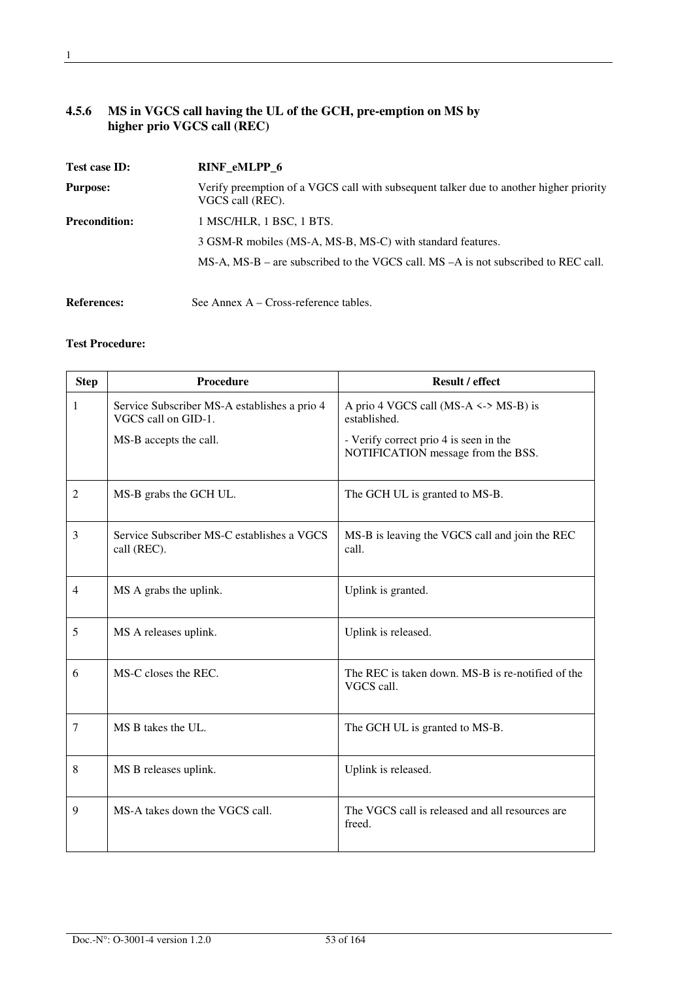## **4.5.6 MS in VGCS call having the UL of the GCH, pre-emption on MS by higher prio VGCS call (REC)**

| Test case ID:        | RINF_eMLPP_6                                                                                               |
|----------------------|------------------------------------------------------------------------------------------------------------|
| <b>Purpose:</b>      | Verify preemption of a VGCS call with subsequent talker due to another higher priority<br>VGCS call (REC). |
| <b>Precondition:</b> | 1 MSC/HLR, 1 BSC, 1 BTS.                                                                                   |
|                      | 3 GSM-R mobiles (MS-A, MS-B, MS-C) with standard features.                                                 |
|                      | $MS-A$ , $MS-B$ – are subscribed to the VGCS call. $MS-A$ is not subscribed to REC call.                   |
| <b>References:</b>   | See Annex $A - Cross-reference$ tables.                                                                    |

| <b>Step</b>    | Procedure                                                           | Result / effect                                                              |
|----------------|---------------------------------------------------------------------|------------------------------------------------------------------------------|
| 1              | Service Subscriber MS-A establishes a prio 4<br>VGCS call on GID-1. | A prio 4 VGCS call (MS-A $\le$ > MS-B) is<br>established.                    |
|                | MS-B accepts the call.                                              | - Verify correct prio 4 is seen in the<br>NOTIFICATION message from the BSS. |
| $\overline{2}$ | MS-B grabs the GCH UL.                                              | The GCH UL is granted to MS-B.                                               |
| 3              | Service Subscriber MS-C establishes a VGCS<br>call (REC).           | MS-B is leaving the VGCS call and join the REC<br>call.                      |
| $\overline{4}$ | MS A grabs the uplink.                                              | Uplink is granted.                                                           |
| 5              | MS A releases uplink.                                               | Uplink is released.                                                          |
| 6              | MS-C closes the REC.                                                | The REC is taken down. MS-B is re-notified of the<br>VGCS call.              |
| 7              | MS B takes the UL.                                                  | The GCH UL is granted to MS-B.                                               |
| 8              | MS B releases uplink.                                               | Uplink is released.                                                          |
| 9              | MS-A takes down the VGCS call.                                      | The VGCS call is released and all resources are<br>freed.                    |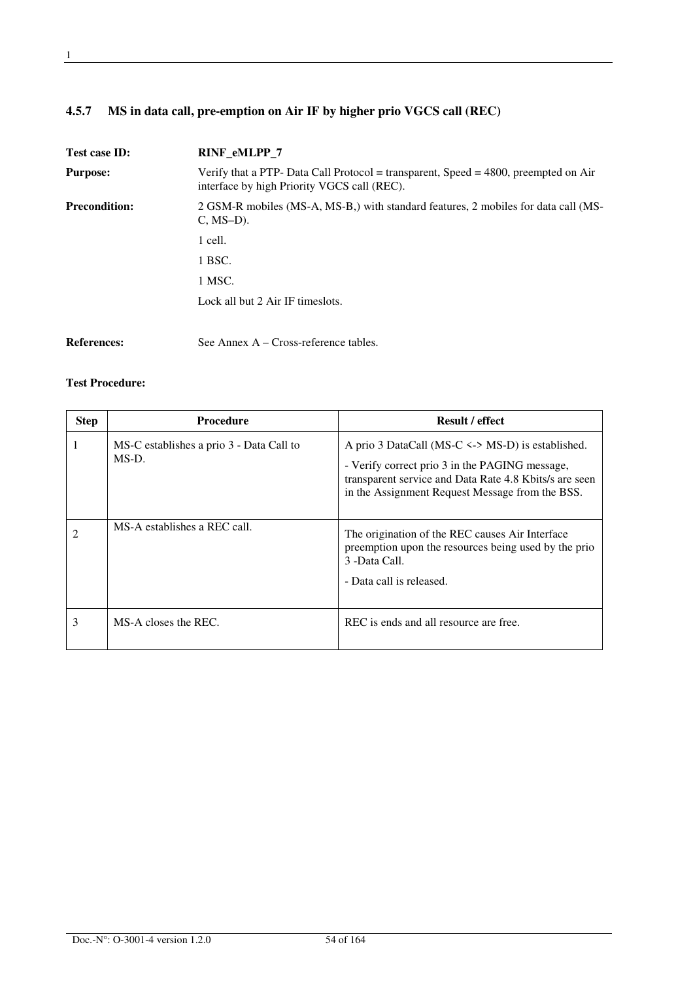## **4.5.7 MS in data call, pre-emption on Air IF by higher prio VGCS call (REC)**

| Test case ID:        | RINF_eMLPP_7                                                                                                                          |  |
|----------------------|---------------------------------------------------------------------------------------------------------------------------------------|--|
| <b>Purpose:</b>      | Verify that a PTP- Data Call Protocol = transparent, Speed = $4800$ , preempted on Air<br>interface by high Priority VGCS call (REC). |  |
| <b>Precondition:</b> | 2 GSM-R mobiles (MS-A, MS-B,) with standard features, 2 mobiles for data call (MS-<br>$C, MS-D$ ).                                    |  |
|                      | 1 cell.                                                                                                                               |  |
|                      | 1 BSC.                                                                                                                                |  |
|                      | 1 MSC.                                                                                                                                |  |
|                      | Lock all but 2 Air IF times lots.                                                                                                     |  |
| <b>References:</b>   | See Annex $A - Cross-reference tables$ .                                                                                              |  |

| <b>Step</b> | <b>Procedure</b>                                  | <b>Result / effect</b>                                                                                                                                                                                               |
|-------------|---------------------------------------------------|----------------------------------------------------------------------------------------------------------------------------------------------------------------------------------------------------------------------|
|             | MS-C establishes a prio 3 - Data Call to<br>MS-D. | A prio 3 DataCall (MS-C $\le$ > MS-D) is established.<br>- Verify correct prio 3 in the PAGING message,<br>transparent service and Data Rate 4.8 Kbits/s are seen<br>in the Assignment Request Message from the BSS. |
|             | MS-A establishes a REC call.                      | The origination of the REC causes Air Interface<br>preemption upon the resources being used by the prio<br>3 -Data Call.<br>- Data call is released.                                                                 |
| 3           | MS-A closes the REC.                              | REC is ends and all resource are free.                                                                                                                                                                               |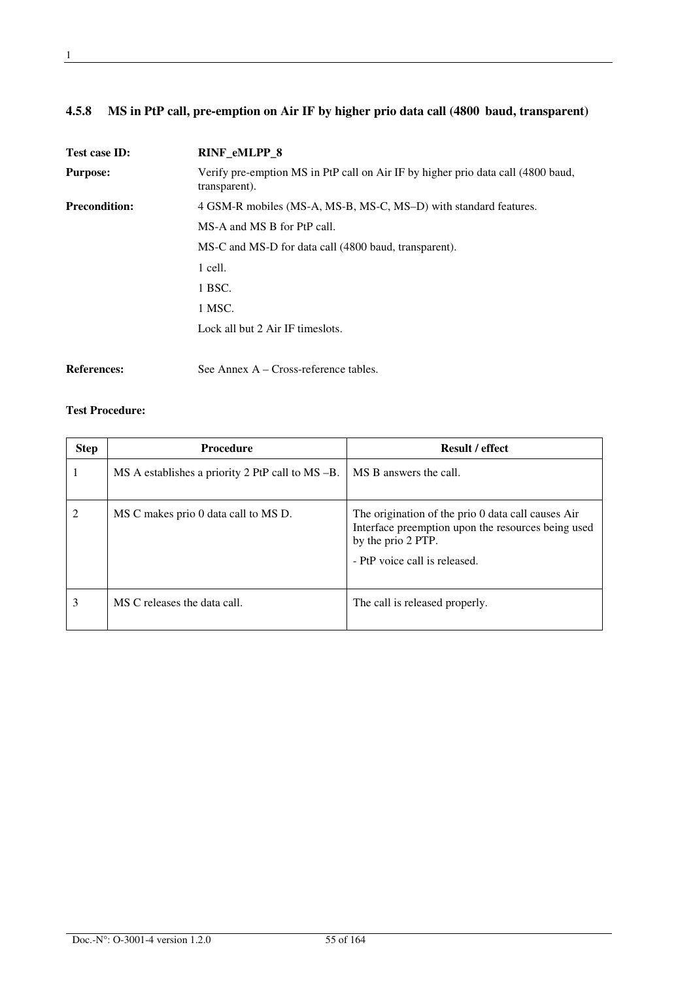## **4.5.8 MS in PtP call, pre-emption on Air IF by higher prio data call (4800 baud, transparent)**

| <b>Test case ID:</b> | <b>RINF eMLPP 8</b>                                                                               |
|----------------------|---------------------------------------------------------------------------------------------------|
| <b>Purpose:</b>      | Verify pre-emption MS in PtP call on Air IF by higher prio data call (4800 baud,<br>transparent). |
| <b>Precondition:</b> | 4 GSM-R mobiles (MS-A, MS-B, MS-C, MS-D) with standard features.                                  |
|                      | MS-A and MS B for PtP call.                                                                       |
|                      | MS-C and MS-D for data call (4800 baud, transparent).                                             |
|                      | 1 cell.                                                                                           |
|                      | 1 BSC.                                                                                            |
|                      | 1 MSC.                                                                                            |
|                      | Lock all but 2 Air IF timeslots.                                                                  |
|                      |                                                                                                   |

**References:** See Annex A – Cross-reference tables.

| <b>Step</b> | <b>Procedure</b>                                                           | <b>Result / effect</b>                                                                                                                                          |
|-------------|----------------------------------------------------------------------------|-----------------------------------------------------------------------------------------------------------------------------------------------------------------|
|             | $\overline{MS}$ A establishes a priority 2 PtP call to $\overline{MS}$ -B. | MS B answers the call.                                                                                                                                          |
| 2           | MS C makes prio 0 data call to MS D.                                       | The origination of the prio 0 data call causes Air<br>Interface preemption upon the resources being used<br>by the prio 2 PTP.<br>- PtP voice call is released. |
| 3           | MS C releases the data call.                                               | The call is released properly.                                                                                                                                  |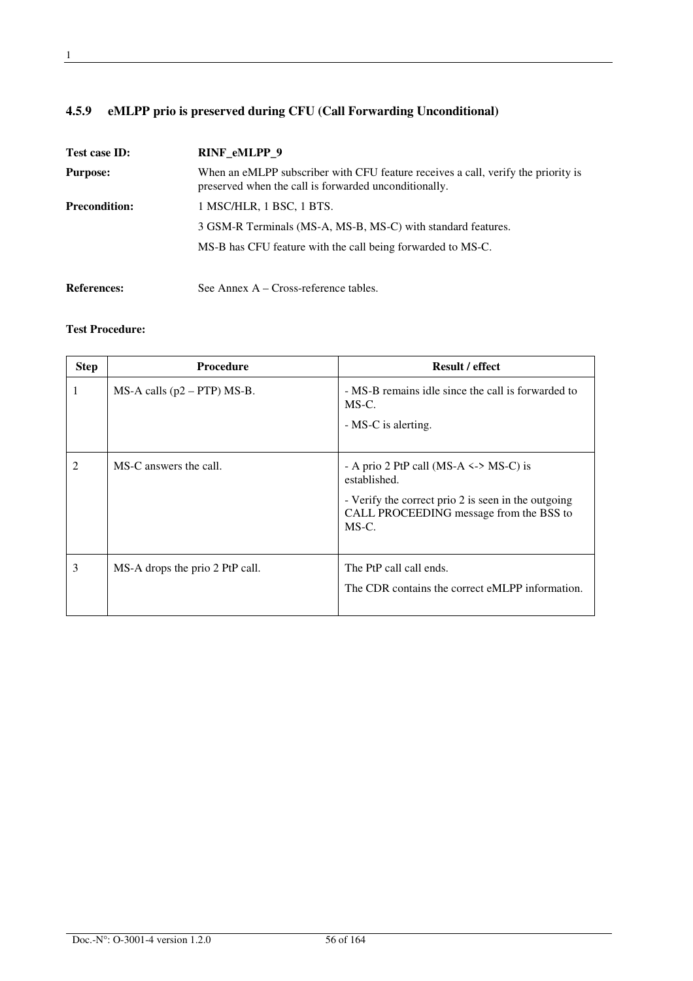## **4.5.9 eMLPP prio is preserved during CFU (Call Forwarding Unconditional)**

| Test case ID:        | RINF eMLPP 9                                                                                                                               |
|----------------------|--------------------------------------------------------------------------------------------------------------------------------------------|
| <b>Purpose:</b>      | When an eMLPP subscriber with CFU feature receives a call, verify the priority is<br>preserved when the call is forwarded unconditionally. |
| <b>Precondition:</b> | 1 MSC/HLR, 1 BSC, 1 BTS.                                                                                                                   |
|                      | 3 GSM-R Terminals (MS-A, MS-B, MS-C) with standard features.                                                                               |
|                      | MS-B has CFU feature with the call being forwarded to MS-C.                                                                                |
| <b>References:</b>   | See Annex A – Cross-reference tables.                                                                                                      |

| <b>Step</b>    | <b>Procedure</b>                  | <b>Result / effect</b>                                                                                                                                                  |
|----------------|-----------------------------------|-------------------------------------------------------------------------------------------------------------------------------------------------------------------------|
| 1              | $MS-A$ calls ( $p2 - PTP$ ) MS-B. | - MS-B remains idle since the call is forwarded to<br>MS-C.                                                                                                             |
|                |                                   | - MS-C is alerting.                                                                                                                                                     |
| $\overline{2}$ | MS-C answers the call.            | - A prio 2 PtP call (MS-A $\le$ > MS-C) is<br>established.<br>- Verify the correct prio 2 is seen in the outgoing<br>CALL PROCEEDING message from the BSS to<br>$MS-C.$ |
| 3              | MS-A drops the prio 2 PtP call.   | The PtP call call ends.<br>The CDR contains the correct eMLPP information.                                                                                              |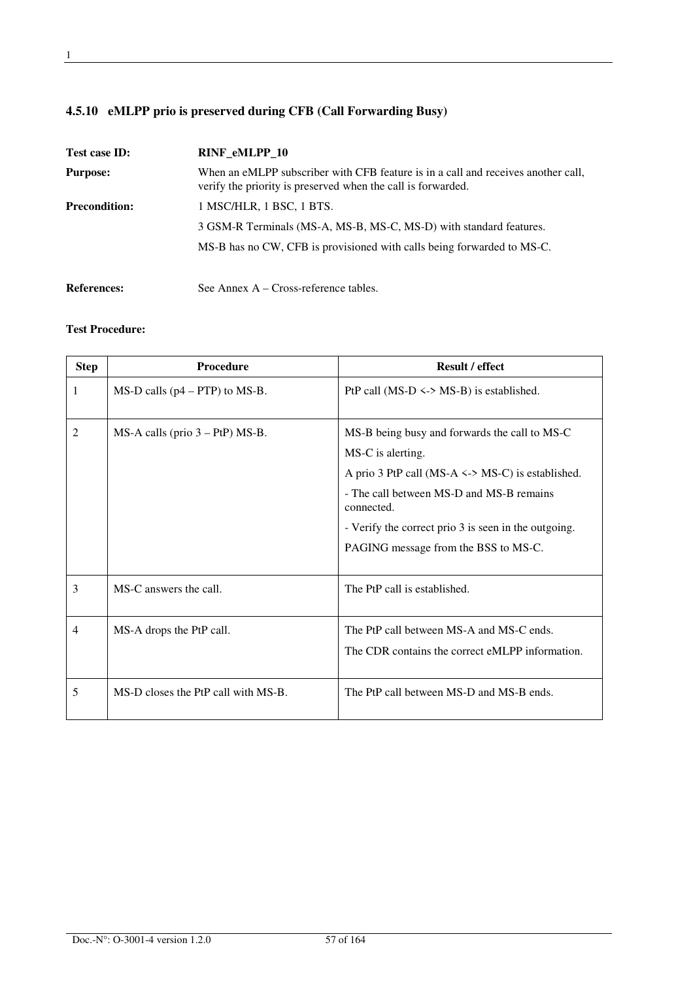## **4.5.10 eMLPP prio is preserved during CFB (Call Forwarding Busy)**

| Test case ID:        | <b>RINF eMLPP 10</b>                                                                                                                              |
|----------------------|---------------------------------------------------------------------------------------------------------------------------------------------------|
| <b>Purpose:</b>      | When an eMLPP subscriber with CFB feature is in a call and receives another call,<br>verify the priority is preserved when the call is forwarded. |
| <b>Precondition:</b> | 1 MSC/HLR, 1 BSC, 1 BTS.                                                                                                                          |
|                      | 3 GSM-R Terminals (MS-A, MS-B, MS-C, MS-D) with standard features.                                                                                |
|                      | MS-B has no CW, CFB is provisioned with calls being forwarded to MS-C.                                                                            |
| <b>References:</b>   | See Annex A – Cross-reference tables.                                                                                                             |

| <b>Step</b>    | <b>Procedure</b>                     | <b>Result / effect</b>                                                                                                                                                                                                                                                                |
|----------------|--------------------------------------|---------------------------------------------------------------------------------------------------------------------------------------------------------------------------------------------------------------------------------------------------------------------------------------|
| 1              | $MS-D$ calls ( $p4 - PTP$ ) to MS-B. | PtP call (MS-D $\le$ > MS-B) is established.                                                                                                                                                                                                                                          |
| 2              | $MS-A$ calls (prio $3 - PtP$ ) MS-B. | MS-B being busy and forwards the call to MS-C<br>MS-C is alerting.<br>A prio 3 PtP call (MS-A $\le$ > MS-C) is established.<br>- The call between MS-D and MS-B remains<br>connected.<br>- Verify the correct prio 3 is seen in the outgoing.<br>PAGING message from the BSS to MS-C. |
| 3              | MS-C answers the call.               | The PtP call is established.                                                                                                                                                                                                                                                          |
| $\overline{4}$ | MS-A drops the PtP call.             | The PtP call between MS-A and MS-C ends.<br>The CDR contains the correct eMLPP information.                                                                                                                                                                                           |
| 5              | MS-D closes the PtP call with MS-B.  | The PtP call between MS-D and MS-B ends.                                                                                                                                                                                                                                              |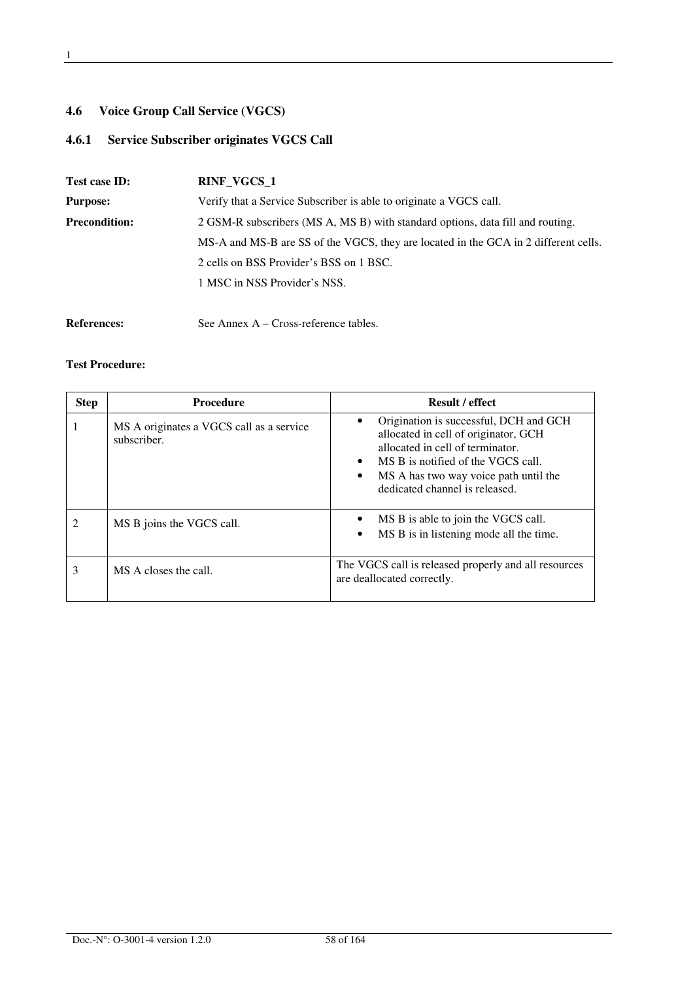## **4.6 Voice Group Call Service (VGCS)**

## **4.6.1 Service Subscriber originates VGCS Call**

| Test case ID:        | <b>RINF VGCS 1</b>                                                                  |  |
|----------------------|-------------------------------------------------------------------------------------|--|
| <b>Purpose:</b>      | Verify that a Service Subscriber is able to originate a VGCS call.                  |  |
| <b>Precondition:</b> | 2 GSM-R subscribers (MS A, MS B) with standard options, data fill and routing.      |  |
|                      | MS-A and MS-B are SS of the VGCS, they are located in the GCA in 2 different cells. |  |
|                      | 2 cells on BSS Provider's BSS on 1 BSC.                                             |  |
|                      | 1 MSC in NSS Provider's NSS.                                                        |  |
|                      |                                                                                     |  |
|                      |                                                                                     |  |

References: See Annex A – Cross-reference tables.

| <b>Step</b> | <b>Procedure</b>                                        | <b>Result / effect</b>                                                                                                                                                                                                                                        |
|-------------|---------------------------------------------------------|---------------------------------------------------------------------------------------------------------------------------------------------------------------------------------------------------------------------------------------------------------------|
|             | MS A originates a VGCS call as a service<br>subscriber. | Origination is successful, DCH and GCH<br>allocated in cell of originator, GCH<br>allocated in cell of terminator.<br>MS B is notified of the VGCS call.<br>$\bullet$<br>MS A has two way voice path until the<br>$\bullet$<br>dedicated channel is released. |
|             | MS B joins the VGCS call.                               | MS B is able to join the VGCS call.<br>MS B is in listening mode all the time.                                                                                                                                                                                |
| 3           | MS A closes the call.                                   | The VGCS call is released properly and all resources<br>are deallocated correctly.                                                                                                                                                                            |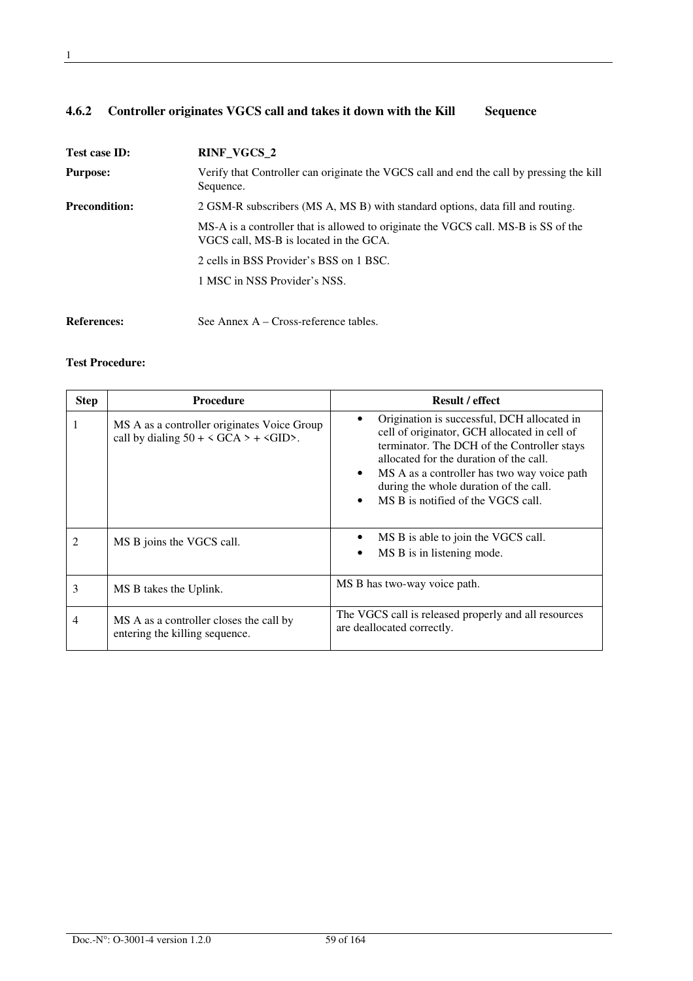## **4.6.2 Controller originates VGCS call and takes it down with the Kill Sequence**

| Test case ID:        | RINF_VGCS_2                                                                                                                  |
|----------------------|------------------------------------------------------------------------------------------------------------------------------|
| <b>Purpose:</b>      | Verify that Controller can originate the VGCS call and end the call by pressing the kill<br>Sequence.                        |
| <b>Precondition:</b> | 2 GSM-R subscribers (MS A, MS B) with standard options, data fill and routing.                                               |
|                      | MS-A is a controller that is allowed to originate the VGCS call. MS-B is SS of the<br>VGCS call, MS-B is located in the GCA. |
|                      | 2 cells in BSS Provider's BSS on 1 BSC.                                                                                      |
|                      | 1 MSC in NSS Provider's NSS.                                                                                                 |
| <b>References:</b>   | See Annex $A - Cross-reference tables$ .                                                                                     |

| <b>Step</b> | <b>Procedure</b>                                                                                                  | <b>Result / effect</b>                                                                                                                                                                                                                                                                                                                         |
|-------------|-------------------------------------------------------------------------------------------------------------------|------------------------------------------------------------------------------------------------------------------------------------------------------------------------------------------------------------------------------------------------------------------------------------------------------------------------------------------------|
|             | MS A as a controller originates Voice Group<br>call by dialing $50 + \langle GCA \rangle + \langle GID \rangle$ . | Origination is successful, DCH allocated in<br>cell of originator, GCH allocated in cell of<br>terminator. The DCH of the Controller stays<br>allocated for the duration of the call.<br>MS A as a controller has two way voice path<br>$\bullet$<br>during the whole duration of the call.<br>MS B is notified of the VGCS call.<br>$\bullet$ |
|             | MS B joins the VGCS call.                                                                                         | MS B is able to join the VGCS call.<br>MS B is in listening mode.                                                                                                                                                                                                                                                                              |
| 3           | MS B takes the Uplink.                                                                                            | MS B has two-way voice path.                                                                                                                                                                                                                                                                                                                   |
|             | MS A as a controller closes the call by<br>entering the killing sequence.                                         | The VGCS call is released properly and all resources<br>are deallocated correctly.                                                                                                                                                                                                                                                             |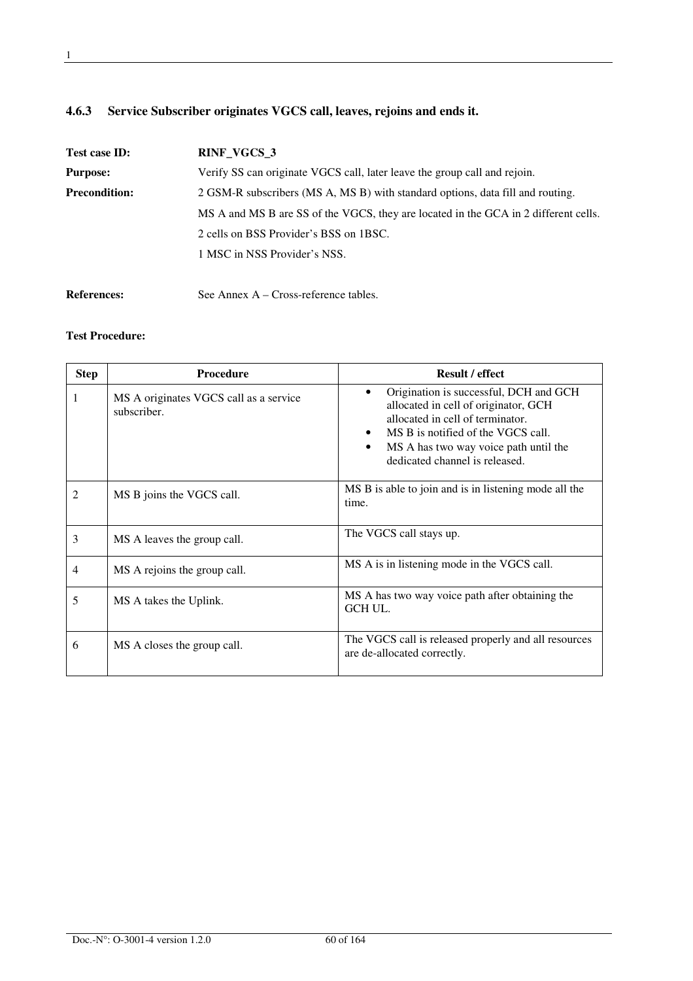## **4.6.3 Service Subscriber originates VGCS call, leaves, rejoins and ends it.**

| Test case ID:        | RINF_VGCS_3                                                                         |  |
|----------------------|-------------------------------------------------------------------------------------|--|
| <b>Purpose:</b>      | Verify SS can originate VGCS call, later leave the group call and rejoin.           |  |
| <b>Precondition:</b> | 2 GSM-R subscribers (MS A, MS B) with standard options, data fill and routing.      |  |
|                      | MS A and MS B are SS of the VGCS, they are located in the GCA in 2 different cells. |  |
|                      | 2 cells on BSS Provider's BSS on 1BSC.                                              |  |
|                      | 1 MSC in NSS Provider's NSS.                                                        |  |
|                      |                                                                                     |  |

References: See Annex A – Cross-reference tables.

| <b>Step</b>    | <b>Procedure</b>                                      | <b>Result / effect</b>                                                                                                                                                                                                                           |
|----------------|-------------------------------------------------------|--------------------------------------------------------------------------------------------------------------------------------------------------------------------------------------------------------------------------------------------------|
| 1              | MS A originates VGCS call as a service<br>subscriber. | Origination is successful, DCH and GCH<br>$\bullet$<br>allocated in cell of originator, GCH<br>allocated in cell of terminator.<br>MS B is notified of the VGCS call.<br>MS A has two way voice path until the<br>dedicated channel is released. |
| $\mathfrak{D}$ | MS B joins the VGCS call.                             | MS B is able to join and is in listening mode all the<br>time.                                                                                                                                                                                   |
| 3              | MS A leaves the group call.                           | The VGCS call stays up.                                                                                                                                                                                                                          |
| 4              | MS A rejoins the group call.                          | MS A is in listening mode in the VGCS call.                                                                                                                                                                                                      |
| 5              | MS A takes the Uplink.                                | MS A has two way voice path after obtaining the<br><b>GCH UL.</b>                                                                                                                                                                                |
| 6              | MS A closes the group call.                           | The VGCS call is released properly and all resources<br>are de-allocated correctly.                                                                                                                                                              |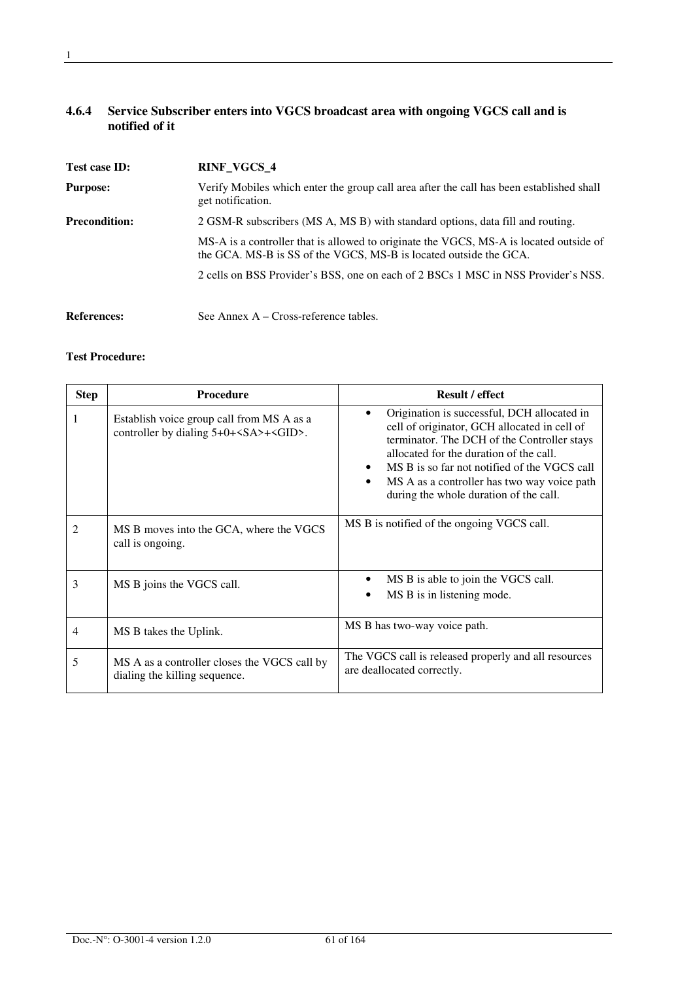#### **4.6.4 Service Subscriber enters into VGCS broadcast area with ongoing VGCS call and is notified of it**

| Test case ID:        | RINF_VGCS_4                                                                                                                                                 |  |
|----------------------|-------------------------------------------------------------------------------------------------------------------------------------------------------------|--|
| <b>Purpose:</b>      | Verify Mobiles which enter the group call area after the call has been established shall<br>get notification.                                               |  |
| <b>Precondition:</b> | 2 GSM-R subscribers (MS A, MS B) with standard options, data fill and routing.                                                                              |  |
|                      | MS-A is a controller that is allowed to originate the VGCS, MS-A is located outside of<br>the GCA. MS-B is SS of the VGCS, MS-B is located outside the GCA. |  |
|                      | 2 cells on BSS Provider's BSS, one on each of 2 BSCs 1 MSC in NSS Provider's NSS.                                                                           |  |
| <b>References:</b>   | See Annex $A - Cross-reference tables$ .                                                                                                                    |  |

| <b>Step</b>    | <b>Procedure</b>                                                                     | <b>Result / effect</b>                                                                                                                                                                                                                                                                                                                      |
|----------------|--------------------------------------------------------------------------------------|---------------------------------------------------------------------------------------------------------------------------------------------------------------------------------------------------------------------------------------------------------------------------------------------------------------------------------------------|
| 1              | Establish voice group call from MS A as a<br>controller by dialing $5+0++\leq$ GID>. | Origination is successful, DCH allocated in<br>cell of originator, GCH allocated in cell of<br>terminator. The DCH of the Controller stays<br>allocated for the duration of the call.<br>MS B is so far not notified of the VGCS call<br>$\bullet$<br>MS A as a controller has two way voice path<br>during the whole duration of the call. |
| $\mathfrak{D}$ | MS B moves into the GCA, where the VGCS<br>call is ongoing.                          | MS B is notified of the ongoing VGCS call.                                                                                                                                                                                                                                                                                                  |
| 3              | MS B joins the VGCS call.                                                            | MS B is able to join the VGCS call.<br>$\bullet$<br>MS B is in listening mode.                                                                                                                                                                                                                                                              |
| 4              | MS B takes the Uplink.                                                               | MS B has two-way voice path.                                                                                                                                                                                                                                                                                                                |
| 5              | MS A as a controller closes the VGCS call by<br>dialing the killing sequence.        | The VGCS call is released properly and all resources<br>are deallocated correctly.                                                                                                                                                                                                                                                          |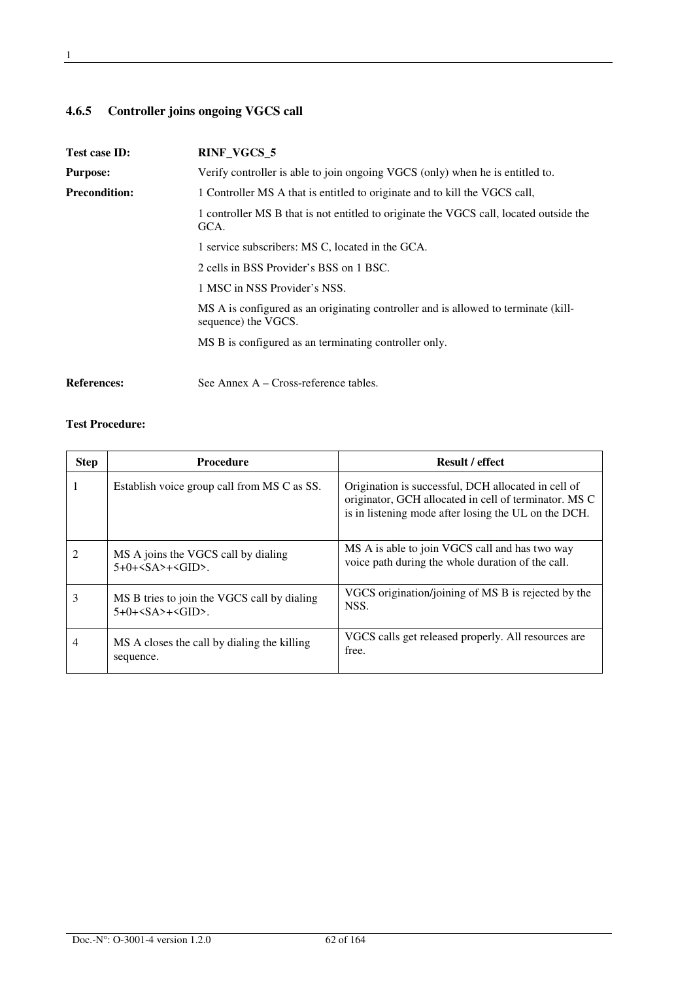## **4.6.5 Controller joins ongoing VGCS call**

| Test case ID:        | <b>RINF_VGCS_5</b>                                                                                        |  |
|----------------------|-----------------------------------------------------------------------------------------------------------|--|
| <b>Purpose:</b>      | Verify controller is able to join ongoing VGCS (only) when he is entitled to.                             |  |
| <b>Precondition:</b> | 1 Controller MS A that is entitled to originate and to kill the VGCS call,                                |  |
|                      | 1 controller MS B that is not entitled to originate the VGCS call, located outside the<br>GCA.            |  |
|                      | 1 service subscribers: MS C, located in the GCA.                                                          |  |
|                      | 2 cells in BSS Provider's BSS on 1 BSC.                                                                   |  |
|                      | 1 MSC in NSS Provider's NSS.                                                                              |  |
|                      | MS A is configured as an originating controller and is allowed to terminate (kill-<br>sequence) the VGCS. |  |
|                      | MS B is configured as an terminating controller only.                                                     |  |
|                      |                                                                                                           |  |
|                      |                                                                                                           |  |

References: See Annex A – Cross-reference tables.

| <b>Step</b>    | <b>Procedure</b>                                                            | <b>Result / effect</b>                                                                                                                                               |
|----------------|-----------------------------------------------------------------------------|----------------------------------------------------------------------------------------------------------------------------------------------------------------------|
|                | Establish voice group call from MS C as SS.                                 | Origination is successful, DCH allocated in cell of<br>originator, GCH allocated in cell of terminator. MS C<br>is in listening mode after losing the UL on the DCH. |
| $\mathfrak{D}$ | MS A joins the VGCS call by dialing<br>$5+0+5$ $S$ $A$ $>+5$ $G$ $ID$ $S$ . | MS A is able to join VGCS call and has two way<br>voice path during the whole duration of the call.                                                                  |
| 3              | MS B tries to join the VGCS call by dialing<br>$5+0++$                      | VGCS origination/joining of MS B is rejected by the<br>NSS.                                                                                                          |
| 4              | MS A closes the call by dialing the killing<br>sequence.                    | VGCS calls get released properly. All resources are<br>free.                                                                                                         |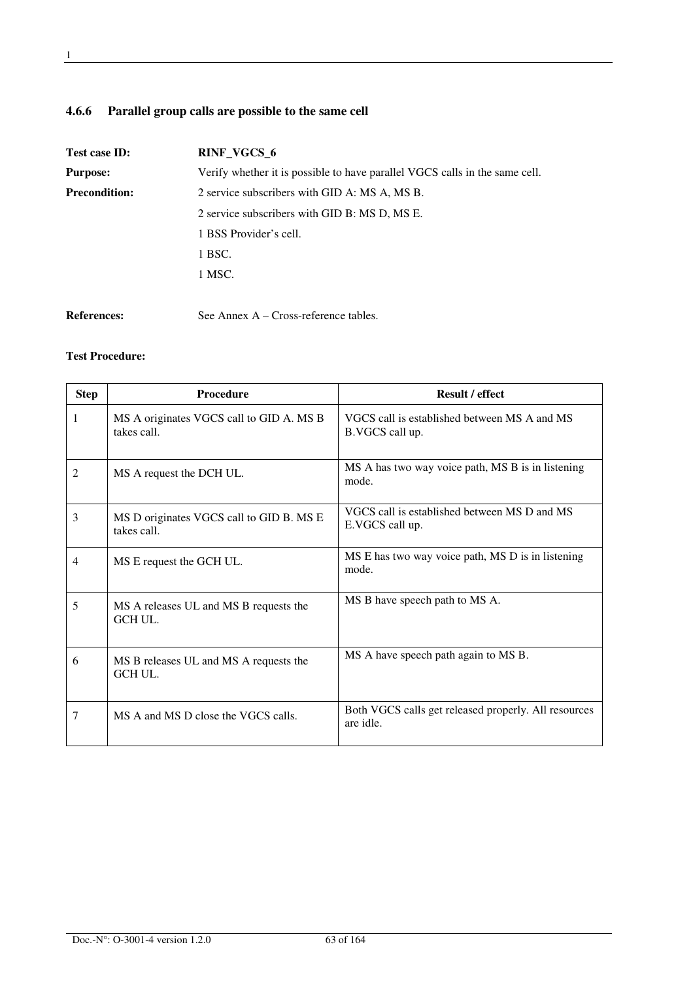## **4.6.6 Parallel group calls are possible to the same cell**

| Test case ID:                                 | RINF_VGCS_6                                                                 |  |
|-----------------------------------------------|-----------------------------------------------------------------------------|--|
| <b>Purpose:</b>                               | Verify whether it is possible to have parallel VGCS calls in the same cell. |  |
| <b>Precondition:</b>                          | 2 service subscribers with GID A: MS A, MS B.                               |  |
| 2 service subscribers with GID B: MS D, MS E. |                                                                             |  |
|                                               | 1 BSS Provider's cell.                                                      |  |
|                                               | 1 BSC.                                                                      |  |
|                                               | 1 MSC.                                                                      |  |
|                                               |                                                                             |  |
| <b>References:</b>                            | See Annex $A - Cross-reference tables$ .                                    |  |

| <b>Step</b>   | <b>Procedure</b>                                        | <b>Result / effect</b>                                            |
|---------------|---------------------------------------------------------|-------------------------------------------------------------------|
| 1             | MS A originates VGCS call to GID A. MS B<br>takes call. | VGCS call is established between MS A and MS<br>B.VGCS call up.   |
| $\mathcal{L}$ | MS A request the DCH UL.                                | MS A has two way voice path, MS B is in listening<br>mode.        |
| 3             | MS D originates VGCS call to GID B. MS E<br>takes call. | VGCS call is established between MS D and MS<br>E.VGCS call up.   |
| 4             | MS E request the GCH UL.                                | MS E has two way voice path, MS D is in listening<br>mode.        |
| 5             | MS A releases UL and MS B requests the<br>GCH UL.       | MS B have speech path to MS A.                                    |
| 6             | MS B releases UL and MS A requests the<br>GCH UL.       | MS A have speech path again to MS B.                              |
| 7             | MS A and MS D close the VGCS calls.                     | Both VGCS calls get released properly. All resources<br>are idle. |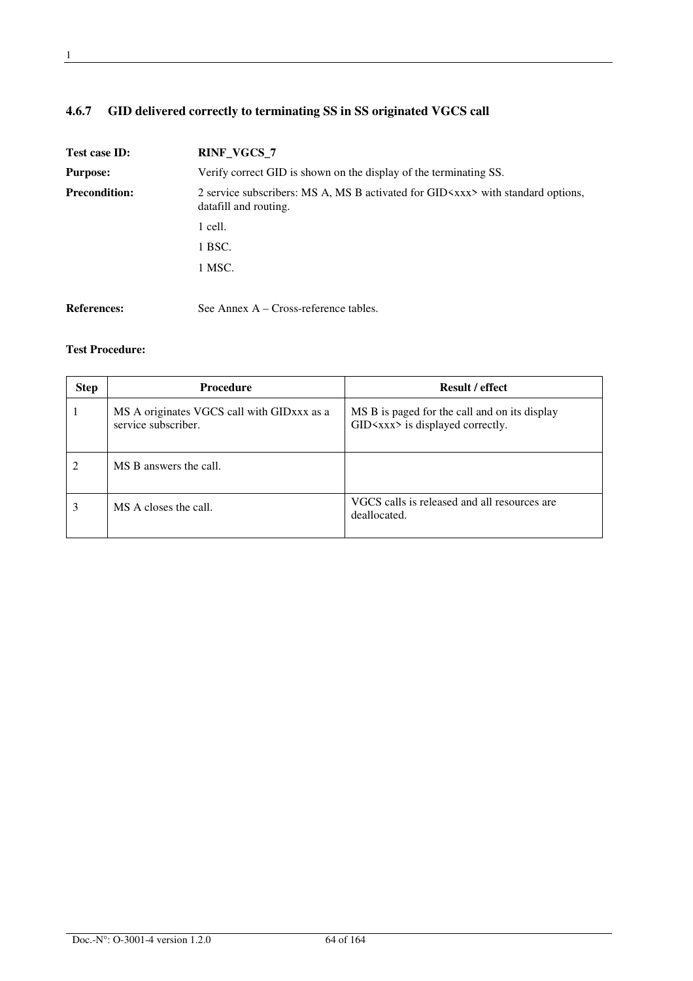## **4.6.7 GID delivered correctly to terminating SS in SS originated VGCS call**

| Test case ID:                                                                                                                            | <b>RINF_VGCS_7</b>                                                |  |
|------------------------------------------------------------------------------------------------------------------------------------------|-------------------------------------------------------------------|--|
| <b>Purpose:</b>                                                                                                                          | Verify correct GID is shown on the display of the terminating SS. |  |
| <b>Precondition:</b><br>2 service subscribers: MS A, MS B activated for GID $\times$ xxx with standard options,<br>datafill and routing. |                                                                   |  |
|                                                                                                                                          | 1 cell.                                                           |  |
|                                                                                                                                          | 1 BSC.                                                            |  |
|                                                                                                                                          | 1 MSC.                                                            |  |
|                                                                                                                                          |                                                                   |  |

References: See Annex A – Cross-reference tables.

| <b>Step</b> | <b>Procedure</b>                                                  | <b>Result / effect</b>                                                                      |
|-------------|-------------------------------------------------------------------|---------------------------------------------------------------------------------------------|
|             | MS A originates VGCS call with GIDxxx as a<br>service subscriber. | MS B is paged for the call and on its display<br>$GID \langle$ xxx> is displayed correctly. |
| 2           | MS B answers the call.                                            |                                                                                             |
|             | MS A closes the call.                                             | VGCS calls is released and all resources are<br>deallocated.                                |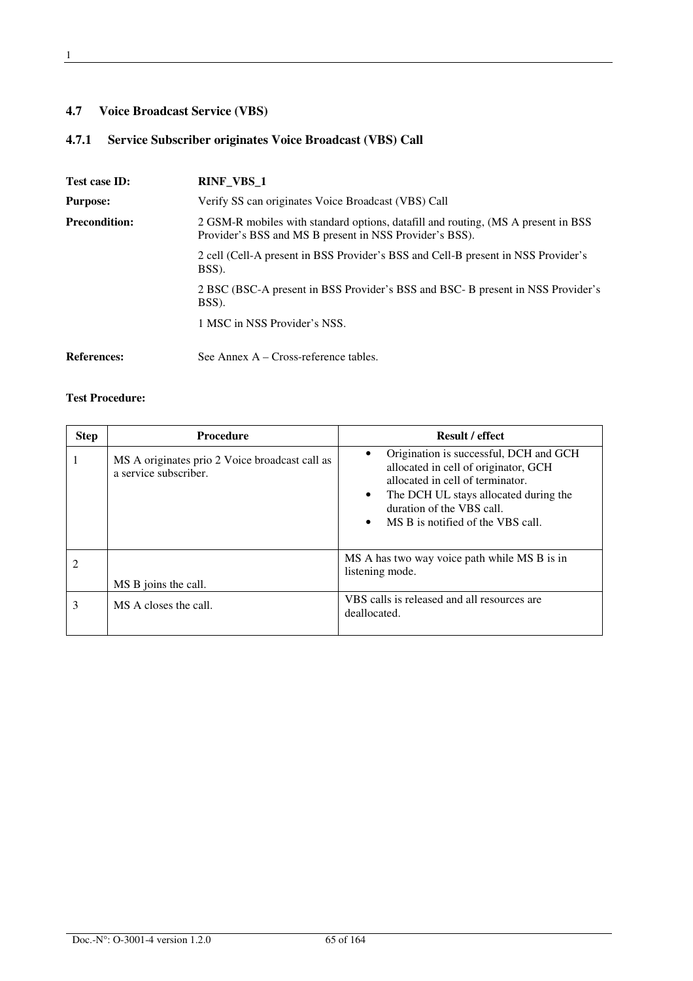## **4.7 Voice Broadcast Service (VBS)**

## **4.7.1 Service Subscriber originates Voice Broadcast (VBS) Call**

| Test case ID:        | <b>RINF_VBS_1</b>                                                                                                                             |  |
|----------------------|-----------------------------------------------------------------------------------------------------------------------------------------------|--|
| <b>Purpose:</b>      | Verify SS can originates Voice Broadcast (VBS) Call                                                                                           |  |
| <b>Precondition:</b> | 2 GSM-R mobiles with standard options, datafill and routing, (MS A present in BSS)<br>Provider's BSS and MS B present in NSS Provider's BSS). |  |
|                      | 2 cell (Cell-A present in BSS Provider's BSS and Cell-B present in NSS Provider's<br>BSS).                                                    |  |
|                      | 2 BSC (BSC-A present in BSS Provider's BSS and BSC- B present in NSS Provider's<br>BSS).                                                      |  |
|                      | 1 MSC in NSS Provider's NSS.                                                                                                                  |  |
| <b>References:</b>   | See Annex $A - Cross-reference tables$ .                                                                                                      |  |

| <b>Step</b> | <b>Procedure</b>                                                        | <b>Result / effect</b>                                                                                                                                                                                                            |
|-------------|-------------------------------------------------------------------------|-----------------------------------------------------------------------------------------------------------------------------------------------------------------------------------------------------------------------------------|
|             | MS A originates prio 2 Voice broadcast call as<br>a service subscriber. | Origination is successful, DCH and GCH<br>allocated in cell of originator, GCH<br>allocated in cell of terminator<br>The DCH UL stays allocated during the<br>٠<br>duration of the VBS call.<br>MS B is notified of the VBS call. |
|             | MS B joins the call.                                                    | MS A has two way voice path while MS B is in<br>listening mode.                                                                                                                                                                   |
|             | MS A closes the call.                                                   | VBS calls is released and all resources are<br>deallocated.                                                                                                                                                                       |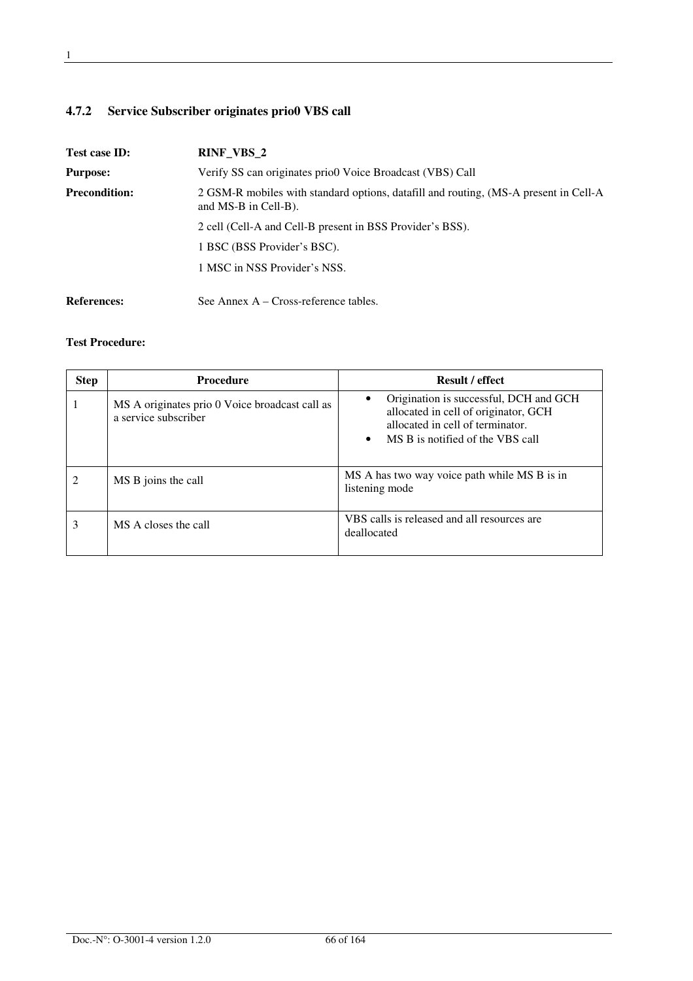## **4.7.2 Service Subscriber originates prio0 VBS call**

| Test case ID:        | RINF_VBS_2                                                                                                     |  |
|----------------------|----------------------------------------------------------------------------------------------------------------|--|
| <b>Purpose:</b>      | Verify SS can originates prio0 Voice Broadcast (VBS) Call                                                      |  |
| <b>Precondition:</b> | 2 GSM-R mobiles with standard options, datafill and routing, (MS-A present in Cell-A<br>and $MS-B$ in Cell-B). |  |
|                      | 2 cell (Cell-A and Cell-B present in BSS Provider's BSS).                                                      |  |
|                      | 1 BSC (BSS Provider's BSC).                                                                                    |  |
|                      | 1 MSC in NSS Provider's NSS.                                                                                   |  |
| <b>References:</b>   | See Annex $A - Cross-reference$ tables.                                                                        |  |

| <b>Step</b> | <b>Procedure</b>                                                       | <b>Result / effect</b>                                                                                                                                              |
|-------------|------------------------------------------------------------------------|---------------------------------------------------------------------------------------------------------------------------------------------------------------------|
|             | MS A originates prio 0 Voice broadcast call as<br>a service subscriber | Origination is successful, DCH and GCH<br>allocated in cell of originator, GCH<br>allocated in cell of terminator.<br>MS B is notified of the VBS call<br>$\bullet$ |
|             | MS B joins the call                                                    | MS A has two way voice path while MS B is in<br>listening mode                                                                                                      |
| 3           | MS A closes the call                                                   | VBS calls is released and all resources are<br>deallocated                                                                                                          |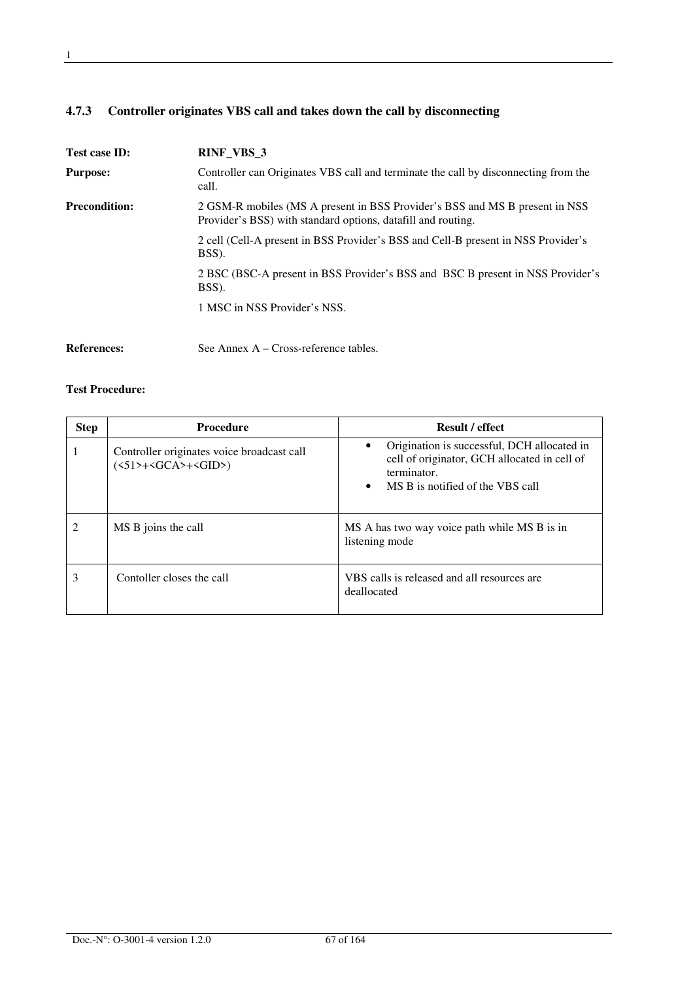## **4.7.3 Controller originates VBS call and takes down the call by disconnecting**

| Test case ID:        | RINF_VBS_3                                                                                                                                  |
|----------------------|---------------------------------------------------------------------------------------------------------------------------------------------|
| <b>Purpose:</b>      | Controller can Originates VBS call and terminate the call by disconnecting from the<br>call.                                                |
| <b>Precondition:</b> | 2 GSM-R mobiles (MS A present in BSS Provider's BSS and MS B present in NSS<br>Provider's BSS) with standard options, datafill and routing. |
|                      | 2 cell (Cell-A present in BSS Provider's BSS and Cell-B present in NSS Provider's<br>BSS).                                                  |
|                      | 2 BSC (BSC-A present in BSS Provider's BSS and BSC B present in NSS Provider's<br>BSS).                                                     |
|                      | 1 MSC in NSS Provider's NSS.                                                                                                                |
| <b>References:</b>   | See Annex $A - Cross-reference tables$ .                                                                                                    |

| <b>Step</b> | <b>Procedure</b>                                                                                                 | <b>Result / effect</b>                                                                                                                                      |
|-------------|------------------------------------------------------------------------------------------------------------------|-------------------------------------------------------------------------------------------------------------------------------------------------------------|
|             | Controller originates voice broadcast call<br>$(\langle 51 \rangle + \langle GCA \rangle + \langle GID \rangle)$ | Origination is successful, DCH allocated in<br>cell of originator, GCH allocated in cell of<br>terminator.<br>MS B is notified of the VBS call<br>$\bullet$ |
|             | MS B joins the call                                                                                              | MS A has two way voice path while MS B is in<br>listening mode                                                                                              |
| 3           | Contoller closes the call                                                                                        | VBS calls is released and all resources are<br>deallocated                                                                                                  |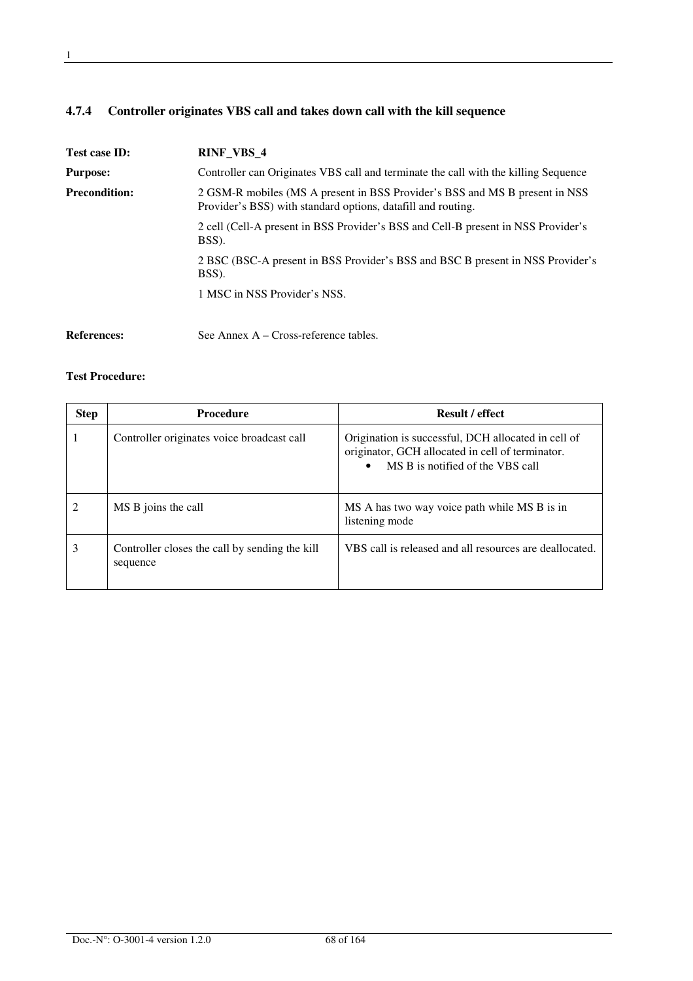## **4.7.4 Controller originates VBS call and takes down call with the kill sequence**

| Test case ID:        | <b>RINF VBS 4</b>                                                                                                                           |  |
|----------------------|---------------------------------------------------------------------------------------------------------------------------------------------|--|
| <b>Purpose:</b>      | Controller can Originates VBS call and terminate the call with the killing Sequence                                                         |  |
| <b>Precondition:</b> | 2 GSM-R mobiles (MS A present in BSS Provider's BSS and MS B present in NSS<br>Provider's BSS) with standard options, datafill and routing. |  |
|                      | 2 cell (Cell-A present in BSS Provider's BSS and Cell-B present in NSS Provider's<br>BSS).                                                  |  |
|                      | 2 BSC (BSC-A present in BSS Provider's BSS and BSC B present in NSS Provider's<br>BSS).                                                     |  |
|                      | 1 MSC in NSS Provider's NSS.                                                                                                                |  |
| <b>References:</b>   | See Annex $A - Cross-reference tables$ .                                                                                                    |  |

| <b>Step</b> | <b>Procedure</b>                                           | <b>Result / effect</b>                                                                                                                      |
|-------------|------------------------------------------------------------|---------------------------------------------------------------------------------------------------------------------------------------------|
|             | Controller originates voice broadcast call                 | Origination is successful, DCH allocated in cell of<br>originator, GCH allocated in cell of terminator.<br>MS B is notified of the VBS call |
|             | MS B joins the call                                        | MS A has two way voice path while MS B is in<br>listening mode                                                                              |
| 3           | Controller closes the call by sending the kill<br>sequence | VBS call is released and all resources are deallocated.                                                                                     |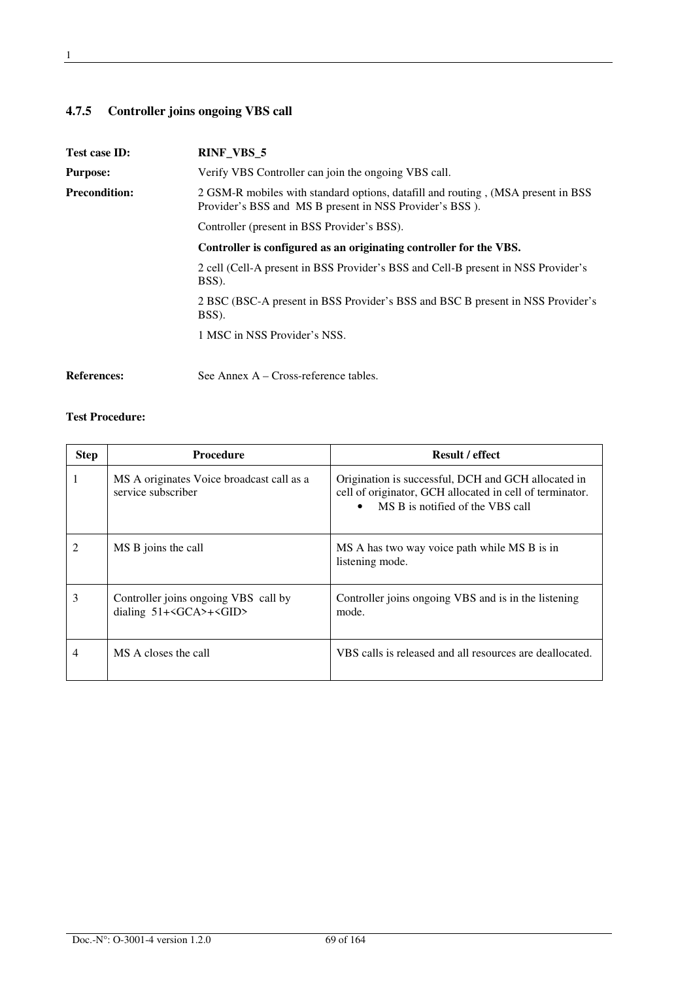## **4.7.5 Controller joins ongoing VBS call**

| Test case ID:        | RINF_VBS_5                                                                                                                                   |  |
|----------------------|----------------------------------------------------------------------------------------------------------------------------------------------|--|
| <b>Purpose:</b>      | Verify VBS Controller can join the ongoing VBS call.                                                                                         |  |
| <b>Precondition:</b> | 2 GSM-R mobiles with standard options, datafill and routing, (MSA present in BSS)<br>Provider's BSS and MS B present in NSS Provider's BSS). |  |
|                      | Controller (present in BSS Provider's BSS).                                                                                                  |  |
|                      | Controller is configured as an originating controller for the VBS.                                                                           |  |
|                      | 2 cell (Cell-A present in BSS Provider's BSS and Cell-B present in NSS Provider's<br>BSS).                                                   |  |
|                      | 2 BSC (BSC-A present in BSS Provider's BSS and BSC B present in NSS Provider's<br>BSS).                                                      |  |
|                      | 1 MSC in NSS Provider's NSS.                                                                                                                 |  |
| <b>References:</b>   | See Annex $A - Cross-reference tables$ .                                                                                                     |  |

| <b>Step</b>    | <b>Procedure</b>                                                                  | <b>Result / effect</b>                                                                                                                              |
|----------------|-----------------------------------------------------------------------------------|-----------------------------------------------------------------------------------------------------------------------------------------------------|
| 1              | MS A originates Voice broadcast call as a<br>service subscriber                   | Origination is successful, DCH and GCH allocated in<br>cell of originator, GCH allocated in cell of terminator.<br>MS B is notified of the VBS call |
| $\mathfrak{D}$ | MS B joins the call                                                               | MS A has two way voice path while MS B is in<br>listening mode.                                                                                     |
| 3              | Controller joins ongoing VBS call by<br>dialing $51+\angle GCA$ >+ $\angle GID$ > | Controller joins ongoing VBS and is in the listening<br>mode.                                                                                       |
| 4              | MS A closes the call                                                              | VBS calls is released and all resources are deallocated.                                                                                            |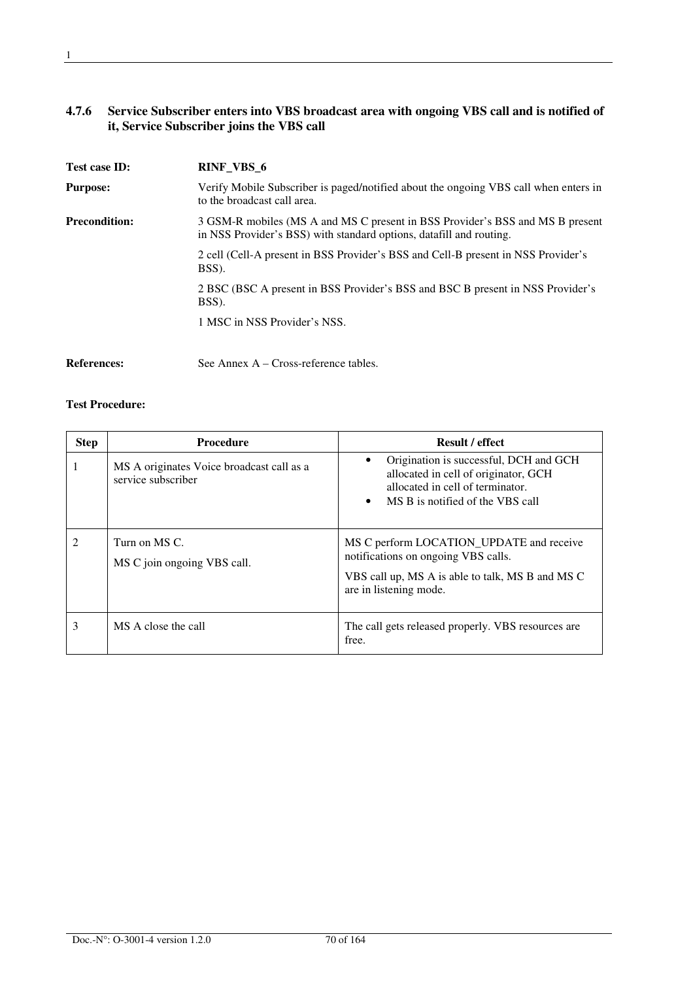#### **4.7.6 Service Subscriber enters into VBS broadcast area with ongoing VBS call and is notified of it, Service Subscriber joins the VBS call**

| Test case ID:        | RINF_VBS_6                                                                                                                                           |
|----------------------|------------------------------------------------------------------------------------------------------------------------------------------------------|
| <b>Purpose:</b>      | Verify Mobile Subscriber is paged/notified about the ongoing VBS call when enters in<br>to the broadcast call area.                                  |
| <b>Precondition:</b> | 3 GSM-R mobiles (MS A and MS C present in BSS Provider's BSS and MS B present<br>in NSS Provider's BSS) with standard options, datafill and routing. |
|                      | 2 cell (Cell-A present in BSS Provider's BSS and Cell-B present in NSS Provider's<br>BSS).                                                           |
|                      | 2 BSC (BSC A present in BSS Provider's BSS and BSC B present in NSS Provider's<br>BSS).                                                              |
|                      | 1 MSC in NSS Provider's NSS.                                                                                                                         |
| <b>References:</b>   | See Annex A – Cross-reference tables.                                                                                                                |

| <b>Step</b> | <b>Procedure</b>                                                | <b>Result / effect</b>                                                                                                                                              |
|-------------|-----------------------------------------------------------------|---------------------------------------------------------------------------------------------------------------------------------------------------------------------|
|             | MS A originates Voice broadcast call as a<br>service subscriber | Origination is successful, DCH and GCH<br>allocated in cell of originator, GCH<br>allocated in cell of terminator.<br>MS B is notified of the VBS call<br>$\bullet$ |
|             | Turn on MS C.<br>MS C join ongoing VBS call.                    | MS C perform LOCATION_UPDATE and receive<br>notifications on ongoing VBS calls.<br>VBS call up, MS A is able to talk, MS B and MS C<br>are in listening mode.       |
| 3           | MS A close the call                                             | The call gets released properly. VBS resources are<br>free.                                                                                                         |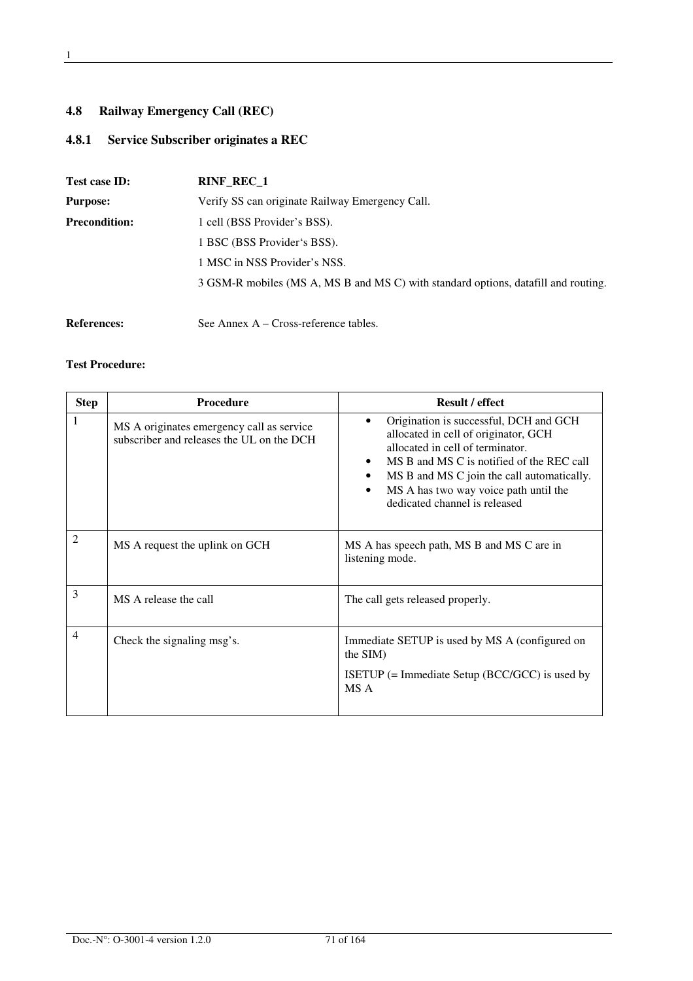## **4.8 Railway Emergency Call (REC)**

## **4.8.1 Service Subscriber originates a REC**

| Test case ID:        | <b>RINF REC 1</b>                                                                  |
|----------------------|------------------------------------------------------------------------------------|
| <b>Purpose:</b>      | Verify SS can originate Railway Emergency Call.                                    |
| <b>Precondition:</b> | 1 cell (BSS Provider's BSS).                                                       |
|                      | 1 BSC (BSS Provider's BSS).                                                        |
|                      | 1 MSC in NSS Provider's NSS.                                                       |
|                      | 3 GSM-R mobiles (MS A, MS B and MS C) with standard options, datafill and routing. |
|                      |                                                                                    |
| <b>References:</b>   | See Annex A – Cross-reference tables.                                              |

| <b>Step</b>    | <b>Procedure</b>                                                                       | <b>Result / effect</b>                                                                                                                                                                                                                                                                               |
|----------------|----------------------------------------------------------------------------------------|------------------------------------------------------------------------------------------------------------------------------------------------------------------------------------------------------------------------------------------------------------------------------------------------------|
| 1              | MS A originates emergency call as service<br>subscriber and releases the UL on the DCH | Origination is successful, DCH and GCH<br>allocated in cell of originator, GCH<br>allocated in cell of terminator.<br>MS B and MS C is notified of the REC call<br>MS B and MS C join the call automatically.<br>MS A has two way voice path until the<br>$\bullet$<br>dedicated channel is released |
| 2              | MS A request the uplink on GCH                                                         | MS A has speech path, MS B and MS C are in<br>listening mode.                                                                                                                                                                                                                                        |
| 3              | MS A release the call                                                                  | The call gets released properly.                                                                                                                                                                                                                                                                     |
| $\overline{4}$ | Check the signaling msg's.                                                             | Immediate SETUP is used by MS A (configured on<br>the SIM)<br>ISETUP $(=$ Immediate Setup (BCC/GCC) is used by<br>MS A                                                                                                                                                                               |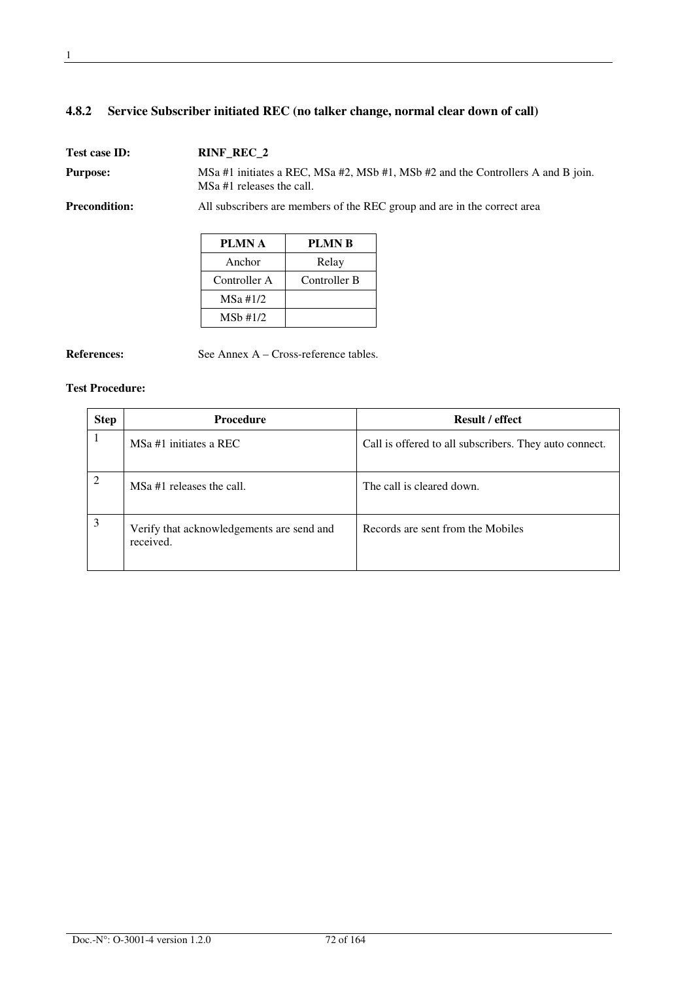## **4.8.2 Service Subscriber initiated REC (no talker change, normal clear down of call)**

Test case **ID:** RINF\_REC\_2 **Purpose:** MSa #1 initiates a REC, MSa #2, MSb #1, MSb #2 and the Controllers A and B join. MSa #1 releases the call. **Precondition:** All subscribers are members of the REC group and are in the correct area

| PLMN A       | PLMN B       |
|--------------|--------------|
| Anchor       | Relay        |
| Controller A | Controller B |
| $MSa \#1/2$  |              |
| $MSb$ #1/2   |              |

**References:** See Annex A – Cross-reference tables.

| <b>Step</b> | <b>Procedure</b>                                       | <b>Result / effect</b>                                 |
|-------------|--------------------------------------------------------|--------------------------------------------------------|
|             | MSa #1 initiates a REC                                 | Call is offered to all subscribers. They auto connect. |
| 2           | MSa #1 releases the call.                              | The call is cleared down.                              |
| 3           | Verify that acknowledgements are send and<br>received. | Records are sent from the Mobiles                      |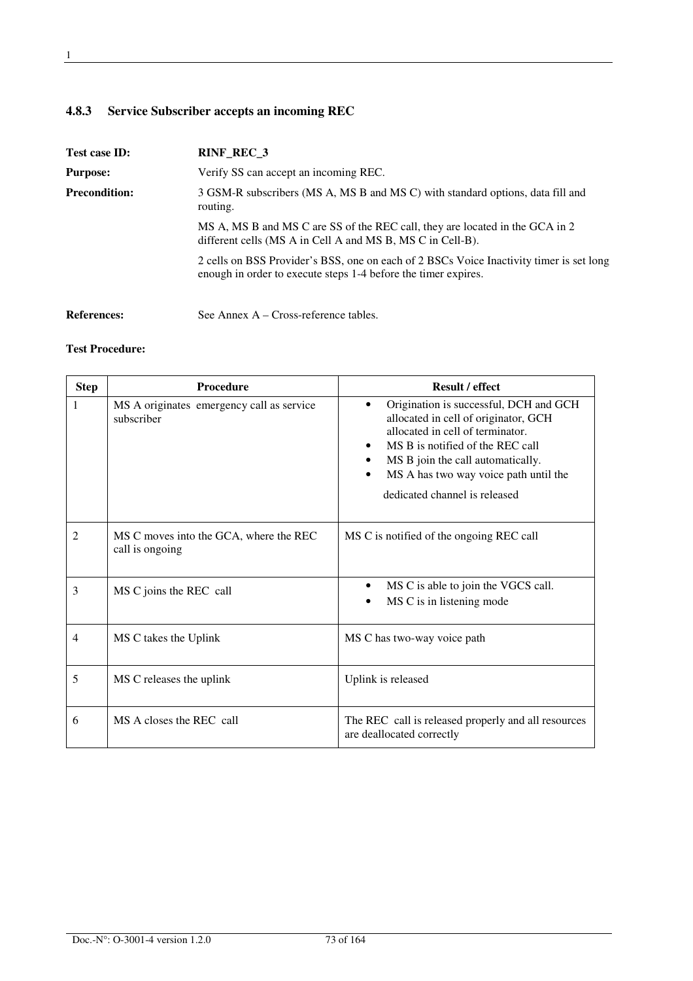# **4.8.3 Service Subscriber accepts an incoming REC**

| Test case ID:        | RINF_REC_3                                                                                                                                                |
|----------------------|-----------------------------------------------------------------------------------------------------------------------------------------------------------|
| <b>Purpose:</b>      | Verify SS can accept an incoming REC.                                                                                                                     |
| <b>Precondition:</b> | 3 GSM-R subscribers (MS A, MS B and MS C) with standard options, data fill and<br>routing.                                                                |
|                      | MS A, MS B and MS C are SS of the REC call, they are located in the GCA in 2<br>different cells (MS A in Cell A and MS B, MS C in Cell-B).                |
|                      | 2 cells on BSS Provider's BSS, one on each of 2 BSCs Voice Inactivity timer is set long<br>enough in order to execute steps 1-4 before the timer expires. |
| <b>References:</b>   | See Annex $A - Cross-reference tables$ .                                                                                                                  |

| <b>Step</b>    | <b>Procedure</b>                                          | <b>Result / effect</b>                                                                                                                                                                                                                                                |
|----------------|-----------------------------------------------------------|-----------------------------------------------------------------------------------------------------------------------------------------------------------------------------------------------------------------------------------------------------------------------|
| 1              | MS A originates emergency call as service<br>subscriber   | Origination is successful, DCH and GCH<br>allocated in cell of originator, GCH<br>allocated in cell of terminator.<br>MS B is notified of the REC call<br>MS B join the call automatically.<br>MS A has two way voice path until the<br>dedicated channel is released |
| $\mathfrak{D}$ | MS C moves into the GCA, where the REC<br>call is ongoing | MS C is notified of the ongoing REC call                                                                                                                                                                                                                              |
| 3              | MS C joins the REC call                                   | MS C is able to join the VGCS call.<br>MS C is in listening mode                                                                                                                                                                                                      |
| 4              | MS C takes the Uplink                                     | MS C has two-way voice path                                                                                                                                                                                                                                           |
| 5              | MS C releases the uplink                                  | Uplink is released                                                                                                                                                                                                                                                    |
| 6              | MS A closes the REC call                                  | The REC call is released properly and all resources<br>are deallocated correctly                                                                                                                                                                                      |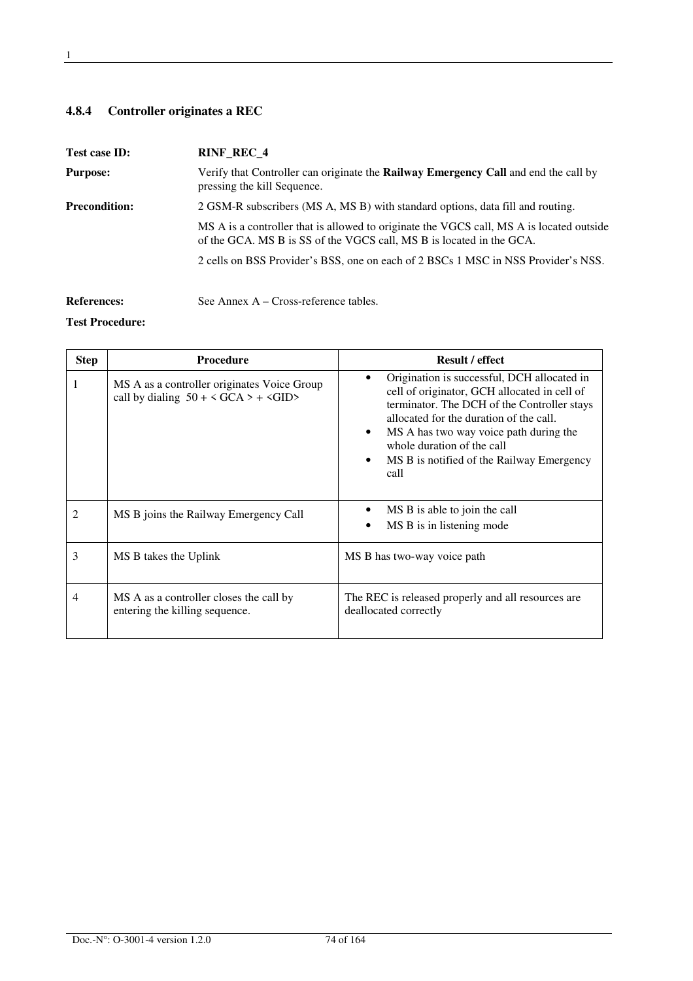# **4.8.4 Controller originates a REC**

| Test case ID:        | <b>RINF REC 4</b>                                                                                                                                                |
|----------------------|------------------------------------------------------------------------------------------------------------------------------------------------------------------|
| <b>Purpose:</b>      | Verify that Controller can originate the <b>Railway Emergency Call</b> and end the call by<br>pressing the kill Sequence.                                        |
| <b>Precondition:</b> | 2 GSM-R subscribers (MS A, MS B) with standard options, data fill and routing.                                                                                   |
|                      | MS A is a controller that is allowed to originate the VGCS call, MS A is located outside<br>of the GCA. MS B is SS of the VGCS call, MS B is located in the GCA. |
|                      | 2 cells on BSS Provider's BSS, one on each of 2 BSCs 1 MSC in NSS Provider's NSS.                                                                                |
|                      |                                                                                                                                                                  |
| <b>References:</b>   | See Annex $A - Cross-reference$ tables.                                                                                                                          |

| <b>Step</b> | <b>Procedure</b>                                                                                                | <b>Result / effect</b>                                                                                                                                                                                                                                                                                                               |
|-------------|-----------------------------------------------------------------------------------------------------------------|--------------------------------------------------------------------------------------------------------------------------------------------------------------------------------------------------------------------------------------------------------------------------------------------------------------------------------------|
|             | MS A as a controller originates Voice Group<br>call by dialing $50 + \langle GCA \rangle + \langle GID \rangle$ | Origination is successful, DCH allocated in<br>cell of originator, GCH allocated in cell of<br>terminator. The DCH of the Controller stays<br>allocated for the duration of the call.<br>MS A has two way voice path during the<br>$\bullet$<br>whole duration of the call<br>MS B is notified of the Railway Emergency<br>٠<br>call |
| 2           | MS B joins the Railway Emergency Call                                                                           | MS B is able to join the call<br>MS B is in listening mode                                                                                                                                                                                                                                                                           |
| 3           | MS B takes the Uplink                                                                                           | MS B has two-way voice path                                                                                                                                                                                                                                                                                                          |
| 4           | MS A as a controller closes the call by<br>entering the killing sequence.                                       | The REC is released properly and all resources are<br>deallocated correctly                                                                                                                                                                                                                                                          |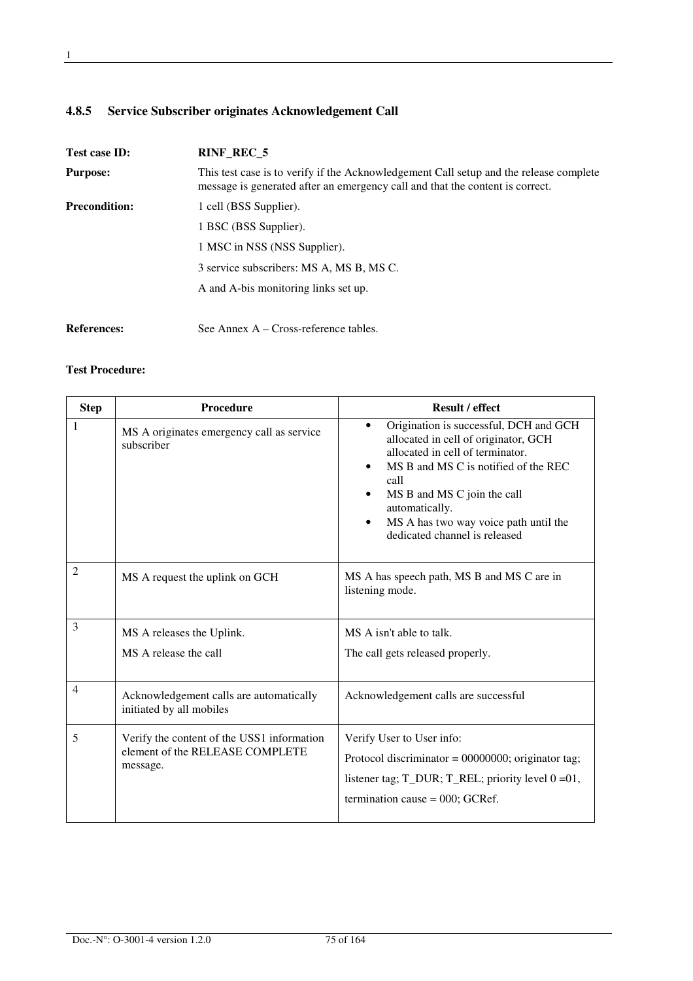# **4.8.5 Service Subscriber originates Acknowledgement Call**

| <b>Test case ID:</b> | <b>RINF REC 5</b>                                                                                                                                                       |
|----------------------|-------------------------------------------------------------------------------------------------------------------------------------------------------------------------|
| <b>Purpose:</b>      | This test case is to verify if the Acknowledgement Call setup and the release complete<br>message is generated after an emergency call and that the content is correct. |
| <b>Precondition:</b> | 1 cell (BSS Supplier).                                                                                                                                                  |
|                      | 1 BSC (BSS Supplier).                                                                                                                                                   |
|                      | 1 MSC in NSS (NSS Supplier).                                                                                                                                            |
|                      | 3 service subscribers: MS A, MS B, MS C.                                                                                                                                |
|                      | A and A-bis monitoring links set up.                                                                                                                                    |
| <b>References:</b>   | See Annex $A - Cross-reference tables$ .                                                                                                                                |

| <b>Step</b> | Procedure                                                                                 | <b>Result / effect</b>                                                                                                                                                                                                                                                                                  |
|-------------|-------------------------------------------------------------------------------------------|---------------------------------------------------------------------------------------------------------------------------------------------------------------------------------------------------------------------------------------------------------------------------------------------------------|
| 1           | MS A originates emergency call as service<br>subscriber                                   | Origination is successful, DCH and GCH<br>allocated in cell of originator, GCH<br>allocated in cell of terminator.<br>MS B and MS C is notified of the REC<br>٠<br>call<br>MS B and MS C join the call<br>automatically.<br>MS A has two way voice path until the<br>٠<br>dedicated channel is released |
| 2           | MS A request the uplink on GCH                                                            | MS A has speech path, MS B and MS C are in<br>listening mode.                                                                                                                                                                                                                                           |
| 3           | MS A releases the Uplink.                                                                 | MS A isn't able to talk.                                                                                                                                                                                                                                                                                |
|             | MS A release the call                                                                     | The call gets released properly.                                                                                                                                                                                                                                                                        |
| 4           | Acknowledgement calls are automatically<br>initiated by all mobiles                       | Acknowledgement calls are successful                                                                                                                                                                                                                                                                    |
| 5           | Verify the content of the USS1 information<br>element of the RELEASE COMPLETE<br>message. | Verify User to User info:<br>Protocol discriminator = $00000000$ ; originator tag;<br>listener tag; $T_DUR$ ; $T_REL$ ; priority level $0 = 01$ ,<br>termination cause = $000$ ; GCRef.                                                                                                                 |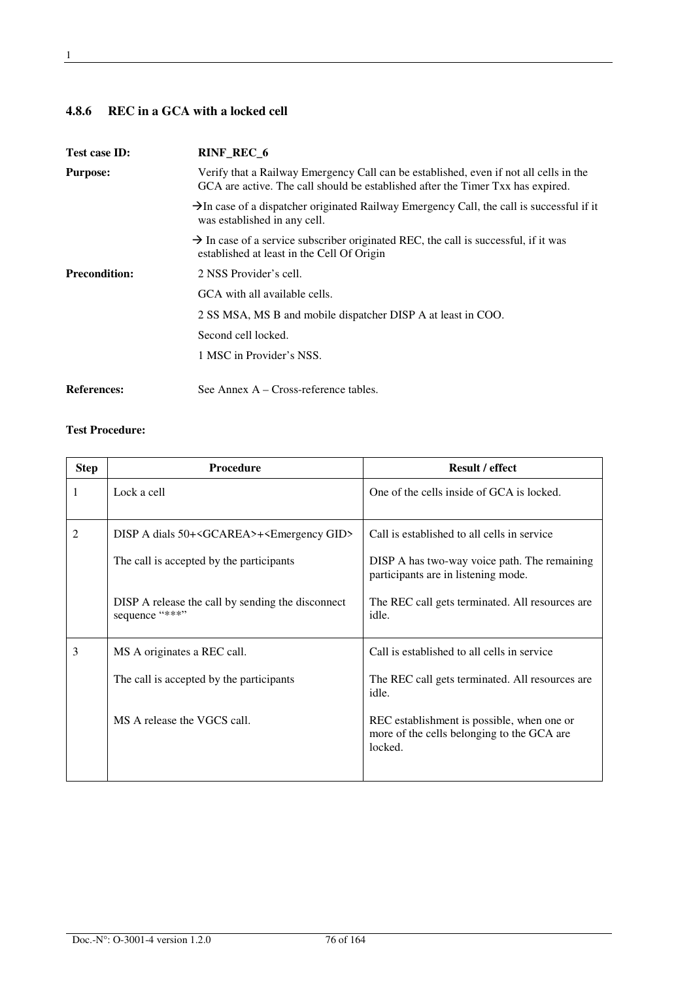# **4.8.6 REC in a GCA with a locked cell**

| Test case ID:        | RINF_REC_6                                                                                                                                                               |
|----------------------|--------------------------------------------------------------------------------------------------------------------------------------------------------------------------|
| <b>Purpose:</b>      | Verify that a Railway Emergency Call can be established, even if not all cells in the<br>GCA are active. The call should be established after the Timer Txx has expired. |
|                      | $\rightarrow$ In case of a dispatcher originated Railway Emergency Call, the call is successful if it<br>was established in any cell.                                    |
|                      | $\rightarrow$ In case of a service subscriber originated REC, the call is successful, if it was<br>established at least in the Cell Of Origin                            |
| <b>Precondition:</b> | 2 NSS Provider's cell.                                                                                                                                                   |
|                      | GCA with all available cells.                                                                                                                                            |
|                      | 2 SS MSA, MS B and mobile dispatcher DISP A at least in COO.                                                                                                             |
|                      | Second cell locked.                                                                                                                                                      |
|                      | 1 MSC in Provider's NSS.                                                                                                                                                 |
| <b>References:</b>   | See Annex $A - Cross-reference tables$ .                                                                                                                                 |

| <b>Step</b>    | Procedure                                                           | <b>Result / effect</b>                                                                              |
|----------------|---------------------------------------------------------------------|-----------------------------------------------------------------------------------------------------|
| 1              | Lock a cell                                                         | One of the cells inside of GCA is locked.                                                           |
| $\overline{2}$ | DISP A dials 50+ <gcarea>+<emergency gid=""></emergency></gcarea>   | Call is established to all cells in service                                                         |
|                | The call is accepted by the participants                            | DISP A has two-way voice path. The remaining<br>participants are in listening mode.                 |
|                | DISP A release the call by sending the disconnect<br>sequence "***" | The REC call gets terminated. All resources are<br>idle.                                            |
| 3              | MS A originates a REC call.                                         | Call is established to all cells in service                                                         |
|                | The call is accepted by the participants                            | The REC call gets terminated. All resources are<br>idle.                                            |
|                | MS A release the VGCS call.                                         | REC establishment is possible, when one or<br>more of the cells belonging to the GCA are<br>locked. |
|                |                                                                     |                                                                                                     |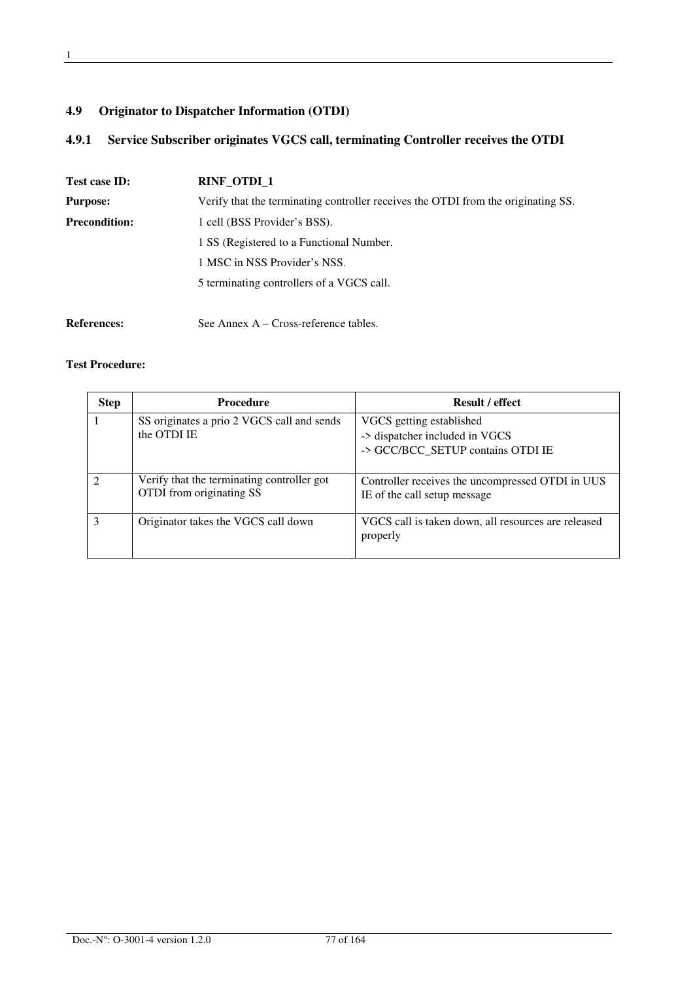# **4.9 Originator to Dispatcher Information (OTDI)**

# **4.9.1 Service Subscriber originates VGCS call, terminating Controller receives the OTDI**

| Test case ID:        | <b>RINF OTDI 1</b>                                                                |  |
|----------------------|-----------------------------------------------------------------------------------|--|
| <b>Purpose:</b>      | Verify that the terminating controller receives the OTDI from the originating SS. |  |
| <b>Precondition:</b> | 1 cell (BSS Provider's BSS).                                                      |  |
|                      | 1 SS (Registered to a Functional Number.                                          |  |
|                      | 1 MSC in NSS Provider's NSS.                                                      |  |
|                      | 5 terminating controllers of a VGCS call.                                         |  |
|                      |                                                                                   |  |
| <b>References:</b>   | See Annex $A - Cross-reference$ tables.                                           |  |

| <b>Step</b> | <b>Procedure</b>                                                       | <b>Result / effect</b>                                                                          |
|-------------|------------------------------------------------------------------------|-------------------------------------------------------------------------------------------------|
|             | SS originates a prio 2 VGCS call and sends<br>the OTDI IE              | VGCS getting established<br>-> dispatcher included in VGCS<br>-> GCC/BCC_SETUP contains OTDI IE |
|             | Verify that the terminating controller got<br>OTDI from originating SS | Controller receives the uncompressed OTDI in UUS<br>IE of the call setup message                |
| 3           | Originator takes the VGCS call down                                    | VGCS call is taken down, all resources are released<br>properly                                 |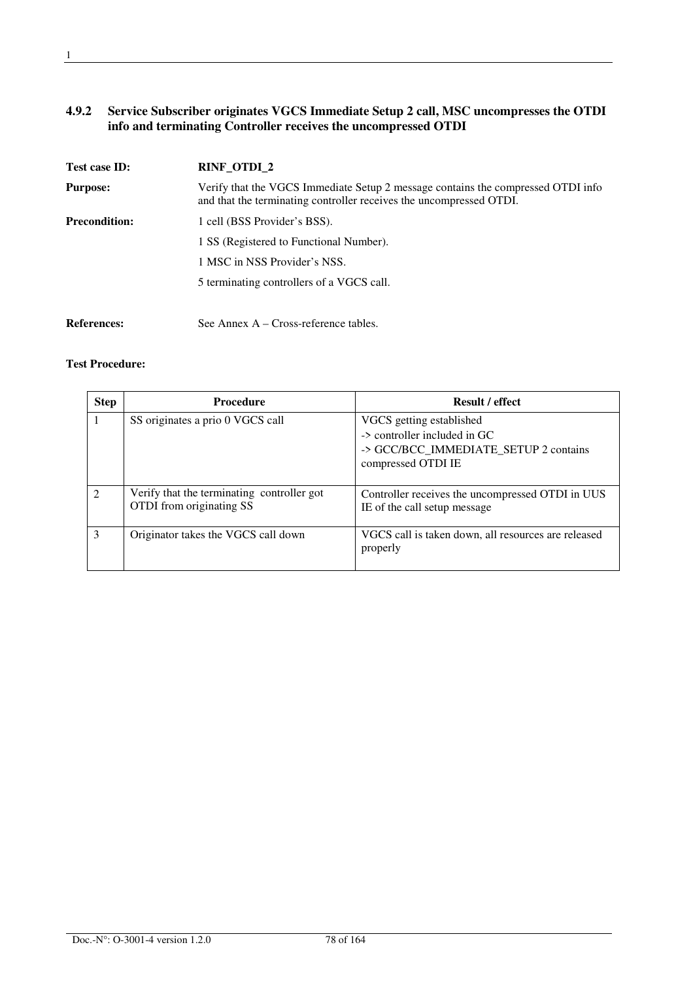#### **4.9.2 Service Subscriber originates VGCS Immediate Setup 2 call, MSC uncompresses the OTDI info and terminating Controller receives the uncompressed OTDI**

| Test case ID:        | RINF_OTDI_2                                                                                                                                             |
|----------------------|---------------------------------------------------------------------------------------------------------------------------------------------------------|
| <b>Purpose:</b>      | Verify that the VGCS Immediate Setup 2 message contains the compressed OTDI info<br>and that the terminating controller receives the uncompressed OTDI. |
| <b>Precondition:</b> | 1 cell (BSS Provider's BSS).                                                                                                                            |
|                      | 1 SS (Registered to Functional Number).                                                                                                                 |
|                      | 1 MSC in NSS Provider's NSS.                                                                                                                            |
|                      | 5 terminating controllers of a VGCS call.                                                                                                               |
|                      |                                                                                                                                                         |
| <b>References:</b>   | See Annex $A - Cross-reference$ tables.                                                                                                                 |

| <b>Step</b>   | <b>Procedure</b>                                                       | <b>Result / effect</b>                                                                                                  |
|---------------|------------------------------------------------------------------------|-------------------------------------------------------------------------------------------------------------------------|
|               | SS originates a prio 0 VGCS call                                       | VGCS getting established<br>-> controller included in GC<br>-> GCC/BCC_IMMEDIATE_SETUP 2 contains<br>compressed OTDI IE |
| $\mathcal{D}$ | Verify that the terminating controller got<br>OTDI from originating SS | Controller receives the uncompressed OTDI in UUS<br>IE of the call setup message                                        |
| $\mathcal{R}$ | Originator takes the VGCS call down                                    | VGCS call is taken down, all resources are released<br>properly                                                         |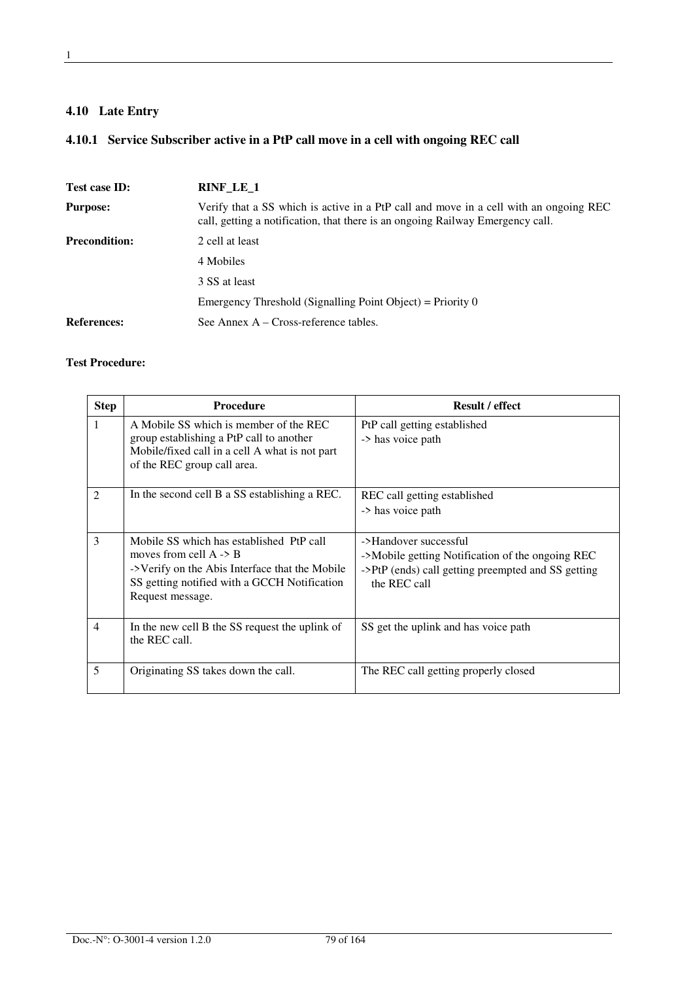# **4.10 Late Entry**

# **4.10.1 Service Subscriber active in a PtP call move in a cell with ongoing REC call**

| Test case ID:        | RINF_LE_1                                                                                                                                                               |
|----------------------|-------------------------------------------------------------------------------------------------------------------------------------------------------------------------|
| <b>Purpose:</b>      | Verify that a SS which is active in a PtP call and move in a cell with an ongoing REC<br>call, getting a notification, that there is an ongoing Railway Emergency call. |
| <b>Precondition:</b> | 2 cell at least                                                                                                                                                         |
|                      | 4 Mobiles                                                                                                                                                               |
|                      | 3 SS at least                                                                                                                                                           |
|                      | Emergency Threshold (Signalling Point Object) = Priority $0$                                                                                                            |
| <b>References:</b>   | See Annex $A - Cross-reference tables$ .                                                                                                                                |

| <b>Step</b>    | Procedure                                                                                                                                                                                           | <b>Result / effect</b>                                                                                                                          |
|----------------|-----------------------------------------------------------------------------------------------------------------------------------------------------------------------------------------------------|-------------------------------------------------------------------------------------------------------------------------------------------------|
|                | A Mobile SS which is member of the REC<br>group establishing a PtP call to another<br>Mobile/fixed call in a cell A what is not part<br>of the REC group call area.                                 | PtP call getting established<br>-> has voice path                                                                                               |
| $\mathfrak{D}$ | In the second cell B a SS establishing a REC.                                                                                                                                                       | REC call getting established<br>-> has voice path                                                                                               |
| 3              | Mobile SS which has established PtP call<br>moves from cell $A \rightarrow B$<br>->Verify on the Abis Interface that the Mobile<br>SS getting notified with a GCCH Notification<br>Request message. | ->Handover successful<br>->Mobile getting Notification of the ongoing REC<br>->PtP (ends) call getting preempted and SS getting<br>the REC call |
| $\overline{4}$ | In the new cell B the SS request the uplink of<br>the REC call.                                                                                                                                     | SS get the uplink and has voice path                                                                                                            |
| 5              | Originating SS takes down the call.                                                                                                                                                                 | The REC call getting properly closed                                                                                                            |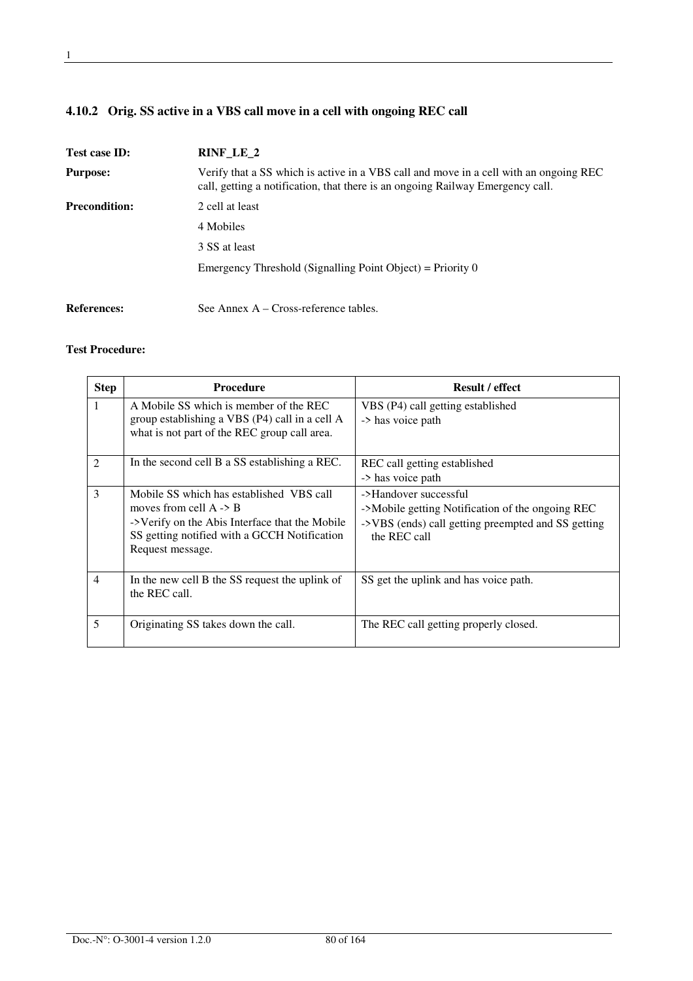# **4.10.2 Orig. SS active in a VBS call move in a cell with ongoing REC call**

| Test case ID:        | $RINF_LE_2$                                                                                                                                                             |  |
|----------------------|-------------------------------------------------------------------------------------------------------------------------------------------------------------------------|--|
| <b>Purpose:</b>      | Verify that a SS which is active in a VBS call and move in a cell with an ongoing REC<br>call, getting a notification, that there is an ongoing Railway Emergency call. |  |
| <b>Precondition:</b> | 2 cell at least                                                                                                                                                         |  |
|                      | 4 Mobiles                                                                                                                                                               |  |
|                      | 3 SS at least                                                                                                                                                           |  |
|                      | Emergency Threshold (Signalling Point Object) = Priority $0$                                                                                                            |  |
| <b>References:</b>   | See Annex $A - Cross-reference tables$ .                                                                                                                                |  |

| <b>Step</b>    | <b>Procedure</b>                                                                                                                                                                                    | <b>Result / effect</b>                                                                                                                          |
|----------------|-----------------------------------------------------------------------------------------------------------------------------------------------------------------------------------------------------|-------------------------------------------------------------------------------------------------------------------------------------------------|
| $\mathbf{1}$   | A Mobile SS which is member of the REC<br>group establishing a VBS (P4) call in a cell A<br>what is not part of the REC group call area.                                                            | VBS (P4) call getting established<br>-> has voice path                                                                                          |
| 2              | In the second cell B a SS establishing a REC.                                                                                                                                                       | REC call getting established<br>-> has voice path                                                                                               |
| 3              | Mobile SS which has established VBS call<br>moves from cell $A \rightarrow B$<br>->Verify on the Abis Interface that the Mobile<br>SS getting notified with a GCCH Notification<br>Request message. | ->Handover successful<br>->Mobile getting Notification of the ongoing REC<br>->VBS (ends) call getting preempted and SS getting<br>the REC call |
| $\overline{4}$ | In the new cell B the SS request the uplink of<br>the REC call.                                                                                                                                     | SS get the uplink and has voice path.                                                                                                           |
| 5              | Originating SS takes down the call.                                                                                                                                                                 | The REC call getting properly closed.                                                                                                           |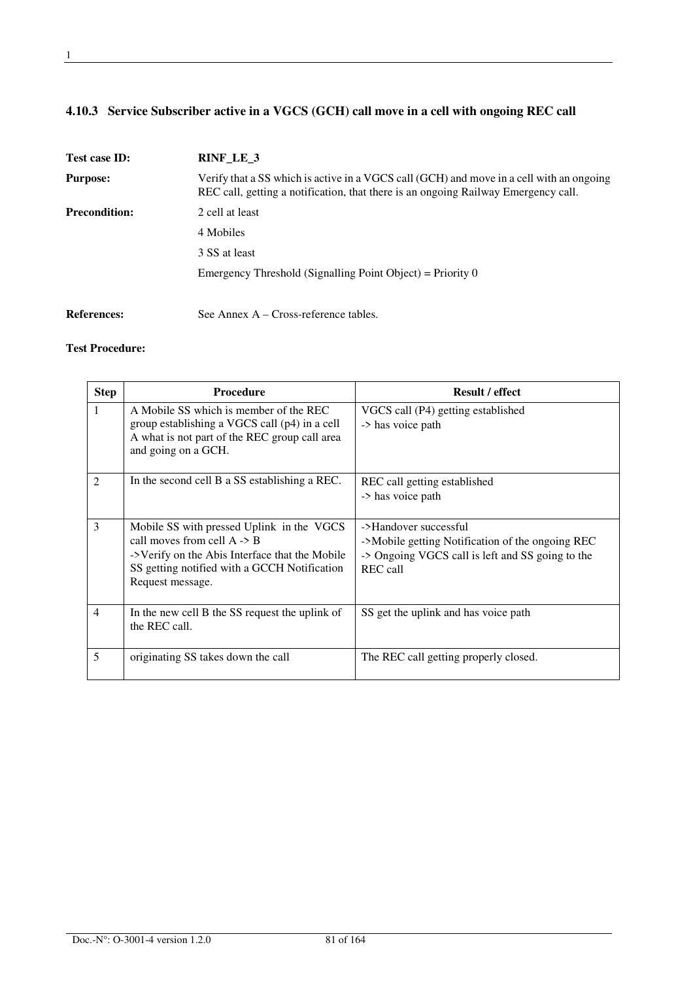# **4.10.3 Service Subscriber active in a VGCS (GCH) call move in a cell with ongoing REC call**

| Test case ID:        | RINF LE 3                                                                                                                                                                      |
|----------------------|--------------------------------------------------------------------------------------------------------------------------------------------------------------------------------|
| <b>Purpose:</b>      | Verify that a SS which is active in a VGCS call (GCH) and move in a cell with an ongoing<br>REC call, getting a notification, that there is an ongoing Railway Emergency call. |
| <b>Precondition:</b> | 2 cell at least                                                                                                                                                                |
|                      | 4 Mobiles                                                                                                                                                                      |
|                      | 3 SS at least                                                                                                                                                                  |
|                      | Emergency Threshold (Signalling Point Object) = Priority $0$                                                                                                                   |
| <b>References:</b>   | See Annex $A - Cross-reference tables$ .                                                                                                                                       |

| <b>Step</b>    | <b>Procedure</b>                                                                                                                                                                                          | <b>Result / effect</b>                                                                                                                    |
|----------------|-----------------------------------------------------------------------------------------------------------------------------------------------------------------------------------------------------------|-------------------------------------------------------------------------------------------------------------------------------------------|
| 1              | A Mobile SS which is member of the REC<br>group establishing a VGCS call (p4) in a cell<br>A what is not part of the REC group call area<br>and going on a GCH.                                           | VGCS call (P4) getting established<br>-> has voice path                                                                                   |
| $\mathfrak{D}$ | In the second cell B a SS establishing a REC.                                                                                                                                                             | REC call getting established<br>-> has voice path                                                                                         |
| 3              | Mobile SS with pressed Uplink in the VGCS<br>call moves from cell $A \rightarrow B$<br>->Verify on the Abis Interface that the Mobile<br>SS getting notified with a GCCH Notification<br>Request message. | ->Handover successful<br>->Mobile getting Notification of the ongoing REC<br>-> Ongoing VGCS call is left and SS going to the<br>REC call |
| $\overline{4}$ | In the new cell B the SS request the uplink of<br>the REC call.                                                                                                                                           | SS get the uplink and has voice path                                                                                                      |
| 5              | originating SS takes down the call                                                                                                                                                                        | The REC call getting properly closed.                                                                                                     |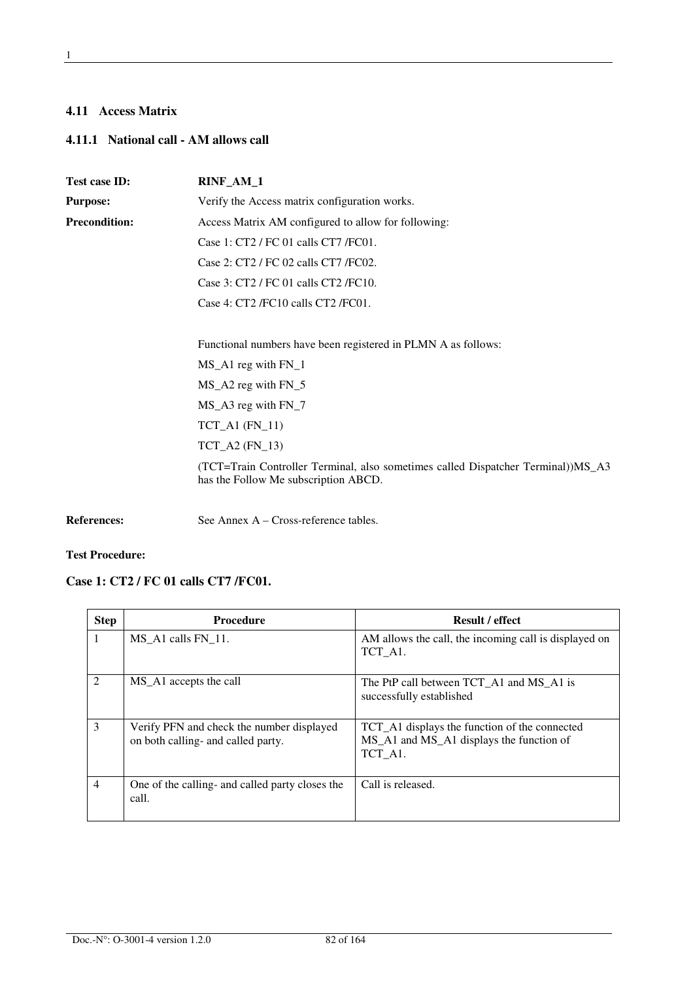#### **4.11 Access Matrix**

# **4.11.1 National call - AM allows call**

| Test case ID:        | RINF_AM_1                                                                                                                |  |
|----------------------|--------------------------------------------------------------------------------------------------------------------------|--|
| <b>Purpose:</b>      | Verify the Access matrix configuration works.                                                                            |  |
| <b>Precondition:</b> | Access Matrix AM configured to allow for following:                                                                      |  |
|                      | Case 1: CT2 / FC 01 calls CT7 / FC01.                                                                                    |  |
|                      | Case 2: CT2 / FC 02 calls CT7 / FC02.                                                                                    |  |
|                      | Case 3: CT2 / FC 01 calls CT2 / FC10.                                                                                    |  |
|                      | Case 4: CT2 /FC10 calls CT2 /FC01.                                                                                       |  |
|                      | Functional numbers have been registered in PLMN A as follows:                                                            |  |
|                      | $MS_A1$ reg with $FN_1$                                                                                                  |  |
|                      | $MS_A2$ reg with $FN_5$                                                                                                  |  |
|                      | $MS_A3$ reg with $FN_7$                                                                                                  |  |
|                      | $TCT_A1$ ( $FN_11$ )                                                                                                     |  |
|                      | $TCT_A2$ (FN_13)                                                                                                         |  |
|                      | (TCT=Train Controller Terminal, also sometimes called Dispatcher Terminal))MS_A3<br>has the Follow Me subscription ABCD. |  |
| <b>References:</b>   | See Annex A - Cross-reference tables.                                                                                    |  |

**Test Procedure:** 

### **Case 1: CT2 / FC 01 calls CT7 /FC01.**

| <b>Step</b>    | <b>Procedure</b>                                                                | <b>Result / effect</b>                                                                               |
|----------------|---------------------------------------------------------------------------------|------------------------------------------------------------------------------------------------------|
|                | MS A1 calls FN 11.                                                              | AM allows the call, the incoming call is displayed on<br>TCT A1.                                     |
| $\mathcal{D}$  | MS A1 accepts the call                                                          | The PtP call between TCT_A1 and MS_A1 is<br>successfully established                                 |
| $\mathcal{E}$  | Verify PFN and check the number displayed<br>on both calling- and called party. | TCT_A1 displays the function of the connected<br>MS_A1 and MS_A1 displays the function of<br>TCT A1. |
| $\overline{4}$ | One of the calling- and called party closes the<br>call.                        | Call is released.                                                                                    |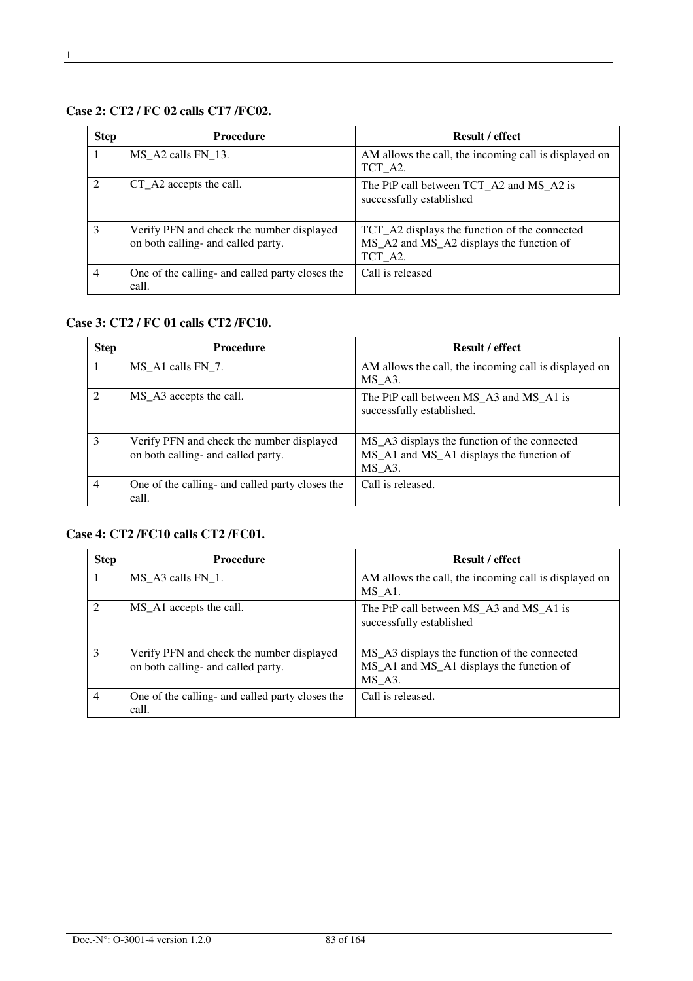# **Case 2: CT2 / FC 02 calls CT7 /FC02.**

| <b>Step</b>    | <b>Procedure</b>                                                                | <b>Result / effect</b>                                                                               |
|----------------|---------------------------------------------------------------------------------|------------------------------------------------------------------------------------------------------|
|                | MS A2 calls FN 13.                                                              | AM allows the call, the incoming call is displayed on<br>TCT_A2.                                     |
| $\mathcal{D}$  | CT_A2 accepts the call.                                                         | The PtP call between TCT_A2 and MS_A2 is<br>successfully established                                 |
| 3              | Verify PFN and check the number displayed<br>on both calling- and called party. | TCT_A2 displays the function of the connected<br>MS_A2 and MS_A2 displays the function of<br>TCT A2. |
| $\overline{4}$ | One of the calling- and called party closes the<br>call.                        | Call is released                                                                                     |

#### **Case 3: CT2 / FC 01 calls CT2 /FC10.**

| <b>Step</b>    | <b>Procedure</b>                                                                | <b>Result / effect</b>                                                                             |
|----------------|---------------------------------------------------------------------------------|----------------------------------------------------------------------------------------------------|
|                | MS A1 calls FN 7.                                                               | AM allows the call, the incoming call is displayed on<br>MS A3.                                    |
| $\mathcal{D}$  | MS_A3 accepts the call.                                                         | The PtP call between MS_A3 and MS_A1 is<br>successfully established.                               |
| $\mathcal{E}$  | Verify PFN and check the number displayed<br>on both calling- and called party. | MS_A3 displays the function of the connected<br>MS_A1 and MS_A1 displays the function of<br>MS A3. |
| $\overline{4}$ | One of the calling- and called party closes the<br>call.                        | Call is released.                                                                                  |

# **Case 4: CT2 /FC10 calls CT2 /FC01.**

| <b>Step</b>                 | <b>Procedure</b>                                                                | <b>Result / effect</b>                                                                             |
|-----------------------------|---------------------------------------------------------------------------------|----------------------------------------------------------------------------------------------------|
|                             | MS A3 calls FN 1.                                                               | AM allows the call, the incoming call is displayed on<br>MS A <sub>1</sub> .                       |
| $\mathcal{D}_{\mathcal{L}}$ | MS_A1 accepts the call.                                                         | The PtP call between MS_A3 and MS_A1 is<br>successfully established                                |
| 3                           | Verify PFN and check the number displayed<br>on both calling- and called party. | MS_A3 displays the function of the connected<br>MS_A1 and MS_A1 displays the function of<br>MS A3. |
| $\overline{4}$              | One of the calling- and called party closes the<br>call.                        | Call is released.                                                                                  |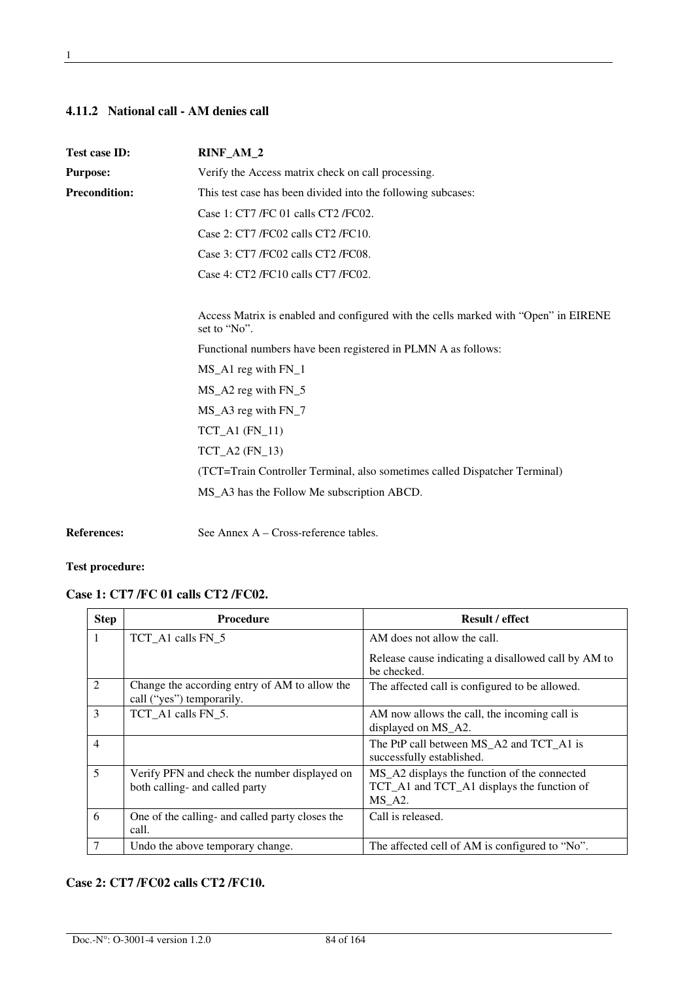#### **4.11.2 National call - AM denies call**

| Test case ID:        | RINF_AM_2                                                                                           |  |
|----------------------|-----------------------------------------------------------------------------------------------------|--|
| <b>Purpose:</b>      | Verify the Access matrix check on call processing.                                                  |  |
| <b>Precondition:</b> | This test case has been divided into the following subcases:                                        |  |
|                      | Case 1: CT7 /FC 01 calls CT2 /FC02.                                                                 |  |
|                      | Case 2: CT7 /FC02 calls CT2 /FC10.                                                                  |  |
|                      | Case 3: CT7 /FC02 calls CT2 /FC08.                                                                  |  |
|                      | Case 4: CT2/FC10 calls CT7/FC02.                                                                    |  |
|                      | Access Matrix is enabled and configured with the cells marked with "Open" in EIRENE<br>set to "No". |  |
|                      | Functional numbers have been registered in PLMN A as follows:                                       |  |
|                      | MS_A1 reg with FN_1                                                                                 |  |
|                      | $MS_A2$ reg with $FN_5$                                                                             |  |
|                      | $MS_A3$ reg with $FN_7$                                                                             |  |
|                      | $TCT_A1$ ( $FN_11$ )                                                                                |  |
|                      | $TCT_A2$ (FN_13)                                                                                    |  |
|                      | (TCT=Train Controller Terminal, also sometimes called Dispatcher Terminal)                          |  |
|                      | MS_A3 has the Follow Me subscription ABCD.                                                          |  |
|                      |                                                                                                     |  |

**References:** See Annex A – Cross-reference tables.

#### **Test procedure:**

# **Case 1: CT7 /FC 01 calls CT2 /FC02.**

| <b>Step</b>    | <b>Procedure</b>                                                               | <b>Result / effect</b>                                                                                  |
|----------------|--------------------------------------------------------------------------------|---------------------------------------------------------------------------------------------------------|
|                | TCT_A1 calls FN_5                                                              | AM does not allow the call.                                                                             |
|                |                                                                                | Release cause indicating a disallowed call by AM to<br>be checked.                                      |
| $\overline{2}$ | Change the according entry of AM to allow the<br>call ("yes") temporarily.     | The affected call is configured to be allowed.                                                          |
| 3              | TCT A1 calls FN 5.                                                             | AM now allows the call, the incoming call is<br>displayed on MS_A2.                                     |
| $\overline{4}$ |                                                                                | The PtP call between MS_A2 and TCT_A1 is<br>successfully established.                                   |
| 5              | Verify PFN and check the number displayed on<br>both calling- and called party | MS_A2 displays the function of the connected<br>TCT_A1 and TCT_A1 displays the function of<br>$MS_A2$ . |
| 6              | One of the calling- and called party closes the<br>call.                       | Call is released.                                                                                       |
| 7              | Undo the above temporary change.                                               | The affected cell of AM is configured to "No".                                                          |

### **Case 2: CT7 /FC02 calls CT2 /FC10.**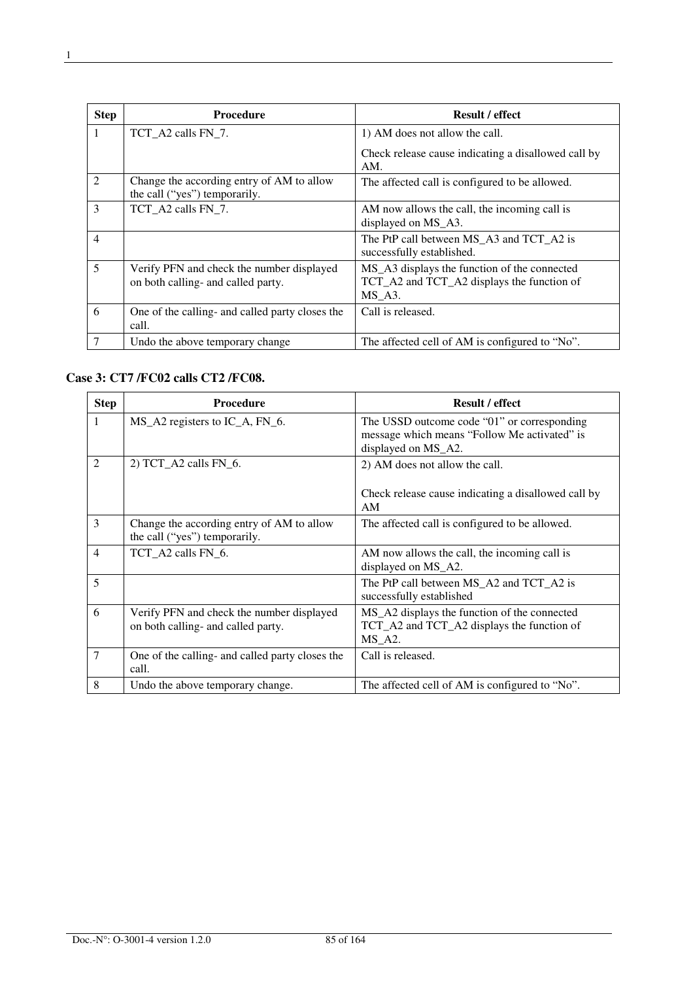| <b>Step</b>    | <b>Procedure</b>                                                                | <b>Result / effect</b>                                                                               |
|----------------|---------------------------------------------------------------------------------|------------------------------------------------------------------------------------------------------|
| 1              | TCT_A2 calls FN_7.                                                              | 1) AM does not allow the call.                                                                       |
|                |                                                                                 | Check release cause indicating a disallowed call by<br>AM.                                           |
| 2              | Change the according entry of AM to allow<br>the call ("yes") temporarily.      | The affected call is configured to be allowed.                                                       |
| 3              | TCT A2 calls FN 7.                                                              | AM now allows the call, the incoming call is<br>displayed on MS_A3.                                  |
| $\overline{4}$ |                                                                                 | The PtP call between MS_A3 and TCT_A2 is<br>successfully established.                                |
| 5              | Verify PFN and check the number displayed<br>on both calling- and called party. | MS_A3 displays the function of the connected<br>TCT_A2 and TCT_A2 displays the function of<br>MS A3. |
| 6              | One of the calling- and called party closes the<br>call.                        | Call is released.                                                                                    |
|                | Undo the above temporary change                                                 | The affected cell of AM is configured to "No".                                                       |

#### **Case 3: CT7 /FC02 calls CT2 /FC08.**

| <b>Step</b>    | <b>Procedure</b>                                                                | <b>Result / effect</b>                                                                                             |
|----------------|---------------------------------------------------------------------------------|--------------------------------------------------------------------------------------------------------------------|
| 1              | MS_A2 registers to IC_A, FN_6.                                                  | The USSD outcome code "01" or corresponding<br>message which means "Follow Me activated" is<br>displayed on MS_A2. |
| 2              | 2) TCT_A2 calls FN_6.                                                           | 2) AM does not allow the call.<br>Check release cause indicating a disallowed call by<br>AM                        |
| $\mathcal{E}$  | Change the according entry of AM to allow<br>the call ("yes") temporarily.      | The affected call is configured to be allowed.                                                                     |
| $\overline{4}$ | TCT A2 calls FN 6.                                                              | AM now allows the call, the incoming call is<br>displayed on MS_A2.                                                |
| 5              |                                                                                 | The PtP call between MS_A2 and TCT_A2 is<br>successfully established                                               |
| 6              | Verify PFN and check the number displayed<br>on both calling- and called party. | MS_A2 displays the function of the connected<br>TCT_A2 and TCT_A2 displays the function of<br>$MS_A2$ .            |
| $\overline{7}$ | One of the calling- and called party closes the<br>call.                        | Call is released.                                                                                                  |
| 8              | Undo the above temporary change.                                                | The affected cell of AM is configured to "No".                                                                     |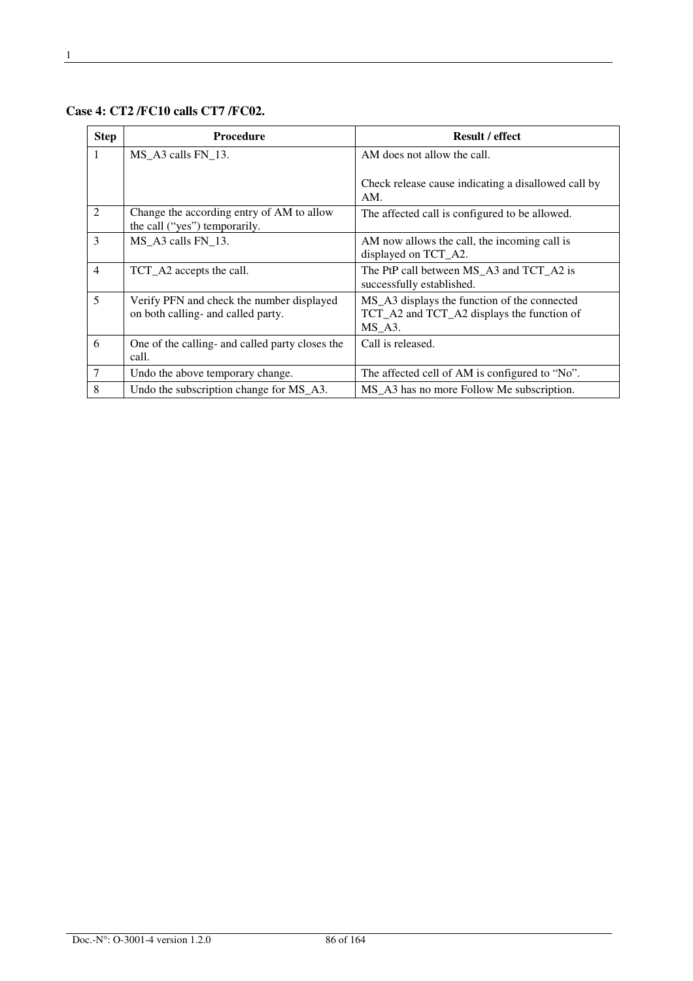**Case 4: CT2 /FC10 calls CT7 /FC02.** 

| <b>Step</b>    | <b>Procedure</b>                                                                | <b>Result / effect</b>                                                                                  |
|----------------|---------------------------------------------------------------------------------|---------------------------------------------------------------------------------------------------------|
| 1              | $MS_A3$ calls $FN_13$ .                                                         | AM does not allow the call.                                                                             |
|                |                                                                                 | Check release cause indicating a disallowed call by<br>AM.                                              |
| 2              | Change the according entry of AM to allow<br>the call ("yes") temporarily.      | The affected call is configured to be allowed.                                                          |
| 3              | MS A3 calls FN 13.                                                              | AM now allows the call, the incoming call is<br>displayed on TCT_A2.                                    |
| $\overline{4}$ | TCT_A2 accepts the call.                                                        | The PtP call between MS_A3 and TCT_A2 is<br>successfully established.                                   |
| 5              | Verify PFN and check the number displayed<br>on both calling- and called party. | MS_A3 displays the function of the connected<br>TCT_A2 and TCT_A2 displays the function of<br>$MS_A3$ . |
| 6              | One of the calling- and called party closes the<br>call.                        | Call is released.                                                                                       |
| $\overline{7}$ | Undo the above temporary change.                                                | The affected cell of AM is configured to "No".                                                          |
| 8              | Undo the subscription change for MS_A3.                                         | MS_A3 has no more Follow Me subscription.                                                               |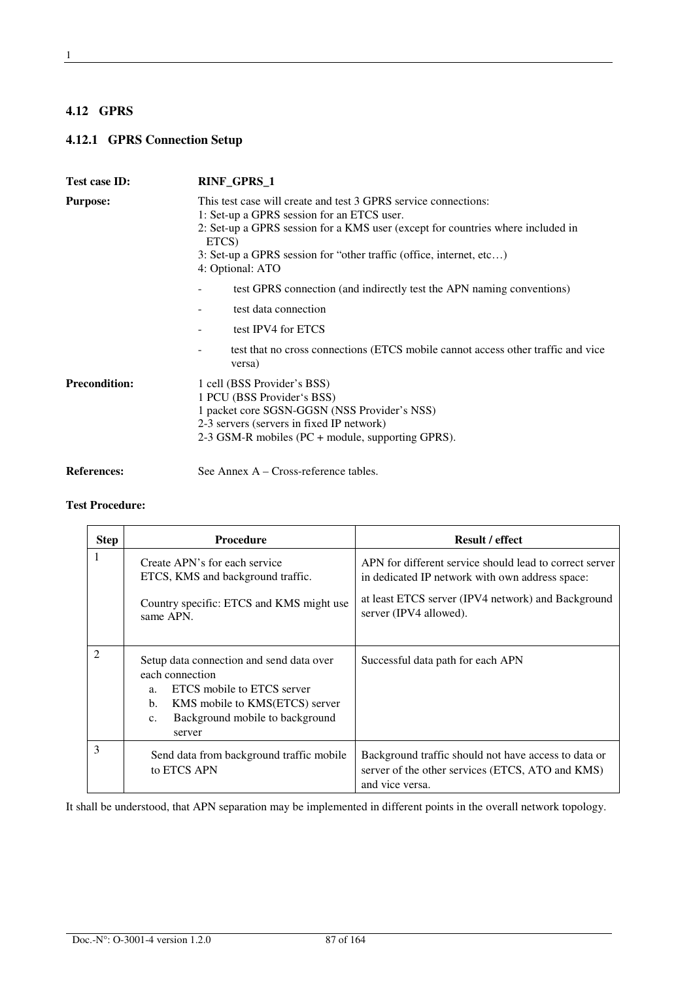# **4.12 GPRS**

# **4.12.1 GPRS Connection Setup**

| <b>Test case ID:</b> | RINF_GPRS_1                                                                                                                                                                                                                                                                                          |  |
|----------------------|------------------------------------------------------------------------------------------------------------------------------------------------------------------------------------------------------------------------------------------------------------------------------------------------------|--|
| <b>Purpose:</b>      | This test case will create and test 3 GPRS service connections:<br>1: Set-up a GPRS session for an ETCS user.<br>2: Set-up a GPRS session for a KMS user (except for countries where included in<br>ETCS)<br>3: Set-up a GPRS session for "other traffic (office, internet, etc)<br>4: Optional: ATO |  |
|                      | test GPRS connection (and indirectly test the APN naming conventions)<br>test data connection<br>test IPV4 for ETCS                                                                                                                                                                                  |  |
|                      | test that no cross connections (ETCS mobile cannot access other traffic and vice<br>۰<br>versa)                                                                                                                                                                                                      |  |
| <b>Precondition:</b> | 1 cell (BSS Provider's BSS)<br>1 PCU (BSS Provider's BSS)<br>1 packet core SGSN-GGSN (NSS Provider's NSS)<br>2-3 servers (servers in fixed IP network)<br>2-3 GSM-R mobiles (PC + module, supporting GPRS).                                                                                          |  |
| <b>References:</b>   | See Annex $A - Cross-reference tables$ .                                                                                                                                                                                                                                                             |  |

#### **Test Procedure:**

| <b>Step</b> | <b>Procedure</b>                                                                                                                                                                                                | <b>Result / effect</b>                                                                                                                                           |
|-------------|-----------------------------------------------------------------------------------------------------------------------------------------------------------------------------------------------------------------|------------------------------------------------------------------------------------------------------------------------------------------------------------------|
| 1           | Create APN's for each service<br>ETCS, KMS and background traffic.                                                                                                                                              | APN for different service should lead to correct server<br>in dedicated IP network with own address space:<br>at least ETCS server (IPV4 network) and Background |
|             | Country specific: ETCS and KMS might use<br>same APN.                                                                                                                                                           | server (IPV4 allowed).                                                                                                                                           |
| 2           | Setup data connection and send data over<br>each connection<br>ETCS mobile to ETCS server<br>a <sub>1</sub><br>KMS mobile to KMS(ETCS) server<br>b.<br>Background mobile to background<br>$C_{\star}$<br>server | Successful data path for each APN                                                                                                                                |
| 3           | Send data from background traffic mobile<br>to ETCS APN                                                                                                                                                         | Background traffic should not have access to data or<br>server of the other services (ETCS, ATO and KMS)<br>and vice versa.                                      |

It shall be understood, that APN separation may be implemented in different points in the overall network topology.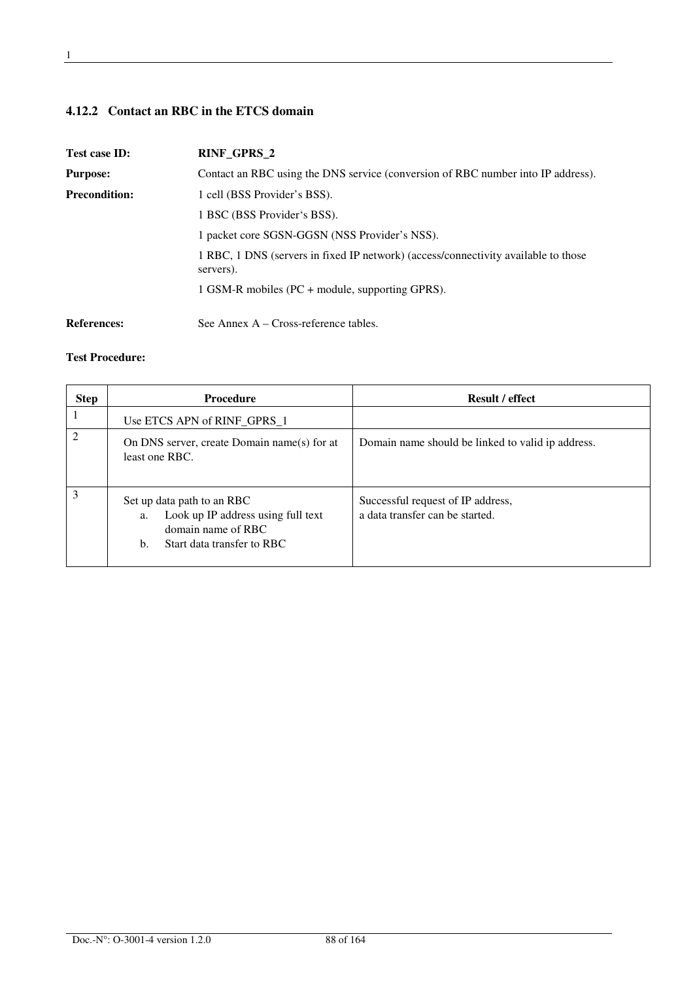# **4.12.2 Contact an RBC in the ETCS domain**

| Test case ID:        | <b>RINF_GPRS_2</b>                                                                              |
|----------------------|-------------------------------------------------------------------------------------------------|
| <b>Purpose:</b>      | Contact an RBC using the DNS service (conversion of RBC number into IP address).                |
| <b>Precondition:</b> | 1 cell (BSS Provider's BSS).                                                                    |
|                      | 1 BSC (BSS Provider's BSS).                                                                     |
|                      | 1 packet core SGSN-GGSN (NSS Provider's NSS).                                                   |
|                      | 1 RBC, 1 DNS (servers in fixed IP network) (access/connectivity available to those<br>servers). |
|                      | 1 GSM-R mobiles (PC + module, supporting GPRS).                                                 |
| <b>References:</b>   | See Annex $A - Cross-reference tables$ .                                                        |

| <b>Step</b> | <b>Procedure</b>                                                                                                                 | <b>Result / effect</b>                                               |
|-------------|----------------------------------------------------------------------------------------------------------------------------------|----------------------------------------------------------------------|
|             | Use ETCS APN of RINF_GPRS_1                                                                                                      |                                                                      |
|             | On DNS server, create Domain name(s) for at<br>least one RBC.                                                                    | Domain name should be linked to valid ip address.                    |
| 3           | Set up data path to an RBC<br>Look up IP address using full text<br>a.<br>domain name of RBC<br>Start data transfer to RBC<br>b. | Successful request of IP address,<br>a data transfer can be started. |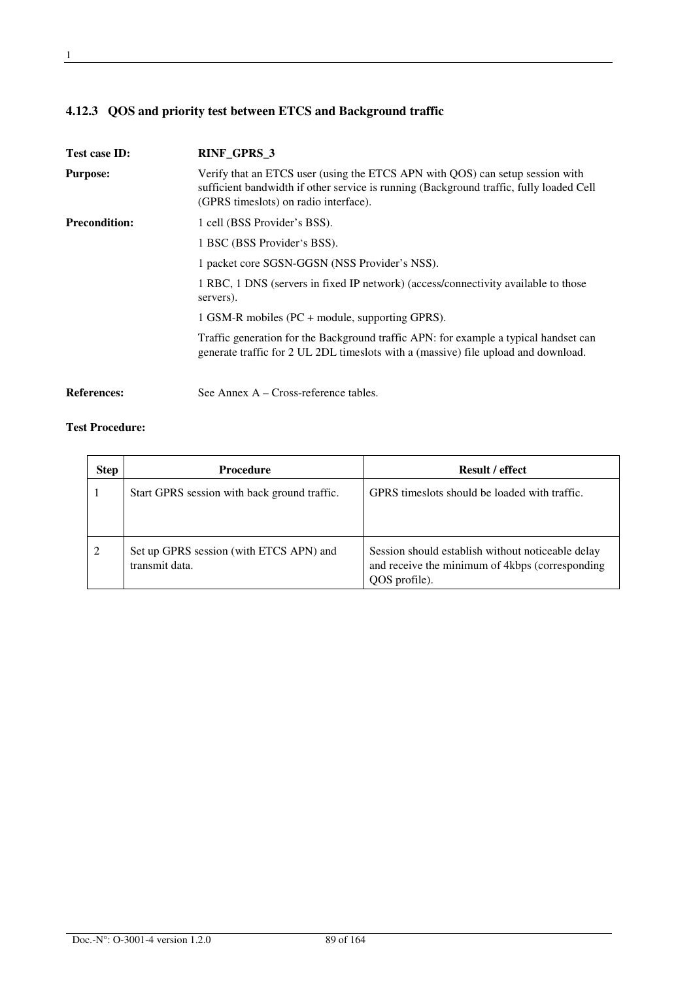# **4.12.3 QOS and priority test between ETCS and Background traffic**

| <b>Test case ID:</b> | RINF_GPRS_3                                                                                                                                                                                                       |
|----------------------|-------------------------------------------------------------------------------------------------------------------------------------------------------------------------------------------------------------------|
| <b>Purpose:</b>      | Verify that an ETCS user (using the ETCS APN with QOS) can setup session with<br>sufficient bandwidth if other service is running (Background traffic, fully loaded Cell<br>(GPRS timeslots) on radio interface). |
| <b>Precondition:</b> | 1 cell (BSS Provider's BSS).                                                                                                                                                                                      |
|                      | 1 BSC (BSS Provider's BSS).                                                                                                                                                                                       |
|                      | 1 packet core SGSN-GGSN (NSS Provider's NSS).                                                                                                                                                                     |
|                      | 1 RBC, 1 DNS (servers in fixed IP network) (access/connectivity available to those<br>servers).                                                                                                                   |
|                      | 1 GSM-R mobiles (PC + module, supporting GPRS).                                                                                                                                                                   |
|                      | Traffic generation for the Background traffic APN: for example a typical handset can<br>generate traffic for 2 UL 2DL timeslots with a (massive) file upload and download.                                        |
|                      |                                                                                                                                                                                                                   |

References: See Annex A – Cross-reference tables.

| <b>Step</b> | <b>Procedure</b>                                          | <b>Result / effect</b>                                                                                                |
|-------------|-----------------------------------------------------------|-----------------------------------------------------------------------------------------------------------------------|
|             | Start GPRS session with back ground traffic.              | GPRS times lots should be loaded with traffic.                                                                        |
| 2           | Set up GPRS session (with ETCS APN) and<br>transmit data. | Session should establish without noticeable delay<br>and receive the minimum of 4kbps (corresponding<br>QOS profile). |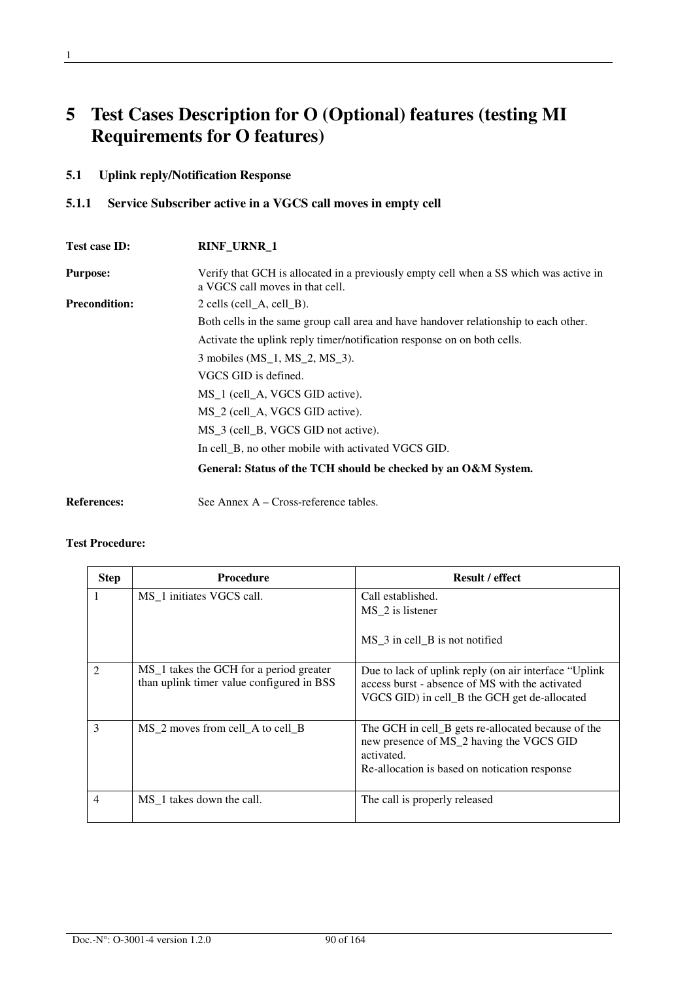# **5 Test Cases Description for O (Optional) features (testing MI Requirements for O features)**

# **5.1 Uplink reply/Notification Response**

# **5.1.1 Service Subscriber active in a VGCS call moves in empty cell**

| Test case ID:        | <b>RINF_URNR_1</b>                                                                                                       |
|----------------------|--------------------------------------------------------------------------------------------------------------------------|
| <b>Purpose:</b>      | Verify that GCH is allocated in a previously empty cell when a SS which was active in<br>a VGCS call moves in that cell. |
| <b>Precondition:</b> | $2$ cells (cell A, cell B).                                                                                              |
|                      | Both cells in the same group call area and have handover relationship to each other.                                     |
|                      | Activate the uplink reply timer/notification response on on both cells.                                                  |
|                      | 3 mobiles (MS_1, MS_2, MS_3).                                                                                            |
|                      | VGCS GID is defined.                                                                                                     |
|                      | MS <sub>1</sub> (cell <sub>A</sub> , VGCS GID active).                                                                   |
|                      | MS_2 (cell_A, VGCS GID active).                                                                                          |
|                      | MS 3 (cell B, VGCS GID not active).                                                                                      |
|                      | In cell B, no other mobile with activated VGCS GID.                                                                      |
|                      | General: Status of the TCH should be checked by an O&M System.                                                           |
|                      |                                                                                                                          |

References: See Annex A – Cross-reference tables.

| <b>Step</b>    | <b>Procedure</b>                                                                                | <b>Result / effect</b>                                                                                                                                        |
|----------------|-------------------------------------------------------------------------------------------------|---------------------------------------------------------------------------------------------------------------------------------------------------------------|
|                | MS <sub>1</sub> initiates VGCS call.                                                            | Call established.<br>MS_2 is listener<br>$MS_3$ in cell $B$ is not notified                                                                                   |
| $\mathfrak{D}$ | MS <sub>1</sub> takes the GCH for a period greater<br>than uplink timer value configured in BSS | Due to lack of uplink reply (on air interface "Uplink"<br>access burst - absence of MS with the activated<br>VGCS GID) in cell_B the GCH get de-allocated     |
| 3              | MS 2 moves from cell A to cell B                                                                | The GCH in cell_B gets re-allocated because of the<br>new presence of MS_2 having the VGCS GID<br>activated.<br>Re-allocation is based on notication response |
| 4              | MS 1 takes down the call.                                                                       | The call is properly released                                                                                                                                 |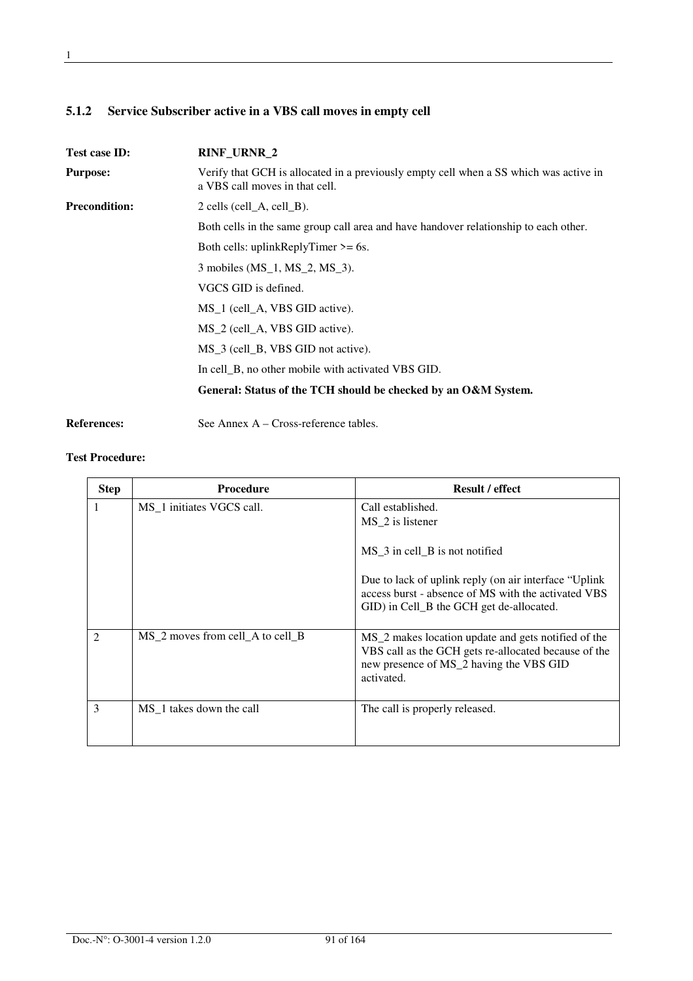# **5.1.2 Service Subscriber active in a VBS call moves in empty cell**

| Test case ID:        | <b>RINF_URNR_2</b>                                                                                                      |  |  |  |
|----------------------|-------------------------------------------------------------------------------------------------------------------------|--|--|--|
| <b>Purpose:</b>      | Verify that GCH is allocated in a previously empty cell when a SS which was active in<br>a VBS call moves in that cell. |  |  |  |
| <b>Precondition:</b> | $2$ cells (cell_A, cell_B).                                                                                             |  |  |  |
|                      | Both cells in the same group call area and have handover relationship to each other.                                    |  |  |  |
|                      | Both cells: uplinkReplyTimer $>= 6s$ .                                                                                  |  |  |  |
|                      | 3 mobiles (MS_1, MS_2, MS_3).                                                                                           |  |  |  |
|                      | VGCS GID is defined.                                                                                                    |  |  |  |
|                      | MS <sub>1</sub> (cell <sub>A</sub> , VBS GID active).                                                                   |  |  |  |
|                      | MS <sub>2</sub> (cell <sub>A</sub> , VBS GID active).                                                                   |  |  |  |
|                      | MS_3 (cell_B, VBS GID not active).                                                                                      |  |  |  |
|                      | In cell_B, no other mobile with activated VBS GID.                                                                      |  |  |  |
|                      | General: Status of the TCH should be checked by an O&M System.                                                          |  |  |  |

References: See Annex A – Cross-reference tables.

| <b>Step</b>    | Procedure                              | <b>Result / effect</b>                                                                                                                                                           |
|----------------|----------------------------------------|----------------------------------------------------------------------------------------------------------------------------------------------------------------------------------|
| 1.             | MS 1 initiates VGCS call.              | Call established.<br>MS_2 is listener                                                                                                                                            |
|                |                                        | MS_3 in cell_B is not notified                                                                                                                                                   |
|                |                                        | Due to lack of uplink reply (on air interface "Uplink"<br>access burst - absence of MS with the activated VBS<br>GID) in Cell_B the GCH get de-allocated.                        |
| $\mathfrak{D}$ | $MS_2$ moves from cell $A$ to cell $B$ | MS <sub>_2</sub> makes location update and gets notified of the<br>VBS call as the GCH gets re-allocated because of the<br>new presence of MS_2 having the VBS GID<br>activated. |
| 3              | MS_1 takes down the call               | The call is properly released.                                                                                                                                                   |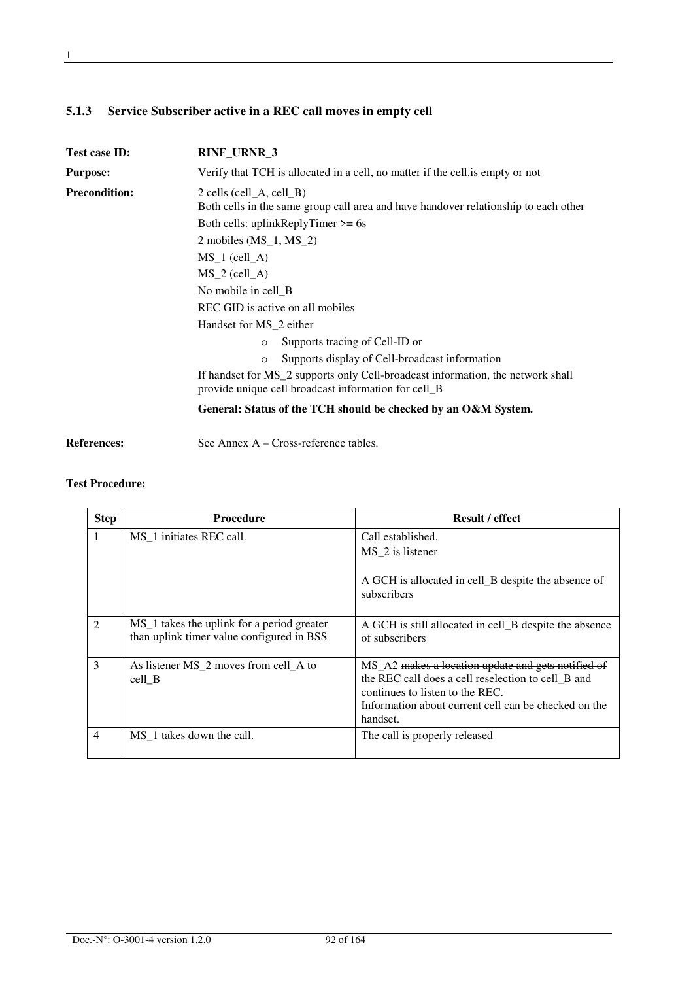# **5.1.3 Service Subscriber active in a REC call moves in empty cell**

| Test case ID:        | RINF_URNR_3                                                                                                                             |  |  |
|----------------------|-----------------------------------------------------------------------------------------------------------------------------------------|--|--|
| <b>Purpose:</b>      | Verify that TCH is allocated in a cell, no matter if the cell is empty or not                                                           |  |  |
| <b>Precondition:</b> | $2$ cells (cell A, cell B)<br>Both cells in the same group call area and have handover relationship to each other                       |  |  |
|                      | Both cells: uplinkReplyTimer $>= 6s$                                                                                                    |  |  |
|                      | 2 mobiles $(MS_1, MS_2)$                                                                                                                |  |  |
|                      | $MS 1$ (cell A)                                                                                                                         |  |  |
|                      | $MS_2$ (cell_A)                                                                                                                         |  |  |
|                      | No mobile in cell_B                                                                                                                     |  |  |
|                      | REC GID is active on all mobiles                                                                                                        |  |  |
|                      | Handset for MS_2 either                                                                                                                 |  |  |
|                      | Supports tracing of Cell-ID or<br>$\circ$                                                                                               |  |  |
|                      | Supports display of Cell-broadcast information<br>$\circ$                                                                               |  |  |
|                      | If handset for MS_2 supports only Cell-broadcast information, the network shall<br>provide unique cell broadcast information for cell_B |  |  |
|                      | General: Status of the TCH should be checked by an O&M System.                                                                          |  |  |

**References:** See Annex A – Cross-reference tables.

| <b>Step</b>   | <b>Procedure</b>                                                                        | <b>Result / effect</b>                                                                                                                                                                                          |
|---------------|-----------------------------------------------------------------------------------------|-----------------------------------------------------------------------------------------------------------------------------------------------------------------------------------------------------------------|
|               | MS 1 initiates REC call.                                                                | Call established.<br>MS_2 is listener<br>A GCH is allocated in cell_B despite the absence of<br>subscribers                                                                                                     |
| 2             | MS_1 takes the uplink for a period greater<br>than uplink timer value configured in BSS | A GCH is still allocated in cell_B despite the absence<br>of subscribers                                                                                                                                        |
| $\mathcal{E}$ | As listener MS_2 moves from cell_A to<br>cell B                                         | MS_A2 makes a location update and gets notified of<br>the REC call does a cell reselection to cell B and<br>continues to listen to the REC.<br>Information about current cell can be checked on the<br>handset. |
| 4             | MS <sub>1</sub> takes down the call.                                                    | The call is properly released                                                                                                                                                                                   |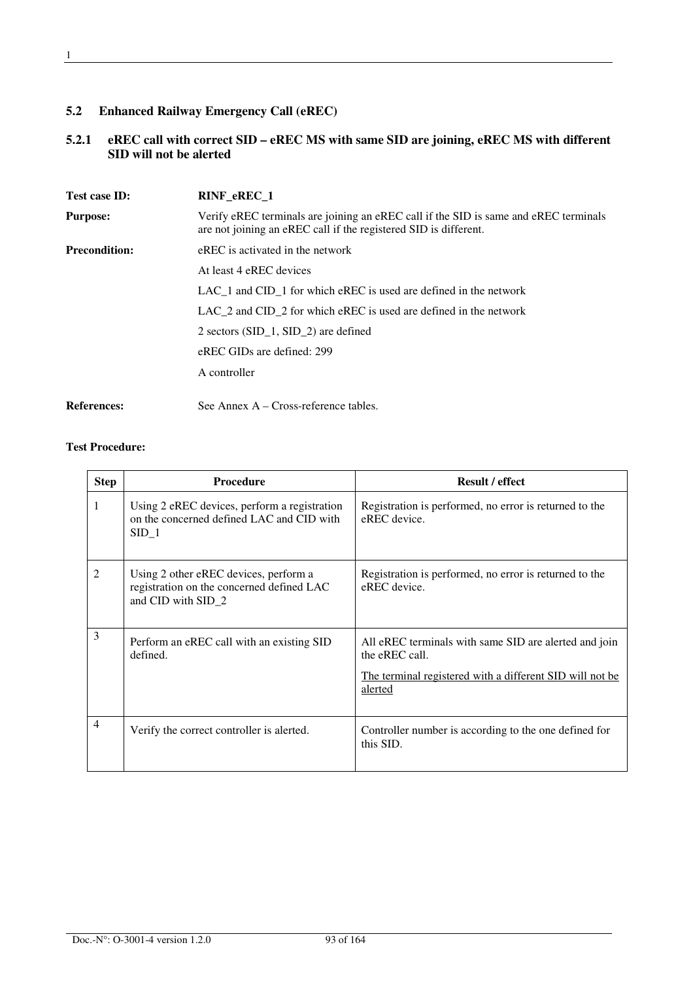# **5.2 Enhanced Railway Emergency Call (eREC)**

### **5.2.1 eREC call with correct SID – eREC MS with same SID are joining, eREC MS with different SID will not be alerted**

| Test case ID:        | RINF eREC 1                                                                                                                                              |  |  |  |
|----------------------|----------------------------------------------------------------------------------------------------------------------------------------------------------|--|--|--|
| <b>Purpose:</b>      | Verify eREC terminals are joining an eREC call if the SID is same and eREC terminals<br>are not joining an eREC call if the registered SID is different. |  |  |  |
| <b>Precondition:</b> | eREC is activated in the network                                                                                                                         |  |  |  |
|                      | At least 4 eREC devices                                                                                                                                  |  |  |  |
|                      | $LAC_1$ and $CID_1$ for which eREC is used are defined in the network                                                                                    |  |  |  |
|                      | LAC 2 and CID 2 for which eREC is used are defined in the network                                                                                        |  |  |  |
|                      | 2 sectors (SID $1$ , SID $2$ ) are defined                                                                                                               |  |  |  |
|                      | eREC GIDs are defined: 299                                                                                                                               |  |  |  |
|                      | A controller                                                                                                                                             |  |  |  |
| <b>References:</b>   | See Annex $A - Cross-reference$ tables.                                                                                                                  |  |  |  |

| <b>Step</b>    | <b>Procedure</b>                                                                                         | <b>Result / effect</b>                                                                                                                          |
|----------------|----------------------------------------------------------------------------------------------------------|-------------------------------------------------------------------------------------------------------------------------------------------------|
| 1              | Using 2 eREC devices, perform a registration<br>on the concerned defined LAC and CID with<br>$SID_1$     | Registration is performed, no error is returned to the<br>eREC device.                                                                          |
| 2              | Using 2 other eREC devices, perform a<br>registration on the concerned defined LAC<br>and CID with SID_2 | Registration is performed, no error is returned to the<br>eREC device.                                                                          |
| 3              | Perform an eREC call with an existing SID<br>defined.                                                    | All eREC terminals with same SID are alerted and join<br>the eREC call.<br>The terminal registered with a different SID will not be.<br>alerted |
| $\overline{4}$ | Verify the correct controller is alerted.                                                                | Controller number is according to the one defined for<br>this SID.                                                                              |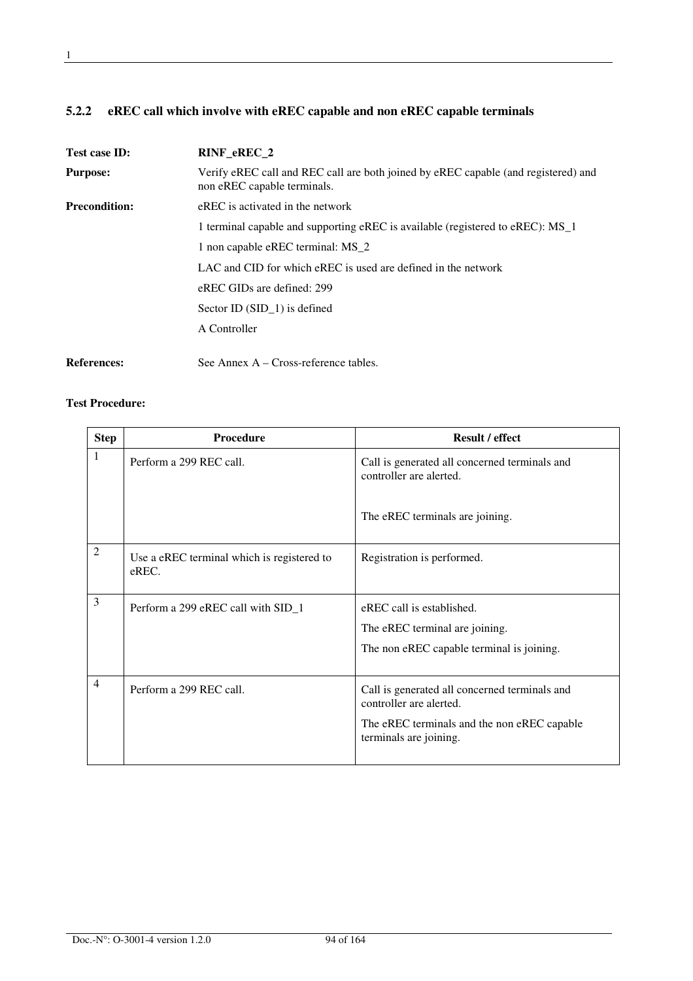# **5.2.2 eREC call which involve with eREC capable and non eREC capable terminals**

| Test case ID:        | RINF_eREC_2                                                                                                       |  |  |
|----------------------|-------------------------------------------------------------------------------------------------------------------|--|--|
| <b>Purpose:</b>      | Verify eREC call and REC call are both joined by eREC capable (and registered) and<br>non eREC capable terminals. |  |  |
| <b>Precondition:</b> | eREC is activated in the network                                                                                  |  |  |
|                      | 1 terminal capable and supporting eREC is available (registered to eREC): MS_1                                    |  |  |
|                      | 1 non capable eREC terminal: MS_2                                                                                 |  |  |
|                      | LAC and CID for which eREC is used are defined in the network                                                     |  |  |
|                      | eREC GIDs are defined: 299                                                                                        |  |  |
|                      | Sector ID $(SID\ 1)$ is defined                                                                                   |  |  |
|                      | A Controller                                                                                                      |  |  |
| <b>References:</b>   | See Annex $A - Cross-reference tables$ .                                                                          |  |  |

| <b>Step</b>    | <b>Procedure</b>                                    | <b>Result / effect</b>                                                                                                                            |
|----------------|-----------------------------------------------------|---------------------------------------------------------------------------------------------------------------------------------------------------|
| 1              | Perform a 299 REC call.                             | Call is generated all concerned terminals and<br>controller are alerted.                                                                          |
|                |                                                     | The eREC terminals are joining.                                                                                                                   |
| $\overline{2}$ | Use a eREC terminal which is registered to<br>eREC. | Registration is performed.                                                                                                                        |
| 3              | Perform a 299 eREC call with SID_1                  | eREC call is established.<br>The eREC terminal are joining.<br>The non eREC capable terminal is joining.                                          |
| $\overline{4}$ | Perform a 299 REC call.                             | Call is generated all concerned terminals and<br>controller are alerted.<br>The eREC terminals and the non eREC capable<br>terminals are joining. |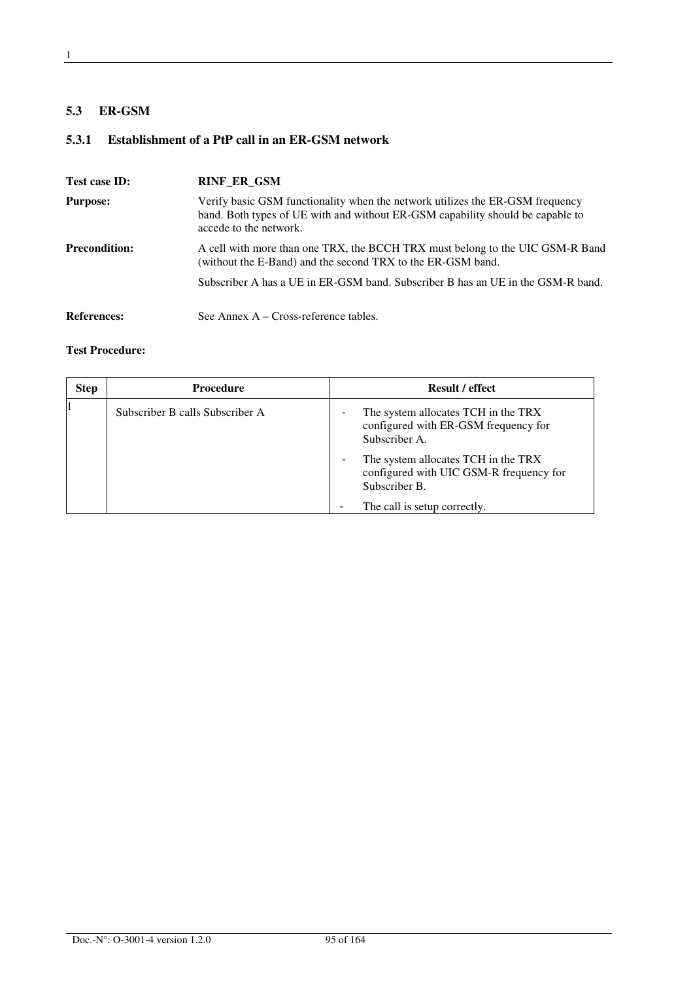#### **5.3 ER-GSM**

# **5.3.1 Establishment of a PtP call in an ER-GSM network**

| Test case ID:        | <b>RINF ER GSM</b>                                                                                                                                                                        |
|----------------------|-------------------------------------------------------------------------------------------------------------------------------------------------------------------------------------------|
| <b>Purpose:</b>      | Verify basic GSM functionality when the network utilizes the ER-GSM frequency<br>band. Both types of UE with and without ER-GSM capability should be capable to<br>accede to the network. |
| <b>Precondition:</b> | A cell with more than one TRX, the BCCH TRX must belong to the UIC GSM-R Band<br>(without the E-Band) and the second TRX to the ER-GSM band.                                              |
|                      | Subscriber A has a UE in ER-GSM band. Subscriber B has an UE in the GSM-R band.                                                                                                           |
| <b>References:</b>   | See Annex $A - Cross-reference tables$ .                                                                                                                                                  |

| <b>Step</b> | <b>Procedure</b>                | <b>Result / effect</b>                                                                          |
|-------------|---------------------------------|-------------------------------------------------------------------------------------------------|
|             | Subscriber B calls Subscriber A | The system allocates TCH in the TRX<br>configured with ER-GSM frequency for<br>Subscriber A.    |
|             |                                 | The system allocates TCH in the TRX<br>configured with UIC GSM-R frequency for<br>Subscriber B. |
|             |                                 | The call is setup correctly.                                                                    |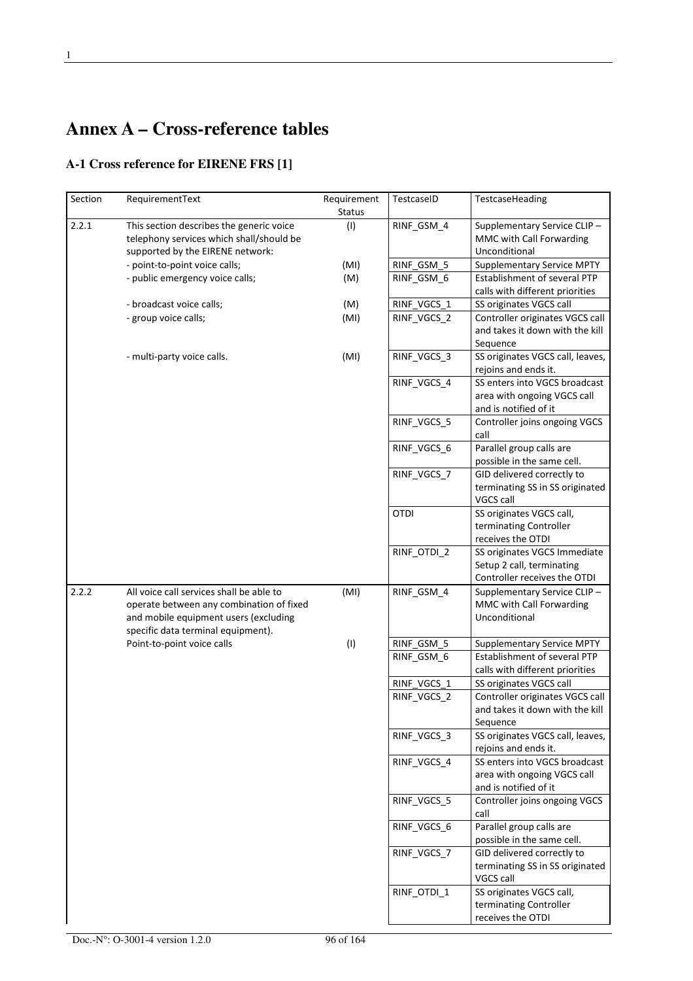# **Annex A – Cross-reference tables**

# **A-1 Cross reference for EIRENE FRS [1]**

| Section | RequirementText                                                                                                                                                     | Requirement<br><b>Status</b> | TestcaseID  | TestcaseHeading                                                                           |
|---------|---------------------------------------------------------------------------------------------------------------------------------------------------------------------|------------------------------|-------------|-------------------------------------------------------------------------------------------|
| 2.2.1   | This section describes the generic voice<br>telephony services which shall/should be<br>supported by the EIRENE network:                                            | (1)                          | RINF_GSM_4  | Supplementary Service CLIP-<br>MMC with Call Forwarding<br>Unconditional                  |
|         | - point-to-point voice calls;                                                                                                                                       | (MI)                         | RINF_GSM_5  | <b>Supplementary Service MPTY</b>                                                         |
|         | - public emergency voice calls;                                                                                                                                     | (M)                          | RINF_GSM_6  | Establishment of several PTP                                                              |
|         |                                                                                                                                                                     |                              |             | calls with different priorities                                                           |
|         | - broadcast voice calls;                                                                                                                                            | (M)                          | RINF VGCS 1 | SS originates VGCS call                                                                   |
|         | - group voice calls;                                                                                                                                                | (MI)                         | RINF_VGCS_2 | Controller originates VGCS call<br>and takes it down with the kill<br>Sequence            |
|         | - multi-party voice calls.                                                                                                                                          | (MI)                         | RINF_VGCS_3 | SS originates VGCS call, leaves,<br>rejoins and ends it.                                  |
|         |                                                                                                                                                                     |                              | RINF_VGCS_4 | SS enters into VGCS broadcast<br>area with ongoing VGCS call<br>and is notified of it     |
|         |                                                                                                                                                                     |                              | RINF_VGCS_5 | Controller joins ongoing VGCS<br>call                                                     |
|         |                                                                                                                                                                     |                              | RINF_VGCS_6 | Parallel group calls are<br>possible in the same cell.                                    |
|         |                                                                                                                                                                     |                              | RINF VGCS 7 | GID delivered correctly to<br>terminating SS in SS originated<br>VGCS call                |
|         |                                                                                                                                                                     |                              | <b>OTDI</b> | SS originates VGCS call,<br>terminating Controller<br>receives the OTDI                   |
|         |                                                                                                                                                                     |                              | RINF_OTDI_2 | SS originates VGCS Immediate<br>Setup 2 call, terminating<br>Controller receives the OTDI |
| 2.2.2   | All voice call services shall be able to<br>operate between any combination of fixed<br>and mobile equipment users (excluding<br>specific data terminal equipment). | (MI)                         | RINF_GSM_4  | Supplementary Service CLIP-<br>MMC with Call Forwarding<br>Unconditional                  |
|         | Point-to-point voice calls                                                                                                                                          | (1)                          | RINF_GSM_5  | <b>Supplementary Service MPTY</b>                                                         |
|         |                                                                                                                                                                     |                              | RINF_GSM_6  | Establishment of several PTP<br>calls with different priorities                           |
|         |                                                                                                                                                                     |                              | RINF_VGCS_1 | SS originates VGCS call                                                                   |
|         |                                                                                                                                                                     |                              | RINF_VGCS_2 | Controller originates VGCS call<br>and takes it down with the kill<br>Sequence            |
|         |                                                                                                                                                                     |                              | RINF_VGCS_3 | SS originates VGCS call, leaves,<br>rejoins and ends it.                                  |
|         |                                                                                                                                                                     |                              | RINF_VGCS_4 | SS enters into VGCS broadcast<br>area with ongoing VGCS call<br>and is notified of it     |
|         |                                                                                                                                                                     |                              | RINF_VGCS_5 | Controller joins ongoing VGCS<br>call                                                     |
|         |                                                                                                                                                                     |                              | RINF_VGCS_6 | Parallel group calls are<br>possible in the same cell.                                    |
|         |                                                                                                                                                                     |                              | RINF_VGCS_7 | GID delivered correctly to<br>terminating SS in SS originated<br>VGCS call                |
|         |                                                                                                                                                                     |                              | RINF_OTDI_1 | SS originates VGCS call,<br>terminating Controller<br>receives the OTDI                   |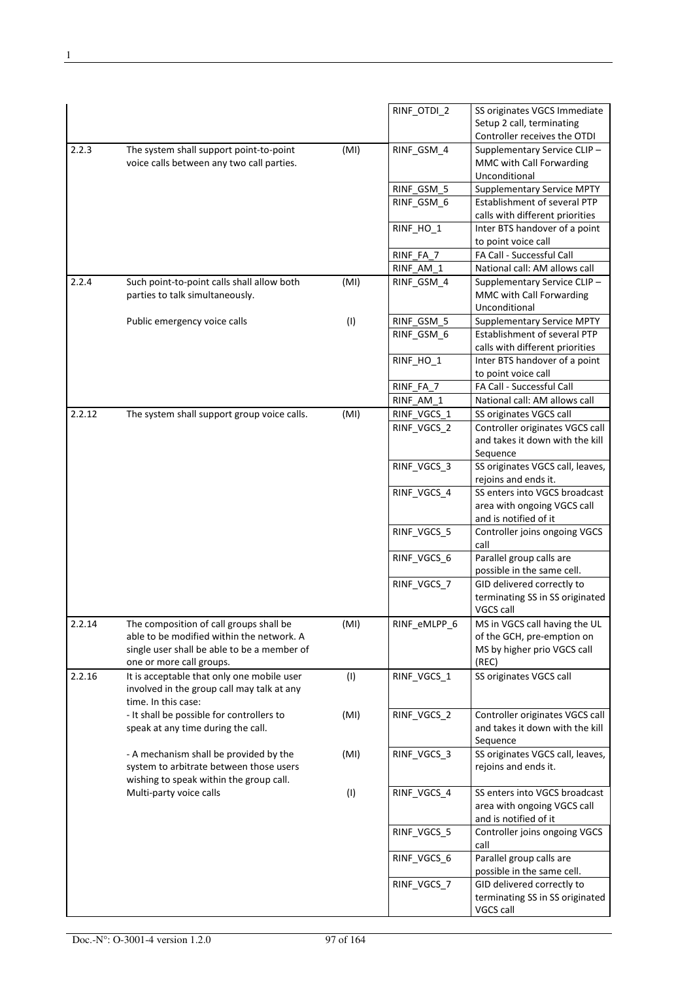|        |                                                                               |      | RINF_OTDI_2  | SS originates VGCS Immediate                            |
|--------|-------------------------------------------------------------------------------|------|--------------|---------------------------------------------------------|
|        |                                                                               |      |              | Setup 2 call, terminating                               |
|        |                                                                               |      |              | Controller receives the OTDI                            |
| 2.2.3  | The system shall support point-to-point                                       | (MI) | RINF_GSM_4   | Supplementary Service CLIP-                             |
|        | voice calls between any two call parties.                                     |      |              | MMC with Call Forwarding                                |
|        |                                                                               |      |              | Unconditional                                           |
|        |                                                                               |      | RINF_GSM_5   | <b>Supplementary Service MPTY</b>                       |
|        |                                                                               |      | RINF GSM 6   | Establishment of several PTP                            |
|        |                                                                               |      |              | calls with different priorities                         |
|        |                                                                               |      | RINF_HO_1    | Inter BTS handover of a point                           |
|        |                                                                               |      |              | to point voice call<br>FA Call - Successful Call        |
|        |                                                                               |      | RINF FA 7    | National call: AM allows call                           |
| 2.2.4  |                                                                               |      | RINF_AM_1    |                                                         |
|        | Such point-to-point calls shall allow both<br>parties to talk simultaneously. | (MI) | RINF_GSM_4   | Supplementary Service CLIP-<br>MMC with Call Forwarding |
|        |                                                                               |      |              | Unconditional                                           |
|        | Public emergency voice calls                                                  | (1)  | RINF_GSM_5   | Supplementary Service MPTY                              |
|        |                                                                               |      | RINF_GSM_6   | Establishment of several PTP                            |
|        |                                                                               |      |              | calls with different priorities                         |
|        |                                                                               |      | RINF_HO_1    | Inter BTS handover of a point                           |
|        |                                                                               |      |              | to point voice call                                     |
|        |                                                                               |      | RINF FA 7    | FA Call - Successful Call                               |
|        |                                                                               |      | RINF_AM_1    | National call: AM allows call                           |
| 2.2.12 | The system shall support group voice calls.                                   | (MI) | RINF_VGCS_1  | SS originates VGCS call                                 |
|        |                                                                               |      | RINF_VGCS_2  | Controller originates VGCS call                         |
|        |                                                                               |      |              | and takes it down with the kill                         |
|        |                                                                               |      |              | Sequence                                                |
|        |                                                                               |      | RINF_VGCS_3  | SS originates VGCS call, leaves,                        |
|        |                                                                               |      |              | rejoins and ends it.                                    |
|        |                                                                               |      | RINF_VGCS_4  | SS enters into VGCS broadcast                           |
|        |                                                                               |      |              | area with ongoing VGCS call                             |
|        |                                                                               |      |              | and is notified of it                                   |
|        |                                                                               |      | RINF_VGCS_5  | Controller joins ongoing VGCS                           |
|        |                                                                               |      |              | call                                                    |
|        |                                                                               |      | RINF_VGCS_6  | Parallel group calls are                                |
|        |                                                                               |      |              | possible in the same cell.                              |
|        |                                                                               |      | RINF VGCS 7  | GID delivered correctly to                              |
|        |                                                                               |      |              | terminating SS in SS originated                         |
|        |                                                                               |      |              | VGCS call                                               |
| 2.2.14 | The composition of call groups shall be                                       | (MI) | RINF_eMLPP_6 | MS in VGCS call having the UL                           |
|        | able to be modified within the network. A                                     |      |              | of the GCH, pre-emption on                              |
|        | single user shall be able to be a member of                                   |      |              | MS by higher prio VGCS call                             |
|        | one or more call groups.<br>It is acceptable that only one mobile user        |      |              | (REC)                                                   |
| 2.2.16 | involved in the group call may talk at any                                    | (1)  | RINF_VGCS_1  | SS originates VGCS call                                 |
|        | time. In this case:                                                           |      |              |                                                         |
|        | - It shall be possible for controllers to                                     | (MI) | RINF_VGCS_2  | Controller originates VGCS call                         |
|        | speak at any time during the call.                                            |      |              | and takes it down with the kill                         |
|        |                                                                               |      |              | Sequence                                                |
|        | - A mechanism shall be provided by the                                        | (MI) | RINF_VGCS_3  | SS originates VGCS call, leaves,                        |
|        | system to arbitrate between those users                                       |      |              | rejoins and ends it.                                    |
|        | wishing to speak within the group call.                                       |      |              |                                                         |
|        | Multi-party voice calls                                                       | (1)  | RINF_VGCS_4  | SS enters into VGCS broadcast                           |
|        |                                                                               |      |              | area with ongoing VGCS call                             |
|        |                                                                               |      |              | and is notified of it                                   |
|        |                                                                               |      | RINF_VGCS_5  | Controller joins ongoing VGCS                           |
|        |                                                                               |      |              | call                                                    |
|        |                                                                               |      | RINF_VGCS_6  | Parallel group calls are                                |
|        |                                                                               |      |              | possible in the same cell.                              |
|        |                                                                               |      | RINF_VGCS_7  | GID delivered correctly to                              |
|        |                                                                               |      |              | terminating SS in SS originated                         |
|        |                                                                               |      |              | VGCS call                                               |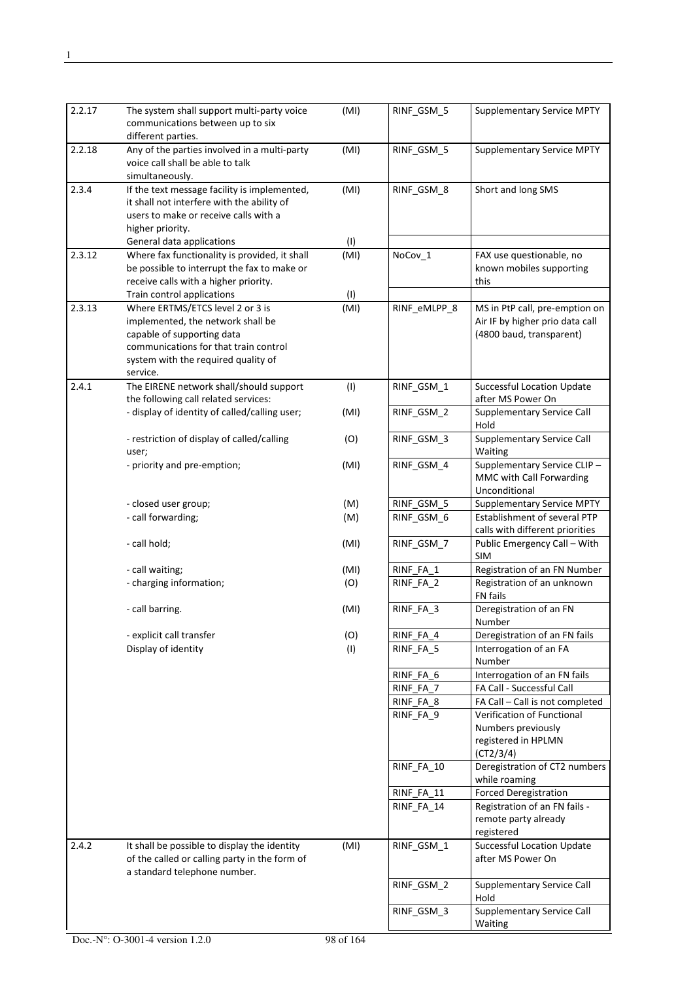| 2.2.17 | The system shall support multi-party voice<br>communications between up to six<br>different parties.                                                                                            | (MI)       | RINF_GSM_5               | <b>Supplementary Service MPTY</b>                                                                   |
|--------|-------------------------------------------------------------------------------------------------------------------------------------------------------------------------------------------------|------------|--------------------------|-----------------------------------------------------------------------------------------------------|
| 2.2.18 | Any of the parties involved in a multi-party<br>voice call shall be able to talk<br>simultaneously.                                                                                             | (MI)       | RINF_GSM_5               | <b>Supplementary Service MPTY</b>                                                                   |
| 2.3.4  | If the text message facility is implemented,<br>it shall not interfere with the ability of<br>users to make or receive calls with a<br>higher priority.                                         | (MI)       | RINF_GSM_8               | Short and long SMS                                                                                  |
|        | General data applications                                                                                                                                                                       | (1)        |                          |                                                                                                     |
| 2.3.12 | Where fax functionality is provided, it shall<br>be possible to interrupt the fax to make or<br>receive calls with a higher priority.                                                           | (MI)       | NoCov 1                  | FAX use questionable, no<br>known mobiles supporting<br>this                                        |
|        | Train control applications                                                                                                                                                                      | (1)        |                          |                                                                                                     |
| 2.3.13 | Where ERTMS/ETCS level 2 or 3 is<br>implemented, the network shall be<br>capable of supporting data<br>communications for that train control<br>system with the required quality of<br>service. | (MI)       | RINF_eMLPP_8             | MS in PtP call, pre-emption on<br>Air IF by higher prio data call<br>(4800 baud, transparent)       |
| 2.4.1  | The EIRENE network shall/should support<br>the following call related services:                                                                                                                 | (1)        | RINF_GSM_1               | <b>Successful Location Update</b><br>after MS Power On                                              |
|        | - display of identity of called/calling user;                                                                                                                                                   | (MI)       | RINF_GSM_2               | <b>Supplementary Service Call</b><br>Hold                                                           |
|        | - restriction of display of called/calling<br>user;                                                                                                                                             | (O)        | RINF GSM 3               | <b>Supplementary Service Call</b><br>Waiting                                                        |
|        | - priority and pre-emption;                                                                                                                                                                     | (MI)       | RINF_GSM_4               | Supplementary Service CLIP-<br>MMC with Call Forwarding<br>Unconditional                            |
|        | - closed user group;                                                                                                                                                                            | (M)        | RINF_GSM_5               | <b>Supplementary Service MPTY</b>                                                                   |
|        | - call forwarding;                                                                                                                                                                              | (M)        | RINF_GSM_6               | Establishment of several PTP<br>calls with different priorities                                     |
|        | - call hold;                                                                                                                                                                                    | (MI)       | RINF_GSM_7               | Public Emergency Call - With<br><b>SIM</b>                                                          |
|        | - call waiting;                                                                                                                                                                                 | (MI)       | RINF_FA_1                | Registration of an FN Number                                                                        |
|        | - charging information;                                                                                                                                                                         | (O)        | RINF_FA_2                | Registration of an unknown<br>FN fails                                                              |
|        | - call barring.                                                                                                                                                                                 | (MI)       | RINF_FA_3                | Deregistration of an FN<br>Number                                                                   |
|        | - explicit call transfer<br>Display of identity                                                                                                                                                 | (O)<br>(1) | RINF_FA_4<br>RINF_FA_5   | Deregistration of an FN fails<br>Interrogation of an FA<br>Number                                   |
|        |                                                                                                                                                                                                 |            | RINF_FA_6<br>RINF_FA_7   | Interrogation of an FN fails<br>FA Call - Successful Call                                           |
|        |                                                                                                                                                                                                 |            | RINF_FA_8                | FA Call - Call is not completed                                                                     |
|        |                                                                                                                                                                                                 |            | RINF FA 9                | Verification of Functional<br>Numbers previously<br>registered in HPLMN<br>(CT2/3/4)                |
|        |                                                                                                                                                                                                 |            | RINF_FA_10               | Deregistration of CT2 numbers<br>while roaming                                                      |
|        |                                                                                                                                                                                                 |            | RINF_FA_11<br>RINF_FA_14 | <b>Forced Deregistration</b><br>Registration of an FN fails -<br>remote party already<br>registered |
| 2.4.2  | It shall be possible to display the identity<br>of the called or calling party in the form of<br>a standard telephone number.                                                                   | (MI)       | RINF_GSM_1               | <b>Successful Location Update</b><br>after MS Power On                                              |
|        |                                                                                                                                                                                                 |            | RINF_GSM_2               | <b>Supplementary Service Call</b><br>Hold                                                           |
|        |                                                                                                                                                                                                 |            | RINF_GSM_3               | <b>Supplementary Service Call</b><br>Waiting                                                        |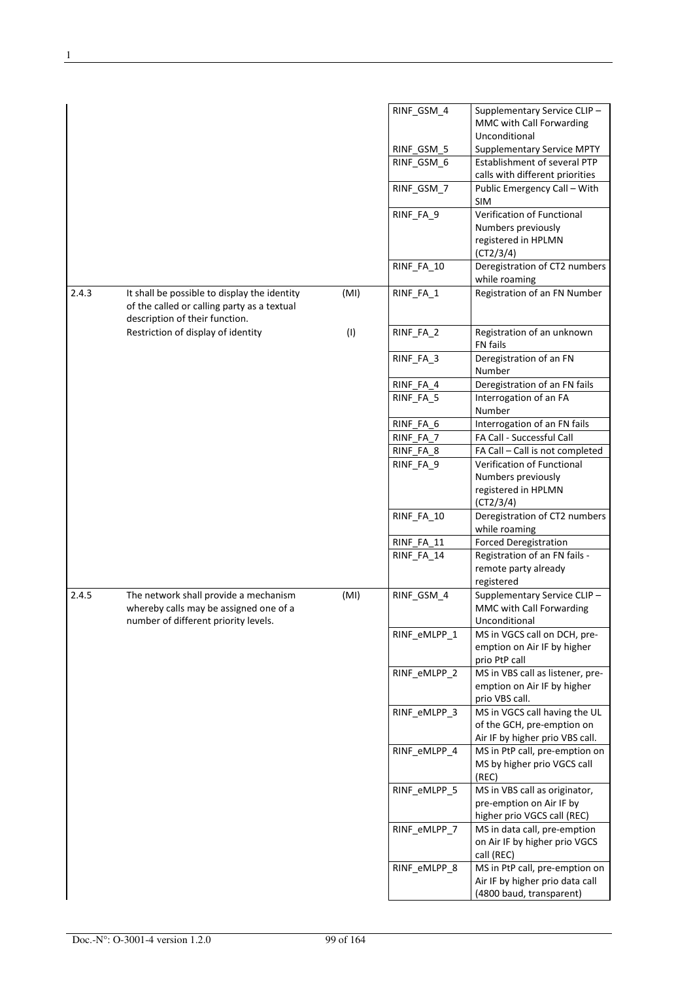|       |                                                                                                                               |      | RINF_GSM_4               | Supplementary Service CLIP-<br>MMC with Call Forwarding           |
|-------|-------------------------------------------------------------------------------------------------------------------------------|------|--------------------------|-------------------------------------------------------------------|
|       |                                                                                                                               |      |                          | Unconditional<br><b>Supplementary Service MPTY</b>                |
|       |                                                                                                                               |      | RINF_GSM_5<br>RINF_GSM_6 | Establishment of several PTP                                      |
|       |                                                                                                                               |      |                          | calls with different priorities                                   |
|       |                                                                                                                               |      | RINF_GSM_7               | Public Emergency Call - With<br><b>SIM</b>                        |
|       |                                                                                                                               |      | RINF_FA_9                | Verification of Functional                                        |
|       |                                                                                                                               |      |                          | Numbers previously                                                |
|       |                                                                                                                               |      |                          | registered in HPLMN<br>(CT2/3/4)                                  |
|       |                                                                                                                               |      | RINF_FA_10               | Deregistration of CT2 numbers<br>while roaming                    |
| 2.4.3 | It shall be possible to display the identity<br>of the called or calling party as a textual<br>description of their function. | (MI) | RINF_FA_1                | Registration of an FN Number                                      |
|       | Restriction of display of identity                                                                                            | (1)  | RINF_FA_2                | Registration of an unknown<br>FN fails                            |
|       |                                                                                                                               |      | RINF_FA_3                | Deregistration of an FN<br>Number                                 |
|       |                                                                                                                               |      | RINF_FA_4                | Deregistration of an FN fails                                     |
|       |                                                                                                                               |      | RINF_FA_5                | Interrogation of an FA<br>Number                                  |
|       |                                                                                                                               |      | RINF FA 6                | Interrogation of an FN fails                                      |
|       |                                                                                                                               |      | RINF_FA_7                | FA Call - Successful Call                                         |
|       |                                                                                                                               |      | RINF_FA_8                | FA Call - Call is not completed                                   |
|       |                                                                                                                               |      | RINF_FA_9                | Verification of Functional                                        |
|       |                                                                                                                               |      |                          | Numbers previously<br>registered in HPLMN                         |
|       |                                                                                                                               |      |                          | (CT2/3/4)                                                         |
|       |                                                                                                                               |      | RINF_FA_10               | Deregistration of CT2 numbers<br>while roaming                    |
|       |                                                                                                                               |      | RINF_FA_11               | <b>Forced Deregistration</b>                                      |
|       |                                                                                                                               |      | RINF_FA_14               | Registration of an FN fails -                                     |
|       |                                                                                                                               |      |                          | remote party already<br>registered                                |
| 2.4.5 | The network shall provide a mechanism                                                                                         | (MI) | RINF_GSM_4               | Supplementary Service CLIP-                                       |
|       | whereby calls may be assigned one of a                                                                                        |      |                          | MMC with Call Forwarding                                          |
|       | number of different priority levels.                                                                                          |      |                          | Unconditional<br>MS in VGCS call on DCH, pre-                     |
|       |                                                                                                                               |      | RINF eMLPP 1             | emption on Air IF by higher                                       |
|       |                                                                                                                               |      |                          | prio PtP call                                                     |
|       |                                                                                                                               |      | RINF eMLPP 2             | MS in VBS call as listener, pre-                                  |
|       |                                                                                                                               |      |                          | emption on Air IF by higher<br>prio VBS call.                     |
|       |                                                                                                                               |      | RINF_eMLPP_3             | MS in VGCS call having the UL                                     |
|       |                                                                                                                               |      |                          | of the GCH, pre-emption on                                        |
|       |                                                                                                                               |      | RINF_eMLPP_4             | Air IF by higher prio VBS call.<br>MS in PtP call, pre-emption on |
|       |                                                                                                                               |      |                          | MS by higher prio VGCS call<br>(REC)                              |
|       |                                                                                                                               |      | RINF_eMLPP_5             | MS in VBS call as originator,                                     |
|       |                                                                                                                               |      |                          | pre-emption on Air IF by                                          |
|       |                                                                                                                               |      |                          | higher prio VGCS call (REC)                                       |
|       |                                                                                                                               |      | RINF eMLPP 7             | MS in data call, pre-emption                                      |
|       |                                                                                                                               |      |                          | on Air IF by higher prio VGCS<br>call (REC)                       |
|       |                                                                                                                               |      | RINF_eMLPP_8             | MS in PtP call, pre-emption on                                    |
|       |                                                                                                                               |      |                          | Air IF by higher prio data call                                   |
|       |                                                                                                                               |      |                          | (4800 baud, transparent)                                          |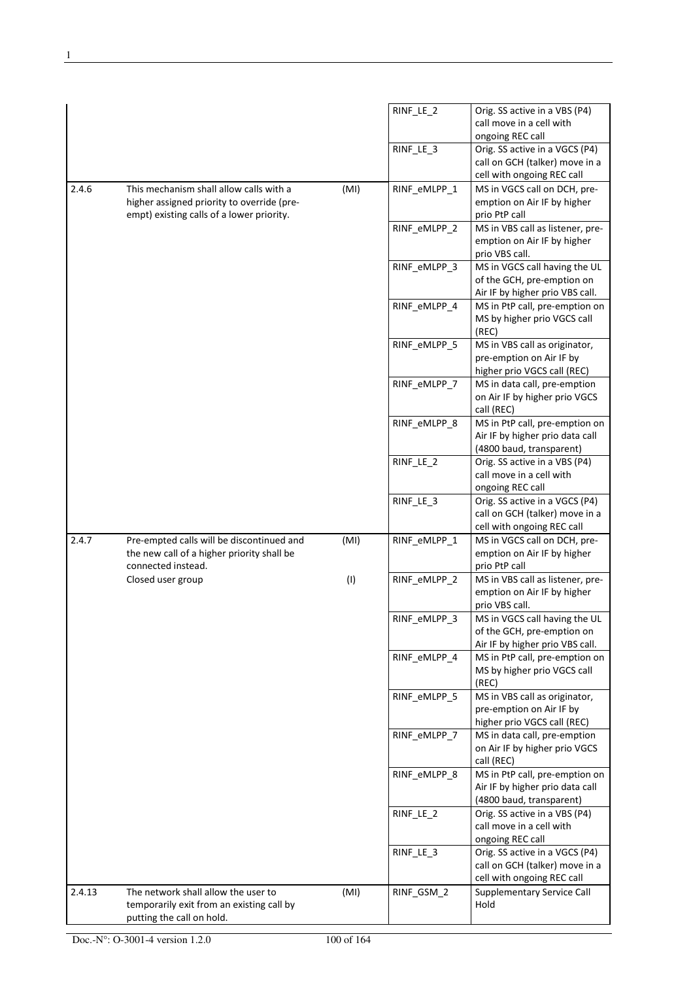|        |                                                                                         |      | RINF_LE_2    | Orig. SS active in a VBS (P4)                                    |
|--------|-----------------------------------------------------------------------------------------|------|--------------|------------------------------------------------------------------|
|        |                                                                                         |      |              | call move in a cell with                                         |
|        |                                                                                         |      | RINF_LE_3    | ongoing REC call<br>Orig. SS active in a VGCS (P4)               |
|        |                                                                                         |      |              | call on GCH (talker) move in a                                   |
|        |                                                                                         |      |              | cell with ongoing REC call                                       |
| 2.4.6  | This mechanism shall allow calls with a                                                 | (MI) | RINF_eMLPP_1 | MS in VGCS call on DCH, pre-                                     |
|        | higher assigned priority to override (pre-<br>empt) existing calls of a lower priority. |      |              | emption on Air IF by higher<br>prio PtP call                     |
|        |                                                                                         |      | RINF eMLPP 2 | MS in VBS call as listener, pre-                                 |
|        |                                                                                         |      |              | emption on Air IF by higher                                      |
|        |                                                                                         |      |              | prio VBS call.                                                   |
|        |                                                                                         |      | RINF_eMLPP_3 | MS in VGCS call having the UL                                    |
|        |                                                                                         |      |              | of the GCH, pre-emption on<br>Air IF by higher prio VBS call.    |
|        |                                                                                         |      | RINF_eMLPP 4 | MS in PtP call, pre-emption on                                   |
|        |                                                                                         |      |              | MS by higher prio VGCS call                                      |
|        |                                                                                         |      |              | (REC)                                                            |
|        |                                                                                         |      | RINF_eMLPP_5 | MS in VBS call as originator,                                    |
|        |                                                                                         |      |              | pre-emption on Air IF by                                         |
|        |                                                                                         |      |              | higher prio VGCS call (REC)                                      |
|        |                                                                                         |      | RINF_eMLPP_7 | MS in data call, pre-emption<br>on Air IF by higher prio VGCS    |
|        |                                                                                         |      |              | call (REC)                                                       |
|        |                                                                                         |      | RINF_eMLPP_8 | MS in PtP call, pre-emption on                                   |
|        |                                                                                         |      |              | Air IF by higher prio data call                                  |
|        |                                                                                         |      |              | (4800 baud, transparent)                                         |
|        |                                                                                         |      | RINF_LE_2    | Orig. SS active in a VBS (P4)                                    |
|        |                                                                                         |      |              | call move in a cell with                                         |
|        |                                                                                         |      |              | ongoing REC call                                                 |
|        |                                                                                         |      | RINF_LE_3    | Orig. SS active in a VGCS (P4)<br>call on GCH (talker) move in a |
|        |                                                                                         |      |              | cell with ongoing REC call                                       |
| 2.4.7  | Pre-empted calls will be discontinued and                                               | (MI) | RINF_eMLPP_1 | MS in VGCS call on DCH, pre-                                     |
|        | the new call of a higher priority shall be                                              |      |              | emption on Air IF by higher                                      |
|        | connected instead.                                                                      |      |              | prio PtP call                                                    |
|        | Closed user group                                                                       | (1)  | RINF_eMLPP_2 | MS in VBS call as listener, pre-                                 |
|        |                                                                                         |      |              | emption on Air IF by higher<br>prio VBS call.                    |
|        |                                                                                         |      | RINF_eMLPP_3 | MS in VGCS call having the UL                                    |
|        |                                                                                         |      |              | of the GCH, pre-emption on                                       |
|        |                                                                                         |      |              | Air IF by higher prio VBS call.                                  |
|        |                                                                                         |      | RINF eMLPP 4 | MS in PtP call, pre-emption on                                   |
|        |                                                                                         |      |              | MS by higher prio VGCS call                                      |
|        |                                                                                         |      |              | (REC)<br>MS in VBS call as originator,                           |
|        |                                                                                         |      | RINF_eMLPP_5 | pre-emption on Air IF by                                         |
|        |                                                                                         |      |              | higher prio VGCS call (REC)                                      |
|        |                                                                                         |      | RINF_eMLPP_7 | MS in data call, pre-emption                                     |
|        |                                                                                         |      |              | on Air IF by higher prio VGCS                                    |
|        |                                                                                         |      |              | call (REC)                                                       |
|        |                                                                                         |      | RINF_eMLPP_8 | MS in PtP call, pre-emption on                                   |
|        |                                                                                         |      |              | Air IF by higher prio data call                                  |
|        |                                                                                         |      | RINF_LE_2    | (4800 baud, transparent)<br>Orig. SS active in a VBS (P4)        |
|        |                                                                                         |      |              | call move in a cell with                                         |
|        |                                                                                         |      |              | ongoing REC call                                                 |
|        |                                                                                         |      | RINF_LE_3    | Orig. SS active in a VGCS (P4)                                   |
|        |                                                                                         |      |              | call on GCH (talker) move in a                                   |
|        |                                                                                         |      |              | cell with ongoing REC call                                       |
| 2.4.13 | The network shall allow the user to                                                     | (MI) | RINF_GSM_2   | <b>Supplementary Service Call</b>                                |
|        | temporarily exit from an existing call by                                               |      |              | Hold                                                             |
|        | putting the call on hold.                                                               |      |              |                                                                  |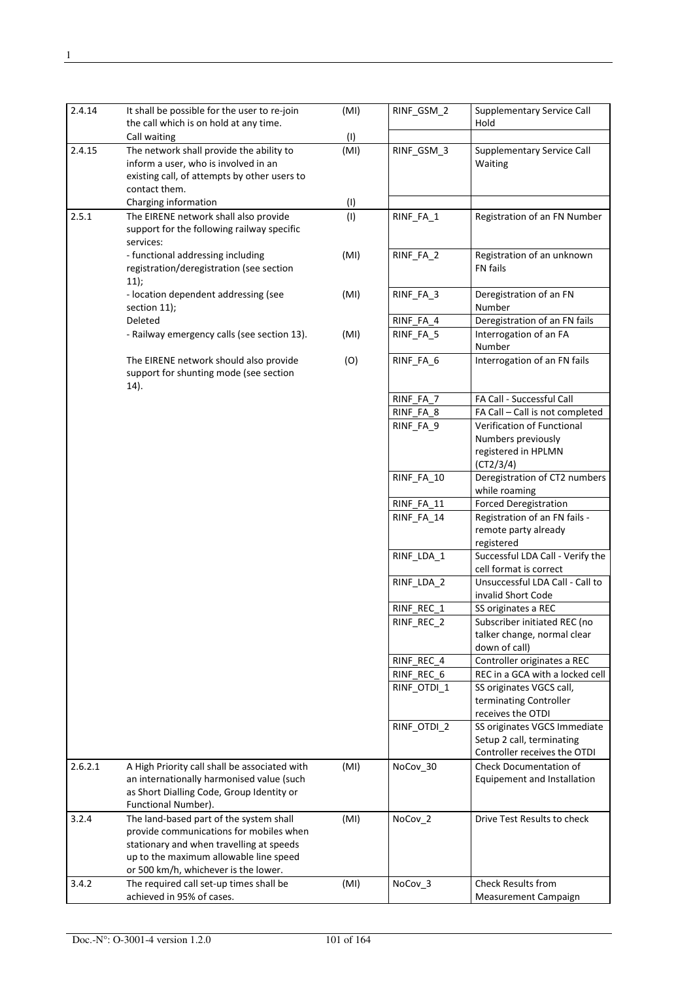| 2.4.14  | It shall be possible for the user to re-join<br>the call which is on hold at any time.                                                                                                                           | (MI) | RINF GSM 2  | <b>Supplementary Service Call</b><br>Hold                                                 |
|---------|------------------------------------------------------------------------------------------------------------------------------------------------------------------------------------------------------------------|------|-------------|-------------------------------------------------------------------------------------------|
|         | Call waiting                                                                                                                                                                                                     | (1)  |             |                                                                                           |
| 2.4.15  | The network shall provide the ability to<br>inform a user, who is involved in an<br>existing call, of attempts by other users to<br>contact them.                                                                | (MI) | RINF_GSM_3  | <b>Supplementary Service Call</b><br>Waiting                                              |
|         | Charging information                                                                                                                                                                                             | (1)  |             |                                                                                           |
| 2.5.1   | The EIRENE network shall also provide<br>support for the following railway specific<br>services:                                                                                                                 | (1)  | RINF_FA_1   | Registration of an FN Number                                                              |
|         | - functional addressing including<br>registration/deregistration (see section<br>11);                                                                                                                            | (MI) | RINF_FA_2   | Registration of an unknown<br><b>FN</b> fails                                             |
|         | - location dependent addressing (see<br>section 11);                                                                                                                                                             | (MI) | RINF_FA_3   | Deregistration of an FN<br>Number                                                         |
|         | Deleted                                                                                                                                                                                                          |      | RINF_FA_4   | Deregistration of an FN fails                                                             |
|         | - Railway emergency calls (see section 13).                                                                                                                                                                      | (MI) | RINF_FA_5   | Interrogation of an FA<br>Number                                                          |
|         | The EIRENE network should also provide<br>support for shunting mode (see section<br>14).                                                                                                                         | (O)  | RINF_FA_6   | Interrogation of an FN fails                                                              |
|         |                                                                                                                                                                                                                  |      | RINF_FA_7   | FA Call - Successful Call                                                                 |
|         |                                                                                                                                                                                                                  |      | RINF_FA_8   | FA Call - Call is not completed                                                           |
|         |                                                                                                                                                                                                                  |      | RINF_FA_9   | Verification of Functional<br>Numbers previously<br>registered in HPLMN                   |
|         |                                                                                                                                                                                                                  |      | RINF_FA_10  | (CT2/3/4)<br>Deregistration of CT2 numbers<br>while roaming                               |
|         |                                                                                                                                                                                                                  |      | RINF_FA_11  | <b>Forced Deregistration</b>                                                              |
|         |                                                                                                                                                                                                                  |      | RINF_FA_14  | Registration of an FN fails -<br>remote party already<br>registered                       |
|         |                                                                                                                                                                                                                  |      | RINF LDA 1  | Successful LDA Call - Verify the<br>cell format is correct                                |
|         |                                                                                                                                                                                                                  |      | RINF_LDA_2  | Unsuccessful LDA Call - Call to<br>invalid Short Code                                     |
|         |                                                                                                                                                                                                                  |      | RINF_REC_1  | SS originates a REC                                                                       |
|         |                                                                                                                                                                                                                  |      | RINF_REC_2  | Subscriber initiated REC (no<br>talker change, normal clear<br>down of call)              |
|         |                                                                                                                                                                                                                  |      | RINF_REC_4  | Controller originates a REC                                                               |
|         |                                                                                                                                                                                                                  |      | RINF_REC_6  | REC in a GCA with a locked cell                                                           |
|         |                                                                                                                                                                                                                  |      | RINF OTDI 1 | SS originates VGCS call,<br>terminating Controller<br>receives the OTDI                   |
|         |                                                                                                                                                                                                                  |      | RINF_OTDI_2 | SS originates VGCS Immediate<br>Setup 2 call, terminating<br>Controller receives the OTDI |
| 2.6.2.1 | A High Priority call shall be associated with<br>an internationally harmonised value (such<br>as Short Dialling Code, Group Identity or<br>Functional Number).                                                   | (MI) | NoCov_30    | <b>Check Documentation of</b><br>Equipement and Installation                              |
| 3.2.4   | The land-based part of the system shall<br>provide communications for mobiles when<br>stationary and when travelling at speeds<br>up to the maximum allowable line speed<br>or 500 km/h, whichever is the lower. | (MI) | NoCov_2     | Drive Test Results to check                                                               |
| 3.4.2   | The required call set-up times shall be                                                                                                                                                                          | (MI) | NoCov_3     | <b>Check Results from</b>                                                                 |
|         | achieved in 95% of cases.                                                                                                                                                                                        |      |             | Measurement Campaign                                                                      |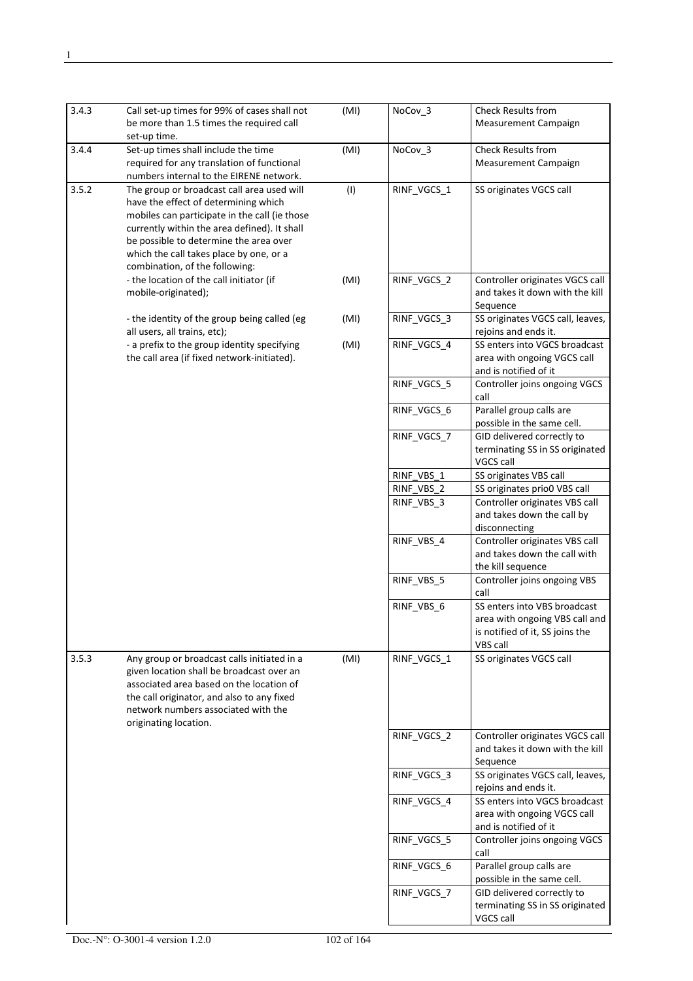| 3.4.3 | Call set-up times for 99% of cases shall not<br>be more than 1.5 times the required call<br>set-up time.                                                                                                                                                                                                   | (MI) | NoCov_3     | <b>Check Results from</b><br>Measurement Campaign                                                             |
|-------|------------------------------------------------------------------------------------------------------------------------------------------------------------------------------------------------------------------------------------------------------------------------------------------------------------|------|-------------|---------------------------------------------------------------------------------------------------------------|
| 3.4.4 | Set-up times shall include the time<br>required for any translation of functional<br>numbers internal to the EIRENE network.                                                                                                                                                                               | (MI) | NoCov_3     | <b>Check Results from</b><br><b>Measurement Campaign</b>                                                      |
| 3.5.2 | The group or broadcast call area used will<br>have the effect of determining which<br>mobiles can participate in the call (ie those<br>currently within the area defined). It shall<br>be possible to determine the area over<br>which the call takes place by one, or a<br>combination, of the following: | (1)  | RINF_VGCS_1 | SS originates VGCS call                                                                                       |
|       | - the location of the call initiator (if<br>mobile-originated);                                                                                                                                                                                                                                            | (MI) | RINF_VGCS_2 | Controller originates VGCS call<br>and takes it down with the kill<br>Sequence                                |
|       | - the identity of the group being called (eg<br>all users, all trains, etc);                                                                                                                                                                                                                               | (MI) | RINF_VGCS_3 | SS originates VGCS call, leaves,<br>rejoins and ends it.                                                      |
|       | - a prefix to the group identity specifying<br>the call area (if fixed network-initiated).                                                                                                                                                                                                                 | (MI) | RINF VGCS 4 | SS enters into VGCS broadcast<br>area with ongoing VGCS call<br>and is notified of it                         |
|       |                                                                                                                                                                                                                                                                                                            |      | RINF VGCS 5 | Controller joins ongoing VGCS<br>call                                                                         |
|       |                                                                                                                                                                                                                                                                                                            |      | RINF_VGCS_6 | Parallel group calls are<br>possible in the same cell.                                                        |
|       |                                                                                                                                                                                                                                                                                                            |      | RINF_VGCS_7 | GID delivered correctly to<br>terminating SS in SS originated<br>VGCS call                                    |
|       |                                                                                                                                                                                                                                                                                                            |      | RINF_VBS_1  | SS originates VBS call                                                                                        |
|       |                                                                                                                                                                                                                                                                                                            |      | RINF VBS 2  | SS originates prio0 VBS call                                                                                  |
|       |                                                                                                                                                                                                                                                                                                            |      | RINF_VBS_3  | Controller originates VBS call<br>and takes down the call by<br>disconnecting                                 |
|       |                                                                                                                                                                                                                                                                                                            |      | RINF_VBS_4  | Controller originates VBS call<br>and takes down the call with<br>the kill sequence                           |
|       |                                                                                                                                                                                                                                                                                                            |      | RINF_VBS_5  | Controller joins ongoing VBS<br>call                                                                          |
|       |                                                                                                                                                                                                                                                                                                            |      | RINF_VBS_6  | SS enters into VBS broadcast<br>area with ongoing VBS call and<br>is notified of it, SS joins the<br>VBS call |
| 3.5.3 | Any group or broadcast calls initiated in a<br>given location shall be broadcast over an<br>associated area based on the location of<br>the call originator, and also to any fixed<br>network numbers associated with the<br>originating location.                                                         | (MI) | RINF_VGCS_1 | SS originates VGCS call                                                                                       |
|       |                                                                                                                                                                                                                                                                                                            |      | RINF VGCS 2 | Controller originates VGCS call<br>and takes it down with the kill<br>Sequence                                |
|       |                                                                                                                                                                                                                                                                                                            |      | RINF_VGCS_3 | SS originates VGCS call, leaves,<br>rejoins and ends it.                                                      |
|       |                                                                                                                                                                                                                                                                                                            |      | RINF_VGCS_4 | SS enters into VGCS broadcast<br>area with ongoing VGCS call<br>and is notified of it                         |
|       |                                                                                                                                                                                                                                                                                                            |      | RINF_VGCS_5 | Controller joins ongoing VGCS<br>call                                                                         |
|       |                                                                                                                                                                                                                                                                                                            |      | RINF_VGCS_6 | Parallel group calls are<br>possible in the same cell.                                                        |
|       |                                                                                                                                                                                                                                                                                                            |      | RINF_VGCS_7 | GID delivered correctly to<br>terminating SS in SS originated<br>VGCS call                                    |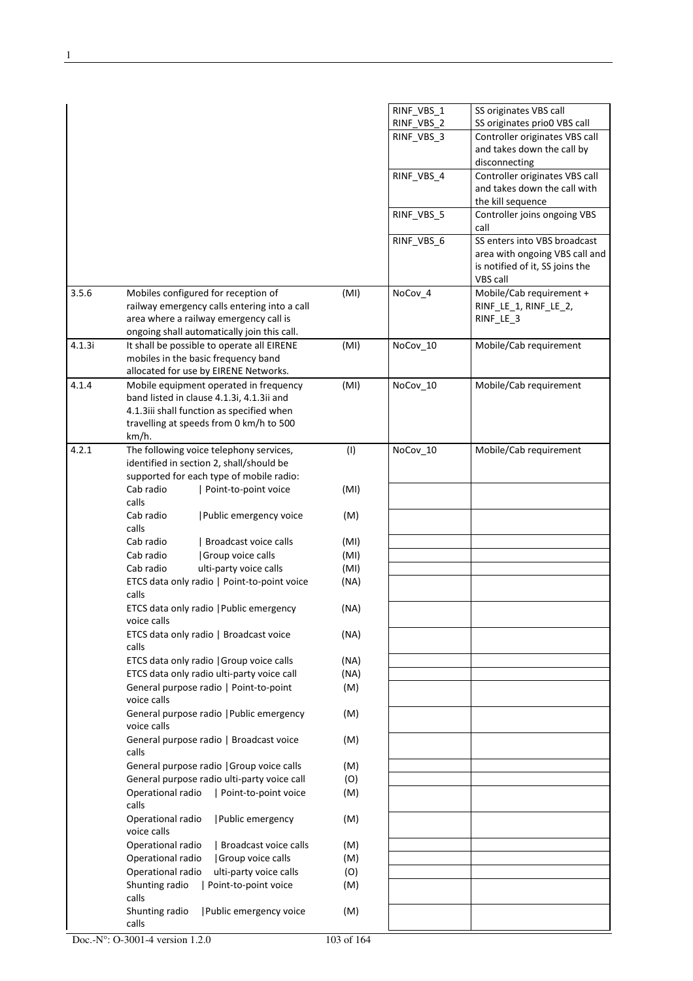|        |                                                                                       |      | RINF_VBS_1 | SS originates VBS call                                                                                        |
|--------|---------------------------------------------------------------------------------------|------|------------|---------------------------------------------------------------------------------------------------------------|
|        |                                                                                       |      | RINF_VBS_2 | SS originates prio0 VBS call                                                                                  |
|        |                                                                                       |      | RINF_VBS_3 | Controller originates VBS call<br>and takes down the call by                                                  |
|        |                                                                                       |      |            | disconnecting                                                                                                 |
|        |                                                                                       |      | RINF_VBS_4 | Controller originates VBS call                                                                                |
|        |                                                                                       |      |            | and takes down the call with                                                                                  |
|        |                                                                                       |      |            | the kill sequence                                                                                             |
|        |                                                                                       |      | RINF VBS 5 | Controller joins ongoing VBS<br>call                                                                          |
|        |                                                                                       |      | RINF_VBS_6 | SS enters into VBS broadcast<br>area with ongoing VBS call and<br>is notified of it, SS joins the<br>VBS call |
| 3.5.6  | Mobiles configured for reception of                                                   | (MI) | NoCov_4    | Mobile/Cab requirement +                                                                                      |
|        | railway emergency calls entering into a call                                          |      |            | RINF_LE_1, RINF_LE_2,                                                                                         |
|        | area where a railway emergency call is<br>ongoing shall automatically join this call. |      |            | RINF_LE_3                                                                                                     |
| 4.1.3i | It shall be possible to operate all EIRENE                                            | (MI) | NoCov_10   | Mobile/Cab requirement                                                                                        |
|        | mobiles in the basic frequency band                                                   |      |            |                                                                                                               |
|        | allocated for use by EIRENE Networks.                                                 |      |            |                                                                                                               |
| 4.1.4  | Mobile equipment operated in frequency                                                | (MI) | NoCov_10   | Mobile/Cab requirement                                                                                        |
|        | band listed in clause 4.1.3i, 4.1.3ii and                                             |      |            |                                                                                                               |
|        | 4.1.3iii shall function as specified when<br>travelling at speeds from 0 km/h to 500  |      |            |                                                                                                               |
|        | km/h.                                                                                 |      |            |                                                                                                               |
| 4.2.1  | The following voice telephony services,                                               | (1)  | NoCov_10   | Mobile/Cab requirement                                                                                        |
|        | identified in section 2, shall/should be                                              |      |            |                                                                                                               |
|        | supported for each type of mobile radio:                                              |      |            |                                                                                                               |
|        | Cab radio<br>Point-to-point voice<br>calls                                            | (MI) |            |                                                                                                               |
|        | Cab radio<br>Public emergency voice<br>calls                                          | (M)  |            |                                                                                                               |
|        | Cab radio<br>Broadcast voice calls                                                    | (MI) |            |                                                                                                               |
|        | Group voice calls<br>Cab radio                                                        | (MI) |            |                                                                                                               |
|        | Cab radio<br>ulti-party voice calls                                                   | (MI) |            |                                                                                                               |
|        | ETCS data only radio   Point-to-point voice<br>calls                                  | (NA) |            |                                                                                                               |
|        | ETCS data only radio   Public emergency<br>voice calls                                | (NA) |            |                                                                                                               |
|        | ETCS data only radio   Broadcast voice<br>calls                                       | (NA) |            |                                                                                                               |
|        | ETCS data only radio   Group voice calls                                              | (NA) |            |                                                                                                               |
|        | ETCS data only radio ulti-party voice call                                            | (NA) |            |                                                                                                               |
|        | General purpose radio   Point-to-point<br>voice calls                                 | (M)  |            |                                                                                                               |
|        | General purpose radio   Public emergency<br>voice calls                               | (M)  |            |                                                                                                               |
|        | General purpose radio   Broadcast voice<br>calls                                      | (M)  |            |                                                                                                               |
|        | General purpose radio   Group voice calls                                             | (M)  |            |                                                                                                               |
|        | General purpose radio ulti-party voice call                                           | (O)  |            |                                                                                                               |
|        | Point-to-point voice<br>Operational radio<br>calls                                    | (M)  |            |                                                                                                               |
|        | Operational radio<br>  Public emergency<br>voice calls                                | (M)  |            |                                                                                                               |
|        | Operational radio<br>Broadcast voice calls                                            | (M)  |            |                                                                                                               |
|        | Operational radio<br>Group voice calls                                                | (M)  |            |                                                                                                               |
|        | Operational radio<br>ulti-party voice calls                                           | (O)  |            |                                                                                                               |
|        | Shunting radio<br>  Point-to-point voice<br>calls                                     | (M)  |            |                                                                                                               |
|        | Shunting radio<br>Public emergency voice<br>calls                                     | (M)  |            |                                                                                                               |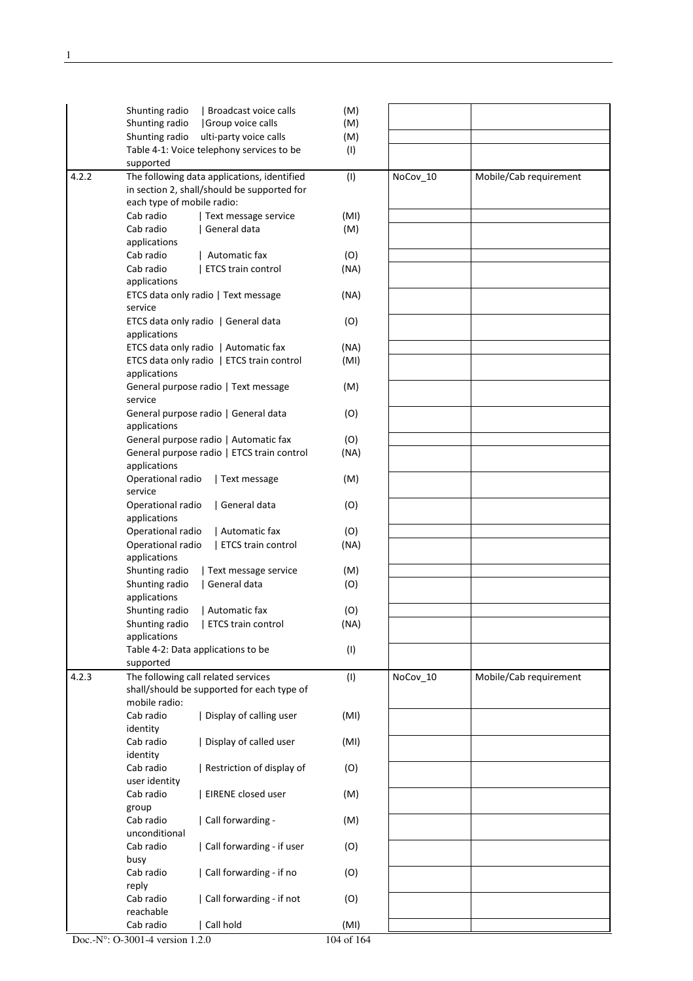|       | Shunting radio<br>  Broadcast voice calls      | (M)  |          |                        |
|-------|------------------------------------------------|------|----------|------------------------|
|       | Shunting radio<br>Group voice calls            | (M)  |          |                        |
|       | Shunting radio<br>ulti-party voice calls       | (M)  |          |                        |
|       | Table 4-1: Voice telephony services to be      | (1)  |          |                        |
|       | supported                                      |      |          |                        |
| 4.2.2 | The following data applications, identified    | (1)  | NoCov_10 | Mobile/Cab requirement |
|       | in section 2, shall/should be supported for    |      |          |                        |
|       | each type of mobile radio:                     |      |          |                        |
|       | Cab radio<br>Text message service              | (MI) |          |                        |
|       | Cab radio<br>General data                      | (M)  |          |                        |
|       | applications                                   |      |          |                        |
|       | Cab radio<br>Automatic fax                     | (O)  |          |                        |
|       | Cab radio<br><b>ETCS train control</b>         | (NA) |          |                        |
|       | applications                                   |      |          |                        |
|       | ETCS data only radio   Text message            | (NA) |          |                        |
|       | service                                        |      |          |                        |
|       | ETCS data only radio   General data            | (O)  |          |                        |
|       | applications                                   |      |          |                        |
|       | ETCS data only radio   Automatic fax           | (NA) |          |                        |
|       | ETCS data only radio   ETCS train control      | (MI) |          |                        |
|       | applications                                   |      |          |                        |
|       | General purpose radio   Text message           | (M)  |          |                        |
|       | service                                        |      |          |                        |
|       | General purpose radio   General data           | (O)  |          |                        |
|       | applications                                   |      |          |                        |
|       | General purpose radio   Automatic fax          | (O)  |          |                        |
|       | General purpose radio   ETCS train control     | (NA) |          |                        |
|       | applications                                   |      |          |                        |
|       | Operational radio<br>Text message              | (M)  |          |                        |
|       | service                                        |      |          |                        |
|       | Operational radio<br>  General data            | (O)  |          |                        |
|       | applications                                   |      |          |                        |
|       | Operational radio<br>Automatic fax             | (O)  |          |                        |
|       | Operational radio<br><b>ETCS train control</b> | (NA) |          |                        |
|       | applications                                   |      |          |                        |
|       | Shunting radio<br>Text message service         | (M)  |          |                        |
|       | Shunting radio<br>General data                 | (O)  |          |                        |
|       | applications                                   |      |          |                        |
|       | Shunting radio<br>  Automatic fax              | (O)  |          |                        |
|       | ETCS train control<br>Shunting radio           | (NA) |          |                        |
|       | applications                                   |      |          |                        |
|       | Table 4-2: Data applications to be             | (1)  |          |                        |
|       | supported                                      |      |          |                        |
| 4.2.3 | The following call related services            | (1)  | NoCov_10 | Mobile/Cab requirement |
|       | shall/should be supported for each type of     |      |          |                        |
|       | mobile radio:                                  |      |          |                        |
|       | Cab radio<br>Display of calling user           | (MI) |          |                        |
|       | identity                                       |      |          |                        |
|       | Cab radio<br>  Display of called user          | (MI) |          |                        |
|       | identity                                       |      |          |                        |
|       | Cab radio<br>Restriction of display of         | (O)  |          |                        |
|       | user identity                                  |      |          |                        |
|       | EIRENE closed user<br>Cab radio                | (M)  |          |                        |
|       | group                                          |      |          |                        |
|       | Cab radio<br>  Call forwarding -               | (M)  |          |                        |
|       | unconditional                                  |      |          |                        |
|       | Call forwarding - if user<br>Cab radio         | (O)  |          |                        |
|       | busy                                           |      |          |                        |
|       | Cab radio<br>Call forwarding - if no           | (O)  |          |                        |
|       | reply                                          |      |          |                        |
|       | Cab radio<br>Call forwarding - if not          | (O)  |          |                        |
|       | reachable                                      |      |          |                        |
|       | Cab radio<br>Call hold                         | (MI) |          |                        |
|       |                                                |      |          |                        |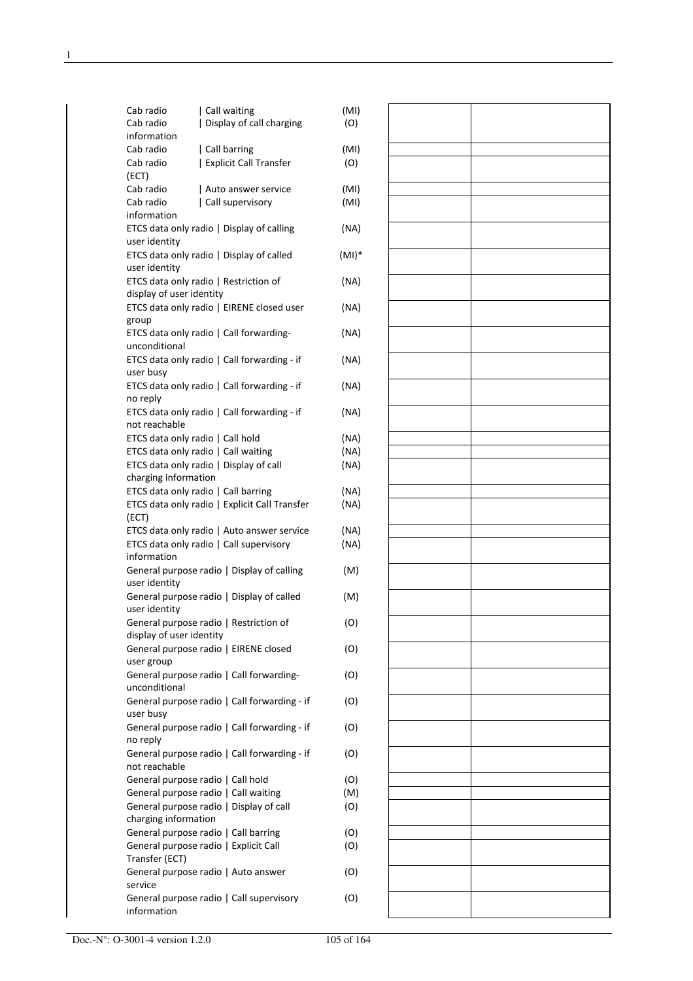| Cab radio<br>Call waiting                                     | (MI)     |  |
|---------------------------------------------------------------|----------|--|
| Cab radio<br>Display of call charging                         | (O)      |  |
| information                                                   |          |  |
| Cab radio<br>  Call barring                                   | (MI)     |  |
| Cab radio<br><b>Explicit Call Transfer</b>                    | (O)      |  |
| (ECT)                                                         |          |  |
| Cab radio<br>Auto answer service                              | (MI)     |  |
| Cab radio<br>Call supervisory                                 | (MI)     |  |
| information                                                   |          |  |
| ETCS data only radio   Display of calling                     | (NA)     |  |
| user identity                                                 |          |  |
| ETCS data only radio   Display of called                      | $(MI)^*$ |  |
| user identity<br>ETCS data only radio   Restriction of        | (NA)     |  |
| display of user identity                                      |          |  |
| ETCS data only radio   EIRENE closed user                     | (NA)     |  |
| group                                                         |          |  |
| ETCS data only radio   Call forwarding-                       | (NA)     |  |
| unconditional                                                 |          |  |
| ETCS data only radio   Call forwarding - if                   | (NA)     |  |
| user busy                                                     |          |  |
| ETCS data only radio   Call forwarding - if                   | (NA)     |  |
| no reply                                                      |          |  |
| ETCS data only radio   Call forwarding - if                   | (NA)     |  |
| not reachable                                                 |          |  |
| ETCS data only radio   Call hold                              | (NA)     |  |
| ETCS data only radio   Call waiting                           | (NA)     |  |
| ETCS data only radio   Display of call                        | (NA)     |  |
| charging information<br>ETCS data only radio   Call barring   | (NA)     |  |
| ETCS data only radio   Explicit Call Transfer                 | (NA)     |  |
| (ECT)                                                         |          |  |
| ETCS data only radio   Auto answer service                    | (NA)     |  |
| ETCS data only radio   Call supervisory                       | (NA)     |  |
| information                                                   |          |  |
| General purpose radio   Display of calling                    | (M)      |  |
| user identity                                                 |          |  |
| General purpose radio   Display of called                     | (M)      |  |
| user identity                                                 |          |  |
| General purpose radio   Restriction of                        | (O)      |  |
| display of user identity                                      |          |  |
| General purpose radio   EIRENE closed                         | (O)      |  |
| user group                                                    |          |  |
| General purpose radio   Call forwarding-                      | (O)      |  |
| unconditional<br>General purpose radio   Call forwarding - if |          |  |
| user busy                                                     | (O)      |  |
| General purpose radio   Call forwarding - if                  | (O)      |  |
| no reply                                                      |          |  |
| General purpose radio   Call forwarding - if                  | (O)      |  |
| not reachable                                                 |          |  |
| General purpose radio   Call hold                             | (O)      |  |
| General purpose radio   Call waiting                          | (M)      |  |
| General purpose radio   Display of call                       | (O)      |  |
| charging information                                          |          |  |
| General purpose radio   Call barring                          | (O)      |  |
| General purpose radio   Explicit Call                         | (O)      |  |
| Transfer (ECT)                                                |          |  |
| General purpose radio   Auto answer                           | (O)      |  |
| service                                                       |          |  |
| General purpose radio   Call supervisory<br>information       | (O)      |  |
|                                                               |          |  |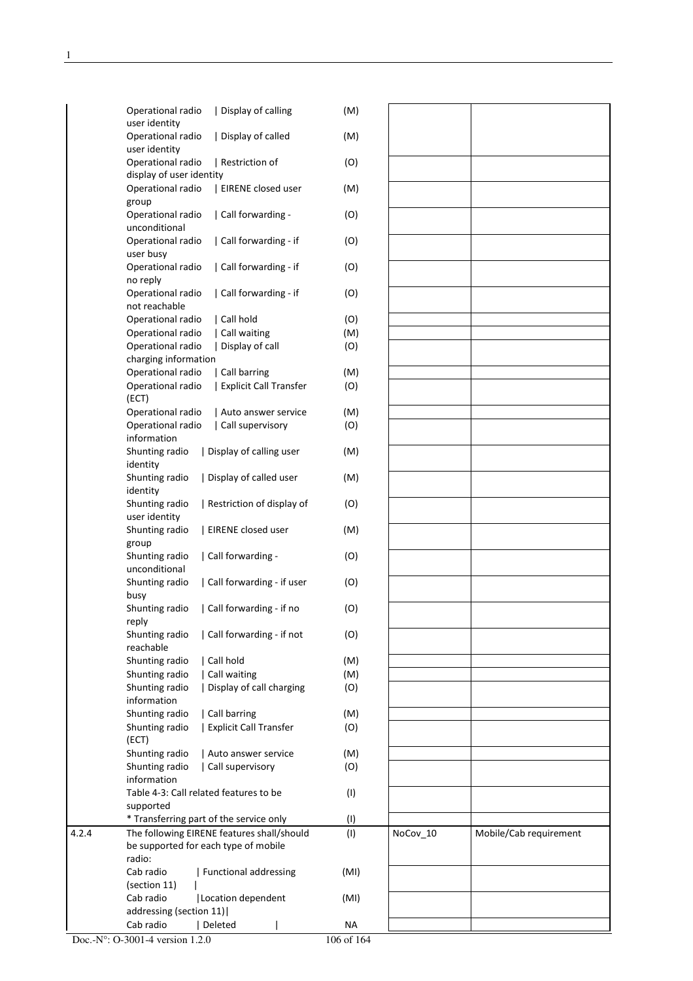|       | Operational radio                                   | Display of calling                         | (M)       |          |                        |
|-------|-----------------------------------------------------|--------------------------------------------|-----------|----------|------------------------|
|       | user identity<br>Operational radio                  | Display of called                          | (M)       |          |                        |
|       | user identity                                       |                                            |           |          |                        |
|       | Operational radio                                   | Restriction of                             | (O)       |          |                        |
|       | display of user identity                            |                                            |           |          |                        |
|       | Operational radio<br>group                          | EIRENE closed user                         | (M)       |          |                        |
|       | Operational radio<br>unconditional                  | Call forwarding -                          | (O)       |          |                        |
|       | Operational radio<br>user busy                      | Call forwarding - if                       | (O)       |          |                        |
|       | Operational radio<br>no reply                       | Call forwarding - if                       | (O)       |          |                        |
|       | Operational radio<br>not reachable                  | Call forwarding - if                       | (O)       |          |                        |
|       | Operational radio                                   | Call hold                                  | (O)       |          |                        |
|       | Operational radio                                   | Call waiting                               | (M)       |          |                        |
|       | Operational radio                                   | Display of call                            | (O)       |          |                        |
|       | charging information                                |                                            |           |          |                        |
|       | Operational radio                                   | Call barring                               | (M)       |          |                        |
|       | Operational radio<br>(ECT)                          | <b>Explicit Call Transfer</b>              | (O)       |          |                        |
|       | Operational radio                                   | Auto answer service                        | (M)       |          |                        |
|       | Operational radio                                   | Call supervisory                           | (O)       |          |                        |
|       | information                                         |                                            |           |          |                        |
|       | Shunting radio<br>identity                          | Display of calling user                    | (M)       |          |                        |
|       | Shunting radio<br>identity                          | Display of called user                     | (M)       |          |                        |
|       | Shunting radio<br>user identity                     | Restriction of display of                  | (O)       |          |                        |
|       | Shunting radio<br>group                             | EIRENE closed user                         | (M)       |          |                        |
|       | Shunting radio<br>unconditional                     | Call forwarding -                          | (O)       |          |                        |
|       | Shunting radio<br>busy                              | Call forwarding - if user                  | (O)       |          |                        |
|       | Shunting radio<br>reply                             | Call forwarding - if no                    | (O)       |          |                        |
|       | Shunting radio<br>reachable                         | Call forwarding - if not                   | (O)       |          |                        |
|       | Shunting radio                                      | Call hold                                  | (M)       |          |                        |
|       | Shunting radio                                      | Call waiting                               | (M)       |          |                        |
|       | Shunting radio                                      | Display of call charging                   | (O)       |          |                        |
|       | information                                         |                                            |           |          |                        |
|       | Shunting radio                                      | Call barring                               | (M)       |          |                        |
|       | Shunting radio<br>(ECT)                             | <b>Explicit Call Transfer</b>              | (O)       |          |                        |
|       | Shunting radio                                      | Auto answer service                        | (M)       |          |                        |
|       | Shunting radio<br>information                       | Call supervisory                           | (O)       |          |                        |
|       | Table 4-3: Call related features to be<br>supported |                                            | (1)       |          |                        |
|       |                                                     | * Transferring part of the service only    | (1)       |          |                        |
| 4.2.4 |                                                     | The following EIRENE features shall/should | (1)       | NoCov_10 | Mobile/Cab requirement |
|       | be supported for each type of mobile<br>radio:      |                                            |           |          |                        |
|       | Cab radio                                           | Functional addressing                      | (MI)      |          |                        |
|       | (section 11)                                        |                                            |           |          |                        |
|       | Cab radio                                           | Location dependent                         | (MI)      |          |                        |
|       | addressing (section 11)                             |                                            |           |          |                        |
|       | Cab radio                                           | Deleted                                    | <b>NA</b> |          |                        |
|       | $20011$                                             |                                            | 106.0164  |          |                        |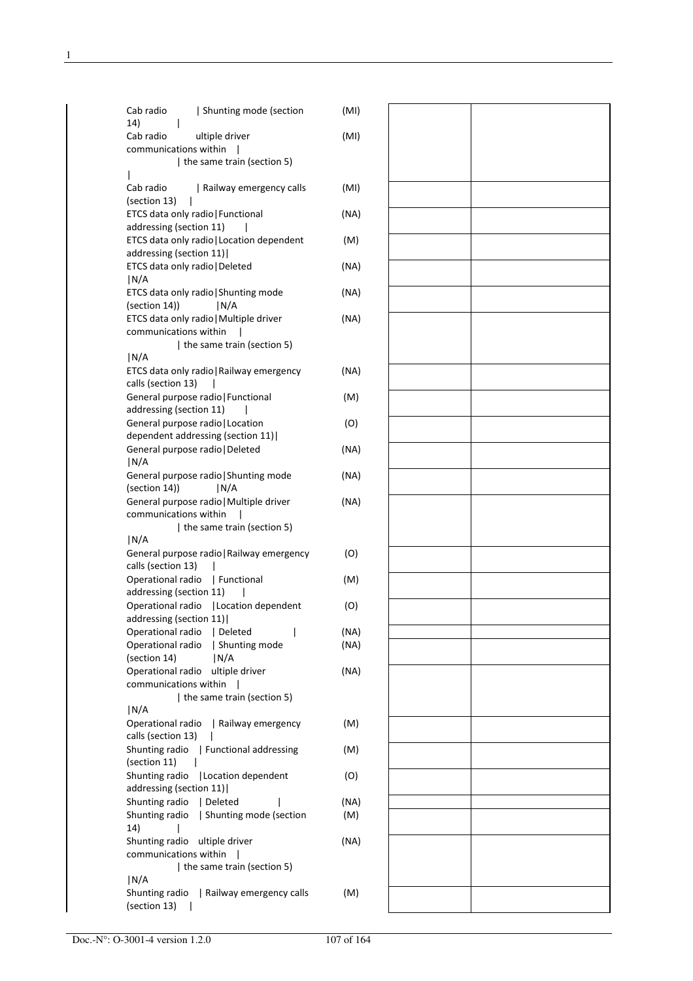| Shunting mode (section<br>Cab radio<br>14)                      | (MI) |  |  |
|-----------------------------------------------------------------|------|--|--|
| Cab radio<br>ultiple driver                                     | (MI) |  |  |
| communications within                                           |      |  |  |
| the same train (section 5)                                      |      |  |  |
|                                                                 |      |  |  |
| Cab radio<br>  Railway emergency calls                          | (MI) |  |  |
| (section 13)                                                    |      |  |  |
| ETCS data only radio   Functional                               | (NA) |  |  |
| addressing (section 11)                                         |      |  |  |
| ETCS data only radio   Location dependent                       | (M)  |  |  |
| addressing (section 11)                                         |      |  |  |
| ETCS data only radio   Deleted                                  | (NA) |  |  |
| N/A                                                             |      |  |  |
| ETCS data only radio   Shunting mode                            | (NA) |  |  |
| (section 14)<br> N/A                                            |      |  |  |
| ETCS data only radio   Multiple driver<br>communications within | (NA) |  |  |
| the same train (section 5)                                      |      |  |  |
| N/A                                                             |      |  |  |
| ETCS data only radio   Railway emergency                        | (NA) |  |  |
| calls (section 13)                                              |      |  |  |
| General purpose radio   Functional                              | (M)  |  |  |
| addressing (section 11)                                         |      |  |  |
| General purpose radio   Location                                | (O)  |  |  |
| dependent addressing (section 11)                               |      |  |  |
| General purpose radio   Deleted                                 | (NA) |  |  |
| N/A                                                             |      |  |  |
| General purpose radio   Shunting mode                           | (NA) |  |  |
| (section 14))<br> N/A                                           |      |  |  |
| General purpose radio   Multiple driver                         | (NA) |  |  |
| communications within                                           |      |  |  |
| the same train (section 5)                                      |      |  |  |
| N/A                                                             |      |  |  |
| General purpose radio   Railway emergency                       | (O)  |  |  |
| calls (section 13)                                              |      |  |  |
| Operational radio<br>  Functional                               | (M)  |  |  |
| addressing (section 11)                                         |      |  |  |
| Operational radio   Location dependent                          | (O)  |  |  |
| addressing (section 11)                                         |      |  |  |
| Deleted<br>Operational radio                                    | (NA) |  |  |
| Operational radio<br>  Shunting mode                            | (NA) |  |  |
| (section 14)<br> N/A                                            |      |  |  |
| Operational radio ultiple driver                                | (NA) |  |  |
| communications within                                           |      |  |  |
| the same train (section 5)                                      |      |  |  |
| N/A                                                             |      |  |  |
| Operational radio<br>  Railway emergency                        | (M)  |  |  |
| calls (section 13)                                              |      |  |  |
| Shunting radio   Functional addressing                          | (M)  |  |  |
| (section 11)                                                    |      |  |  |
| Shunting radio   Location dependent<br>addressing (section 11)  | (O)  |  |  |
| Shunting radio<br>  Deleted                                     | (NA) |  |  |
| Shunting mode (section<br>Shunting radio                        | (M)  |  |  |
| 14)                                                             |      |  |  |
| Shunting radio ultiple driver                                   | (NA) |  |  |
| communications within                                           |      |  |  |
| the same train (section 5)                                      |      |  |  |
| N/A                                                             |      |  |  |
| Shunting radio<br>  Railway emergency calls                     | (M)  |  |  |
| (section 13)                                                    |      |  |  |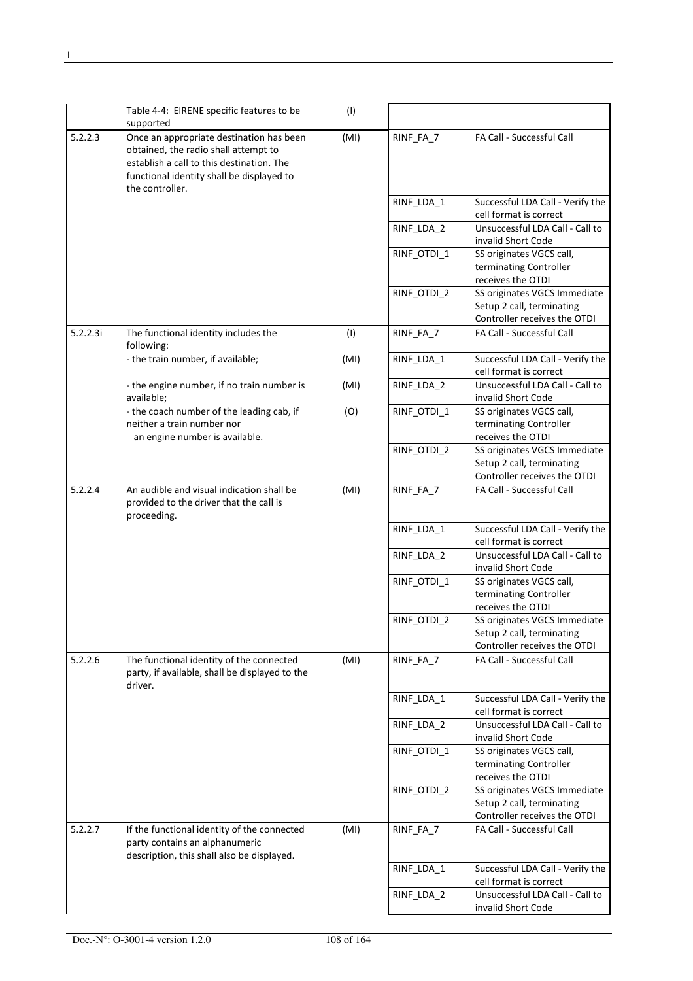|          | Table 4-4: EIRENE specific features to be<br>supported                                                                                                                                        | (1)  |             |                                                                                           |
|----------|-----------------------------------------------------------------------------------------------------------------------------------------------------------------------------------------------|------|-------------|-------------------------------------------------------------------------------------------|
| 5.2.2.3  | Once an appropriate destination has been<br>obtained, the radio shall attempt to<br>establish a call to this destination. The<br>functional identity shall be displayed to<br>the controller. | (MI) | RINF_FA_7   | FA Call - Successful Call                                                                 |
|          |                                                                                                                                                                                               |      | RINF_LDA_1  | Successful LDA Call - Verify the<br>cell format is correct                                |
|          |                                                                                                                                                                                               |      | RINF_LDA_2  | Unsuccessful LDA Call - Call to<br>invalid Short Code                                     |
|          |                                                                                                                                                                                               |      | RINF_OTDI_1 | SS originates VGCS call,<br>terminating Controller<br>receives the OTDI                   |
|          |                                                                                                                                                                                               |      | RINF_OTDI_2 | SS originates VGCS Immediate<br>Setup 2 call, terminating<br>Controller receives the OTDI |
| 5.2.2.3i | The functional identity includes the<br>following:                                                                                                                                            | (1)  | RINF_FA_7   | FA Call - Successful Call                                                                 |
|          | - the train number, if available;                                                                                                                                                             | (MI) | RINF_LDA_1  | Successful LDA Call - Verify the<br>cell format is correct                                |
|          | - the engine number, if no train number is<br>available;                                                                                                                                      | (MI) | RINF_LDA_2  | Unsuccessful LDA Call - Call to<br>invalid Short Code                                     |
|          | - the coach number of the leading cab, if<br>neither a train number nor<br>an engine number is available.                                                                                     | (O)  | RINF_OTDI_1 | SS originates VGCS call,<br>terminating Controller<br>receives the OTDI                   |
|          |                                                                                                                                                                                               |      | RINF_OTDI_2 | SS originates VGCS Immediate<br>Setup 2 call, terminating<br>Controller receives the OTDI |
| 5.2.2.4  | An audible and visual indication shall be<br>provided to the driver that the call is<br>proceeding.                                                                                           | (MI) | RINF_FA_7   | FA Call - Successful Call                                                                 |
|          |                                                                                                                                                                                               |      | RINF_LDA_1  | Successful LDA Call - Verify the<br>cell format is correct                                |
|          |                                                                                                                                                                                               |      | RINF_LDA_2  | Unsuccessful LDA Call - Call to<br>invalid Short Code                                     |
|          |                                                                                                                                                                                               |      | RINF OTDI 1 | SS originates VGCS call,<br>terminating Controller<br>receives the OTDI                   |
|          |                                                                                                                                                                                               |      | RINF_OTDI_2 | SS originates VGCS Immediate<br>Setup 2 call, terminating<br>Controller receives the OTDI |
| 5.2.2.6  | The functional identity of the connected<br>party, if available, shall be displayed to the<br>driver.                                                                                         | (MI) | RINF_FA_7   | FA Call - Successful Call                                                                 |
|          |                                                                                                                                                                                               |      | RINF_LDA_1  | Successful LDA Call - Verify the<br>cell format is correct                                |
|          |                                                                                                                                                                                               |      | RINF LDA 2  | Unsuccessful LDA Call - Call to<br>invalid Short Code                                     |
|          |                                                                                                                                                                                               |      | RINF_OTDI_1 | SS originates VGCS call,<br>terminating Controller<br>receives the OTDI                   |
|          |                                                                                                                                                                                               |      | RINF_OTDI_2 | SS originates VGCS Immediate<br>Setup 2 call, terminating<br>Controller receives the OTDI |
| 5.2.2.7  | If the functional identity of the connected<br>party contains an alphanumeric<br>description, this shall also be displayed.                                                                   | (MI) | RINF_FA_7   | FA Call - Successful Call                                                                 |
|          |                                                                                                                                                                                               |      | RINF_LDA_1  | Successful LDA Call - Verify the<br>cell format is correct                                |
|          |                                                                                                                                                                                               |      | RINF_LDA_2  | Unsuccessful LDA Call - Call to<br>invalid Short Code                                     |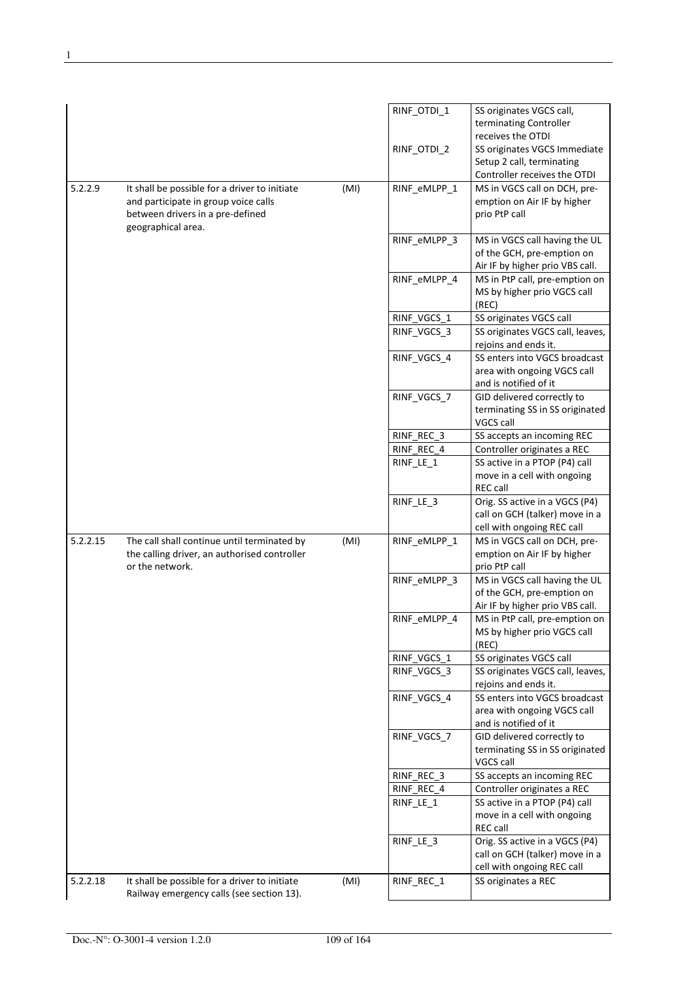|          |                                                                                            |      | RINF_OTDI_1  | SS originates VGCS call,                       |
|----------|--------------------------------------------------------------------------------------------|------|--------------|------------------------------------------------|
|          |                                                                                            |      |              | terminating Controller                         |
|          |                                                                                            |      |              | receives the OTDI                              |
|          |                                                                                            |      | RINF_OTDI_2  | SS originates VGCS Immediate                   |
|          |                                                                                            |      |              | Setup 2 call, terminating                      |
|          |                                                                                            |      |              | Controller receives the OTDI                   |
| 5.2.2.9  | It shall be possible for a driver to initiate                                              | (MI) | RINF_eMLPP_1 | MS in VGCS call on DCH, pre-                   |
|          | and participate in group voice calls                                                       |      |              | emption on Air IF by higher                    |
|          | between drivers in a pre-defined                                                           |      |              | prio PtP call                                  |
|          | geographical area.                                                                         |      |              |                                                |
|          |                                                                                            |      | RINF_eMLPP_3 | MS in VGCS call having the UL                  |
|          |                                                                                            |      |              | of the GCH, pre-emption on                     |
|          |                                                                                            |      |              | Air IF by higher prio VBS call.                |
|          |                                                                                            |      | RINF_eMLPP_4 | MS in PtP call, pre-emption on                 |
|          |                                                                                            |      |              | MS by higher prio VGCS call                    |
|          |                                                                                            |      |              | (REC)                                          |
|          |                                                                                            |      | RINF_VGCS_1  | SS originates VGCS call                        |
|          |                                                                                            |      | RINF VGCS 3  | SS originates VGCS call, leaves,               |
|          |                                                                                            |      |              | rejoins and ends it.                           |
|          |                                                                                            |      | RINF_VGCS_4  | SS enters into VGCS broadcast                  |
|          |                                                                                            |      |              | area with ongoing VGCS call                    |
|          |                                                                                            |      |              | and is notified of it                          |
|          |                                                                                            |      | RINF_VGCS_7  | GID delivered correctly to                     |
|          |                                                                                            |      |              | terminating SS in SS originated                |
|          |                                                                                            |      |              | VGCS call                                      |
|          |                                                                                            |      | RINF_REC_3   | SS accepts an incoming REC                     |
|          |                                                                                            |      | RINF REC 4   | Controller originates a REC                    |
|          |                                                                                            |      | RINF_LE_1    | SS active in a PTOP (P4) call                  |
|          |                                                                                            |      |              |                                                |
|          |                                                                                            |      |              | move in a cell with ongoing<br><b>REC call</b> |
|          |                                                                                            |      |              |                                                |
|          |                                                                                            |      |              |                                                |
|          |                                                                                            |      | RINF_LE_3    | Orig. SS active in a VGCS (P4)                 |
|          |                                                                                            |      |              | call on GCH (talker) move in a                 |
|          |                                                                                            |      |              | cell with ongoing REC call                     |
| 5.2.2.15 | The call shall continue until terminated by                                                | (MI) | RINF_eMLPP_1 | MS in VGCS call on DCH, pre-                   |
|          | the calling driver, an authorised controller                                               |      |              | emption on Air IF by higher                    |
|          | or the network.                                                                            |      |              | prio PtP call                                  |
|          |                                                                                            |      | RINF eMLPP 3 | MS in VGCS call having the UL                  |
|          |                                                                                            |      |              | of the GCH, pre-emption on                     |
|          |                                                                                            |      |              | Air IF by higher prio VBS call.                |
|          |                                                                                            |      | RINF_eMLPP_4 | MS in PtP call, pre-emption on                 |
|          |                                                                                            |      |              | MS by higher prio VGCS call                    |
|          |                                                                                            |      |              | (REC)                                          |
|          |                                                                                            |      | RINF_VGCS_1  | SS originates VGCS call                        |
|          |                                                                                            |      | RINF_VGCS_3  | SS originates VGCS call, leaves,               |
|          |                                                                                            |      |              | rejoins and ends it.                           |
|          |                                                                                            |      | RINF VGCS 4  | SS enters into VGCS broadcast                  |
|          |                                                                                            |      |              | area with ongoing VGCS call                    |
|          |                                                                                            |      |              | and is notified of it                          |
|          |                                                                                            |      | RINF_VGCS_7  | GID delivered correctly to                     |
|          |                                                                                            |      |              | terminating SS in SS originated                |
|          |                                                                                            |      |              | VGCS call                                      |
|          |                                                                                            |      | RINF_REC_3   | SS accepts an incoming REC                     |
|          |                                                                                            |      | RINF REC 4   | Controller originates a REC                    |
|          |                                                                                            |      | RINF_LE_1    | SS active in a PTOP (P4) call                  |
|          |                                                                                            |      |              | move in a cell with ongoing                    |
|          |                                                                                            |      |              | <b>REC call</b>                                |
|          |                                                                                            |      | RINF_LE_3    | Orig. SS active in a VGCS (P4)                 |
|          |                                                                                            |      |              | call on GCH (talker) move in a                 |
|          |                                                                                            |      |              | cell with ongoing REC call                     |
| 5.2.2.18 | It shall be possible for a driver to initiate<br>Railway emergency calls (see section 13). | (MI) | RINF_REC_1   | SS originates a REC                            |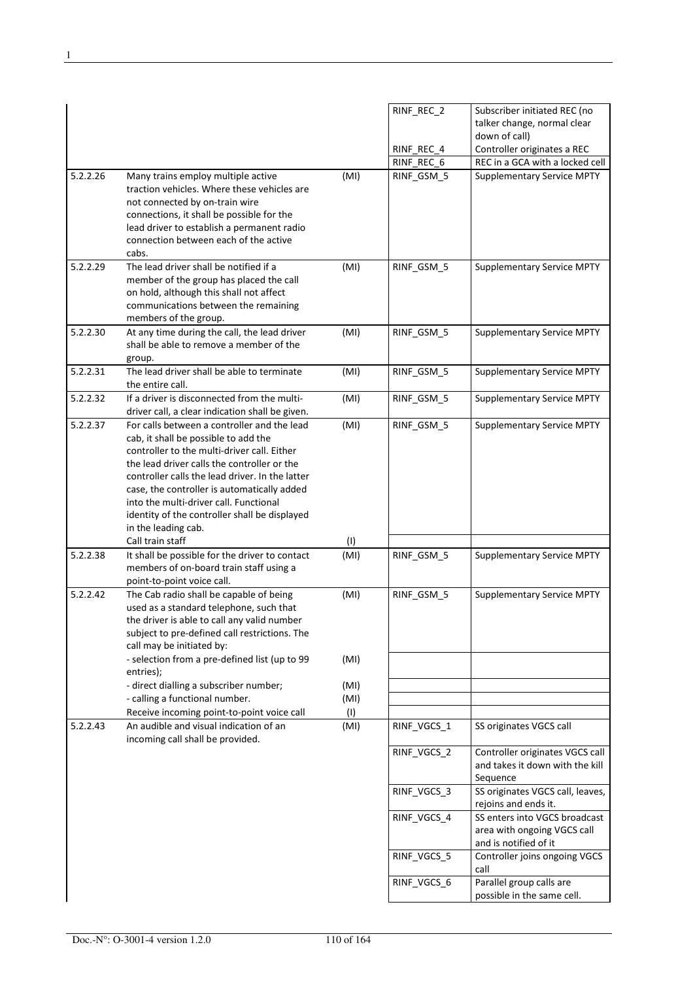|          |                                                                                                                                                                                                                                                                                                                                                                                                       |              | RINF_REC_2<br>RINF_REC_4 | Subscriber initiated REC (no<br>talker change, normal clear<br>down of call)<br>Controller originates a REC |
|----------|-------------------------------------------------------------------------------------------------------------------------------------------------------------------------------------------------------------------------------------------------------------------------------------------------------------------------------------------------------------------------------------------------------|--------------|--------------------------|-------------------------------------------------------------------------------------------------------------|
|          |                                                                                                                                                                                                                                                                                                                                                                                                       |              | RINF_REC_6               | REC in a GCA with a locked cell                                                                             |
| 5.2.2.26 | Many trains employ multiple active<br>traction vehicles. Where these vehicles are<br>not connected by on-train wire<br>connections, it shall be possible for the<br>lead driver to establish a permanent radio<br>connection between each of the active<br>cabs.                                                                                                                                      | (MI)         | RINF_GSM_5               | <b>Supplementary Service MPTY</b>                                                                           |
| 5.2.2.29 | The lead driver shall be notified if a<br>member of the group has placed the call<br>on hold, although this shall not affect<br>communications between the remaining<br>members of the group.                                                                                                                                                                                                         | (MI)         | RINF_GSM_5               | <b>Supplementary Service MPTY</b>                                                                           |
| 5.2.2.30 | At any time during the call, the lead driver<br>shall be able to remove a member of the<br>group.                                                                                                                                                                                                                                                                                                     | (MI)         | RINF_GSM_5               | <b>Supplementary Service MPTY</b>                                                                           |
| 5.2.2.31 | The lead driver shall be able to terminate<br>the entire call.                                                                                                                                                                                                                                                                                                                                        | (MI)         | RINF_GSM_5               | <b>Supplementary Service MPTY</b>                                                                           |
| 5.2.2.32 | If a driver is disconnected from the multi-<br>driver call, a clear indication shall be given.                                                                                                                                                                                                                                                                                                        | (MI)         | RINF GSM 5               | <b>Supplementary Service MPTY</b>                                                                           |
| 5.2.2.37 | For calls between a controller and the lead<br>cab, it shall be possible to add the<br>controller to the multi-driver call. Either<br>the lead driver calls the controller or the<br>controller calls the lead driver. In the latter<br>case, the controller is automatically added<br>into the multi-driver call. Functional<br>identity of the controller shall be displayed<br>in the leading cab. | (MI)         | RINF_GSM_5               | <b>Supplementary Service MPTY</b>                                                                           |
|          | Call train staff                                                                                                                                                                                                                                                                                                                                                                                      | (1)          |                          |                                                                                                             |
| 5.2.2.38 | It shall be possible for the driver to contact<br>members of on-board train staff using a<br>point-to-point voice call.                                                                                                                                                                                                                                                                               | (MI)         | RINF_GSM_5               | <b>Supplementary Service MPTY</b>                                                                           |
| 5.2.2.42 | The Cab radio shall be capable of being<br>used as a standard telephone, such that<br>the driver is able to call any valid number<br>subject to pre-defined call restrictions. The<br>call may be initiated by:                                                                                                                                                                                       | (MI)         | RINF GSM 5               | <b>Supplementary Service MPTY</b>                                                                           |
|          | - selection from a pre-defined list (up to 99<br>entries);                                                                                                                                                                                                                                                                                                                                            | (MI)         |                          |                                                                                                             |
|          | - direct dialling a subscriber number;<br>- calling a functional number.                                                                                                                                                                                                                                                                                                                              | (MI)<br>(MI) |                          |                                                                                                             |
| 5.2.2.43 | Receive incoming point-to-point voice call<br>An audible and visual indication of an<br>incoming call shall be provided.                                                                                                                                                                                                                                                                              | (1)<br>(MI)  | RINF_VGCS_1              | SS originates VGCS call                                                                                     |
|          |                                                                                                                                                                                                                                                                                                                                                                                                       |              | RINF_VGCS_2              | Controller originates VGCS call<br>and takes it down with the kill<br>Sequence                              |
|          |                                                                                                                                                                                                                                                                                                                                                                                                       |              | RINF_VGCS_3              | SS originates VGCS call, leaves,<br>rejoins and ends it.                                                    |
|          |                                                                                                                                                                                                                                                                                                                                                                                                       |              | RINF_VGCS_4              | SS enters into VGCS broadcast<br>area with ongoing VGCS call<br>and is notified of it                       |
|          |                                                                                                                                                                                                                                                                                                                                                                                                       |              | RINF_VGCS_5              | Controller joins ongoing VGCS<br>call                                                                       |
|          |                                                                                                                                                                                                                                                                                                                                                                                                       |              | RINF_VGCS_6              | Parallel group calls are<br>possible in the same cell.                                                      |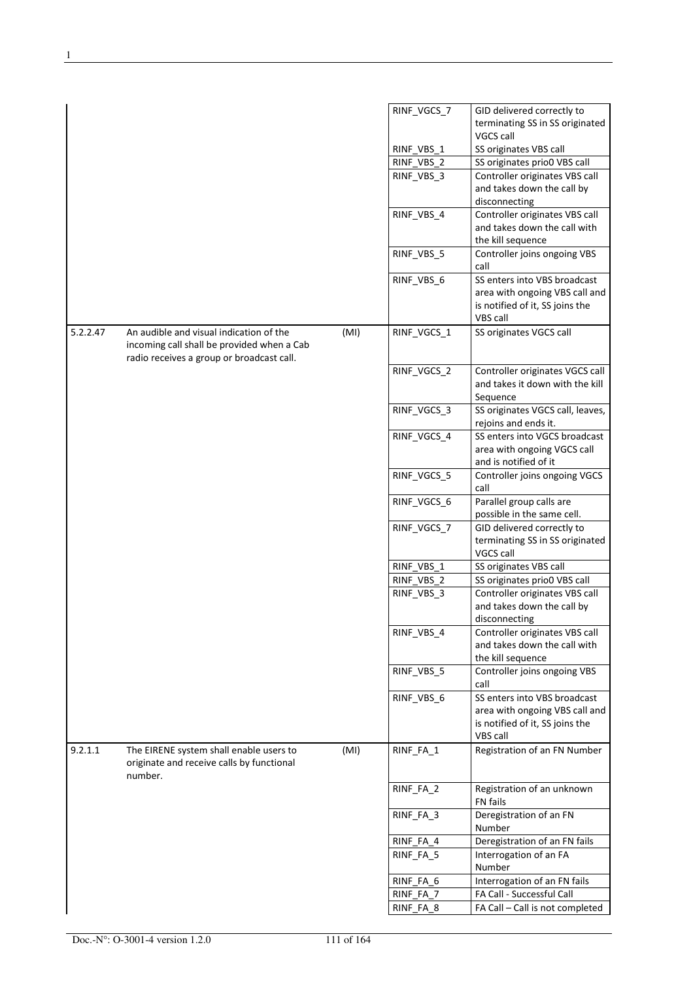|          |                                                                                                 |      | RINF_VGCS_7 | GID delivered correctly to                                   |
|----------|-------------------------------------------------------------------------------------------------|------|-------------|--------------------------------------------------------------|
|          |                                                                                                 |      |             | terminating SS in SS originated                              |
|          |                                                                                                 |      |             | VGCS call                                                    |
|          |                                                                                                 |      | RINF VBS 1  | SS originates VBS call                                       |
|          |                                                                                                 |      | RINF_VBS_2  | SS originates prio0 VBS call                                 |
|          |                                                                                                 |      | RINF_VBS_3  | Controller originates VBS call                               |
|          |                                                                                                 |      |             | and takes down the call by                                   |
|          |                                                                                                 |      |             | disconnecting                                                |
|          |                                                                                                 |      | RINF_VBS_4  | Controller originates VBS call                               |
|          |                                                                                                 |      |             | and takes down the call with                                 |
|          |                                                                                                 |      |             | the kill sequence                                            |
|          |                                                                                                 |      | RINF_VBS_5  | Controller joins ongoing VBS                                 |
|          |                                                                                                 |      |             | call                                                         |
|          |                                                                                                 |      | RINF_VBS_6  | SS enters into VBS broadcast                                 |
|          |                                                                                                 |      |             | area with ongoing VBS call and                               |
|          |                                                                                                 |      |             | is notified of it, SS joins the                              |
|          |                                                                                                 |      |             | VBS call                                                     |
| 5.2.2.47 | An audible and visual indication of the                                                         | (MI) | RINF_VGCS_1 | SS originates VGCS call                                      |
|          | incoming call shall be provided when a Cab<br>radio receives a group or broadcast call.         |      |             |                                                              |
|          |                                                                                                 |      | RINF_VGCS_2 | Controller originates VGCS call                              |
|          |                                                                                                 |      |             | and takes it down with the kill                              |
|          |                                                                                                 |      |             | Sequence                                                     |
|          |                                                                                                 |      | RINF_VGCS_3 | SS originates VGCS call, leaves,<br>rejoins and ends it.     |
|          |                                                                                                 |      | RINF_VGCS_4 | SS enters into VGCS broadcast                                |
|          |                                                                                                 |      |             | area with ongoing VGCS call                                  |
|          |                                                                                                 |      |             | and is notified of it                                        |
|          |                                                                                                 |      | RINF_VGCS_5 | Controller joins ongoing VGCS                                |
|          |                                                                                                 |      |             | call                                                         |
|          |                                                                                                 |      | RINF_VGCS_6 | Parallel group calls are                                     |
|          |                                                                                                 |      |             | possible in the same cell.                                   |
|          |                                                                                                 |      | RINF_VGCS_7 | GID delivered correctly to                                   |
|          |                                                                                                 |      |             | terminating SS in SS originated                              |
|          |                                                                                                 |      |             | VGCS call                                                    |
|          |                                                                                                 |      | RINF VBS 1  | SS originates VBS call                                       |
|          |                                                                                                 |      | RINF_VBS_2  | SS originates prio0 VBS call                                 |
|          |                                                                                                 |      |             |                                                              |
|          |                                                                                                 |      | RINF_VBS_3  | Controller originates VBS call<br>and takes down the call by |
|          |                                                                                                 |      |             |                                                              |
|          |                                                                                                 |      |             | disconnecting                                                |
|          |                                                                                                 |      | RINF_VBS_4  | Controller originates VBS call                               |
|          |                                                                                                 |      |             | and takes down the call with                                 |
|          |                                                                                                 |      |             | the kill sequence                                            |
|          |                                                                                                 |      | RINF VBS 5  | Controller joins ongoing VBS                                 |
|          |                                                                                                 |      |             | call                                                         |
|          |                                                                                                 |      | RINF_VBS_6  | SS enters into VBS broadcast                                 |
|          |                                                                                                 |      |             | area with ongoing VBS call and                               |
|          |                                                                                                 |      |             | is notified of it, SS joins the                              |
|          |                                                                                                 |      |             | VBS call                                                     |
| 9.2.1.1  | The EIRENE system shall enable users to<br>originate and receive calls by functional<br>number. | (MI) | RINF_FA_1   | Registration of an FN Number                                 |
|          |                                                                                                 |      | RINF_FA_2   | Registration of an unknown<br>FN fails                       |
|          |                                                                                                 |      | RINF_FA_3   | Deregistration of an FN<br>Number                            |
|          |                                                                                                 |      | RINF_FA_4   | Deregistration of an FN fails                                |
|          |                                                                                                 |      | RINF_FA_5   | Interrogation of an FA                                       |
|          |                                                                                                 |      |             | Number                                                       |
|          |                                                                                                 |      | RINF_FA_6   | Interrogation of an FN fails                                 |
|          |                                                                                                 |      | RINF_FA_7   | FA Call - Successful Call                                    |
|          |                                                                                                 |      | RINF_FA_8   | FA Call - Call is not completed                              |
|          |                                                                                                 |      |             |                                                              |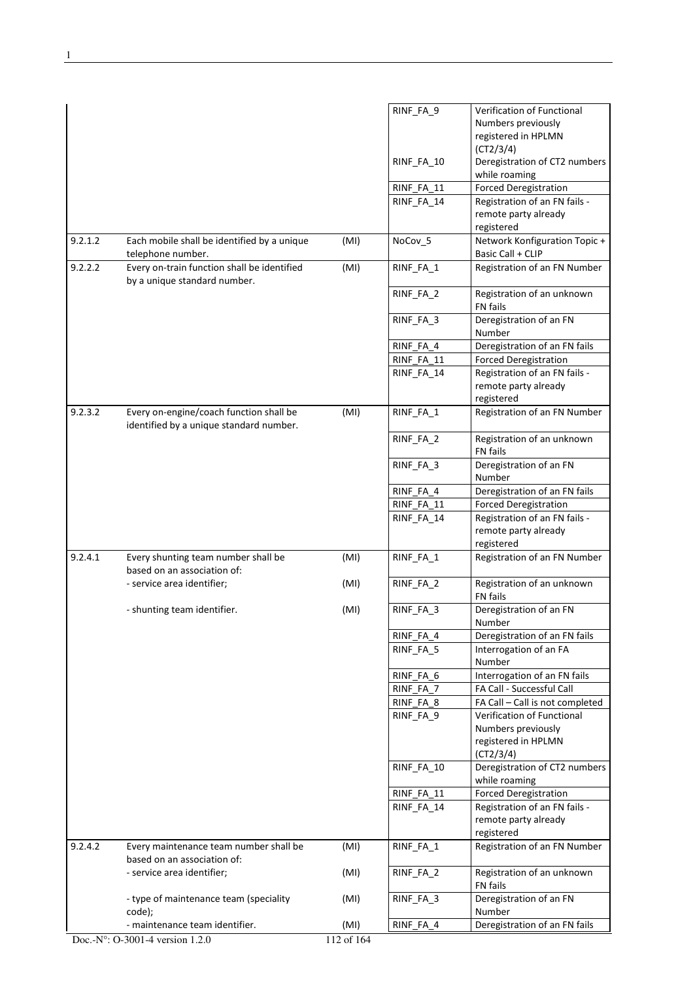|         |                                                                                    |            | RINF_FA_9                | Verification of Functional<br>Numbers previously<br>registered in HPLMN |
|---------|------------------------------------------------------------------------------------|------------|--------------------------|-------------------------------------------------------------------------|
|         |                                                                                    |            | RINF FA 10               | (CT2/3/4)<br>Deregistration of CT2 numbers<br>while roaming             |
|         |                                                                                    |            | RINF_FA_11               | <b>Forced Deregistration</b>                                            |
|         |                                                                                    |            | RINF_FA_14               | Registration of an FN fails -<br>remote party already<br>registered     |
| 9.2.1.2 | Each mobile shall be identified by a unique<br>telephone number.                   | (MI)       | NoCov_5                  | Network Konfiguration Topic +<br>Basic Call + CLIP                      |
| 9.2.2.2 | Every on-train function shall be identified<br>by a unique standard number.        | (MI)       | RINF_FA_1                | Registration of an FN Number                                            |
|         |                                                                                    |            | RINF_FA_2                | Registration of an unknown<br><b>FN</b> fails                           |
|         |                                                                                    |            | RINF_FA_3                | Deregistration of an FN<br>Number                                       |
|         |                                                                                    |            | RINF_FA_4                | Deregistration of an FN fails                                           |
|         |                                                                                    |            | RINF FA 11<br>RINF_FA_14 | <b>Forced Deregistration</b><br>Registration of an FN fails -           |
|         |                                                                                    |            |                          | remote party already<br>registered                                      |
| 9.2.3.2 | Every on-engine/coach function shall be<br>identified by a unique standard number. | (MI)       | RINF_FA_1                | Registration of an FN Number                                            |
|         |                                                                                    |            | RINF_FA_2                | Registration of an unknown<br>FN fails                                  |
|         |                                                                                    |            | RINF_FA_3                | Deregistration of an FN<br>Number                                       |
|         |                                                                                    |            | RINF_FA_4                | Deregistration of an FN fails                                           |
|         |                                                                                    |            | RINF_FA_11               | <b>Forced Deregistration</b>                                            |
|         |                                                                                    |            | RINF_FA_14               | Registration of an FN fails -<br>remote party already<br>registered     |
| 9.2.4.1 | Every shunting team number shall be<br>based on an association of:                 | (MI)       | RINF_FA_1                | Registration of an FN Number                                            |
|         | - service area identifier;                                                         | (MI)       | RINF_FA_2                | Registration of an unknown<br><b>FN</b> fails                           |
|         | - shunting team identifier.                                                        | (MI)       | RINF_FA_3                | Deregistration of an FN<br>Number                                       |
|         |                                                                                    |            | RINF FA 4                | Deregistration of an FN fails                                           |
|         |                                                                                    |            | RINF_FA_5                | Interrogation of an FA<br>Number                                        |
|         |                                                                                    |            | RINF_FA_6                | Interrogation of an FN fails                                            |
|         |                                                                                    |            | RINF_FA_7                | FA Call - Successful Call                                               |
|         |                                                                                    |            | RINF_FA_8                | FA Call - Call is not completed                                         |
|         |                                                                                    |            | RINF_FA_9                | Verification of Functional<br>Numbers previously                        |
|         |                                                                                    |            |                          | registered in HPLMN<br>(CT2/3/4)                                        |
|         |                                                                                    |            | RINF_FA_10               | Deregistration of CT2 numbers<br>while roaming                          |
|         |                                                                                    |            | RINF_FA_11               | <b>Forced Deregistration</b>                                            |
|         |                                                                                    |            | RINF_FA_14               | Registration of an FN fails -<br>remote party already<br>registered     |
| 9.2.4.2 | Every maintenance team number shall be<br>based on an association of:              | (MI)       | RINF_FA_1                | Registration of an FN Number                                            |
|         | - service area identifier;                                                         | (MI)       | RINF_FA_2                | Registration of an unknown<br>FN fails                                  |
|         | - type of maintenance team (speciality<br>code);                                   | (MI)       | RINF_FA_3                | Deregistration of an FN<br>Number                                       |
|         | - maintenance team identifier.                                                     | (MI)       | RINF_FA_4                | Deregistration of an FN fails                                           |
|         | Doc.-N°: O-3001-4 version 1.2.0                                                    | 112 of 164 |                          |                                                                         |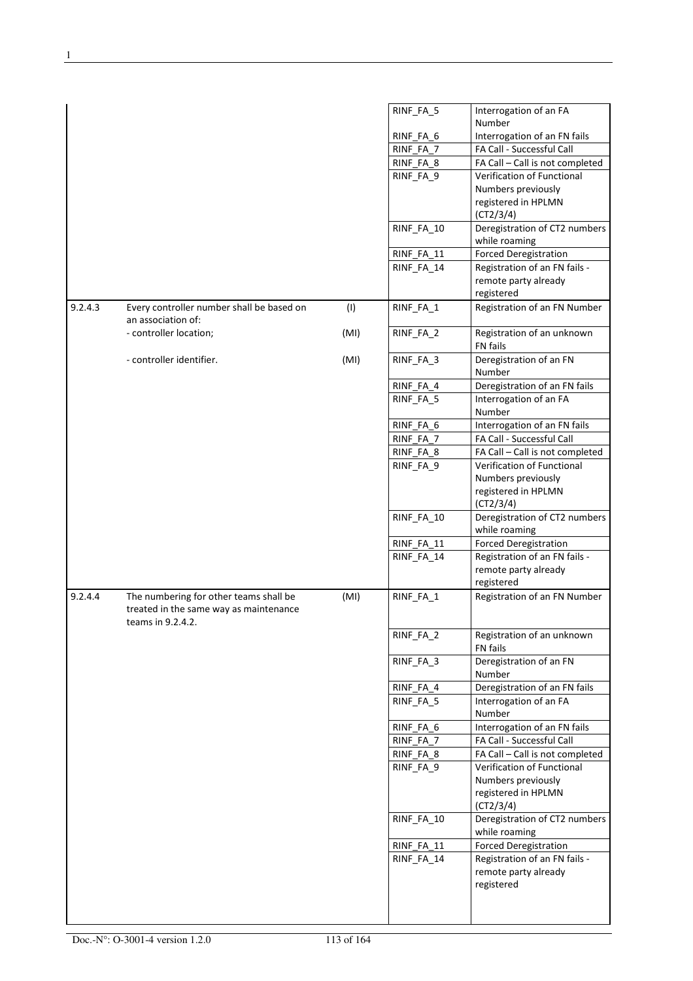|         |                                                                                                       |      | RINF_FA_5  | Interrogation of an FA                         |
|---------|-------------------------------------------------------------------------------------------------------|------|------------|------------------------------------------------|
|         |                                                                                                       |      |            | Number                                         |
|         |                                                                                                       |      | RINF_FA_6  | Interrogation of an FN fails                   |
|         |                                                                                                       |      | RINF_FA_7  | FA Call - Successful Call                      |
|         |                                                                                                       |      | RINF_FA_8  | FA Call - Call is not completed                |
|         |                                                                                                       |      | RINF_FA_9  | Verification of Functional                     |
|         |                                                                                                       |      |            | Numbers previously                             |
|         |                                                                                                       |      |            | registered in HPLMN<br>(CT2/3/4)               |
|         |                                                                                                       |      | RINF_FA_10 | Deregistration of CT2 numbers                  |
|         |                                                                                                       |      |            | while roaming                                  |
|         |                                                                                                       |      | RINF_FA_11 | <b>Forced Deregistration</b>                   |
|         |                                                                                                       |      | RINF_FA_14 | Registration of an FN fails -                  |
|         |                                                                                                       |      |            | remote party already                           |
|         |                                                                                                       |      |            | registered                                     |
| 9.2.4.3 | Every controller number shall be based on<br>an association of:                                       | (1)  | RINF_FA_1  | Registration of an FN Number                   |
|         | - controller location;                                                                                | (MI) | RINF_FA_2  | Registration of an unknown<br>FN fails         |
|         | - controller identifier.                                                                              | (MI) | RINF_FA_3  | Deregistration of an FN<br>Number              |
|         |                                                                                                       |      | RINF_FA_4  | Deregistration of an FN fails                  |
|         |                                                                                                       |      | RINF FA 5  | Interrogation of an FA<br>Number               |
|         |                                                                                                       |      | RINF_FA_6  | Interrogation of an FN fails                   |
|         |                                                                                                       |      | RINF_FA_7  | FA Call - Successful Call                      |
|         |                                                                                                       |      | RINF_FA_8  | FA Call - Call is not completed                |
|         |                                                                                                       |      | RINF_FA_9  | Verification of Functional                     |
|         |                                                                                                       |      |            | Numbers previously                             |
|         |                                                                                                       |      |            | registered in HPLMN<br>(CT2/3/4)               |
|         |                                                                                                       |      | RINF_FA_10 | Deregistration of CT2 numbers<br>while roaming |
|         |                                                                                                       |      | RINF_FA_11 | <b>Forced Deregistration</b>                   |
|         |                                                                                                       |      | RINF_FA_14 | Registration of an FN fails -                  |
|         |                                                                                                       |      |            | remote party already<br>registered             |
| 9.2.4.4 | The numbering for other teams shall be<br>treated in the same way as maintenance<br>teams in 9.2.4.2. | (MI) | RINF_FA_1  | Registration of an FN Number                   |
|         |                                                                                                       |      | RINF_FA_2  | Registration of an unknown<br>FN fails         |
|         |                                                                                                       |      | RINF_FA_3  | Deregistration of an FN<br>Number              |
|         |                                                                                                       |      | RINF_FA_4  | Deregistration of an FN fails                  |
|         |                                                                                                       |      | RINF FA 5  | Interrogation of an FA<br>Number               |
|         |                                                                                                       |      | RINF_FA_6  | Interrogation of an FN fails                   |
|         |                                                                                                       |      | RINF_FA_7  | FA Call - Successful Call                      |
|         |                                                                                                       |      | RINF_FA_8  | FA Call - Call is not completed                |
|         |                                                                                                       |      | RINF_FA_9  | Verification of Functional                     |
|         |                                                                                                       |      |            | Numbers previously                             |
|         |                                                                                                       |      |            | registered in HPLMN<br>(CT2/3/4)               |
|         |                                                                                                       |      | RINF_FA_10 | Deregistration of CT2 numbers<br>while roaming |
|         |                                                                                                       |      | RINF_FA_11 | <b>Forced Deregistration</b>                   |
|         |                                                                                                       |      | RINF_FA_14 | Registration of an FN fails -                  |
|         |                                                                                                       |      |            | remote party already                           |
|         |                                                                                                       |      |            | registered                                     |
|         |                                                                                                       |      |            |                                                |
|         |                                                                                                       |      |            |                                                |
|         |                                                                                                       |      |            |                                                |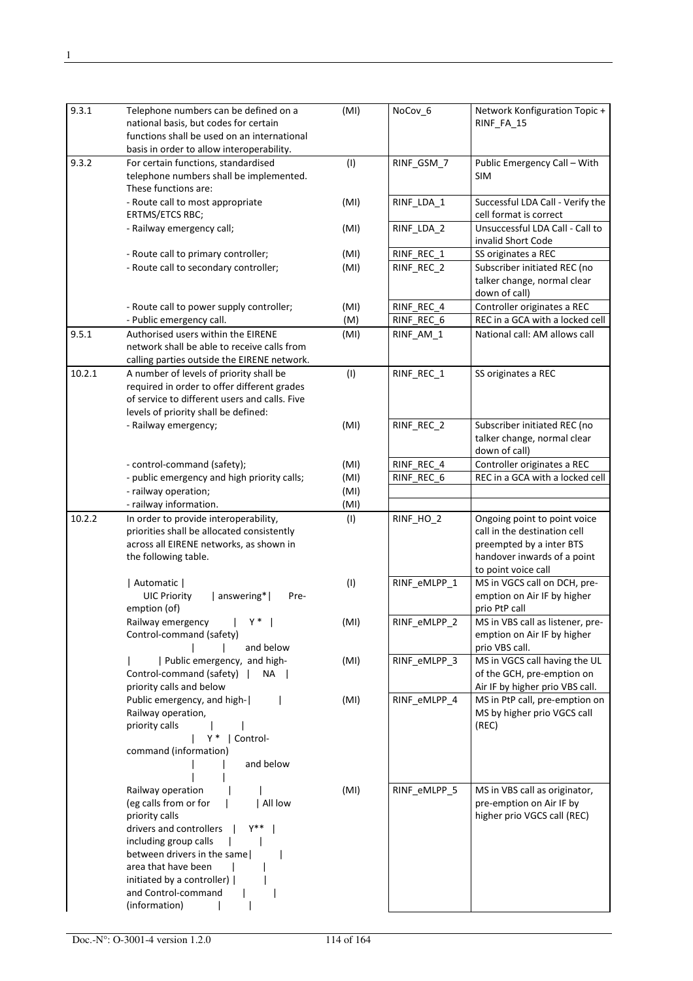| 9.3.1  | Telephone numbers can be defined on a<br>national basis, but codes for certain<br>functions shall be used on an international                                                                                                                                           | (MI) | NoCov_6      | Network Konfiguration Topic +<br>RINF_FA_15                                                                                                    |
|--------|-------------------------------------------------------------------------------------------------------------------------------------------------------------------------------------------------------------------------------------------------------------------------|------|--------------|------------------------------------------------------------------------------------------------------------------------------------------------|
|        | basis in order to allow interoperability.                                                                                                                                                                                                                               |      |              |                                                                                                                                                |
| 9.3.2  | For certain functions, standardised<br>telephone numbers shall be implemented.<br>These functions are:                                                                                                                                                                  | (1)  | RINF_GSM_7   | Public Emergency Call - With<br>SIM.                                                                                                           |
|        | - Route call to most appropriate<br>ERTMS/ETCS RBC;                                                                                                                                                                                                                     | (MI) | RINF_LDA_1   | Successful LDA Call - Verify the<br>cell format is correct                                                                                     |
|        | - Railway emergency call;                                                                                                                                                                                                                                               | (MI) | RINF_LDA_2   | Unsuccessful LDA Call - Call to<br>invalid Short Code                                                                                          |
|        | - Route call to primary controller;                                                                                                                                                                                                                                     | (MI) | RINF REC 1   | SS originates a REC                                                                                                                            |
|        | - Route call to secondary controller;                                                                                                                                                                                                                                   | (MI) | RINF REC 2   | Subscriber initiated REC (no                                                                                                                   |
|        |                                                                                                                                                                                                                                                                         |      |              | talker change, normal clear<br>down of call)                                                                                                   |
|        | - Route call to power supply controller;                                                                                                                                                                                                                                | (MI) | RINF_REC_4   | Controller originates a REC                                                                                                                    |
|        | - Public emergency call.                                                                                                                                                                                                                                                | (M)  | RINF REC 6   | REC in a GCA with a locked cell                                                                                                                |
| 9.5.1  | Authorised users within the EIRENE<br>network shall be able to receive calls from                                                                                                                                                                                       | (MI) | RINF AM 1    | National call: AM allows call                                                                                                                  |
|        | calling parties outside the EIRENE network.                                                                                                                                                                                                                             |      |              |                                                                                                                                                |
| 10.2.1 | A number of levels of priority shall be<br>required in order to offer different grades<br>of service to different users and calls. Five<br>levels of priority shall be defined:                                                                                         | (1)  | RINF_REC_1   | SS originates a REC                                                                                                                            |
|        |                                                                                                                                                                                                                                                                         |      |              | Subscriber initiated REC (no                                                                                                                   |
|        | - Railway emergency;                                                                                                                                                                                                                                                    | (MI) | RINF_REC_2   | talker change, normal clear<br>down of call)                                                                                                   |
|        | - control-command (safety);                                                                                                                                                                                                                                             | (MI) | RINF REC 4   | Controller originates a REC                                                                                                                    |
|        | - public emergency and high priority calls;                                                                                                                                                                                                                             | (MI) | RINF REC 6   | REC in a GCA with a locked cell                                                                                                                |
|        | - railway operation;                                                                                                                                                                                                                                                    | (MI) |              |                                                                                                                                                |
|        | - railway information.                                                                                                                                                                                                                                                  | (MI) |              |                                                                                                                                                |
| 10.2.2 | In order to provide interoperability,<br>priorities shall be allocated consistently<br>across all EIRENE networks, as shown in<br>the following table.                                                                                                                  | (1)  | RINF_HO_2    | Ongoing point to point voice<br>call in the destination cell<br>preempted by a inter BTS<br>handover inwards of a point<br>to point voice call |
|        | Automatic  <br><b>UIC Priority</b><br>  answering* <br>Pre-<br>emption (of)                                                                                                                                                                                             | (1)  | RINF_eMLPP_1 | MS in VGCS call on DCH, pre-<br>emption on Air IF by higher<br>prio PtP call                                                                   |
|        | Y *<br>Railway emergency<br>Control-command (safety)<br>and below                                                                                                                                                                                                       | (MI) | RINF_eMLPP_2 | MS in VBS call as listener, pre-<br>emption on Air IF by higher<br>prio VBS call.                                                              |
|        | Public emergency, and high-<br>Control-command (safety)  <br>NA<br>priority calls and below                                                                                                                                                                             | (MI) | RINF_eMLPP_3 | MS in VGCS call having the UL<br>of the GCH, pre-emption on<br>Air IF by higher prio VBS call.                                                 |
|        | Public emergency, and high- <br>Railway operation,<br>priority calls<br>Y<br>  Control-<br>command (information)<br>and below                                                                                                                                           | (MI) | RINF_eMLPP_4 | MS in PtP call, pre-emption on<br>MS by higher prio VGCS call<br>(REC)                                                                         |
|        | Railway operation<br>(eg calls from or for<br>  All low<br>priority calls<br>$Y^{**}$<br>drivers and controllers<br>including group calls<br>between drivers in the same<br>area that have been<br>initiated by a controller)  <br>and Control-command<br>(information) | (MI) | RINF_eMLPP_5 | MS in VBS call as originator,<br>pre-emption on Air IF by<br>higher prio VGCS call (REC)                                                       |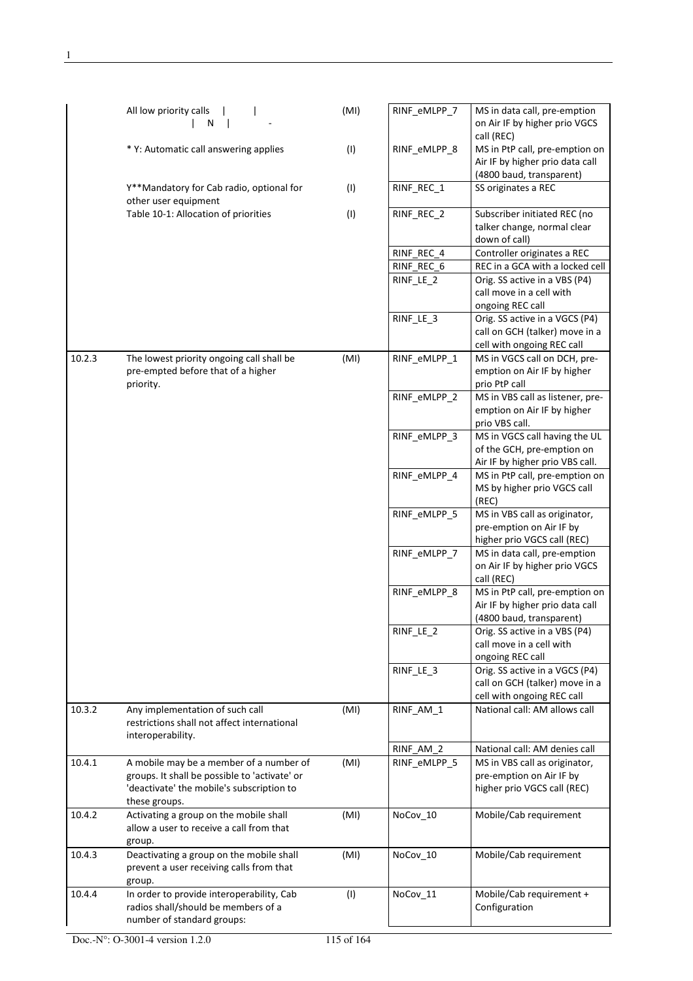|        | All low priority calls<br>N                                      | (MI) | RINF_eMLPP_7 | MS in data call, pre-emption<br>on Air IF by higher prio VGCS |
|--------|------------------------------------------------------------------|------|--------------|---------------------------------------------------------------|
|        | * Y: Automatic call answering applies                            | (1)  | RINF_eMLPP_8 | call (REC)<br>MS in PtP call, pre-emption on                  |
|        |                                                                  |      |              | Air IF by higher prio data call                               |
|        |                                                                  |      |              | (4800 baud, transparent)                                      |
|        | Y**Mandatory for Cab radio, optional for<br>other user equipment | (1)  | RINF_REC_1   | SS originates a REC                                           |
|        | Table 10-1: Allocation of priorities                             | (1)  | RINF_REC_2   | Subscriber initiated REC (no                                  |
|        |                                                                  |      |              | talker change, normal clear                                   |
|        |                                                                  |      |              | down of call)                                                 |
|        |                                                                  |      | RINF_REC_4   | Controller originates a REC                                   |
|        |                                                                  |      | RINF REC 6   | REC in a GCA with a locked cell                               |
|        |                                                                  |      | RINF_LE_2    | Orig. SS active in a VBS (P4)                                 |
|        |                                                                  |      |              | call move in a cell with                                      |
|        |                                                                  |      |              | ongoing REC call                                              |
|        |                                                                  |      | RINF_LE_3    | Orig. SS active in a VGCS (P4)                                |
|        |                                                                  |      |              | call on GCH (talker) move in a                                |
|        |                                                                  |      |              | cell with ongoing REC call                                    |
| 10.2.3 | The lowest priority ongoing call shall be                        | (MI) | RINF_eMLPP_1 | MS in VGCS call on DCH, pre-                                  |
|        | pre-empted before that of a higher<br>priority.                  |      |              | emption on Air IF by higher<br>prio PtP call                  |
|        |                                                                  |      | RINF eMLPP 2 | MS in VBS call as listener, pre-                              |
|        |                                                                  |      |              | emption on Air IF by higher                                   |
|        |                                                                  |      |              | prio VBS call.                                                |
|        |                                                                  |      | RINF_eMLPP_3 | MS in VGCS call having the UL                                 |
|        |                                                                  |      |              | of the GCH, pre-emption on                                    |
|        |                                                                  |      |              | Air IF by higher prio VBS call.                               |
|        |                                                                  |      | RINF_eMLPP_4 | MS in PtP call, pre-emption on                                |
|        |                                                                  |      |              | MS by higher prio VGCS call                                   |
|        |                                                                  |      |              | (REC)                                                         |
|        |                                                                  |      | RINF_eMLPP_5 | MS in VBS call as originator,                                 |
|        |                                                                  |      |              | pre-emption on Air IF by                                      |
|        |                                                                  |      |              | higher prio VGCS call (REC)                                   |
|        |                                                                  |      | RINF eMLPP 7 | MS in data call, pre-emption                                  |
|        |                                                                  |      |              | on Air IF by higher prio VGCS<br>call (REC)                   |
|        |                                                                  |      | RINF_eMLPP_8 | MS in PtP call, pre-emption on                                |
|        |                                                                  |      |              | Air IF by higher prio data call                               |
|        |                                                                  |      |              | (4800 baud, transparent)                                      |
|        |                                                                  |      | RINF_LE_2    | Orig. SS active in a VBS (P4)                                 |
|        |                                                                  |      |              | call move in a cell with                                      |
|        |                                                                  |      |              | ongoing REC call                                              |
|        |                                                                  |      | RINF_LE_3    | Orig. SS active in a VGCS (P4)                                |
|        |                                                                  |      |              | call on GCH (talker) move in a<br>cell with ongoing REC call  |
| 10.3.2 | Any implementation of such call                                  | (MI) | RINF AM 1    | National call: AM allows call                                 |
|        | restrictions shall not affect international                      |      |              |                                                               |
|        | interoperability.                                                |      |              |                                                               |
|        |                                                                  |      | RINF AM 2    | National call: AM denies call                                 |
| 10.4.1 | A mobile may be a member of a number of                          | (MI) | RINF_eMLPP_5 | MS in VBS call as originator,                                 |
|        | groups. It shall be possible to 'activate' or                    |      |              | pre-emption on Air IF by                                      |
|        | 'deactivate' the mobile's subscription to                        |      |              | higher prio VGCS call (REC)                                   |
|        | these groups.                                                    |      |              |                                                               |
| 10.4.2 | Activating a group on the mobile shall                           | (MI) | NoCov_10     | Mobile/Cab requirement                                        |
|        | allow a user to receive a call from that                         |      |              |                                                               |
| 10.4.3 | group.<br>Deactivating a group on the mobile shall               | (MI) | NoCov_10     | Mobile/Cab requirement                                        |
|        | prevent a user receiving calls from that                         |      |              |                                                               |
|        | group.                                                           |      |              |                                                               |
| 10.4.4 | In order to provide interoperability, Cab                        | (1)  | NoCov_11     | Mobile/Cab requirement +                                      |
|        | radios shall/should be members of a                              |      |              | Configuration                                                 |
|        | number of standard groups:                                       |      |              |                                                               |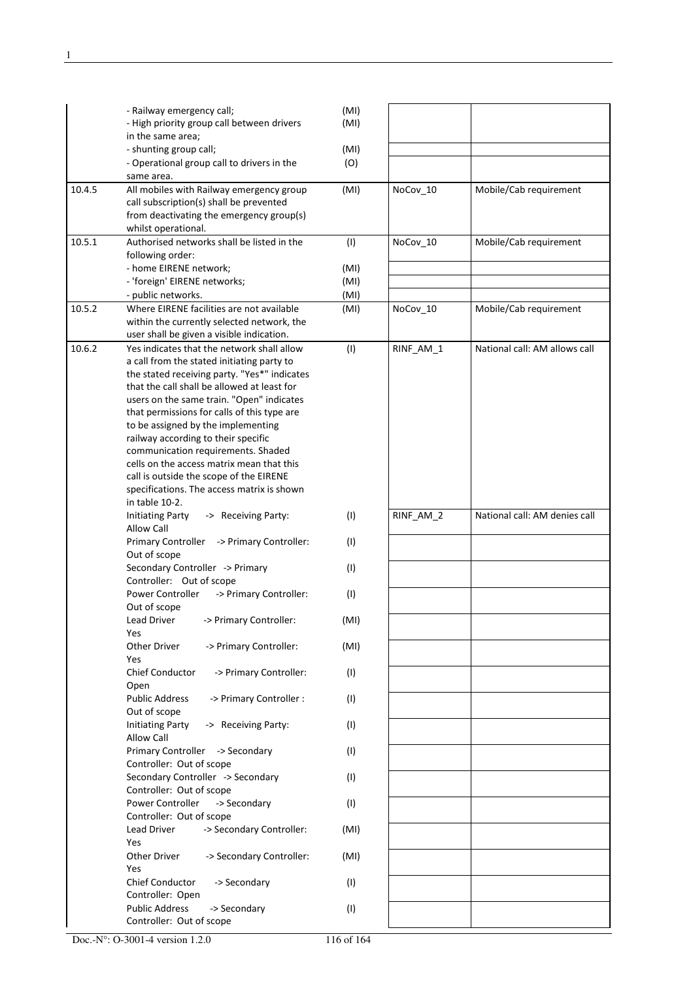|        | - Railway emergency call;<br>- High priority group call between drivers                  | (MI)<br>(MI) |           |                               |
|--------|------------------------------------------------------------------------------------------|--------------|-----------|-------------------------------|
|        | in the same area;                                                                        |              |           |                               |
|        | - shunting group call;<br>- Operational group call to drivers in the                     | (MI)<br>(O)  |           |                               |
|        | same area.                                                                               |              |           |                               |
| 10.4.5 | All mobiles with Railway emergency group<br>call subscription(s) shall be prevented      | (MI)         | NoCov_10  | Mobile/Cab requirement        |
|        | from deactivating the emergency group(s)<br>whilst operational.                          |              |           |                               |
| 10.5.1 | Authorised networks shall be listed in the<br>following order:                           | (1)          | NoCov_10  | Mobile/Cab requirement        |
|        | - home EIRENE network;                                                                   | (MI)         |           |                               |
|        | - 'foreign' EIRENE networks;                                                             | (MI)         |           |                               |
| 10.5.2 | - public networks.<br>Where EIRENE facilities are not available                          | (MI)<br>(MI) |           | Mobile/Cab requirement        |
|        | within the currently selected network, the                                               |              | NoCov_10  |                               |
|        | user shall be given a visible indication.                                                |              |           |                               |
| 10.6.2 | Yes indicates that the network shall allow<br>a call from the stated initiating party to | (1)          | RINF AM 1 | National call: AM allows call |
|        | the stated receiving party. "Yes*" indicates                                             |              |           |                               |
|        | that the call shall be allowed at least for                                              |              |           |                               |
|        | users on the same train. "Open" indicates                                                |              |           |                               |
|        | that permissions for calls of this type are<br>to be assigned by the implementing        |              |           |                               |
|        | railway according to their specific                                                      |              |           |                               |
|        | communication requirements. Shaded                                                       |              |           |                               |
|        | cells on the access matrix mean that this                                                |              |           |                               |
|        | call is outside the scope of the EIRENE                                                  |              |           |                               |
|        | specifications. The access matrix is shown                                               |              |           |                               |
|        | in table 10-2.                                                                           |              |           |                               |
|        | <b>Initiating Party</b><br>-> Receiving Party:<br><b>Allow Call</b>                      | (1)          | RINF_AM_2 | National call: AM denies call |
|        | Primary Controller<br>-> Primary Controller:<br>Out of scope                             | (1)          |           |                               |
|        | Secondary Controller -> Primary<br>Controller: Out of scope                              | (1)          |           |                               |
|        | -> Primary Controller:<br>Power Controller                                               | (1)          |           |                               |
|        | Out of scope<br>Lead Driver<br>-> Primary Controller:                                    | (MI)         |           |                               |
|        | Yes                                                                                      |              |           |                               |
|        | Other Driver<br>-> Primary Controller:<br>Yes                                            | (MI)         |           |                               |
|        | Chief Conductor<br>-> Primary Controller:<br>Open                                        | (1)          |           |                               |
|        | <b>Public Address</b><br>-> Primary Controller :<br>Out of scope                         | (1)          |           |                               |
|        | <b>Initiating Party</b><br>-> Receiving Party:<br><b>Allow Call</b>                      | (1)          |           |                               |
|        | Primary Controller -> Secondary<br>Controller: Out of scope                              | (1)          |           |                               |
|        | Secondary Controller -> Secondary<br>Controller: Out of scope                            | (1)          |           |                               |
|        | Power Controller<br>-> Secondary<br>Controller: Out of scope                             | (1)          |           |                               |
|        | -> Secondary Controller:<br>Lead Driver<br>Yes                                           | (MI)         |           |                               |
|        | Other Driver<br>-> Secondary Controller:<br>Yes                                          | (MI)         |           |                               |
|        | Chief Conductor<br>-> Secondary<br>Controller: Open                                      | (1)          |           |                               |
|        | <b>Public Address</b><br>-> Secondary<br>Controller: Out of scope                        | (1)          |           |                               |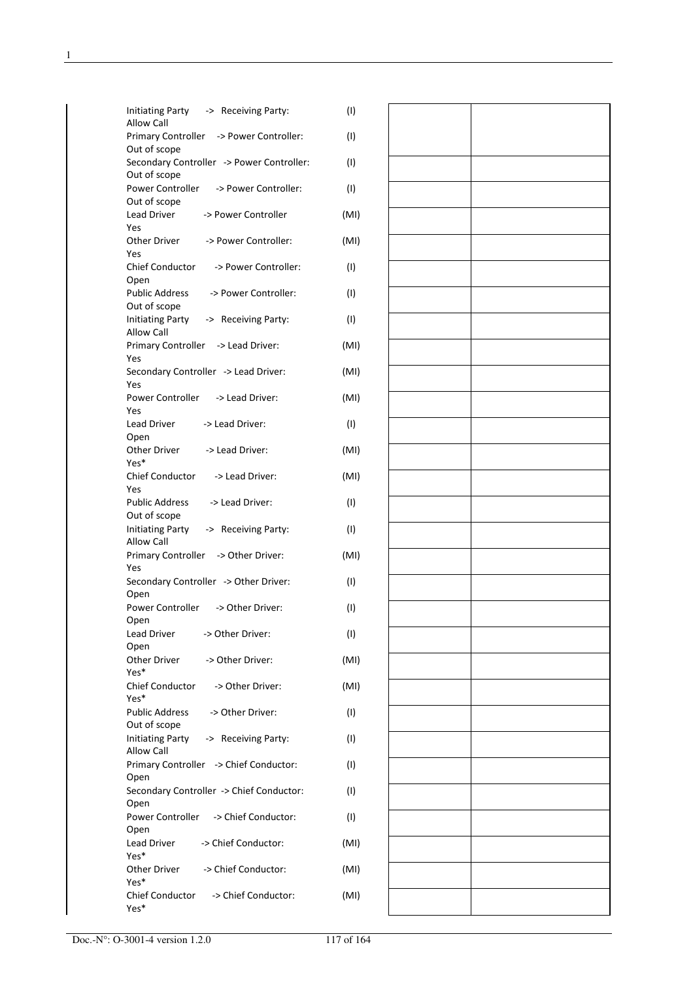| <b>Initiating Party</b><br>-> Receiving Party:<br>Allow Call   | (1)  |
|----------------------------------------------------------------|------|
| Primary Controller -> Power Controller:<br>Out of scope        | (1)  |
| Secondary Controller -> Power Controller:                      | (1)  |
| Out of scope<br>Power Controller<br>-> Power Controller:       | (1)  |
| Out of scope<br><b>Lead Driver</b><br>-> Power Controller      | (MI) |
| Yes<br>Other Driver<br>-> Power Controller:                    | (MI) |
| Yes<br>Chief Conductor<br>-> Power Controller:                 | (1)  |
| Open<br><b>Public Address</b><br>-> Power Controller:          | (1)  |
| Out of scope<br><b>Initiating Party</b><br>-> Receiving Party: | (1)  |
| Allow Call<br><b>Primary Controller</b><br>-> Lead Driver:     | (MI) |
| Yes                                                            |      |
| Secondary Controller -> Lead Driver:<br>Yes                    | (MI) |
| Power Controller<br>-> Lead Driver:<br>Yes                     | (MI) |
| <b>Lead Driver</b><br>-> Lead Driver:<br>Open                  | (1)  |
| -> Lead Driver:<br>Other Driver<br>Yes*                        | (MI) |
| Chief Conductor<br>-> Lead Driver:<br>Yes                      | (MI) |
| <b>Public Address</b><br>-> Lead Driver:<br>Out of scope       | (1)  |
| <b>Initiating Party</b><br>-> Receiving Party:<br>Allow Call   | (1)  |
| Primary Controller -> Other Driver:<br>Yes                     | (MI) |
| Secondary Controller -> Other Driver:<br>Open                  | (1)  |
| Power Controller<br>-> Other Driver:                           | (1)  |
| Open<br>-> Other Driver:<br>Lead Driver                        | (1)  |
| Open<br>-> Other Driver:<br>Other Driver                       | (MI) |
| Yes*<br>Chief Conductor<br>-> Other Driver:                    | (MI) |
| Yes*<br><b>Public Address</b><br>-> Other Driver:              | (1)  |
| Out of scope<br><b>Initiating Party</b><br>-> Receiving Party: | (1)  |
| <b>Allow Call</b><br>Primary Controller -> Chief Conductor:    | (1)  |
| Open<br>Secondary Controller -> Chief Conductor:               | (1)  |
| Open<br>Power Controller<br>-> Chief Conductor:                | (1)  |
| Open<br>-> Chief Conductor:<br>Lead Driver                     | (MI) |
| Yes*                                                           |      |
| -> Chief Conductor:<br>Other Driver<br>Yes*                    | (MI) |
| Chief Conductor<br>-> Chief Conductor:<br>Yes*                 | (MI) |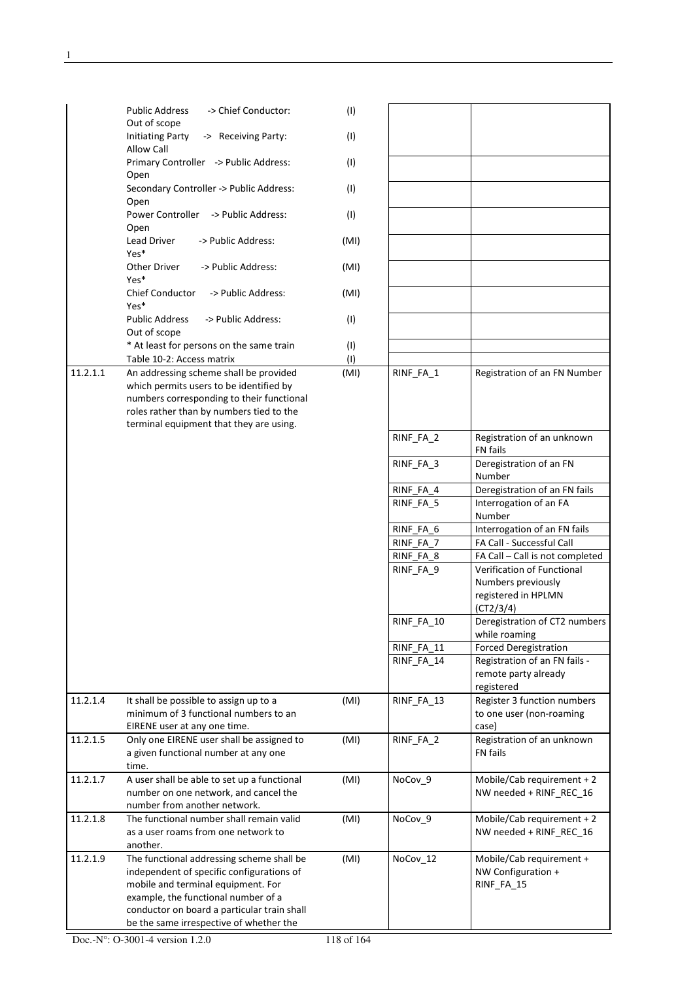|          | -> Chief Conductor:<br><b>Public Address</b><br>Out of scope                                                                                                                                                                                                  | (1)  |            |                                                                                      |
|----------|---------------------------------------------------------------------------------------------------------------------------------------------------------------------------------------------------------------------------------------------------------------|------|------------|--------------------------------------------------------------------------------------|
|          | <b>Initiating Party</b><br>-> Receiving Party:<br><b>Allow Call</b>                                                                                                                                                                                           | (1)  |            |                                                                                      |
|          | Primary Controller -> Public Address:                                                                                                                                                                                                                         | (1)  |            |                                                                                      |
|          | Open<br>Secondary Controller -> Public Address:                                                                                                                                                                                                               | (1)  |            |                                                                                      |
|          | Open<br>Power Controller -> Public Address:                                                                                                                                                                                                                   | (1)  |            |                                                                                      |
|          | Open<br>-> Public Address:<br>Lead Driver<br>Yes*                                                                                                                                                                                                             | (MI) |            |                                                                                      |
|          | Other Driver<br>-> Public Address:<br>Yes*                                                                                                                                                                                                                    | (MI) |            |                                                                                      |
|          | <b>Chief Conductor</b><br>-> Public Address:                                                                                                                                                                                                                  | (MI) |            |                                                                                      |
|          | Yes*<br><b>Public Address</b><br>-> Public Address:                                                                                                                                                                                                           | (1)  |            |                                                                                      |
|          | Out of scope<br>* At least for persons on the same train                                                                                                                                                                                                      | (1)  |            |                                                                                      |
|          | Table 10-2: Access matrix                                                                                                                                                                                                                                     | (1)  |            |                                                                                      |
| 11.2.1.1 | An addressing scheme shall be provided<br>which permits users to be identified by<br>numbers corresponding to their functional<br>roles rather than by numbers tied to the<br>terminal equipment that they are using.                                         | (MI) | RINF_FA_1  | Registration of an FN Number                                                         |
|          |                                                                                                                                                                                                                                                               |      | RINF_FA_2  | Registration of an unknown<br>FN fails                                               |
|          |                                                                                                                                                                                                                                                               |      | RINF_FA_3  | Deregistration of an FN<br>Number                                                    |
|          |                                                                                                                                                                                                                                                               |      | RINF_FA_4  | Deregistration of an FN fails                                                        |
|          |                                                                                                                                                                                                                                                               |      | RINF_FA_5  | Interrogation of an FA<br>Number                                                     |
|          |                                                                                                                                                                                                                                                               |      | RINF_FA_6  | Interrogation of an FN fails                                                         |
|          |                                                                                                                                                                                                                                                               |      | RINF_FA_7  | FA Call - Successful Call                                                            |
|          |                                                                                                                                                                                                                                                               |      | RINF FA 8  | FA Call - Call is not completed                                                      |
|          |                                                                                                                                                                                                                                                               |      | RINF_FA_9  | Verification of Functional<br>Numbers previously<br>registered in HPLMN<br>(CT2/3/4) |
|          |                                                                                                                                                                                                                                                               |      | RINF_FA_10 | Deregistration of CT2 numbers<br>while roaming                                       |
|          |                                                                                                                                                                                                                                                               |      | RINF FA 11 | <b>Forced Deregistration</b>                                                         |
|          |                                                                                                                                                                                                                                                               |      | RINF_FA_14 | Registration of an FN fails -<br>remote party already<br>registered                  |
| 11.2.1.4 | It shall be possible to assign up to a<br>minimum of 3 functional numbers to an<br>EIRENE user at any one time.                                                                                                                                               | (MI) | RINF_FA_13 | Register 3 function numbers<br>to one user (non-roaming<br>case)                     |
| 11.2.1.5 | Only one EIRENE user shall be assigned to<br>a given functional number at any one<br>time.                                                                                                                                                                    | (MI) | RINF_FA_2  | Registration of an unknown<br><b>FN</b> fails                                        |
| 11.2.1.7 | A user shall be able to set up a functional<br>number on one network, and cancel the<br>number from another network.                                                                                                                                          | (MI) | NoCov_9    | Mobile/Cab requirement + 2<br>NW needed + RINF_REC_16                                |
| 11.2.1.8 | The functional number shall remain valid<br>as a user roams from one network to<br>another.                                                                                                                                                                   | (MI) | NoCov_9    | Mobile/Cab requirement + 2<br>NW needed + RINF_REC_16                                |
| 11.2.1.9 | The functional addressing scheme shall be<br>independent of specific configurations of<br>mobile and terminal equipment. For<br>example, the functional number of a<br>conductor on board a particular train shall<br>be the same irrespective of whether the | (MI) | NoCov_12   | Mobile/Cab requirement +<br>NW Configuration +<br>RINF_FA_15                         |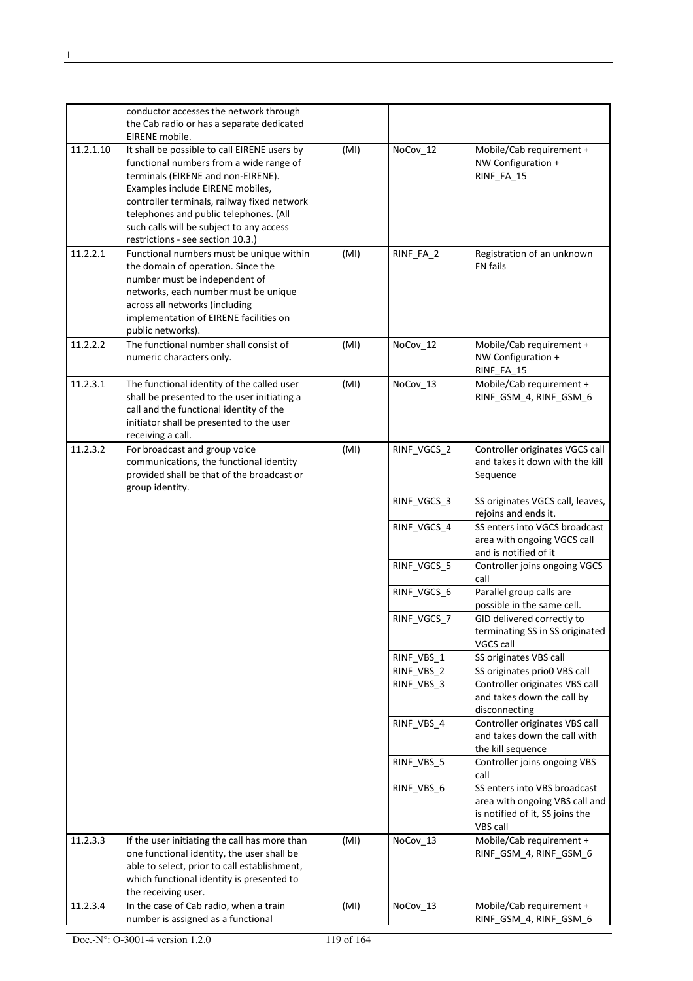|           | conductor accesses the network through                                                                                                                                                                                                                                                                                                      |      |                          |                                                                                                               |
|-----------|---------------------------------------------------------------------------------------------------------------------------------------------------------------------------------------------------------------------------------------------------------------------------------------------------------------------------------------------|------|--------------------------|---------------------------------------------------------------------------------------------------------------|
|           | the Cab radio or has a separate dedicated<br>EIRENE mobile.                                                                                                                                                                                                                                                                                 |      |                          |                                                                                                               |
| 11.2.1.10 | It shall be possible to call EIRENE users by<br>functional numbers from a wide range of<br>terminals (EIRENE and non-EIRENE).<br>Examples include EIRENE mobiles,<br>controller terminals, railway fixed network<br>telephones and public telephones. (All<br>such calls will be subject to any access<br>restrictions - see section 10.3.) | (MI) | NoCov_12                 | Mobile/Cab requirement +<br>NW Configuration +<br>RINF_FA_15                                                  |
| 11.2.2.1  | Functional numbers must be unique within<br>the domain of operation. Since the<br>number must be independent of<br>networks, each number must be unique<br>across all networks (including<br>implementation of EIRENE facilities on<br>public networks).                                                                                    | (MI) | RINF_FA_2                | Registration of an unknown<br><b>FN</b> fails                                                                 |
| 11.2.2.2  | The functional number shall consist of<br>numeric characters only.                                                                                                                                                                                                                                                                          | (MI) | NoCov_12                 | Mobile/Cab requirement +<br>NW Configuration +<br>RINF_FA_15                                                  |
| 11.2.3.1  | The functional identity of the called user<br>shall be presented to the user initiating a<br>call and the functional identity of the<br>initiator shall be presented to the user<br>receiving a call.                                                                                                                                       | (MI) | NoCov_13                 | Mobile/Cab requirement +<br>RINF_GSM_4, RINF_GSM_6                                                            |
| 11.2.3.2  | For broadcast and group voice<br>communications, the functional identity<br>provided shall be that of the broadcast or<br>group identity.                                                                                                                                                                                                   | (MI) | RINF_VGCS_2              | Controller originates VGCS call<br>and takes it down with the kill<br>Sequence                                |
|           |                                                                                                                                                                                                                                                                                                                                             |      | RINF_VGCS_3              | SS originates VGCS call, leaves,<br>rejoins and ends it.                                                      |
|           |                                                                                                                                                                                                                                                                                                                                             |      | RINF_VGCS_4              | SS enters into VGCS broadcast<br>area with ongoing VGCS call<br>and is notified of it                         |
|           |                                                                                                                                                                                                                                                                                                                                             |      | RINF VGCS 5              | Controller joins ongoing VGCS<br>call                                                                         |
|           |                                                                                                                                                                                                                                                                                                                                             |      | RINF_VGCS_6              | Parallel group calls are<br>possible in the same cell.                                                        |
|           |                                                                                                                                                                                                                                                                                                                                             |      | RINF_VGCS_7              | GID delivered correctly to<br>terminating SS in SS originated<br>VGCS call                                    |
|           |                                                                                                                                                                                                                                                                                                                                             |      | RINF_VBS_1<br>RINF_VBS_2 | SS originates VBS call<br>SS originates prio0 VBS call                                                        |
|           |                                                                                                                                                                                                                                                                                                                                             |      | RINF VBS 3               | Controller originates VBS call<br>and takes down the call by<br>disconnecting                                 |
|           |                                                                                                                                                                                                                                                                                                                                             |      | RINF_VBS_4               | Controller originates VBS call<br>and takes down the call with<br>the kill sequence                           |
|           |                                                                                                                                                                                                                                                                                                                                             |      | RINF_VBS_5               | Controller joins ongoing VBS<br>call                                                                          |
|           |                                                                                                                                                                                                                                                                                                                                             |      | RINF_VBS_6               | SS enters into VBS broadcast<br>area with ongoing VBS call and<br>is notified of it, SS joins the<br>VBS call |
| 11.2.3.3  | If the user initiating the call has more than<br>one functional identity, the user shall be<br>able to select, prior to call establishment,<br>which functional identity is presented to<br>the receiving user.                                                                                                                             | (MI) | NoCov_13                 | Mobile/Cab requirement +<br>RINF_GSM_4, RINF_GSM_6                                                            |
| 11.2.3.4  | In the case of Cab radio, when a train<br>number is assigned as a functional                                                                                                                                                                                                                                                                | (MI) | NoCov_13                 | Mobile/Cab requirement +<br>RINF_GSM_4, RINF_GSM_6                                                            |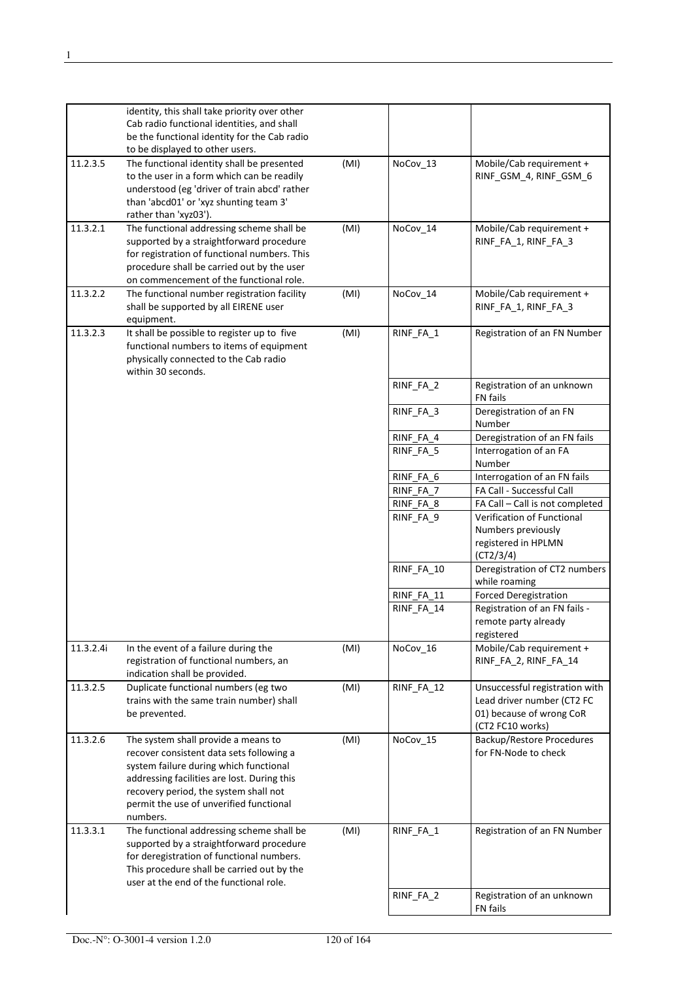|           | identity, this shall take priority over other<br>Cab radio functional identities, and shall<br>be the functional identity for the Cab radio<br>to be displayed to other users.                                                                                           |      |            |                                                                                                              |
|-----------|--------------------------------------------------------------------------------------------------------------------------------------------------------------------------------------------------------------------------------------------------------------------------|------|------------|--------------------------------------------------------------------------------------------------------------|
| 11.2.3.5  | The functional identity shall be presented<br>to the user in a form which can be readily<br>understood (eg 'driver of train abcd' rather<br>than 'abcd01' or 'xyz shunting team 3'<br>rather than 'xyz03').                                                              | (MI) | NoCov_13   | Mobile/Cab requirement +<br>RINF_GSM_4, RINF_GSM_6                                                           |
| 11.3.2.1  | The functional addressing scheme shall be<br>supported by a straightforward procedure<br>for registration of functional numbers. This<br>procedure shall be carried out by the user<br>on commencement of the functional role.                                           | (MI) | NoCov_14   | Mobile/Cab requirement +<br>RINF_FA_1, RINF_FA_3                                                             |
| 11.3.2.2  | The functional number registration facility<br>shall be supported by all EIRENE user<br>equipment.                                                                                                                                                                       | (MI) | NoCov_14   | Mobile/Cab requirement +<br>RINF_FA_1, RINF_FA_3                                                             |
| 11.3.2.3  | It shall be possible to register up to five<br>functional numbers to items of equipment<br>physically connected to the Cab radio<br>within 30 seconds.                                                                                                                   | (MI) | RINF_FA_1  | Registration of an FN Number                                                                                 |
|           |                                                                                                                                                                                                                                                                          |      | RINF FA 2  | Registration of an unknown<br>FN fails                                                                       |
|           |                                                                                                                                                                                                                                                                          |      | RINF_FA_3  | Deregistration of an FN<br>Number                                                                            |
|           |                                                                                                                                                                                                                                                                          |      | RINF_FA_4  | Deregistration of an FN fails                                                                                |
|           |                                                                                                                                                                                                                                                                          |      | RINF_FA_5  | Interrogation of an FA<br>Number                                                                             |
|           |                                                                                                                                                                                                                                                                          |      | RINF_FA_6  | Interrogation of an FN fails                                                                                 |
|           |                                                                                                                                                                                                                                                                          |      | RINF_FA_7  | FA Call - Successful Call                                                                                    |
|           |                                                                                                                                                                                                                                                                          |      | RINF_FA_8  | FA Call - Call is not completed                                                                              |
|           |                                                                                                                                                                                                                                                                          |      | RINF_FA_9  | Verification of Functional<br>Numbers previously<br>registered in HPLMN<br>(CT2/3/4)                         |
|           |                                                                                                                                                                                                                                                                          |      | RINF FA 10 | Deregistration of CT2 numbers<br>while roaming                                                               |
|           |                                                                                                                                                                                                                                                                          |      | RINF_FA_11 | <b>Forced Deregistration</b>                                                                                 |
|           |                                                                                                                                                                                                                                                                          |      | RINF_FA_14 | Registration of an FN fails -<br>remote party already<br>registered                                          |
| 11.3.2.4i | In the event of a failure during the<br>registration of functional numbers, an<br>indication shall be provided.                                                                                                                                                          | (MI) | NoCov_16   | Mobile/Cab requirement +<br>RINF_FA_2, RINF_FA_14                                                            |
| 11.3.2.5  | Duplicate functional numbers (eg two<br>trains with the same train number) shall<br>be prevented.                                                                                                                                                                        | (MI) | RINF_FA_12 | Unsuccessful registration with<br>Lead driver number (CT2 FC<br>01) because of wrong CoR<br>(CT2 FC10 works) |
| 11.3.2.6  | The system shall provide a means to<br>recover consistent data sets following a<br>system failure during which functional<br>addressing facilities are lost. During this<br>recovery period, the system shall not<br>permit the use of unverified functional<br>numbers. | (MI) | NoCov 15   | <b>Backup/Restore Procedures</b><br>for FN-Node to check                                                     |
| 11.3.3.1  | The functional addressing scheme shall be<br>supported by a straightforward procedure<br>for deregistration of functional numbers.<br>This procedure shall be carried out by the<br>user at the end of the functional role.                                              | (MI) | RINF_FA_1  | Registration of an FN Number                                                                                 |
|           |                                                                                                                                                                                                                                                                          |      | RINF_FA_2  | Registration of an unknown                                                                                   |
|           |                                                                                                                                                                                                                                                                          |      |            | FN fails                                                                                                     |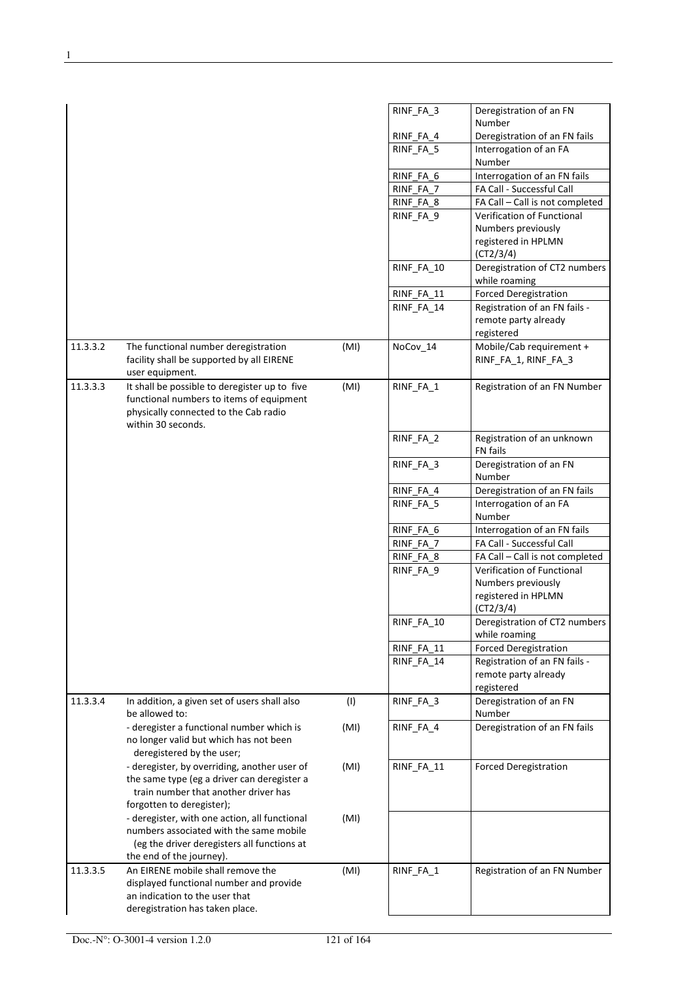|          |                                                                                                                  |      | RINF FA 3  | Deregistration of an FN<br>Number                                   |
|----------|------------------------------------------------------------------------------------------------------------------|------|------------|---------------------------------------------------------------------|
|          |                                                                                                                  |      | RINF_FA_4  | Deregistration of an FN fails                                       |
|          |                                                                                                                  |      | RINF FA 5  | Interrogation of an FA                                              |
|          |                                                                                                                  |      |            | Number                                                              |
|          |                                                                                                                  |      | RINF_FA_6  | Interrogation of an FN fails                                        |
|          |                                                                                                                  |      | RINF_FA_7  | FA Call - Successful Call                                           |
|          |                                                                                                                  |      | RINF_FA_8  | FA Call - Call is not completed                                     |
|          |                                                                                                                  |      | RINF_FA_9  | Verification of Functional                                          |
|          |                                                                                                                  |      |            | Numbers previously                                                  |
|          |                                                                                                                  |      |            | registered in HPLMN<br>(CT2/3/4)                                    |
|          |                                                                                                                  |      | RINF_FA_10 | Deregistration of CT2 numbers<br>while roaming                      |
|          |                                                                                                                  |      | RINF_FA_11 | <b>Forced Deregistration</b>                                        |
|          |                                                                                                                  |      | RINF FA 14 | Registration of an FN fails -<br>remote party already<br>registered |
| 11.3.3.2 | The functional number deregistration                                                                             | (MI) | NoCov_14   | Mobile/Cab requirement +                                            |
|          | facility shall be supported by all EIRENE<br>user equipment.                                                     |      |            | RINF FA 1, RINF FA 3                                                |
| 11.3.3.3 | It shall be possible to deregister up to five                                                                    | (MI) | RINF_FA_1  | Registration of an FN Number                                        |
|          | functional numbers to items of equipment<br>physically connected to the Cab radio<br>within 30 seconds.          |      |            |                                                                     |
|          |                                                                                                                  |      | RINF_FA_2  | Registration of an unknown                                          |
|          |                                                                                                                  |      |            | FN fails                                                            |
|          |                                                                                                                  |      | RINF FA 3  | Deregistration of an FN<br>Number                                   |
|          |                                                                                                                  |      | RINF_FA_4  | Deregistration of an FN fails                                       |
|          |                                                                                                                  |      | RINF_FA_5  | Interrogation of an FA<br>Number                                    |
|          |                                                                                                                  |      | RINF_FA_6  | Interrogation of an FN fails                                        |
|          |                                                                                                                  |      | RINF FA 7  | FA Call - Successful Call                                           |
|          |                                                                                                                  |      | RINF_FA_8  | FA Call - Call is not completed                                     |
|          |                                                                                                                  |      | RINF_FA_9  | Verification of Functional                                          |
|          |                                                                                                                  |      |            | Numbers previously                                                  |
|          |                                                                                                                  |      |            | registered in HPLMN                                                 |
|          |                                                                                                                  |      |            | (CT2/3/4)                                                           |
|          |                                                                                                                  |      | RINF FA 10 | Deregistration of CT2 numbers<br>while roaming                      |
|          |                                                                                                                  |      | RINF FA 11 | <b>Forced Deregistration</b>                                        |
|          |                                                                                                                  |      | RINF_FA_14 | Registration of an FN fails -                                       |
|          |                                                                                                                  |      |            | remote party already<br>registered                                  |
| 11.3.3.4 | In addition, a given set of users shall also<br>be allowed to:                                                   | (1)  | RINF_FA_3  | Deregistration of an FN<br>Number                                   |
|          | - deregister a functional number which is<br>no longer valid but which has not been<br>deregistered by the user; | (MI) | RINF_FA_4  | Deregistration of an FN fails                                       |
|          | - deregister, by overriding, another user of                                                                     | (MI) | RINF_FA_11 | <b>Forced Deregistration</b>                                        |
|          | the same type (eg a driver can deregister a                                                                      |      |            |                                                                     |
|          | train number that another driver has                                                                             |      |            |                                                                     |
|          | forgotten to deregister);                                                                                        |      |            |                                                                     |
|          | - deregister, with one action, all functional                                                                    | (MI) |            |                                                                     |
|          | numbers associated with the same mobile                                                                          |      |            |                                                                     |
|          | (eg the driver deregisters all functions at                                                                      |      |            |                                                                     |
|          | the end of the journey).                                                                                         |      |            |                                                                     |
| 11.3.3.5 | An EIRENE mobile shall remove the                                                                                | (MI) | RINF_FA_1  | Registration of an FN Number                                        |
|          | displayed functional number and provide                                                                          |      |            |                                                                     |
|          | an indication to the user that                                                                                   |      |            |                                                                     |
|          | deregistration has taken place.                                                                                  |      |            |                                                                     |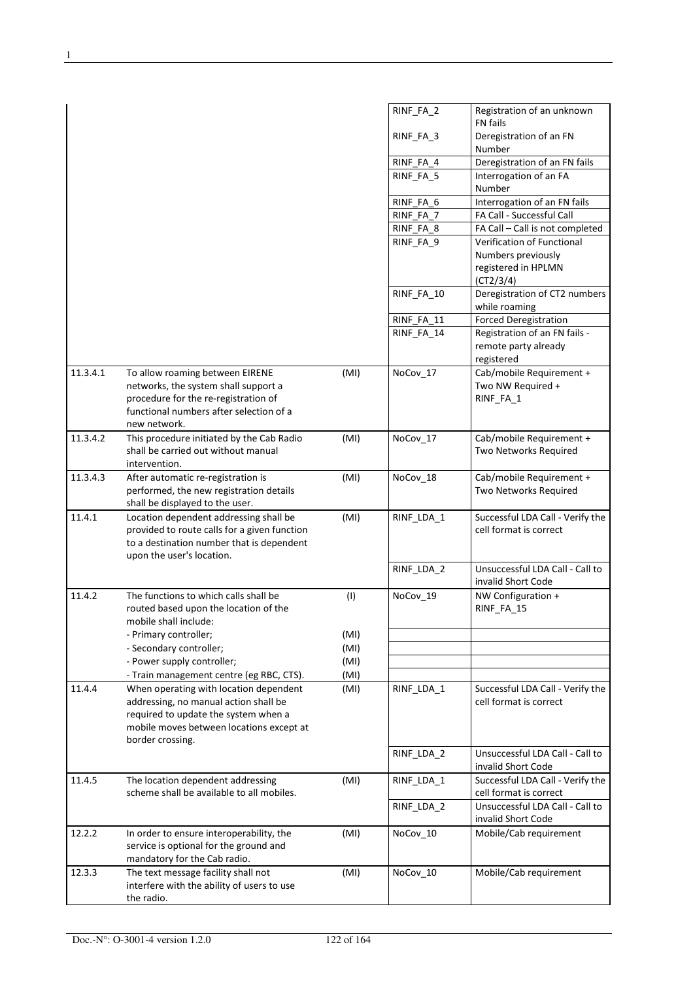|          |                                                                                                                                                                                         |      | RINF_FA_2  | Registration of an unknown<br><b>FN</b> fails                       |
|----------|-----------------------------------------------------------------------------------------------------------------------------------------------------------------------------------------|------|------------|---------------------------------------------------------------------|
|          |                                                                                                                                                                                         |      | RINF_FA_3  | Deregistration of an FN<br>Number                                   |
|          |                                                                                                                                                                                         |      | RINF_FA_4  | Deregistration of an FN fails                                       |
|          |                                                                                                                                                                                         |      | RINF_FA_5  | Interrogation of an FA<br>Number                                    |
|          |                                                                                                                                                                                         |      | RINF_FA_6  | Interrogation of an FN fails                                        |
|          |                                                                                                                                                                                         |      | RINF_FA_7  | FA Call - Successful Call                                           |
|          |                                                                                                                                                                                         |      | RINF_FA_8  | FA Call - Call is not completed                                     |
|          |                                                                                                                                                                                         |      | RINF_FA_9  | Verification of Functional                                          |
|          |                                                                                                                                                                                         |      |            | Numbers previously<br>registered in HPLMN<br>(CT2/3/4)              |
|          |                                                                                                                                                                                         |      | RINF_FA_10 | Deregistration of CT2 numbers<br>while roaming                      |
|          |                                                                                                                                                                                         |      | RINF FA 11 | <b>Forced Deregistration</b>                                        |
|          |                                                                                                                                                                                         |      | RINF_FA_14 | Registration of an FN fails -<br>remote party already<br>registered |
| 11.3.4.1 | To allow roaming between EIRENE                                                                                                                                                         | (MI) | NoCov_17   | Cab/mobile Requirement +                                            |
|          | networks, the system shall support a<br>procedure for the re-registration of<br>functional numbers after selection of a                                                                 |      |            | Two NW Required +<br>RINF_FA_1                                      |
|          | new network.                                                                                                                                                                            |      |            |                                                                     |
| 11.3.4.2 | This procedure initiated by the Cab Radio<br>shall be carried out without manual<br>intervention.                                                                                       | (MI) | NoCov_17   | Cab/mobile Requirement +<br>Two Networks Required                   |
| 11.3.4.3 | After automatic re-registration is<br>performed, the new registration details<br>shall be displayed to the user.                                                                        | (MI) | NoCov_18   | Cab/mobile Requirement +<br>Two Networks Required                   |
| 11.4.1   | Location dependent addressing shall be<br>provided to route calls for a given function<br>to a destination number that is dependent<br>upon the user's location.                        | (MI) | RINF_LDA_1 | Successful LDA Call - Verify the<br>cell format is correct          |
|          |                                                                                                                                                                                         |      | RINF_LDA_2 | Unsuccessful LDA Call - Call to<br>invalid Short Code               |
| 11.4.2   | The functions to which calls shall be<br>routed based upon the location of the<br>mobile shall include:                                                                                 | (1)  | NoCov_19   | NW Configuration +<br>RINF FA 15                                    |
|          | - Primary controller;                                                                                                                                                                   | (MI) |            |                                                                     |
|          | - Secondary controller;                                                                                                                                                                 | (MI) |            |                                                                     |
|          | - Power supply controller;                                                                                                                                                              | (MI) |            |                                                                     |
|          | - Train management centre (eg RBC, CTS).                                                                                                                                                | (MI) |            |                                                                     |
| 11.4.4   | When operating with location dependent<br>addressing, no manual action shall be<br>required to update the system when a<br>mobile moves between locations except at<br>border crossing. | (MI) | RINF_LDA_1 | Successful LDA Call - Verify the<br>cell format is correct          |
|          |                                                                                                                                                                                         |      | RINF_LDA_2 | Unsuccessful LDA Call - Call to<br>invalid Short Code               |
| 11.4.5   | The location dependent addressing<br>scheme shall be available to all mobiles.                                                                                                          | (MI) | RINF_LDA_1 | Successful LDA Call - Verify the<br>cell format is correct          |
|          |                                                                                                                                                                                         |      | RINF_LDA_2 | Unsuccessful LDA Call - Call to<br>invalid Short Code               |
| 12.2.2   | In order to ensure interoperability, the<br>service is optional for the ground and<br>mandatory for the Cab radio.                                                                      | (MI) | NoCov_10   | Mobile/Cab requirement                                              |
| 12.3.3   | The text message facility shall not<br>interfere with the ability of users to use<br>the radio.                                                                                         | (MI) | NoCov_10   | Mobile/Cab requirement                                              |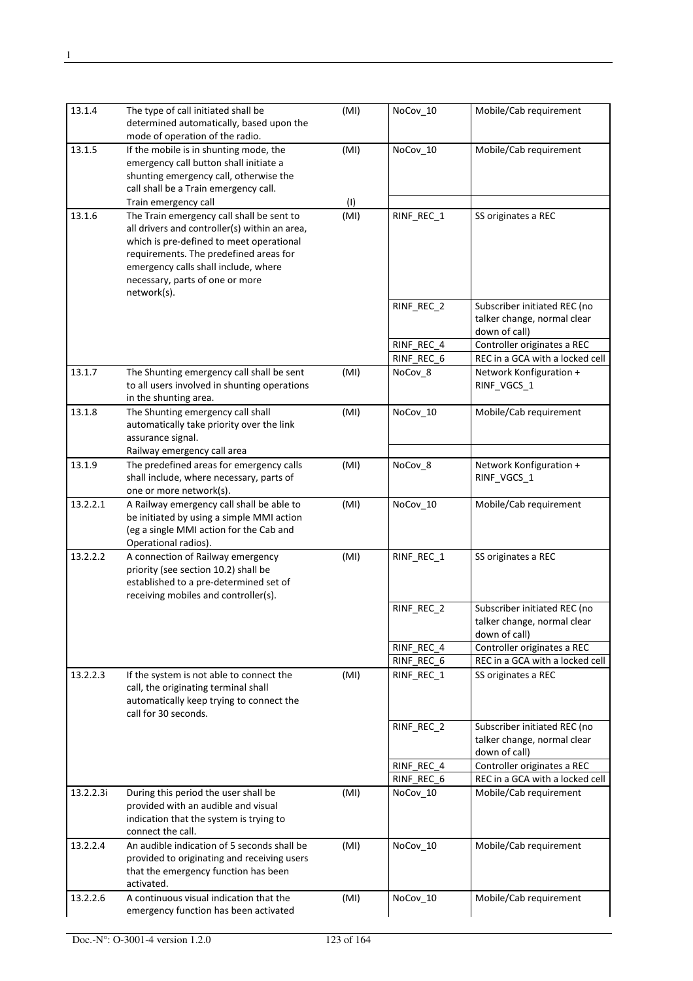| 13.1.4    | The type of call initiated shall be<br>determined automatically, based upon the<br>mode of operation of the radio.                                                                                                                                                         | (MI) | NoCov_10   | Mobile/Cab requirement                                                       |
|-----------|----------------------------------------------------------------------------------------------------------------------------------------------------------------------------------------------------------------------------------------------------------------------------|------|------------|------------------------------------------------------------------------------|
| 13.1.5    | If the mobile is in shunting mode, the<br>emergency call button shall initiate a<br>shunting emergency call, otherwise the<br>call shall be a Train emergency call.                                                                                                        | (MI) | NoCov_10   | Mobile/Cab requirement                                                       |
|           | Train emergency call                                                                                                                                                                                                                                                       | (1)  |            |                                                                              |
| 13.1.6    | The Train emergency call shall be sent to<br>all drivers and controller(s) within an area,<br>which is pre-defined to meet operational<br>requirements. The predefined areas for<br>emergency calls shall include, where<br>necessary, parts of one or more<br>network(s). | (MI) | RINF_REC_1 | SS originates a REC                                                          |
|           |                                                                                                                                                                                                                                                                            |      | RINF_REC_2 | Subscriber initiated REC (no<br>talker change, normal clear<br>down of call) |
|           |                                                                                                                                                                                                                                                                            |      | RINF REC 4 | Controller originates a REC                                                  |
|           |                                                                                                                                                                                                                                                                            |      | RINF REC 6 | REC in a GCA with a locked cell                                              |
| 13.1.7    | The Shunting emergency call shall be sent<br>to all users involved in shunting operations<br>in the shunting area.                                                                                                                                                         | (MI) | NoCov_8    | Network Konfiguration +<br>RINF_VGCS_1                                       |
| 13.1.8    | The Shunting emergency call shall<br>automatically take priority over the link<br>assurance signal.                                                                                                                                                                        | (MI) | NoCov_10   | Mobile/Cab requirement                                                       |
|           | Railway emergency call area                                                                                                                                                                                                                                                |      |            |                                                                              |
| 13.1.9    | The predefined areas for emergency calls<br>shall include, where necessary, parts of<br>one or more network(s).                                                                                                                                                            | (MI) | NoCov_8    | Network Konfiguration +<br>RINF_VGCS_1                                       |
| 13.2.2.1  | A Railway emergency call shall be able to<br>be initiated by using a simple MMI action<br>(eg a single MMI action for the Cab and<br>Operational radios).                                                                                                                  | (MI) | NoCov_10   | Mobile/Cab requirement                                                       |
| 13.2.2.2  | A connection of Railway emergency<br>priority (see section 10.2) shall be<br>established to a pre-determined set of<br>receiving mobiles and controller(s).                                                                                                                | (MI) | RINF_REC_1 | SS originates a REC                                                          |
|           |                                                                                                                                                                                                                                                                            |      | RINF_REC_2 | Subscriber initiated REC (no<br>talker change, normal clear<br>down of call) |
|           |                                                                                                                                                                                                                                                                            |      | RINF REC 4 | Controller originates a REC                                                  |
|           |                                                                                                                                                                                                                                                                            |      | RINF_REC_6 | REC in a GCA with a locked cell                                              |
| 13.2.2.3  | If the system is not able to connect the<br>call, the originating terminal shall<br>automatically keep trying to connect the<br>call for 30 seconds.                                                                                                                       | (MI) | RINF_REC_1 | SS originates a REC                                                          |
|           |                                                                                                                                                                                                                                                                            |      | RINF_REC_2 | Subscriber initiated REC (no<br>talker change, normal clear<br>down of call) |
|           |                                                                                                                                                                                                                                                                            |      | RINF_REC_4 | Controller originates a REC                                                  |
|           |                                                                                                                                                                                                                                                                            |      | RINF_REC_6 | REC in a GCA with a locked cell                                              |
| 13.2.2.3i | During this period the user shall be<br>provided with an audible and visual<br>indication that the system is trying to<br>connect the call.                                                                                                                                | (MI) | NoCov_10   | Mobile/Cab requirement                                                       |
| 13.2.2.4  | An audible indication of 5 seconds shall be<br>provided to originating and receiving users<br>that the emergency function has been<br>activated.                                                                                                                           | (MI) | NoCov_10   | Mobile/Cab requirement                                                       |
| 13.2.2.6  | A continuous visual indication that the<br>emergency function has been activated                                                                                                                                                                                           | (MI) | NoCov_10   | Mobile/Cab requirement                                                       |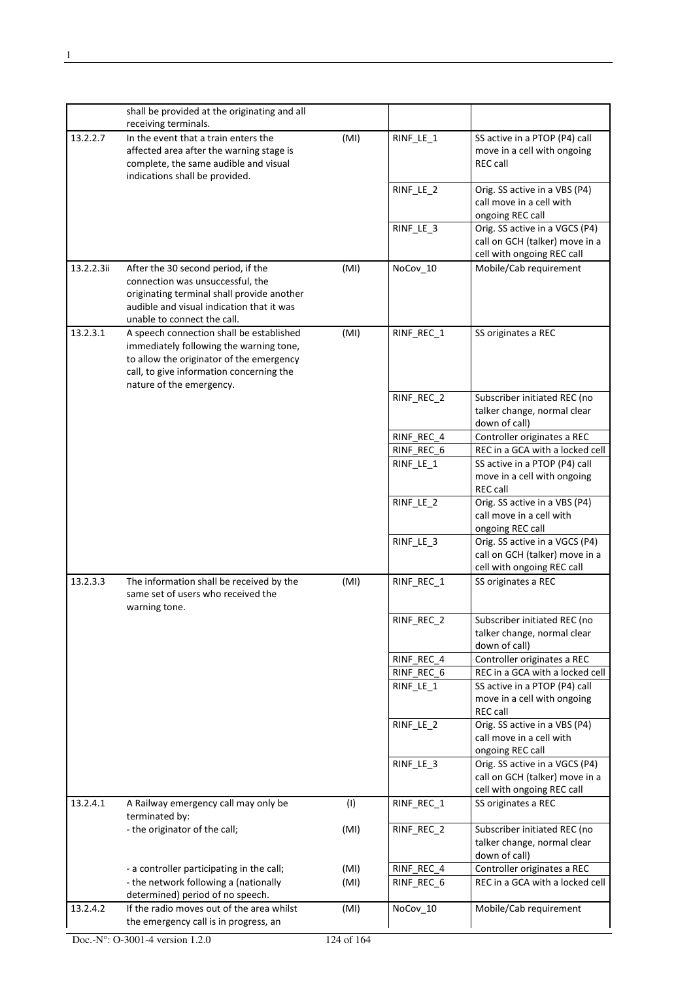|            | shall be provided at the originating and all                                                                                                                                                            |      |            |                                                                                                |
|------------|---------------------------------------------------------------------------------------------------------------------------------------------------------------------------------------------------------|------|------------|------------------------------------------------------------------------------------------------|
|            | receiving terminals.                                                                                                                                                                                    |      |            |                                                                                                |
| 13.2.2.7   | In the event that a train enters the<br>affected area after the warning stage is<br>complete, the same audible and visual<br>indications shall be provided.                                             | (MI) | RINF_LE_1  | SS active in a PTOP (P4) call<br>move in a cell with ongoing<br><b>REC call</b>                |
|            |                                                                                                                                                                                                         |      | RINF_LE_2  | Orig. SS active in a VBS (P4)<br>call move in a cell with<br>ongoing REC call                  |
|            |                                                                                                                                                                                                         |      | RINF_LE_3  | Orig. SS active in a VGCS (P4)<br>call on GCH (talker) move in a<br>cell with ongoing REC call |
| 13.2.2.3ii | After the 30 second period, if the<br>connection was unsuccessful, the<br>originating terminal shall provide another<br>audible and visual indication that it was<br>unable to connect the call.        | (MI) | NoCov 10   | Mobile/Cab requirement                                                                         |
| 13.2.3.1   | A speech connection shall be established<br>immediately following the warning tone,<br>to allow the originator of the emergency<br>call, to give information concerning the<br>nature of the emergency. | (MI) | RINF_REC_1 | SS originates a REC                                                                            |
|            |                                                                                                                                                                                                         |      | RINF_REC_2 | Subscriber initiated REC (no<br>talker change, normal clear<br>down of call)                   |
|            |                                                                                                                                                                                                         |      | RINF_REC_4 | Controller originates a REC                                                                    |
|            |                                                                                                                                                                                                         |      | RINF REC 6 | REC in a GCA with a locked cell                                                                |
|            |                                                                                                                                                                                                         |      | RINF_LE_1  | SS active in a PTOP (P4) call<br>move in a cell with ongoing<br><b>REC call</b>                |
|            |                                                                                                                                                                                                         |      | RINF_LE_2  | Orig. SS active in a VBS (P4)<br>call move in a cell with<br>ongoing REC call                  |
|            |                                                                                                                                                                                                         |      | RINF_LE_3  | Orig. SS active in a VGCS (P4)<br>call on GCH (talker) move in a<br>cell with ongoing REC call |
| 13.2.3.3   | The information shall be received by the<br>same set of users who received the<br>warning tone.                                                                                                         | (MI) | RINF_REC_1 | SS originates a REC                                                                            |
|            |                                                                                                                                                                                                         |      | RINF_REC_2 | Subscriber initiated REC (no<br>talker change, normal clear<br>down of call)                   |
|            |                                                                                                                                                                                                         |      | RINF_REC_4 | Controller originates a REC                                                                    |
|            |                                                                                                                                                                                                         |      | RINF_REC_6 | REC in a GCA with a locked cell<br>SS active in a PTOP (P4) call                               |
|            |                                                                                                                                                                                                         |      | RINF_LE_1  | move in a cell with ongoing<br>REC call                                                        |
|            |                                                                                                                                                                                                         |      | RINF_LE_2  | Orig. SS active in a VBS (P4)<br>call move in a cell with<br>ongoing REC call                  |
|            |                                                                                                                                                                                                         |      | RINF LE 3  | Orig. SS active in a VGCS (P4)<br>call on GCH (talker) move in a<br>cell with ongoing REC call |
| 13.2.4.1   | A Railway emergency call may only be<br>terminated by:                                                                                                                                                  | (1)  | RINF_REC_1 | SS originates a REC                                                                            |
|            | - the originator of the call;                                                                                                                                                                           | (MI) | RINF_REC_2 | Subscriber initiated REC (no<br>talker change, normal clear<br>down of call)                   |
|            | - a controller participating in the call;                                                                                                                                                               | (MI) | RINF_REC_4 | Controller originates a REC                                                                    |
|            | - the network following a (nationally<br>determined) period of no speech.                                                                                                                               | (MI) | RINF_REC_6 | REC in a GCA with a locked cell                                                                |
| 13.2.4.2   | If the radio moves out of the area whilst<br>the emergency call is in progress, an                                                                                                                      | (MI) | NoCov_10   | Mobile/Cab requirement                                                                         |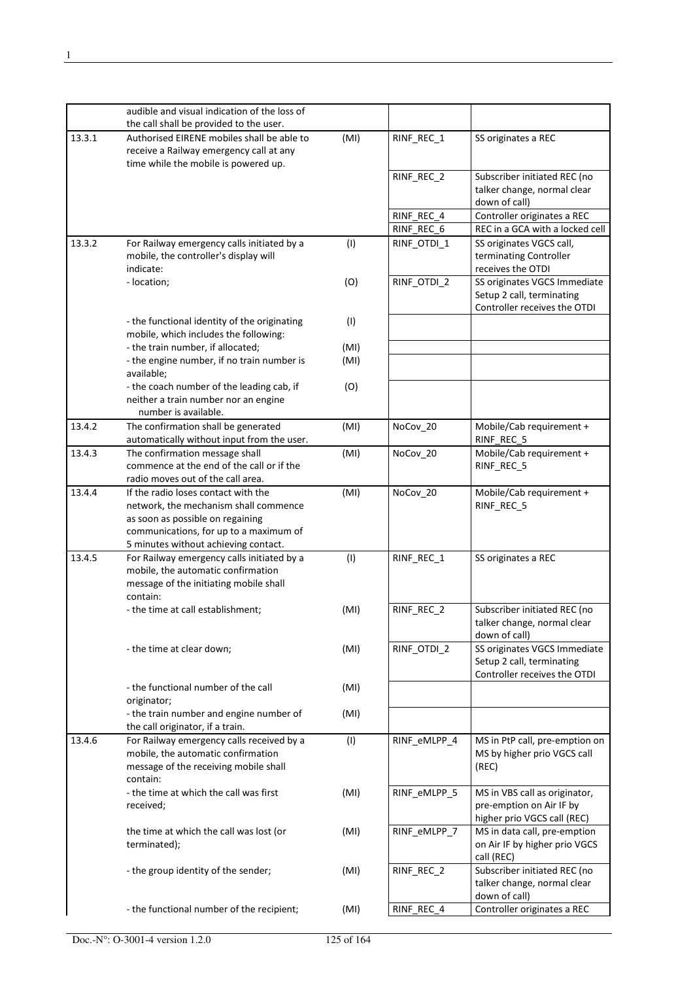|        | audible and visual indication of the loss of |      |              |                                 |
|--------|----------------------------------------------|------|--------------|---------------------------------|
|        | the call shall be provided to the user.      |      |              |                                 |
| 13.3.1 | Authorised EIRENE mobiles shall be able to   | (MI) | RINF_REC_1   | SS originates a REC             |
|        | receive a Railway emergency call at any      |      |              |                                 |
|        | time while the mobile is powered up.         |      |              |                                 |
|        |                                              |      | RINF REC 2   | Subscriber initiated REC (no    |
|        |                                              |      |              | talker change, normal clear     |
|        |                                              |      |              | down of call)                   |
|        |                                              |      | RINF_REC_4   | Controller originates a REC     |
|        |                                              |      | RINF REC 6   | REC in a GCA with a locked cell |
| 13.3.2 | For Railway emergency calls initiated by a   | (1)  | RINF_OTDI_1  | SS originates VGCS call,        |
|        | mobile, the controller's display will        |      |              | terminating Controller          |
|        | indicate:                                    |      |              | receives the OTDI               |
|        | - location;                                  | (O)  | RINF_OTDI_2  | SS originates VGCS Immediate    |
|        |                                              |      |              | Setup 2 call, terminating       |
|        |                                              |      |              | Controller receives the OTDI    |
|        | - the functional identity of the originating | (1)  |              |                                 |
|        | mobile, which includes the following:        |      |              |                                 |
|        | - the train number, if allocated;            | (MI) |              |                                 |
|        | - the engine number, if no train number is   | (MI) |              |                                 |
|        | available;                                   |      |              |                                 |
|        |                                              |      |              |                                 |
|        | - the coach number of the leading cab, if    | (O)  |              |                                 |
|        | neither a train number nor an engine         |      |              |                                 |
|        | number is available.                         |      |              |                                 |
| 13.4.2 | The confirmation shall be generated          | (MI) | NoCov_20     | Mobile/Cab requirement +        |
|        | automatically without input from the user.   |      |              | RINF_REC_5                      |
| 13.4.3 | The confirmation message shall               | (MI) | NoCov_20     | Mobile/Cab requirement +        |
|        | commence at the end of the call or if the    |      |              | RINF_REC_5                      |
|        | radio moves out of the call area.            |      |              |                                 |
| 13.4.4 | If the radio loses contact with the          | (MI) | NoCov 20     | Mobile/Cab requirement +        |
|        | network, the mechanism shall commence        |      |              | RINF_REC_5                      |
|        | as soon as possible on regaining             |      |              |                                 |
|        | communications, for up to a maximum of       |      |              |                                 |
|        | 5 minutes without achieving contact.         |      |              |                                 |
| 13.4.5 | For Railway emergency calls initiated by a   | (1)  | RINF_REC_1   | SS originates a REC             |
|        | mobile, the automatic confirmation           |      |              |                                 |
|        | message of the initiating mobile shall       |      |              |                                 |
|        | contain:                                     |      |              |                                 |
|        | - the time at call establishment;            | (MI) | RINF REC 2   | Subscriber initiated REC (no    |
|        |                                              |      |              | talker change, normal clear     |
|        |                                              |      |              | down of call)                   |
|        | - the time at clear down;                    | (MI) | RINF_OTDI_2  | SS originates VGCS Immediate    |
|        |                                              |      |              | Setup 2 call, terminating       |
|        |                                              |      |              | Controller receives the OTDI    |
|        | - the functional number of the call          | (MI) |              |                                 |
|        | originator;                                  |      |              |                                 |
|        | - the train number and engine number of      | (MI) |              |                                 |
|        | the call originator, if a train.             |      |              |                                 |
| 13.4.6 | For Railway emergency calls received by a    | (1)  | RINF_eMLPP_4 | MS in PtP call, pre-emption on  |
|        | mobile, the automatic confirmation           |      |              |                                 |
|        |                                              |      |              | MS by higher prio VGCS call     |
|        | message of the receiving mobile shall        |      |              | (REC)                           |
|        | contain:                                     |      |              |                                 |
|        | - the time at which the call was first       | (MI) | RINF_eMLPP_5 | MS in VBS call as originator,   |
|        | received;                                    |      |              | pre-emption on Air IF by        |
|        |                                              |      |              | higher prio VGCS call (REC)     |
|        | the time at which the call was lost (or      | (MI) | RINF_eMLPP_7 | MS in data call, pre-emption    |
|        | terminated);                                 |      |              | on Air IF by higher prio VGCS   |
|        |                                              |      |              | call (REC)                      |
|        | - the group identity of the sender;          | (MI) | RINF_REC_2   | Subscriber initiated REC (no    |
|        |                                              |      |              | talker change, normal clear     |
|        |                                              |      |              | down of call)                   |
|        | - the functional number of the recipient;    | (MI) | RINF_REC_4   | Controller originates a REC     |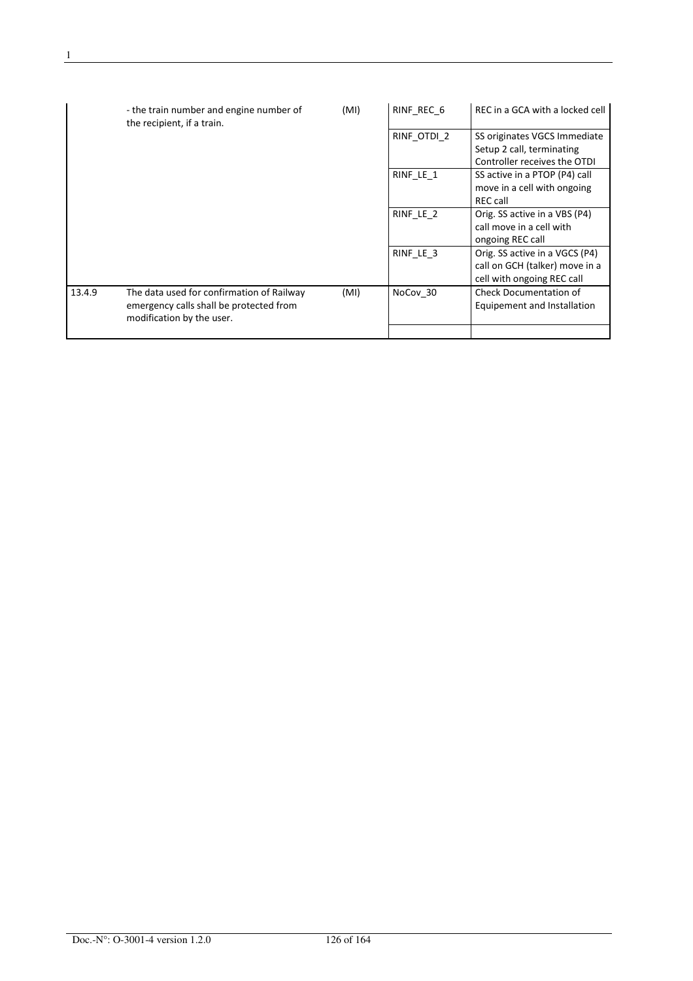|        | - the train number and engine number of<br>the recipient, if a train.                                             | (MI) | RINF REC 6  | REC in a GCA with a locked cell                                                                |
|--------|-------------------------------------------------------------------------------------------------------------------|------|-------------|------------------------------------------------------------------------------------------------|
|        |                                                                                                                   |      | RINF OTDI 2 | SS originates VGCS Immediate<br>Setup 2 call, terminating<br>Controller receives the OTDI      |
|        |                                                                                                                   |      | RINF_LE_1   | SS active in a PTOP (P4) call<br>move in a cell with ongoing<br><b>REC call</b>                |
|        |                                                                                                                   |      | RINF LE 2   | Orig. SS active in a VBS (P4)<br>call move in a cell with<br>ongoing REC call                  |
|        |                                                                                                                   |      | RINF_LE_3   | Orig. SS active in a VGCS (P4)<br>call on GCH (talker) move in a<br>cell with ongoing REC call |
| 13.4.9 | The data used for confirmation of Railway<br>emergency calls shall be protected from<br>modification by the user. | (MI) | NoCov 30    | <b>Check Documentation of</b><br>Equipement and Installation                                   |
|        |                                                                                                                   |      |             |                                                                                                |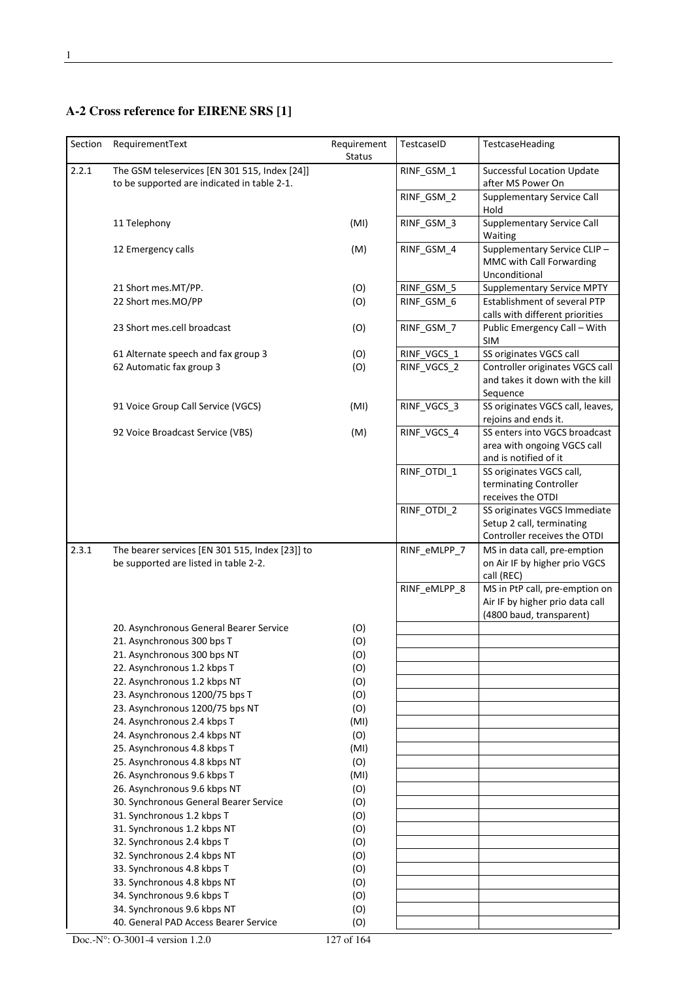## **A-2 Cross reference for EIRENE SRS [1]**

| Section | RequirementText                                                                              | Requirement<br>Status | TestcaseID   | TestcaseHeading                                                                               |
|---------|----------------------------------------------------------------------------------------------|-----------------------|--------------|-----------------------------------------------------------------------------------------------|
| 2.2.1   | The GSM teleservices [EN 301 515, Index [24]]<br>to be supported are indicated in table 2-1. |                       | RINF_GSM_1   | <b>Successful Location Update</b><br>after MS Power On                                        |
|         |                                                                                              |                       | RINF_GSM_2   | Supplementary Service Call<br>Hold                                                            |
|         | 11 Telephony                                                                                 | (MI)                  | RINF_GSM_3   | <b>Supplementary Service Call</b><br>Waiting                                                  |
|         | 12 Emergency calls                                                                           | (M)                   | RINF_GSM_4   | Supplementary Service CLIP-<br>MMC with Call Forwarding<br>Unconditional                      |
|         | 21 Short mes.MT/PP.                                                                          | (O)                   | RINF_GSM_5   | <b>Supplementary Service MPTY</b>                                                             |
|         | 22 Short mes.MO/PP                                                                           | (O)                   | RINF_GSM_6   | Establishment of several PTP<br>calls with different priorities                               |
|         | 23 Short mes.cell broadcast                                                                  | (O)                   | RINF_GSM_7   | Public Emergency Call - With<br><b>SIM</b>                                                    |
|         | 61 Alternate speech and fax group 3                                                          | (O)                   | RINF_VGCS_1  | SS originates VGCS call                                                                       |
|         | 62 Automatic fax group 3                                                                     | (O)                   | RINF_VGCS_2  | Controller originates VGCS call<br>and takes it down with the kill<br>Sequence                |
|         | 91 Voice Group Call Service (VGCS)                                                           | (MI)                  | RINF VGCS 3  | SS originates VGCS call, leaves,<br>rejoins and ends it.                                      |
|         | 92 Voice Broadcast Service (VBS)                                                             | (M)                   | RINF_VGCS_4  | SS enters into VGCS broadcast<br>area with ongoing VGCS call<br>and is notified of it         |
|         |                                                                                              |                       | RINF_OTDI_1  | SS originates VGCS call,<br>terminating Controller<br>receives the OTDI                       |
|         |                                                                                              |                       | RINF_OTDI_2  | SS originates VGCS Immediate<br>Setup 2 call, terminating<br>Controller receives the OTDI     |
| 2.3.1   | The bearer services [EN 301 515, Index [23]] to<br>be supported are listed in table 2-2.     |                       | RINF_eMLPP_7 | MS in data call, pre-emption<br>on Air IF by higher prio VGCS<br>call (REC)                   |
|         |                                                                                              |                       | RINF_eMLPP_8 | MS in PtP call, pre-emption on<br>Air IF by higher prio data call<br>(4800 baud, transparent) |
|         | 20. Asynchronous General Bearer Service                                                      | (O)                   |              |                                                                                               |
|         | 21. Asynchronous 300 bps T                                                                   | (O)                   |              |                                                                                               |
|         | 21. Asynchronous 300 bps NT                                                                  | (O)                   |              |                                                                                               |
|         | 22. Asynchronous 1.2 kbps T                                                                  | (O)                   |              |                                                                                               |
|         | 22. Asynchronous 1.2 kbps NT                                                                 | (O)                   |              |                                                                                               |
|         | 23. Asynchronous 1200/75 bps T                                                               | (O)                   |              |                                                                                               |
|         | 23. Asynchronous 1200/75 bps NT                                                              | (O)                   |              |                                                                                               |
|         | 24. Asynchronous 2.4 kbps T                                                                  | (MI)                  |              |                                                                                               |
|         | 24. Asynchronous 2.4 kbps NT                                                                 | (O)                   |              |                                                                                               |
|         | 25. Asynchronous 4.8 kbps T                                                                  | (MI)                  |              |                                                                                               |
|         | 25. Asynchronous 4.8 kbps NT                                                                 | (O)                   |              |                                                                                               |
|         | 26. Asynchronous 9.6 kbps T                                                                  | (MI)                  |              |                                                                                               |
|         | 26. Asynchronous 9.6 kbps NT                                                                 | (O)                   |              |                                                                                               |
|         | 30. Synchronous General Bearer Service                                                       | (O)                   |              |                                                                                               |
|         | 31. Synchronous 1.2 kbps T                                                                   | (O)                   |              |                                                                                               |
|         | 31. Synchronous 1.2 kbps NT                                                                  | (O)                   |              |                                                                                               |
|         | 32. Synchronous 2.4 kbps T                                                                   | (O)                   |              |                                                                                               |
|         | 32. Synchronous 2.4 kbps NT                                                                  | (O)                   |              |                                                                                               |
|         | 33. Synchronous 4.8 kbps T                                                                   | (O)                   |              |                                                                                               |
|         | 33. Synchronous 4.8 kbps NT                                                                  | (O)                   |              |                                                                                               |
|         | 34. Synchronous 9.6 kbps T                                                                   | (O)                   |              |                                                                                               |
|         | 34. Synchronous 9.6 kbps NT                                                                  | (O)                   |              |                                                                                               |
|         | 40. General PAD Access Bearer Service                                                        | (O)                   |              |                                                                                               |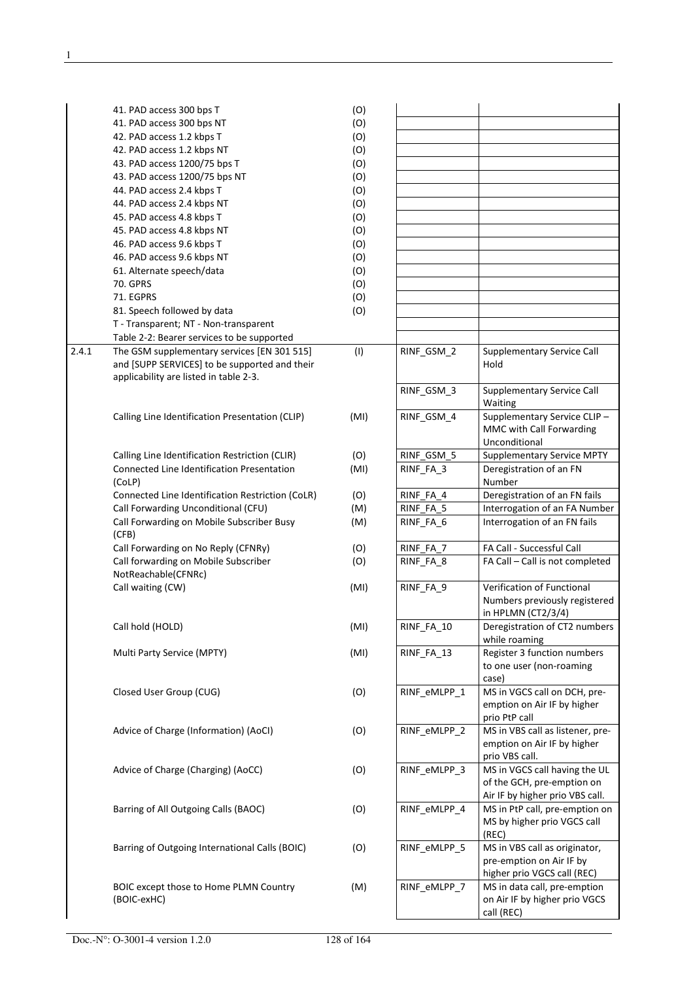|       | 41. PAD access 300 bps T                                                                                                               | (O)  |              |                                                                                                |
|-------|----------------------------------------------------------------------------------------------------------------------------------------|------|--------------|------------------------------------------------------------------------------------------------|
|       | 41. PAD access 300 bps NT                                                                                                              | (O)  |              |                                                                                                |
|       | 42. PAD access 1.2 kbps T                                                                                                              | (O)  |              |                                                                                                |
|       | 42. PAD access 1.2 kbps NT                                                                                                             | (O)  |              |                                                                                                |
|       | 43. PAD access 1200/75 bps T                                                                                                           | (O)  |              |                                                                                                |
|       | 43. PAD access 1200/75 bps NT                                                                                                          | (O)  |              |                                                                                                |
|       | 44. PAD access 2.4 kbps T                                                                                                              | (O)  |              |                                                                                                |
|       | 44. PAD access 2.4 kbps NT                                                                                                             | (O)  |              |                                                                                                |
|       | 45. PAD access 4.8 kbps T                                                                                                              | (O)  |              |                                                                                                |
|       | 45. PAD access 4.8 kbps NT                                                                                                             | (O)  |              |                                                                                                |
|       | 46. PAD access 9.6 kbps T                                                                                                              | (O)  |              |                                                                                                |
|       | 46. PAD access 9.6 kbps NT                                                                                                             | (O)  |              |                                                                                                |
|       | 61. Alternate speech/data                                                                                                              | (O)  |              |                                                                                                |
|       | 70. GPRS                                                                                                                               | (O)  |              |                                                                                                |
|       | 71. EGPRS                                                                                                                              | (O)  |              |                                                                                                |
|       | 81. Speech followed by data                                                                                                            | (O)  |              |                                                                                                |
|       | T - Transparent; NT - Non-transparent                                                                                                  |      |              |                                                                                                |
|       | Table 2-2: Bearer services to be supported                                                                                             |      |              |                                                                                                |
| 2.4.1 | The GSM supplementary services [EN 301 515]<br>and [SUPP SERVICES] to be supported and their<br>applicability are listed in table 2-3. | (1)  | RINF_GSM_2   | <b>Supplementary Service Call</b><br>Hold                                                      |
|       |                                                                                                                                        |      | RINF GSM 3   | <b>Supplementary Service Call</b><br>Waiting                                                   |
|       | Calling Line Identification Presentation (CLIP)                                                                                        | (MI) | RINF GSM 4   | Supplementary Service CLIP-<br>MMC with Call Forwarding<br>Unconditional                       |
|       | Calling Line Identification Restriction (CLIR)                                                                                         | (O)  | RINF_GSM 5   | <b>Supplementary Service MPTY</b>                                                              |
|       | Connected Line Identification Presentation                                                                                             | (MI) | RINF_FA_3    | Deregistration of an FN                                                                        |
|       | (CoLP)                                                                                                                                 |      |              | Number                                                                                         |
|       | Connected Line Identification Restriction (CoLR)                                                                                       | (O)  | RINF_FA_4    | Deregistration of an FN fails                                                                  |
|       | Call Forwarding Unconditional (CFU)                                                                                                    | (M)  | RINF_FA_5    | Interrogation of an FA Number                                                                  |
|       | Call Forwarding on Mobile Subscriber Busy<br>(CFB)                                                                                     | (M)  | RINF_FA_6    | Interrogation of an FN fails                                                                   |
|       | Call Forwarding on No Reply (CFNRy)                                                                                                    | (O)  | RINF FA 7    | FA Call - Successful Call                                                                      |
|       | Call forwarding on Mobile Subscriber<br>NotReachable(CFNRc)                                                                            | (O)  | RINF_FA_8    | FA Call - Call is not completed                                                                |
|       | Call waiting (CW)                                                                                                                      | (MI) | RINF_FA_9    | Verification of Functional<br>Numbers previously registered<br>in HPLMN (CT2/3/4)              |
|       | Call hold (HOLD)                                                                                                                       | (MI) | RINF_FA_10   | Deregistration of CT2 numbers<br>while roaming                                                 |
|       | Multi Party Service (MPTY)                                                                                                             | (MI) | RINF_FA_13   | Register 3 function numbers<br>to one user (non-roaming<br>case)                               |
|       | Closed User Group (CUG)                                                                                                                | (O)  | RINF_eMLPP 1 | MS in VGCS call on DCH, pre-<br>emption on Air IF by higher<br>prio PtP call                   |
|       | Advice of Charge (Information) (AoCI)                                                                                                  | (O)  | RINF_eMLPP_2 | MS in VBS call as listener, pre-<br>emption on Air IF by higher<br>prio VBS call.              |
|       | Advice of Charge (Charging) (AoCC)                                                                                                     | (O)  | RINF_eMLPP_3 | MS in VGCS call having the UL<br>of the GCH, pre-emption on<br>Air IF by higher prio VBS call. |
|       | Barring of All Outgoing Calls (BAOC)                                                                                                   | (O)  | RINF_eMLPP_4 | MS in PtP call, pre-emption on<br>MS by higher prio VGCS call<br>(REC)                         |
|       | Barring of Outgoing International Calls (BOIC)                                                                                         | (O)  | RINF_eMLPP_5 | MS in VBS call as originator,<br>pre-emption on Air IF by<br>higher prio VGCS call (REC)       |
|       | BOIC except those to Home PLMN Country<br>(BOIC-exHC)                                                                                  | (M)  | RINF_eMLPP_7 | MS in data call, pre-emption<br>on Air IF by higher prio VGCS<br>call (REC)                    |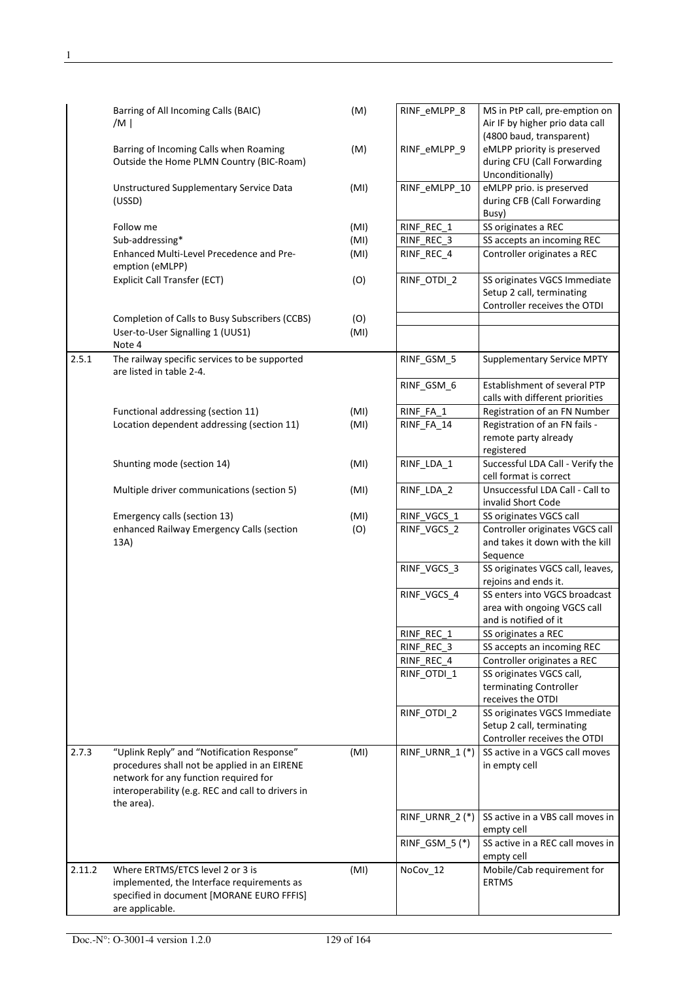|        | Barring of All Incoming Calls (BAIC)<br>/M $\vert$                                                                                                                                                     | (M)  | RINF_eMLPP_8    | MS in PtP call, pre-emption on<br>Air IF by higher prio data call                                          |
|--------|--------------------------------------------------------------------------------------------------------------------------------------------------------------------------------------------------------|------|-----------------|------------------------------------------------------------------------------------------------------------|
|        | Barring of Incoming Calls when Roaming<br>Outside the Home PLMN Country (BIC-Roam)                                                                                                                     | (M)  | RINF_eMLPP_9    | (4800 baud, transparent)<br>eMLPP priority is preserved<br>during CFU (Call Forwarding<br>Unconditionally) |
|        | Unstructured Supplementary Service Data<br>(USSD)                                                                                                                                                      | (MI) | RINF_eMLPP_10   | eMLPP prio. is preserved<br>during CFB (Call Forwarding<br>Busy)                                           |
|        | Follow me                                                                                                                                                                                              | (MI) | RINF REC 1      | SS originates a REC                                                                                        |
|        | Sub-addressing*                                                                                                                                                                                        | (MI) | RINF_REC_3      | SS accepts an incoming REC                                                                                 |
|        | Enhanced Multi-Level Precedence and Pre-<br>emption (eMLPP)                                                                                                                                            | (MI) | RINF REC 4      | Controller originates a REC                                                                                |
|        | Explicit Call Transfer (ECT)                                                                                                                                                                           | (O)  | RINF_OTDI_2     | SS originates VGCS Immediate<br>Setup 2 call, terminating<br>Controller receives the OTDI                  |
|        | Completion of Calls to Busy Subscribers (CCBS)                                                                                                                                                         | (O)  |                 |                                                                                                            |
|        | User-to-User Signalling 1 (UUS1)<br>Note 4                                                                                                                                                             | (MI) |                 |                                                                                                            |
| 2.5.1  | The railway specific services to be supported<br>are listed in table 2-4.                                                                                                                              |      | RINF_GSM_5      | <b>Supplementary Service MPTY</b>                                                                          |
|        |                                                                                                                                                                                                        |      | RINF_GSM_6      | Establishment of several PTP<br>calls with different priorities                                            |
|        | Functional addressing (section 11)                                                                                                                                                                     | (MI) | RINF_FA_1       | Registration of an FN Number                                                                               |
|        | Location dependent addressing (section 11)                                                                                                                                                             | (MI) | RINF_FA_14      | Registration of an FN fails -<br>remote party already                                                      |
|        | Shunting mode (section 14)                                                                                                                                                                             | (MI) | RINF_LDA_1      | registered<br>Successful LDA Call - Verify the<br>cell format is correct                                   |
|        | Multiple driver communications (section 5)                                                                                                                                                             | (MI) | RINF_LDA_2      | Unsuccessful LDA Call - Call to<br>invalid Short Code                                                      |
|        | Emergency calls (section 13)                                                                                                                                                                           | (MI) | RINF_VGCS_1     | SS originates VGCS call                                                                                    |
|        | enhanced Railway Emergency Calls (section<br>13A)                                                                                                                                                      | (O)  | RINF_VGCS_2     | Controller originates VGCS call<br>and takes it down with the kill<br>Sequence                             |
|        |                                                                                                                                                                                                        |      | RINF VGCS 3     | SS originates VGCS call, leaves,<br>rejoins and ends it.                                                   |
|        |                                                                                                                                                                                                        |      | RINF_VGCS_4     | SS enters into VGCS broadcast<br>area with ongoing VGCS call<br>and is notified of it                      |
|        |                                                                                                                                                                                                        |      | RINF_REC_1      | SS originates a REC                                                                                        |
|        |                                                                                                                                                                                                        |      | RINF_REC_3      | SS accepts an incoming REC                                                                                 |
|        |                                                                                                                                                                                                        |      | RINF_REC_4      | Controller originates a REC                                                                                |
|        |                                                                                                                                                                                                        |      | RINF_OTDI_1     | SS originates VGCS call,<br>terminating Controller<br>receives the OTDI                                    |
|        |                                                                                                                                                                                                        |      | RINF OTDI 2     | SS originates VGCS Immediate<br>Setup 2 call, terminating<br>Controller receives the OTDI                  |
| 2.7.3  | "Uplink Reply" and "Notification Response"<br>procedures shall not be applied in an EIRENE<br>network for any function required for<br>interoperability (e.g. REC and call to drivers in<br>the area). | (MI) | RINF_URNR_1(*)  | SS active in a VGCS call moves<br>in empty cell                                                            |
|        |                                                                                                                                                                                                        |      | RINF_URNR_2 (*) | SS active in a VBS call moves in<br>empty cell                                                             |
|        |                                                                                                                                                                                                        |      | RINF_GSM_5(*)   | SS active in a REC call moves in<br>empty cell                                                             |
| 2.11.2 | Where ERTMS/ETCS level 2 or 3 is<br>implemented, the Interface requirements as<br>specified in document [MORANE EURO FFFIS]<br>are applicable.                                                         | (MI) | NoCov_12        | Mobile/Cab requirement for<br><b>ERTMS</b>                                                                 |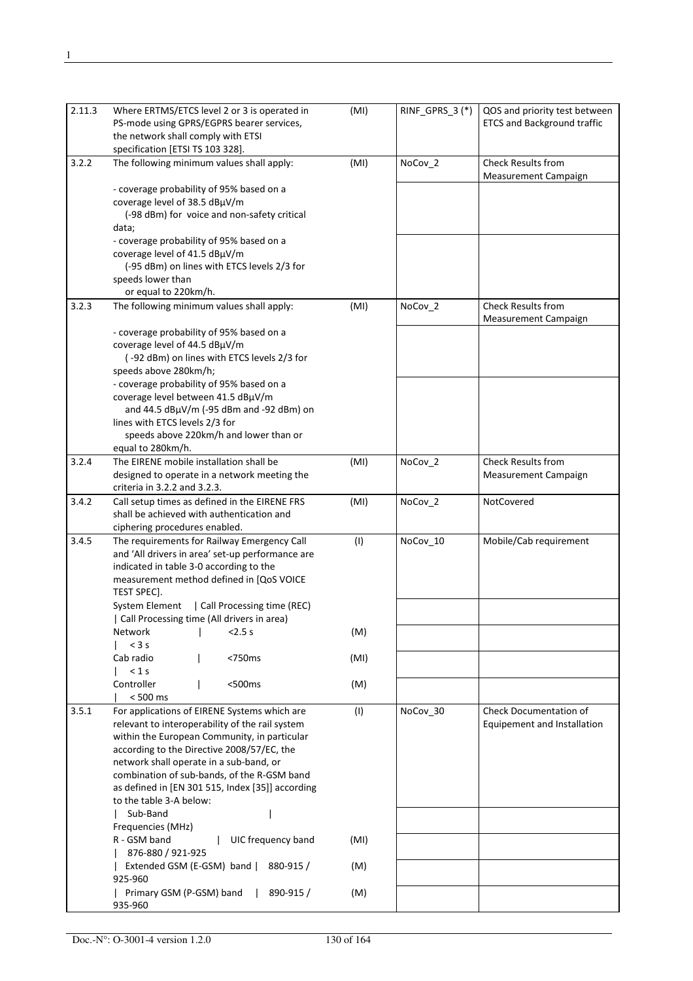| 2.11.3 | Where ERTMS/ETCS level 2 or 3 is operated in<br>PS-mode using GPRS/EGPRS bearer services,<br>the network shall comply with ETSI<br>specification [ETSI TS 103 328].                                                                                                                                                                                                                  | (MI) | RINF_GPRS_3(*) | QOS and priority test between<br><b>ETCS and Background traffic</b> |
|--------|--------------------------------------------------------------------------------------------------------------------------------------------------------------------------------------------------------------------------------------------------------------------------------------------------------------------------------------------------------------------------------------|------|----------------|---------------------------------------------------------------------|
| 3.2.2  | The following minimum values shall apply:                                                                                                                                                                                                                                                                                                                                            | (MI) | NoCov_2        | <b>Check Results from</b><br><b>Measurement Campaign</b>            |
|        | - coverage probability of 95% based on a<br>coverage level of 38.5 dBµV/m<br>(-98 dBm) for voice and non-safety critical<br>data;<br>- coverage probability of 95% based on a<br>coverage level of 41.5 dBµV/m                                                                                                                                                                       |      |                |                                                                     |
|        | (-95 dBm) on lines with ETCS levels 2/3 for<br>speeds lower than                                                                                                                                                                                                                                                                                                                     |      |                |                                                                     |
| 3.2.3  | or equal to 220km/h.<br>The following minimum values shall apply:                                                                                                                                                                                                                                                                                                                    | (MI) | NoCov_2        | <b>Check Results from</b>                                           |
|        | - coverage probability of 95% based on a<br>coverage level of 44.5 dBµV/m<br>(-92 dBm) on lines with ETCS levels 2/3 for<br>speeds above 280km/h;<br>- coverage probability of 95% based on a<br>coverage level between 41.5 dBµV/m<br>and 44.5 dBµV/m (-95 dBm and -92 dBm) on<br>lines with ETCS levels 2/3 for                                                                    |      |                | <b>Measurement Campaign</b>                                         |
|        | speeds above 220km/h and lower than or<br>equal to 280km/h.                                                                                                                                                                                                                                                                                                                          |      |                |                                                                     |
| 3.2.4  | The EIRENE mobile installation shall be<br>designed to operate in a network meeting the<br>criteria in 3.2.2 and 3.2.3.                                                                                                                                                                                                                                                              | (MI) | NoCov_2        | <b>Check Results from</b><br><b>Measurement Campaign</b>            |
| 3.4.2  | Call setup times as defined in the EIRENE FRS<br>shall be achieved with authentication and<br>ciphering procedures enabled.                                                                                                                                                                                                                                                          | (MI) | NoCov_2        | NotCovered                                                          |
| 3.4.5  | The requirements for Railway Emergency Call<br>and 'All drivers in area' set-up performance are<br>indicated in table 3-0 according to the<br>measurement method defined in [QoS VOICE<br>TEST SPEC].<br>System Element   Call Processing time (REC)                                                                                                                                 | (1)  | NoCov_10       | Mobile/Cab requirement                                              |
|        | Call Processing time (All drivers in area)<br>2.5s<br>Network                                                                                                                                                                                                                                                                                                                        | (M)  |                |                                                                     |
|        | $<$ 3 s<br><750ms<br>Cab radio                                                                                                                                                                                                                                                                                                                                                       | (MI) |                |                                                                     |
|        | < 1s<br>Controller<br><500ms                                                                                                                                                                                                                                                                                                                                                         | (M)  |                |                                                                     |
| 3.5.1  | $< 500$ ms<br>For applications of EIRENE Systems which are<br>relevant to interoperability of the rail system<br>within the European Community, in particular<br>according to the Directive 2008/57/EC, the<br>network shall operate in a sub-band, or<br>combination of sub-bands, of the R-GSM band<br>as defined in [EN 301 515, Index [35]] according<br>to the table 3-A below: | (1)  | NoCov_30       | Check Documentation of<br>Equipement and Installation               |
|        | Sub-Band<br>Frequencies (MHz)                                                                                                                                                                                                                                                                                                                                                        |      |                |                                                                     |
|        | R - GSM band<br>UIC frequency band<br>876-880 / 921-925                                                                                                                                                                                                                                                                                                                              | (MI) |                |                                                                     |
|        | Extended GSM (E-GSM) band  <br>880-915/<br>925-960                                                                                                                                                                                                                                                                                                                                   | (M)  |                |                                                                     |
|        | Primary GSM (P-GSM) band<br>890-915 /<br>935-960                                                                                                                                                                                                                                                                                                                                     | (M)  |                |                                                                     |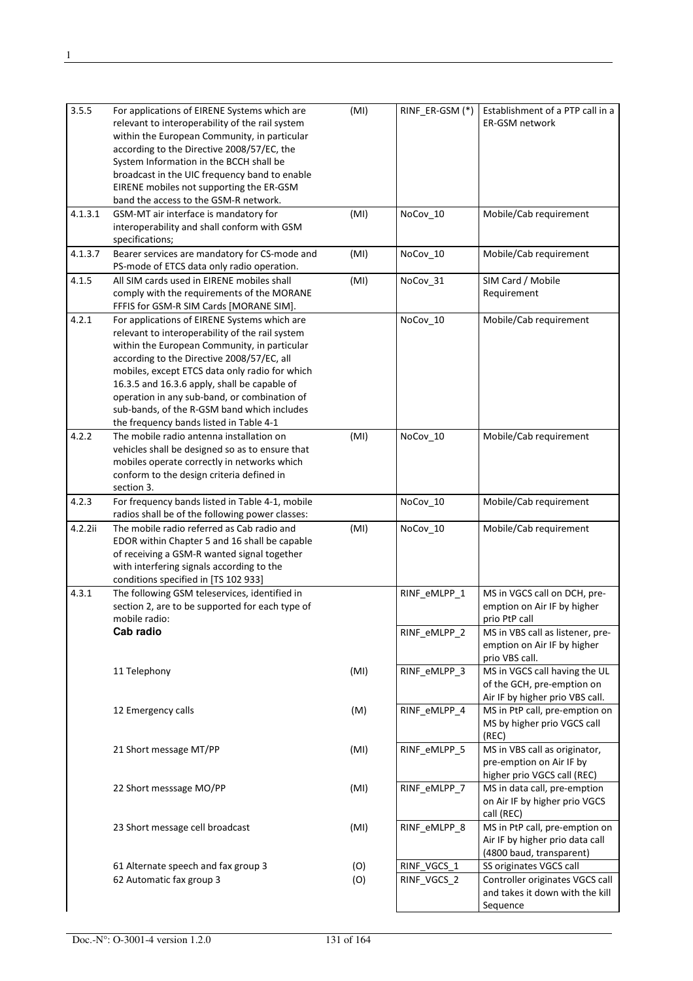| 3.5.5   | For applications of EIRENE Systems which are<br>relevant to interoperability of the rail system<br>within the European Community, in particular<br>according to the Directive 2008/57/EC, the<br>System Information in the BCCH shall be<br>broadcast in the UIC frequency band to enable<br>EIRENE mobiles not supporting the ER-GSM<br>band the access to the GSM-R network.                                                            | (MI) | RINF_ER-GSM (*) | Establishment of a PTP call in a<br><b>ER-GSM network</b>                                      |
|---------|-------------------------------------------------------------------------------------------------------------------------------------------------------------------------------------------------------------------------------------------------------------------------------------------------------------------------------------------------------------------------------------------------------------------------------------------|------|-----------------|------------------------------------------------------------------------------------------------|
| 4.1.3.1 | GSM-MT air interface is mandatory for                                                                                                                                                                                                                                                                                                                                                                                                     | (MI) | NoCov_10        | Mobile/Cab requirement                                                                         |
|         | interoperability and shall conform with GSM<br>specifications;                                                                                                                                                                                                                                                                                                                                                                            |      |                 |                                                                                                |
| 4.1.3.7 | Bearer services are mandatory for CS-mode and<br>PS-mode of ETCS data only radio operation.                                                                                                                                                                                                                                                                                                                                               | (MI) | NoCov_10        | Mobile/Cab requirement                                                                         |
| 4.1.5   | All SIM cards used in EIRENE mobiles shall<br>comply with the requirements of the MORANE<br>FFFIS for GSM-R SIM Cards [MORANE SIM].                                                                                                                                                                                                                                                                                                       | (MI) | NoCov_31        | SIM Card / Mobile<br>Requirement                                                               |
| 4.2.1   | For applications of EIRENE Systems which are<br>relevant to interoperability of the rail system<br>within the European Community, in particular<br>according to the Directive 2008/57/EC, all<br>mobiles, except ETCS data only radio for which<br>16.3.5 and 16.3.6 apply, shall be capable of<br>operation in any sub-band, or combination of<br>sub-bands, of the R-GSM band which includes<br>the frequency bands listed in Table 4-1 |      | NoCov_10        | Mobile/Cab requirement                                                                         |
| 4.2.2   | The mobile radio antenna installation on<br>vehicles shall be designed so as to ensure that<br>mobiles operate correctly in networks which<br>conform to the design criteria defined in<br>section 3.                                                                                                                                                                                                                                     | (MI) | NoCov_10        | Mobile/Cab requirement                                                                         |
| 4.2.3   | For frequency bands listed in Table 4-1, mobile<br>radios shall be of the following power classes:                                                                                                                                                                                                                                                                                                                                        |      | NoCov_10        | Mobile/Cab requirement                                                                         |
| 4.2.2ii | The mobile radio referred as Cab radio and<br>EDOR within Chapter 5 and 16 shall be capable<br>of receiving a GSM-R wanted signal together<br>with interfering signals according to the<br>conditions specified in [TS 102 933]                                                                                                                                                                                                           | (MI) | NoCov_10        | Mobile/Cab requirement                                                                         |
| 4.3.1   | The following GSM teleservices, identified in<br>section 2, are to be supported for each type of<br>mobile radio:                                                                                                                                                                                                                                                                                                                         |      | RINF eMLPP 1    | MS in VGCS call on DCH, pre-<br>emption on Air IF by higher<br>prio PtP call                   |
|         | Cab radio                                                                                                                                                                                                                                                                                                                                                                                                                                 |      | RINF_eMLPP_2    | MS in VBS call as listener, pre-<br>emption on Air IF by higher<br>prio VBS call.              |
|         | 11 Telephony                                                                                                                                                                                                                                                                                                                                                                                                                              | (MI) | RINF_eMLPP 3    | MS in VGCS call having the UL<br>of the GCH, pre-emption on<br>Air IF by higher prio VBS call. |
|         | 12 Emergency calls                                                                                                                                                                                                                                                                                                                                                                                                                        | (M)  | RINF_eMLPP_4    | MS in PtP call, pre-emption on<br>MS by higher prio VGCS call<br>(REC)                         |
|         | 21 Short message MT/PP                                                                                                                                                                                                                                                                                                                                                                                                                    | (MI) | RINF_eMLPP 5    | MS in VBS call as originator,<br>pre-emption on Air IF by<br>higher prio VGCS call (REC)       |
|         | 22 Short messsage MO/PP                                                                                                                                                                                                                                                                                                                                                                                                                   | (MI) | RINF_eMLPP_7    | MS in data call, pre-emption<br>on Air IF by higher prio VGCS<br>call (REC)                    |
|         | 23 Short message cell broadcast                                                                                                                                                                                                                                                                                                                                                                                                           | (MI) | RINF_eMLPP_8    | MS in PtP call, pre-emption on<br>Air IF by higher prio data call<br>(4800 baud, transparent)  |
|         | 61 Alternate speech and fax group 3                                                                                                                                                                                                                                                                                                                                                                                                       | (O)  | RINF_VGCS_1     | SS originates VGCS call                                                                        |
|         | 62 Automatic fax group 3                                                                                                                                                                                                                                                                                                                                                                                                                  | (O)  | RINF_VGCS_2     | Controller originates VGCS call<br>and takes it down with the kill<br>Sequence                 |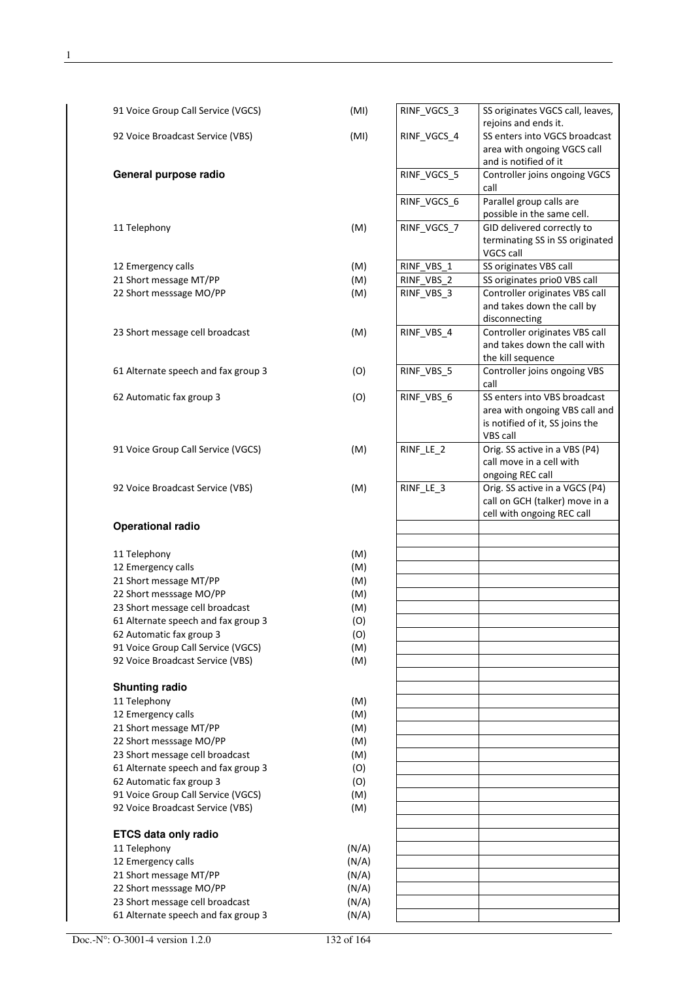| 91 Voice Group Call Service (VGCS)  | (MI)  | RINF_VGCS_3 | SS originates VGCS call, leaves,                       |
|-------------------------------------|-------|-------------|--------------------------------------------------------|
|                                     |       |             | rejoins and ends it.                                   |
| 92 Voice Broadcast Service (VBS)    | (MI)  | RINF VGCS 4 | SS enters into VGCS broadcast                          |
|                                     |       |             | area with ongoing VGCS call                            |
|                                     |       |             | and is notified of it                                  |
| General purpose radio               |       | RINF_VGCS_5 | Controller joins ongoing VGCS                          |
|                                     |       |             | call                                                   |
|                                     |       | RINF_VGCS_6 | Parallel group calls are<br>possible in the same cell. |
| 11 Telephony                        | (M)   | RINF_VGCS_7 | GID delivered correctly to                             |
|                                     |       |             | terminating SS in SS originated                        |
|                                     |       |             | VGCS call                                              |
| 12 Emergency calls                  | (M)   | RINF VBS 1  | SS originates VBS call                                 |
| 21 Short message MT/PP              | (M)   | RINF VBS 2  | SS originates prio0 VBS call                           |
| 22 Short messsage MO/PP             | (M)   | RINF_VBS_3  | Controller originates VBS call                         |
|                                     |       |             | and takes down the call by                             |
|                                     |       |             | disconnecting                                          |
| 23 Short message cell broadcast     | (M)   | RINF_VBS_4  | Controller originates VBS call                         |
|                                     |       |             | and takes down the call with                           |
|                                     |       |             | the kill sequence                                      |
| 61 Alternate speech and fax group 3 | (O)   | RINF_VBS_5  | Controller joins ongoing VBS                           |
|                                     |       |             | call                                                   |
| 62 Automatic fax group 3            | (O)   | RINF VBS 6  | SS enters into VBS broadcast                           |
|                                     |       |             | area with ongoing VBS call and                         |
|                                     |       |             | is notified of it, SS joins the                        |
|                                     |       |             | VBS call                                               |
| 91 Voice Group Call Service (VGCS)  | (M)   | RINF_LE_2   | Orig. SS active in a VBS (P4)                          |
|                                     |       |             | call move in a cell with                               |
|                                     |       |             | ongoing REC call                                       |
| 92 Voice Broadcast Service (VBS)    | (M)   | RINF_LE_3   | Orig. SS active in a VGCS (P4)                         |
|                                     |       |             | call on GCH (talker) move in a                         |
|                                     |       |             | cell with ongoing REC call                             |
| <b>Operational radio</b>            |       |             |                                                        |
| 11 Telephony                        | (M)   |             |                                                        |
| 12 Emergency calls                  | (M)   |             |                                                        |
| 21 Short message MT/PP              | (M)   |             |                                                        |
| 22 Short messsage MO/PP             | (M)   |             |                                                        |
| 23 Short message cell broadcast     | (M)   |             |                                                        |
| 61 Alternate speech and fax group 3 | (O)   |             |                                                        |
| 62 Automatic fax group 3            | (O)   |             |                                                        |
| 91 Voice Group Call Service (VGCS)  | (M)   |             |                                                        |
| 92 Voice Broadcast Service (VBS)    | (M)   |             |                                                        |
|                                     |       |             |                                                        |
| <b>Shunting radio</b>               |       |             |                                                        |
| 11 Telephony                        | (M)   |             |                                                        |
| 12 Emergency calls                  | (M)   |             |                                                        |
| 21 Short message MT/PP              | (M)   |             |                                                        |
| 22 Short messsage MO/PP             | (M)   |             |                                                        |
| 23 Short message cell broadcast     | (M)   |             |                                                        |
| 61 Alternate speech and fax group 3 | (O)   |             |                                                        |
| 62 Automatic fax group 3            | (O)   |             |                                                        |
| 91 Voice Group Call Service (VGCS)  | (M)   |             |                                                        |
| 92 Voice Broadcast Service (VBS)    | (M)   |             |                                                        |
|                                     |       |             |                                                        |
| <b>ETCS data only radio</b>         |       |             |                                                        |
| 11 Telephony                        | (N/A) |             |                                                        |
| 12 Emergency calls                  | (N/A) |             |                                                        |
| 21 Short message MT/PP              |       |             |                                                        |
|                                     | (N/A) |             |                                                        |
| 22 Short messsage MO/PP             | (N/A) |             |                                                        |
| 23 Short message cell broadcast     | (N/A) |             |                                                        |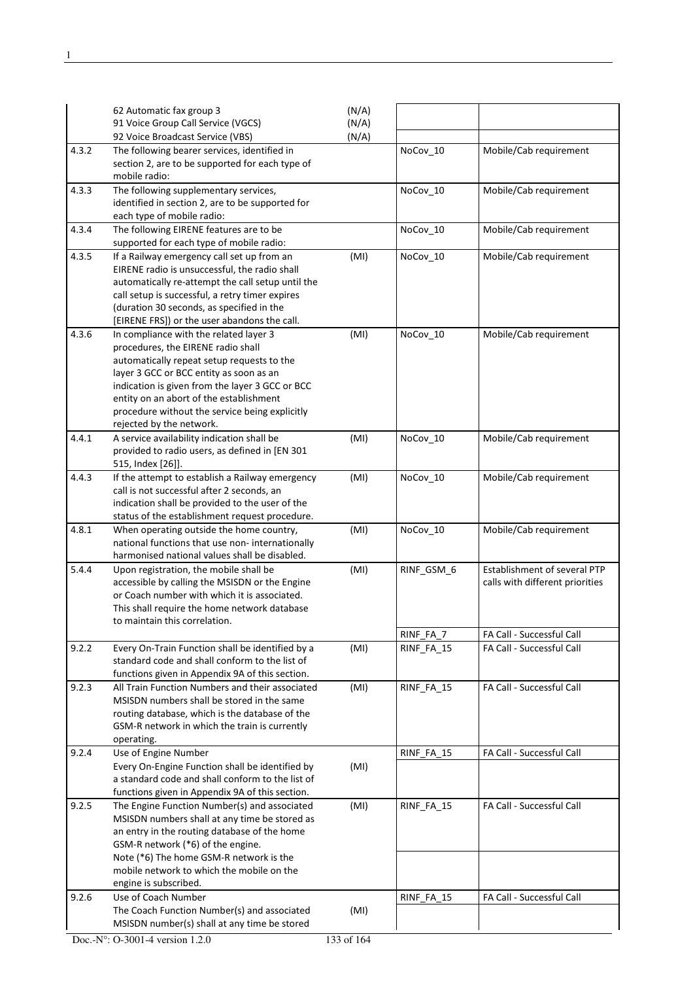|       | 62 Automatic fax group 3                                                                        | (N/A) |            |                                 |
|-------|-------------------------------------------------------------------------------------------------|-------|------------|---------------------------------|
|       | 91 Voice Group Call Service (VGCS)                                                              | (N/A) |            |                                 |
| 4.3.2 | 92 Voice Broadcast Service (VBS)<br>The following bearer services, identified in                | (N/A) | NoCov_10   | Mobile/Cab requirement          |
|       | section 2, are to be supported for each type of<br>mobile radio:                                |       |            |                                 |
| 4.3.3 | The following supplementary services,<br>identified in section 2, are to be supported for       |       | NoCov_10   | Mobile/Cab requirement          |
|       | each type of mobile radio:                                                                      |       |            |                                 |
| 4.3.4 | The following EIRENE features are to be<br>supported for each type of mobile radio:             |       | NoCov_10   | Mobile/Cab requirement          |
| 4.3.5 | If a Railway emergency call set up from an                                                      | (MI)  | NoCov_10   | Mobile/Cab requirement          |
|       | EIRENE radio is unsuccessful, the radio shall                                                   |       |            |                                 |
|       | automatically re-attempt the call setup until the                                               |       |            |                                 |
|       | call setup is successful, a retry timer expires<br>(duration 30 seconds, as specified in the    |       |            |                                 |
|       | [EIRENE FRS]) or the user abandons the call.                                                    |       |            |                                 |
| 4.3.6 | In compliance with the related layer 3                                                          | (MI)  | NoCov_10   | Mobile/Cab requirement          |
|       | procedures, the EIRENE radio shall                                                              |       |            |                                 |
|       | automatically repeat setup requests to the                                                      |       |            |                                 |
|       | layer 3 GCC or BCC entity as soon as an                                                         |       |            |                                 |
|       | indication is given from the layer 3 GCC or BCC                                                 |       |            |                                 |
|       | entity on an abort of the establishment                                                         |       |            |                                 |
|       | procedure without the service being explicitly<br>rejected by the network.                      |       |            |                                 |
| 4.4.1 | A service availability indication shall be                                                      | (MI)  | NoCov_10   | Mobile/Cab requirement          |
|       | provided to radio users, as defined in [EN 301                                                  |       |            |                                 |
|       | 515, Index [26]].                                                                               |       |            |                                 |
| 4.4.3 | If the attempt to establish a Railway emergency                                                 | (MI)  | NoCov_10   | Mobile/Cab requirement          |
|       | call is not successful after 2 seconds, an                                                      |       |            |                                 |
|       | indication shall be provided to the user of the                                                 |       |            |                                 |
| 4.8.1 | status of the establishment request procedure.<br>When operating outside the home country,      | (MI)  | NoCov_10   | Mobile/Cab requirement          |
|       | national functions that use non-internationally                                                 |       |            |                                 |
|       | harmonised national values shall be disabled.                                                   |       |            |                                 |
| 5.4.4 | Upon registration, the mobile shall be                                                          | (MI)  | RINF_GSM_6 | Establishment of several PTP    |
|       | accessible by calling the MSISDN or the Engine                                                  |       |            | calls with different priorities |
|       | or Coach number with which it is associated.                                                    |       |            |                                 |
|       | This shall require the home network database<br>to maintain this correlation.                   |       |            |                                 |
|       |                                                                                                 |       | RINF_FA_7  | FA Call - Successful Call       |
| 9.2.2 | Every On-Train Function shall be identified by a                                                | (MI)  | RINF_FA_15 | FA Call - Successful Call       |
|       | standard code and shall conform to the list of                                                  |       |            |                                 |
|       | functions given in Appendix 9A of this section.                                                 |       |            |                                 |
| 9.2.3 | All Train Function Numbers and their associated                                                 | (MI)  | RINF_FA_15 | FA Call - Successful Call       |
|       | MSISDN numbers shall be stored in the same                                                      |       |            |                                 |
|       | routing database, which is the database of the<br>GSM-R network in which the train is currently |       |            |                                 |
|       | operating.                                                                                      |       |            |                                 |
| 9.2.4 | Use of Engine Number                                                                            |       | RINF_FA_15 | FA Call - Successful Call       |
|       | Every On-Engine Function shall be identified by                                                 | (MI)  |            |                                 |
|       | a standard code and shall conform to the list of                                                |       |            |                                 |
|       | functions given in Appendix 9A of this section.                                                 |       |            |                                 |
| 9.2.5 | The Engine Function Number(s) and associated                                                    | (MI)  | RINF_FA_15 | FA Call - Successful Call       |
|       | MSISDN numbers shall at any time be stored as                                                   |       |            |                                 |
|       | an entry in the routing database of the home<br>GSM-R network (*6) of the engine.               |       |            |                                 |
|       | Note (*6) The home GSM-R network is the                                                         |       |            |                                 |
|       | mobile network to which the mobile on the                                                       |       |            |                                 |
|       | engine is subscribed.                                                                           |       |            |                                 |
| 9.2.6 | Use of Coach Number                                                                             |       | RINF_FA_15 | FA Call - Successful Call       |
|       | The Coach Function Number(s) and associated                                                     | (MI)  |            |                                 |
|       | MSISDN number(s) shall at any time be stored                                                    |       |            |                                 |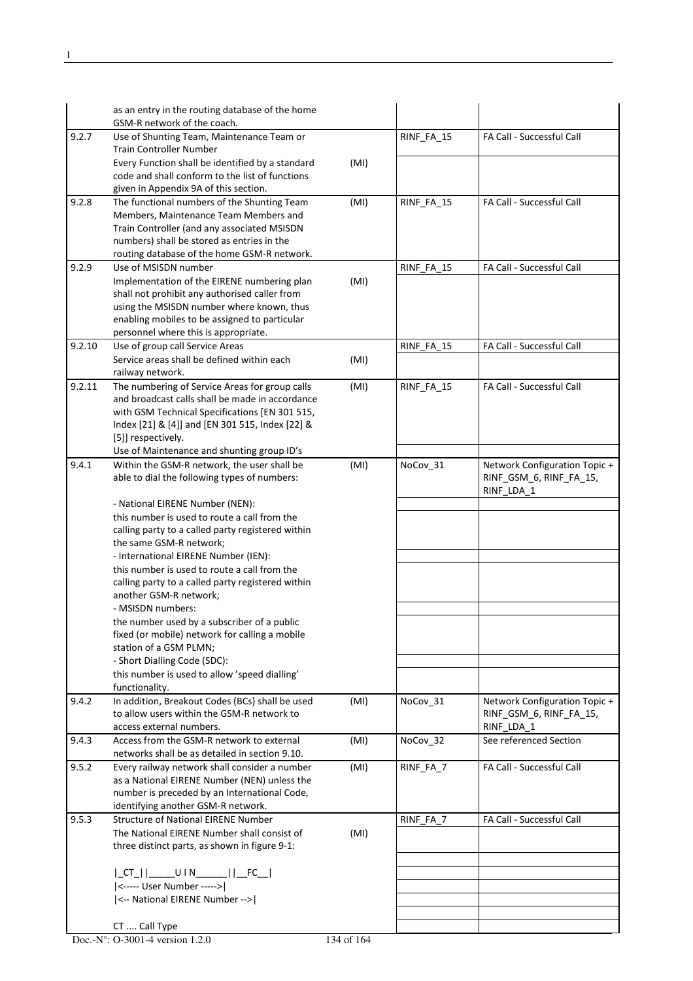|        | as an entry in the routing database of the home<br>GSM-R network of the coach.                                                                                                                                                                                             |      |            |                                                                        |
|--------|----------------------------------------------------------------------------------------------------------------------------------------------------------------------------------------------------------------------------------------------------------------------------|------|------------|------------------------------------------------------------------------|
| 9.2.7  | Use of Shunting Team, Maintenance Team or<br><b>Train Controller Number</b>                                                                                                                                                                                                |      | RINF FA 15 | FA Call - Successful Call                                              |
|        | Every Function shall be identified by a standard<br>code and shall conform to the list of functions<br>given in Appendix 9A of this section.                                                                                                                               | (MI) |            |                                                                        |
| 9.2.8  | The functional numbers of the Shunting Team<br>Members, Maintenance Team Members and<br>Train Controller (and any associated MSISDN<br>numbers) shall be stored as entries in the<br>routing database of the home GSM-R network.                                           | (MI) | RINF_FA_15 | FA Call - Successful Call                                              |
| 9.2.9  | Use of MSISDN number                                                                                                                                                                                                                                                       |      | RINF FA 15 | FA Call - Successful Call                                              |
|        | Implementation of the EIRENE numbering plan<br>shall not prohibit any authorised caller from<br>using the MSISDN number where known, thus<br>enabling mobiles to be assigned to particular<br>personnel where this is appropriate.                                         | (MI) |            |                                                                        |
| 9.2.10 | Use of group call Service Areas                                                                                                                                                                                                                                            |      | RINF FA 15 | FA Call - Successful Call                                              |
|        | Service areas shall be defined within each<br>railway network.                                                                                                                                                                                                             | (MI) |            |                                                                        |
| 9.2.11 | The numbering of Service Areas for group calls<br>and broadcast calls shall be made in accordance<br>with GSM Technical Specifications [EN 301 515,<br>Index [21] & [4]] and [EN 301 515, Index [22] &<br>[5]] respectively.<br>Use of Maintenance and shunting group ID's | (MI) | RINF_FA_15 | FA Call - Successful Call                                              |
| 9.4.1  | Within the GSM-R network, the user shall be<br>able to dial the following types of numbers:                                                                                                                                                                                | (MI) | NoCov_31   | Network Configuration Topic +<br>RINF_GSM_6, RINF_FA_15,<br>RINF_LDA_1 |
|        | - National EIRENE Number (NEN):<br>this number is used to route a call from the                                                                                                                                                                                            |      |            |                                                                        |
|        | calling party to a called party registered within<br>the same GSM-R network;                                                                                                                                                                                               |      |            |                                                                        |
|        | - International EIRENE Number (IEN):<br>this number is used to route a call from the<br>calling party to a called party registered within<br>another GSM-R network;                                                                                                        |      |            |                                                                        |
|        | - MSISDN numbers:                                                                                                                                                                                                                                                          |      |            |                                                                        |
|        | the number used by a subscriber of a public<br>fixed (or mobile) network for calling a mobile<br>station of a GSM PLMN;                                                                                                                                                    |      |            |                                                                        |
|        | - Short Dialling Code (SDC):<br>this number is used to allow 'speed dialling'<br>functionality.                                                                                                                                                                            |      |            |                                                                        |
| 9.4.2  | In addition, Breakout Codes (BCs) shall be used<br>to allow users within the GSM-R network to<br>access external numbers.                                                                                                                                                  | (MI) | NoCov 31   | Network Configuration Topic +<br>RINF_GSM_6, RINF_FA_15,<br>RINF_LDA_1 |
| 9.4.3  | Access from the GSM-R network to external<br>networks shall be as detailed in section 9.10.                                                                                                                                                                                | (MI) | NoCov_32   | See referenced Section                                                 |
| 9.5.2  | Every railway network shall consider a number<br>as a National EIRENE Number (NEN) unless the<br>number is preceded by an International Code,<br>identifying another GSM-R network.                                                                                        | (MI) | RINF FA 7  | FA Call - Successful Call                                              |
| 9.5.3  | <b>Structure of National EIRENE Number</b>                                                                                                                                                                                                                                 |      | RINF FA 7  | FA Call - Successful Call                                              |
|        | The National EIRENE Number shall consist of<br>three distinct parts, as shown in figure 9-1:                                                                                                                                                                               | (MI) |            |                                                                        |
|        |                                                                                                                                                                                                                                                                            |      |            |                                                                        |
|        | <----- User Number ----->                                                                                                                                                                                                                                                  |      |            |                                                                        |
|        | <-- National EIRENE Number -->                                                                                                                                                                                                                                             |      |            |                                                                        |
|        | CT  Call Type                                                                                                                                                                                                                                                              |      |            |                                                                        |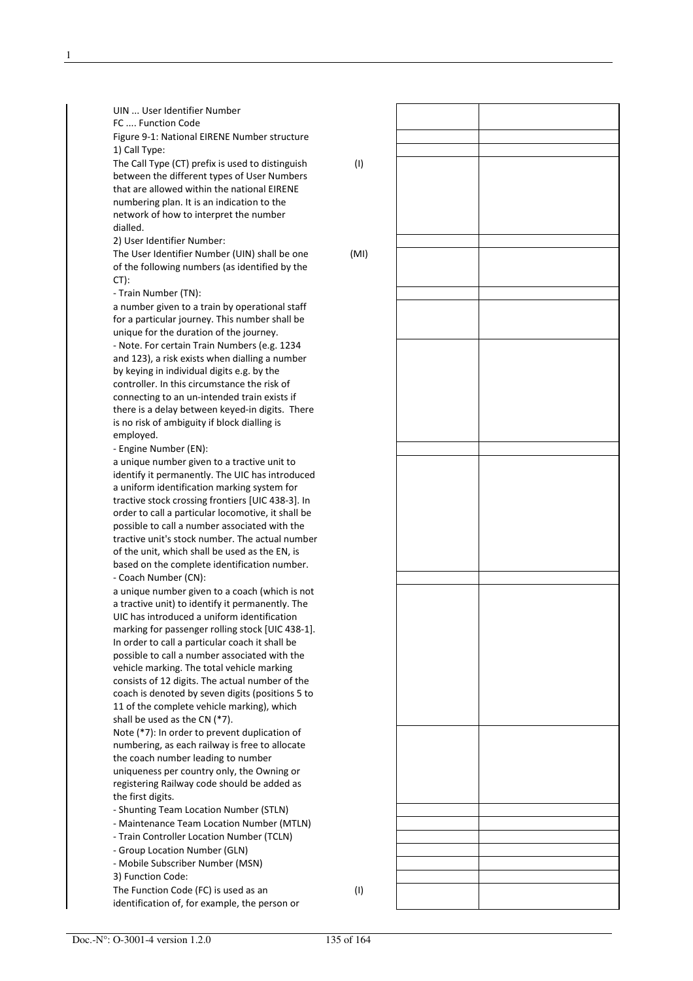| UIN  User Identifier Number                                                           |      |  |
|---------------------------------------------------------------------------------------|------|--|
| FC  Function Code                                                                     |      |  |
| Figure 9-1: National EIRENE Number structure<br>1) Call Type:                         |      |  |
| The Call Type (CT) prefix is used to distinguish                                      | (1)  |  |
| between the different types of User Numbers                                           |      |  |
| that are allowed within the national EIRENE                                           |      |  |
| numbering plan. It is an indication to the                                            |      |  |
| network of how to interpret the number                                                |      |  |
| dialled.                                                                              |      |  |
| 2) User Identifier Number:                                                            |      |  |
| The User Identifier Number (UIN) shall be one                                         | (MI) |  |
| of the following numbers (as identified by the                                        |      |  |
| $CT$ :                                                                                |      |  |
| - Train Number (TN):<br>a number given to a train by operational staff                |      |  |
| for a particular journey. This number shall be                                        |      |  |
| unique for the duration of the journey.                                               |      |  |
| - Note. For certain Train Numbers (e.g. 1234                                          |      |  |
| and 123), a risk exists when dialling a number                                        |      |  |
| by keying in individual digits e.g. by the                                            |      |  |
| controller. In this circumstance the risk of                                          |      |  |
| connecting to an un-intended train exists if                                          |      |  |
| there is a delay between keyed-in digits. There                                       |      |  |
| is no risk of ambiguity if block dialling is                                          |      |  |
| employed.                                                                             |      |  |
| - Engine Number (EN):<br>a unique number given to a tractive unit to                  |      |  |
| identify it permanently. The UIC has introduced                                       |      |  |
| a uniform identification marking system for                                           |      |  |
| tractive stock crossing frontiers [UIC 438-3]. In                                     |      |  |
| order to call a particular locomotive, it shall be                                    |      |  |
| possible to call a number associated with the                                         |      |  |
| tractive unit's stock number. The actual number                                       |      |  |
| of the unit, which shall be used as the EN, is                                        |      |  |
| based on the complete identification number.                                          |      |  |
| - Coach Number (CN):<br>a unique number given to a coach (which is not                |      |  |
| a tractive unit) to identify it permanently. The                                      |      |  |
| UIC has introduced a uniform identification                                           |      |  |
| marking for passenger rolling stock [UIC 438-1].                                      |      |  |
| In order to call a particular coach it shall be                                       |      |  |
| possible to call a number associated with the                                         |      |  |
| vehicle marking. The total vehicle marking                                            |      |  |
| consists of 12 digits. The actual number of the                                       |      |  |
| coach is denoted by seven digits (positions 5 to                                      |      |  |
| 11 of the complete vehicle marking), which                                            |      |  |
| shall be used as the CN (*7).<br>Note (*7): In order to prevent duplication of        |      |  |
| numbering, as each railway is free to allocate                                        |      |  |
| the coach number leading to number                                                    |      |  |
| uniqueness per country only, the Owning or                                            |      |  |
| registering Railway code should be added as                                           |      |  |
| the first digits.                                                                     |      |  |
| - Shunting Team Location Number (STLN)                                                |      |  |
| - Maintenance Team Location Number (MTLN)                                             |      |  |
| - Train Controller Location Number (TCLN)                                             |      |  |
| - Group Location Number (GLN)                                                         |      |  |
| - Mobile Subscriber Number (MSN)                                                      |      |  |
| 3) Function Code:                                                                     |      |  |
| The Function Code (FC) is used as an<br>identification of, for example, the person or | (1)  |  |
|                                                                                       |      |  |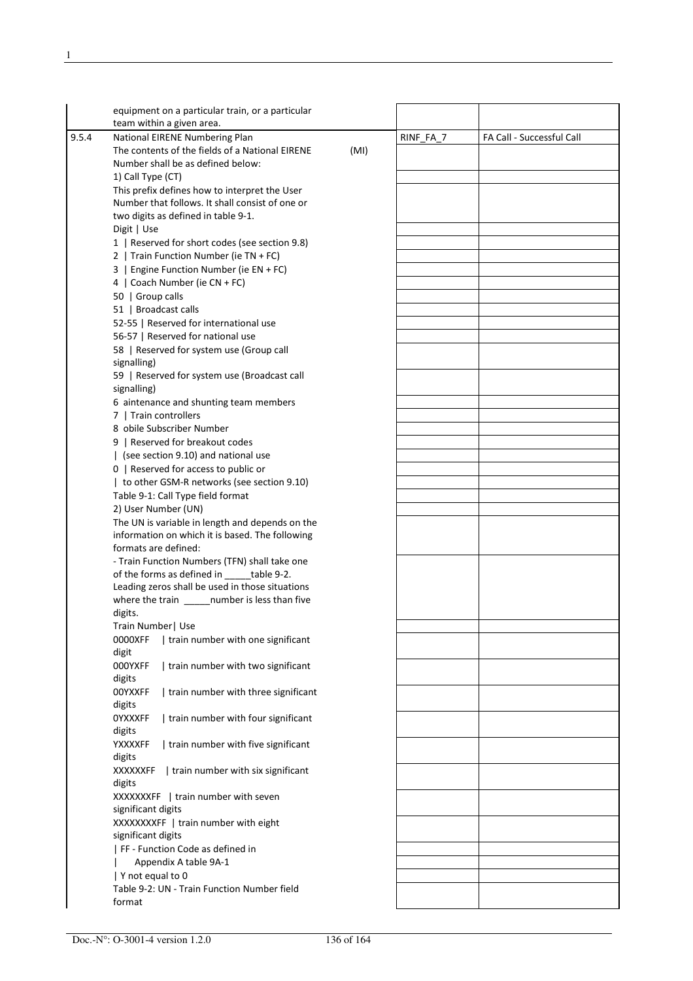|       | equipment on a particular train, or a particular<br>team within a given area. |      |           |                           |
|-------|-------------------------------------------------------------------------------|------|-----------|---------------------------|
| 9.5.4 | National EIRENE Numbering Plan                                                |      | RINF_FA_7 | FA Call - Successful Call |
|       | The contents of the fields of a National EIRENE                               | (MI) |           |                           |
|       | Number shall be as defined below:                                             |      |           |                           |
|       | 1) Call Type (CT)                                                             |      |           |                           |
|       | This prefix defines how to interpret the User                                 |      |           |                           |
|       | Number that follows. It shall consist of one or                               |      |           |                           |
|       | two digits as defined in table 9-1.                                           |      |           |                           |
|       |                                                                               |      |           |                           |
|       | Digit   Use<br>1   Reserved for short codes (see section 9.8)                 |      |           |                           |
|       |                                                                               |      |           |                           |
|       | 2   Train Function Number (ie TN + FC)                                        |      |           |                           |
|       | 3   Engine Function Number (ie EN + FC)                                       |      |           |                           |
|       | 4   Coach Number (ie CN + FC)                                                 |      |           |                           |
|       | 50   Group calls                                                              |      |           |                           |
|       | 51   Broadcast calls                                                          |      |           |                           |
|       | 52-55   Reserved for international use                                        |      |           |                           |
|       | 56-57   Reserved for national use                                             |      |           |                           |
|       | 58   Reserved for system use (Group call                                      |      |           |                           |
|       | signalling)                                                                   |      |           |                           |
|       | 59   Reserved for system use (Broadcast call                                  |      |           |                           |
|       | signalling)                                                                   |      |           |                           |
|       | 6 aintenance and shunting team members                                        |      |           |                           |
|       | 7   Train controllers                                                         |      |           |                           |
|       | 8 obile Subscriber Number                                                     |      |           |                           |
|       | 9   Reserved for breakout codes                                               |      |           |                           |
|       | (see section 9.10) and national use                                           |      |           |                           |
|       | 0   Reserved for access to public or                                          |      |           |                           |
|       | to other GSM-R networks (see section 9.10)                                    |      |           |                           |
|       | Table 9-1: Call Type field format                                             |      |           |                           |
|       | 2) User Number (UN)                                                           |      |           |                           |
|       | The UN is variable in length and depends on the                               |      |           |                           |
|       | information on which it is based. The following                               |      |           |                           |
|       | formats are defined:                                                          |      |           |                           |
|       | - Train Function Numbers (TFN) shall take one                                 |      |           |                           |
|       | of the forms as defined in _____table 9-2.                                    |      |           |                           |
|       | Leading zeros shall be used in those situations                               |      |           |                           |
|       | where the train _______ number is less than five                              |      |           |                           |
|       | digits.                                                                       |      |           |                           |
|       | Train Number   Use                                                            |      |           |                           |
|       | 0000XFF<br>train number with one significant                                  |      |           |                           |
|       | digit                                                                         |      |           |                           |
|       | 000YXFF<br>  train number with two significant                                |      |           |                           |
|       | digits                                                                        |      |           |                           |
|       | 00YXXFF<br>  train number with three significant                              |      |           |                           |
|       | digits                                                                        |      |           |                           |
|       | train number with four significant<br><b>OYXXXFF</b>                          |      |           |                           |
|       | digits                                                                        |      |           |                           |
|       | YXXXXFF<br>  train number with five significant                               |      |           |                           |
|       | digits                                                                        |      |           |                           |
|       | <b>XXXXXXFF</b><br>  train number with six significant                        |      |           |                           |
|       |                                                                               |      |           |                           |
|       | digits                                                                        |      |           |                           |
|       | <b>XXXXXXXFF</b><br>  train number with seven<br>significant digits           |      |           |                           |
|       |                                                                               |      |           |                           |
|       | XXXXXXXFF   train number with eight                                           |      |           |                           |
|       | significant digits                                                            |      |           |                           |
|       | FF - Function Code as defined in                                              |      |           |                           |
|       | Appendix A table 9A-1                                                         |      |           |                           |
|       | Y not equal to 0                                                              |      |           |                           |
|       | Table 9-2: UN - Train Function Number field                                   |      |           |                           |
|       | format                                                                        |      |           |                           |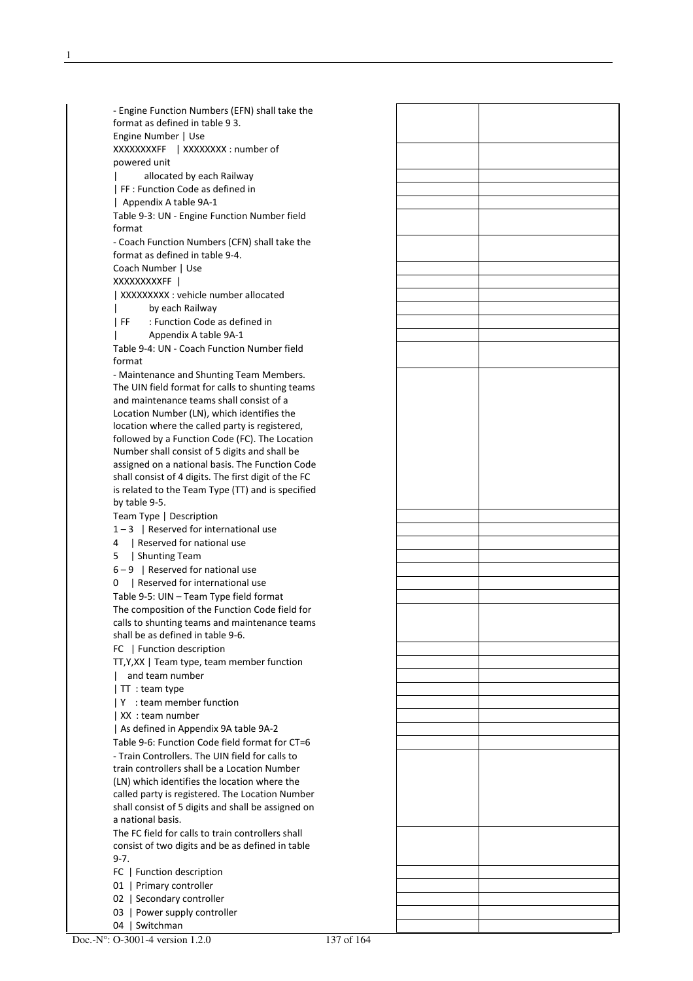- Engine Function Numbers (EFN) shall take the format as defined in table 9 3. Engine Number | Use XXXXXXXXFF | XXXXXXXX : number of powered unit allocated by each Railway | FF : Function Code as defined in

 | Appendix A table 9A-1 Table 9-3: UN - Engine Function Number field format

 - Coach Function Numbers (CFN) shall take the format as defined in table 9-4. Coach Number | Use

XXXXXXXXXFF |

| XXXXXXXXX : vehicle number allocated

- by each Railway | FF : Function Code as defined in
- | Appendix A table 9A-1

 Table 9-4: UN - Coach Function Number field format

 - Maintenance and Shunting Team Members. The UIN field format for calls to shunting teams and maintenance teams shall consist of a Location Number (LN), which identifies the location where the called party is registered, followed by a Function Code (FC). The Location Number shall consist of 5 digits and shall be assigned on a national basis. The Function Code shall consist of 4 digits. The first digit of the FC is related to the Team Type (TT) and is specified by table 9-5.

Team Type | Description

- $1 3$  | Reserved for international use
- 4 | Reserved for national use
- 5 | Shunting Team

 $6 - 9$  | Reserved for national use

0 | Reserved for international use

 Table 9-5: UIN – Team Type field format The composition of the Function Code field for calls to shunting teams and maintenance teams shall be as defined in table 9-6.

FC | Function description

- TT,Y,XX | Team type, team member function
- | and team number
- | TT : team type
- | Y : team member function
- | XX : team number

| As defined in Appendix 9A table 9A-2

 Table 9-6: Function Code field format for CT=6 - Train Controllers. The UIN field for calls to train controllers shall be a Location Number (LN) which identifies the location where the called party is registered. The Location Number shall consist of 5 digits and shall be assigned on a national basis.

 The FC field for calls to train controllers shall consist of two digits and be as defined in table 9-7.

- FC | Function description
- 01 | Primary controller
- 02 | Secondary controller
- 03 | Power supply controller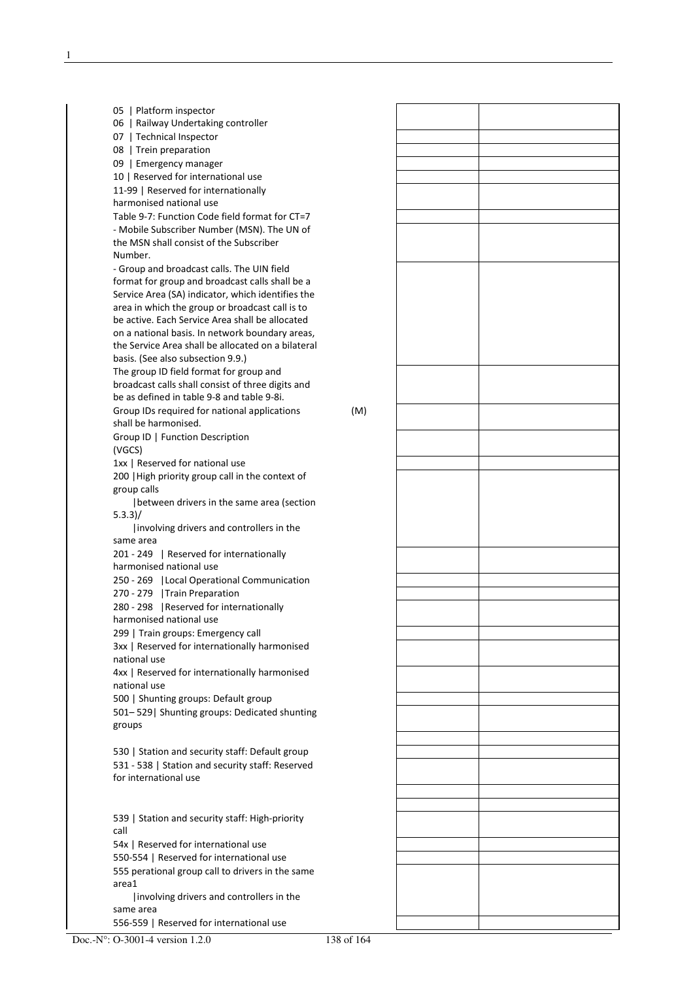| 05   Platform inspector                                                      |     |  |
|------------------------------------------------------------------------------|-----|--|
| 06   Railway Undertaking controller                                          |     |  |
| 07   Technical Inspector                                                     |     |  |
| 08   Trein preparation                                                       |     |  |
| 09   Emergency manager                                                       |     |  |
| 10   Reserved for international use                                          |     |  |
| 11-99   Reserved for internationally<br>harmonised national use              |     |  |
| Table 9-7: Function Code field format for CT=7                               |     |  |
| - Mobile Subscriber Number (MSN). The UN of                                  |     |  |
| the MSN shall consist of the Subscriber                                      |     |  |
| Number.                                                                      |     |  |
| - Group and broadcast calls. The UIN field                                   |     |  |
| format for group and broadcast calls shall be a                              |     |  |
| Service Area (SA) indicator, which identifies the                            |     |  |
| area in which the group or broadcast call is to                              |     |  |
| be active. Each Service Area shall be allocated                              |     |  |
| on a national basis. In network boundary areas,                              |     |  |
| the Service Area shall be allocated on a bilateral                           |     |  |
| basis. (See also subsection 9.9.)                                            |     |  |
| The group ID field format for group and                                      |     |  |
| broadcast calls shall consist of three digits and                            |     |  |
| be as defined in table 9-8 and table 9-8i.                                   |     |  |
| Group IDs required for national applications<br>shall be harmonised.         | (M) |  |
| Group ID   Function Description                                              |     |  |
| (VGCS)                                                                       |     |  |
| 1xx   Reserved for national use                                              |     |  |
| 200   High priority group call in the context of                             |     |  |
| group calls                                                                  |     |  |
| between drivers in the same area (section                                    |     |  |
| 5.3.3)/                                                                      |     |  |
| Involving drivers and controllers in the                                     |     |  |
| same area                                                                    |     |  |
| 201 - 249   Reserved for internationally                                     |     |  |
| harmonised national use                                                      |     |  |
| 250 - 269   Local Operational Communication<br>270 - 279   Train Preparation |     |  |
| 280 - 298   Reserved for internationally                                     |     |  |
| harmonised national use                                                      |     |  |
| 299   Train groups: Emergency call                                           |     |  |
| 3xx   Reserved for internationally harmonised                                |     |  |
| national use                                                                 |     |  |
| 4xx   Reserved for internationally harmonised                                |     |  |
| national use                                                                 |     |  |
| 500   Shunting groups: Default group                                         |     |  |
| 501-529 Shunting groups: Dedicated shunting                                  |     |  |
| groups                                                                       |     |  |
|                                                                              |     |  |
| 530   Station and security staff: Default group                              |     |  |
| 531 - 538   Station and security staff: Reserved                             |     |  |
| for international use                                                        |     |  |
|                                                                              |     |  |
| 539   Station and security staff: High-priority                              |     |  |
| call                                                                         |     |  |
| 54x   Reserved for international use                                         |     |  |
| 550-554   Reserved for international use                                     |     |  |
| 555 perational group call to drivers in the same                             |     |  |
| area1                                                                        |     |  |
| involving drivers and controllers in the                                     |     |  |
| same area                                                                    |     |  |
| 556-559   Reserved for international use                                     |     |  |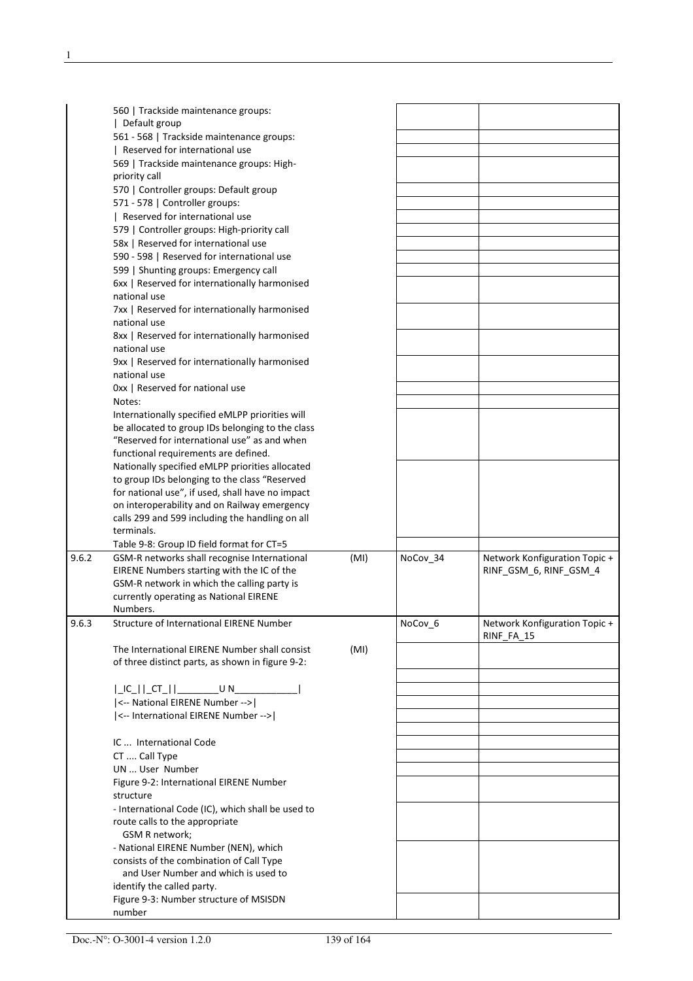|       | 560   Trackside maintenance groups:                                                                 |      |          |                               |
|-------|-----------------------------------------------------------------------------------------------------|------|----------|-------------------------------|
|       | Default group                                                                                       |      |          |                               |
|       | 561 - 568   Trackside maintenance groups:                                                           |      |          |                               |
|       | Reserved for international use                                                                      |      |          |                               |
|       | 569   Trackside maintenance groups: High-                                                           |      |          |                               |
|       | priority call                                                                                       |      |          |                               |
|       | 570   Controller groups: Default group                                                              |      |          |                               |
|       | 571 - 578   Controller groups:                                                                      |      |          |                               |
|       | Reserved for international use                                                                      |      |          |                               |
|       | 579   Controller groups: High-priority call                                                         |      |          |                               |
|       | 58x   Reserved for international use                                                                |      |          |                               |
|       | 590 - 598   Reserved for international use                                                          |      |          |                               |
|       | 599   Shunting groups: Emergency call                                                               |      |          |                               |
|       | 6xx   Reserved for internationally harmonised                                                       |      |          |                               |
|       | national use                                                                                        |      |          |                               |
|       | 7xx   Reserved for internationally harmonised                                                       |      |          |                               |
|       | national use                                                                                        |      |          |                               |
|       | 8xx   Reserved for internationally harmonised                                                       |      |          |                               |
|       | national use                                                                                        |      |          |                               |
|       | 9xx   Reserved for internationally harmonised                                                       |      |          |                               |
|       | national use                                                                                        |      |          |                               |
|       | Oxx   Reserved for national use                                                                     |      |          |                               |
|       | Notes:                                                                                              |      |          |                               |
|       |                                                                                                     |      |          |                               |
|       | Internationally specified eMLPP priorities will<br>be allocated to group IDs belonging to the class |      |          |                               |
|       | "Reserved for international use" as and when                                                        |      |          |                               |
|       | functional requirements are defined.                                                                |      |          |                               |
|       | Nationally specified eMLPP priorities allocated                                                     |      |          |                               |
|       |                                                                                                     |      |          |                               |
|       | to group IDs belonging to the class "Reserved                                                       |      |          |                               |
|       | for national use", if used, shall have no impact                                                    |      |          |                               |
|       | on interoperability and on Railway emergency                                                        |      |          |                               |
|       | calls 299 and 599 including the handling on all                                                     |      |          |                               |
|       | terminals.                                                                                          |      |          |                               |
|       | Table 9-8: Group ID field format for CT=5                                                           |      |          |                               |
| 9.6.2 | GSM-R networks shall recognise International                                                        | (MI) | NoCov_34 | Network Konfiguration Topic + |
|       | EIRENE Numbers starting with the IC of the                                                          |      |          | RINF_GSM_6, RINF_GSM_4        |
|       | GSM-R network in which the calling party is                                                         |      |          |                               |
|       | currently operating as National EIRENE                                                              |      |          |                               |
|       | Numbers.                                                                                            |      |          |                               |
| 9.6.3 | <b>Structure of International EIRENE Number</b>                                                     |      | NoCov 6  | Network Konfiguration Topic + |
|       |                                                                                                     |      |          | RINF FA 15                    |
|       | The International EIRENE Number shall consist                                                       | (MI) |          |                               |
|       | of three distinct parts, as shown in figure 9-2:                                                    |      |          |                               |
|       |                                                                                                     |      |          |                               |
|       |                                                                                                     |      |          |                               |
|       | <-- National EIRENE Number -->                                                                      |      |          |                               |
|       | <-- International EIRENE Number -->                                                                 |      |          |                               |
|       |                                                                                                     |      |          |                               |
|       | IC  International Code                                                                              |      |          |                               |
|       | CT  Call Type                                                                                       |      |          |                               |
|       | UN  User Number                                                                                     |      |          |                               |
|       | Figure 9-2: International EIRENE Number                                                             |      |          |                               |
|       | structure                                                                                           |      |          |                               |
|       | - International Code (IC), which shall be used to                                                   |      |          |                               |
|       | route calls to the appropriate                                                                      |      |          |                               |
|       | GSM R network;                                                                                      |      |          |                               |
|       | - National EIRENE Number (NEN), which                                                               |      |          |                               |
|       | consists of the combination of Call Type                                                            |      |          |                               |
|       | and User Number and which is used to                                                                |      |          |                               |
|       | identify the called party.                                                                          |      |          |                               |
|       |                                                                                                     |      |          |                               |
|       | Figure 9-3: Number structure of MSISDN                                                              |      |          |                               |
|       | number                                                                                              |      |          |                               |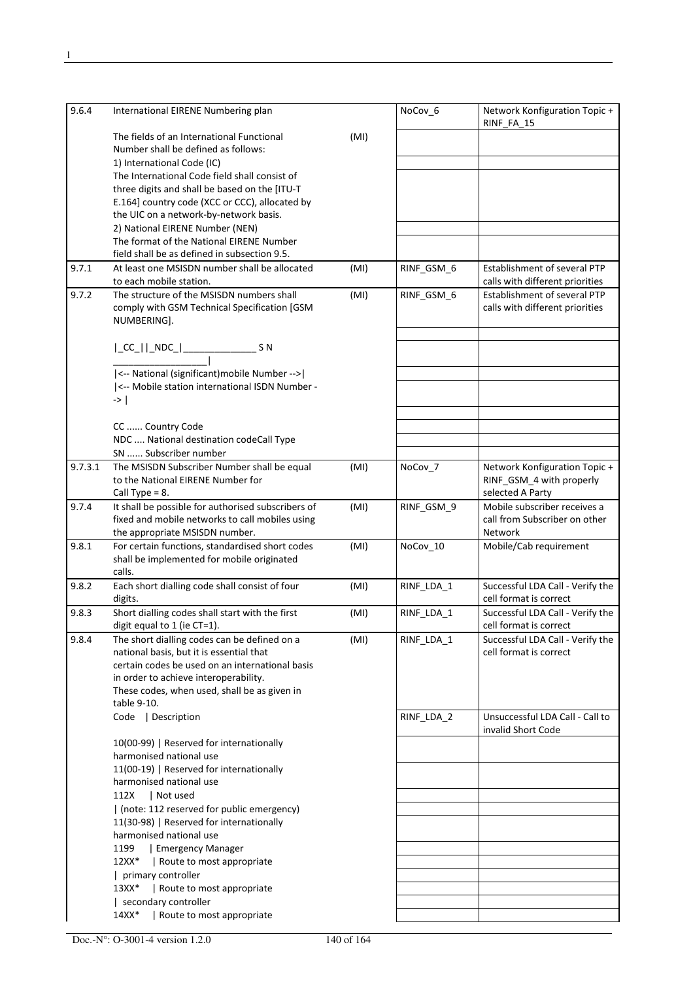| 9.6.4   | International EIRENE Numbering plan                                                            |      | NoCov_6    | Network Konfiguration Topic +<br>RINF_FA_15                |
|---------|------------------------------------------------------------------------------------------------|------|------------|------------------------------------------------------------|
|         | The fields of an International Functional                                                      | (MI) |            |                                                            |
|         | Number shall be defined as follows:                                                            |      |            |                                                            |
|         | 1) International Code (IC)                                                                     |      |            |                                                            |
|         | The International Code field shall consist of<br>three digits and shall be based on the [ITU-T |      |            |                                                            |
|         | E.164] country code (XCC or CCC), allocated by                                                 |      |            |                                                            |
|         | the UIC on a network-by-network basis.                                                         |      |            |                                                            |
|         | 2) National EIRENE Number (NEN)                                                                |      |            |                                                            |
|         | The format of the National EIRENE Number                                                       |      |            |                                                            |
|         | field shall be as defined in subsection 9.5.                                                   |      |            |                                                            |
| 9.7.1   | At least one MSISDN number shall be allocated                                                  | (MI) | RINF_GSM 6 | <b>Establishment of several PTP</b>                        |
|         | to each mobile station.                                                                        |      |            | calls with different priorities                            |
| 9.7.2   | The structure of the MSISDN numbers shall                                                      | (MI) | RINF_GSM_6 | Establishment of several PTP                               |
|         | comply with GSM Technical Specification [GSM<br>NUMBERING].                                    |      |            | calls with different priorities                            |
|         |                                                                                                |      |            |                                                            |
|         |                                                                                                |      |            |                                                            |
|         |                                                                                                |      |            |                                                            |
|         | <-- National (significant) mobile Number -->                                                   |      |            |                                                            |
|         | <-- Mobile station international ISDN Number -                                                 |      |            |                                                            |
|         | ->                                                                                             |      |            |                                                            |
|         |                                                                                                |      |            |                                                            |
|         | CC  Country Code                                                                               |      |            |                                                            |
|         | NDC  National destination codeCall Type                                                        |      |            |                                                            |
|         | SN  Subscriber number                                                                          |      |            |                                                            |
| 9.7.3.1 | The MSISDN Subscriber Number shall be equal<br>to the National EIRENE Number for               | (MI) | NoCov_7    | Network Konfiguration Topic +<br>RINF_GSM_4 with properly  |
|         | Call Type = $8$ .                                                                              |      |            | selected A Party                                           |
| 9.7.4   | It shall be possible for authorised subscribers of                                             | (MI) | RINF_GSM_9 | Mobile subscriber receives a                               |
|         | fixed and mobile networks to call mobiles using                                                |      |            | call from Subscriber on other                              |
|         | the appropriate MSISDN number.                                                                 |      |            | <b>Network</b>                                             |
| 9.8.1   | For certain functions, standardised short codes                                                | (MI) | NoCov_10   | Mobile/Cab requirement                                     |
|         | shall be implemented for mobile originated                                                     |      |            |                                                            |
|         | calls.                                                                                         |      |            |                                                            |
| 9.8.2   | Each short dialling code shall consist of four                                                 | (MI) | RINF LDA 1 | Successful LDA Call - Verify the<br>cell format is correct |
| 9.8.3   | digits.<br>Short dialling codes shall start with the first                                     | (MI) | RINF_LDA_1 | Successful LDA Call - Verify the                           |
|         | digit equal to 1 (ie CT=1).                                                                    |      |            | cell format is correct                                     |
| 9.8.4   | The short dialling codes can be defined on a                                                   | (MI) | RINF_LDA_1 | Successful LDA Call - Verify the                           |
|         | national basis, but it is essential that                                                       |      |            | cell format is correct                                     |
|         | certain codes be used on an international basis                                                |      |            |                                                            |
|         | in order to achieve interoperability.                                                          |      |            |                                                            |
|         | These codes, when used, shall be as given in                                                   |      |            |                                                            |
|         | table 9-10.<br>Code   Description                                                              |      | RINF_LDA_2 | Unsuccessful LDA Call - Call to                            |
|         |                                                                                                |      |            | invalid Short Code                                         |
|         | 10(00-99)   Reserved for internationally                                                       |      |            |                                                            |
|         | harmonised national use                                                                        |      |            |                                                            |
|         | 11(00-19)   Reserved for internationally                                                       |      |            |                                                            |
|         | harmonised national use                                                                        |      |            |                                                            |
|         | Not used<br>112X                                                                               |      |            |                                                            |
|         | (note: 112 reserved for public emergency)                                                      |      |            |                                                            |
|         | 11(30-98)   Reserved for internationally                                                       |      |            |                                                            |
|         | harmonised national use<br>1199<br>Emergency Manager                                           |      |            |                                                            |
|         | $12XX*$<br>  Route to most appropriate                                                         |      |            |                                                            |
|         | primary controller                                                                             |      |            |                                                            |
|         | 13XX*<br>  Route to most appropriate                                                           |      |            |                                                            |
|         | secondary controller                                                                           |      |            |                                                            |
|         | Route to most appropriate<br>$14XX*$                                                           |      |            |                                                            |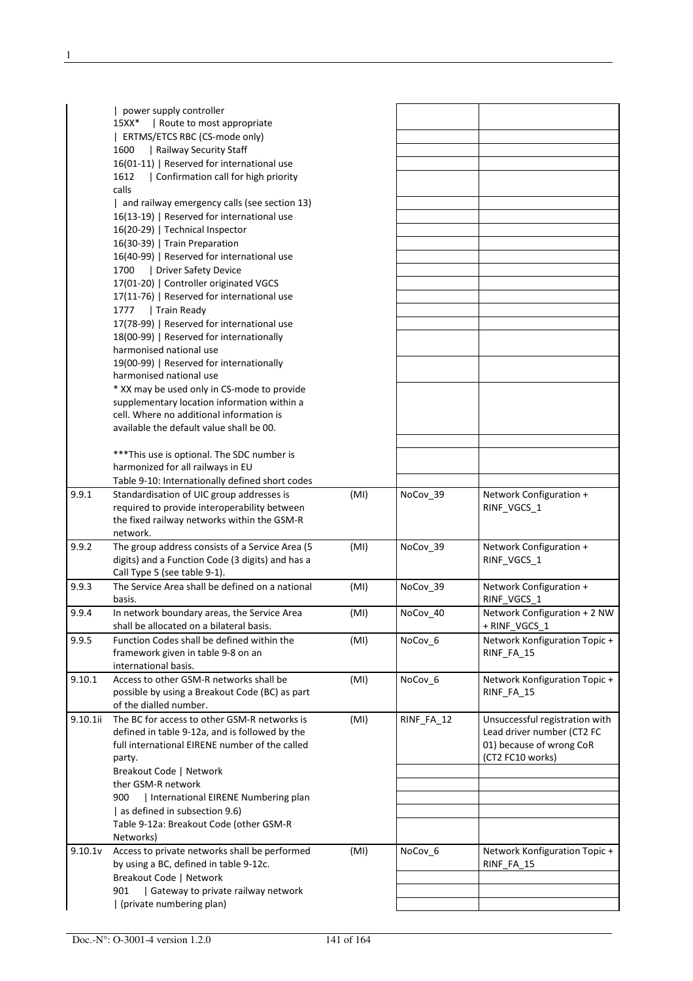|          | power supply controller<br>  Route to most appropriate<br>15XX*<br>ERTMS/ETCS RBC (CS-mode only) |      |            |                                        |
|----------|--------------------------------------------------------------------------------------------------|------|------------|----------------------------------------|
|          | Railway Security Staff<br>1600                                                                   |      |            |                                        |
|          | 16(01-11)   Reserved for international use                                                       |      |            |                                        |
|          | Confirmation call for high priority<br>1612<br>calls                                             |      |            |                                        |
|          | and railway emergency calls (see section 13)                                                     |      |            |                                        |
|          | 16(13-19)   Reserved for international use                                                       |      |            |                                        |
|          | 16(20-29)   Technical Inspector                                                                  |      |            |                                        |
|          | 16(30-39)   Train Preparation                                                                    |      |            |                                        |
|          | 16(40-99)   Reserved for international use                                                       |      |            |                                        |
|          | Driver Safety Device<br>1700                                                                     |      |            |                                        |
|          | 17(01-20)   Controller originated VGCS                                                           |      |            |                                        |
|          | 17(11-76)   Reserved for international use                                                       |      |            |                                        |
|          | 1777<br>  Train Ready                                                                            |      |            |                                        |
|          | 17(78-99)   Reserved for international use                                                       |      |            |                                        |
|          | 18(00-99)   Reserved for internationally                                                         |      |            |                                        |
|          | harmonised national use                                                                          |      |            |                                        |
|          | 19(00-99)   Reserved for internationally                                                         |      |            |                                        |
|          | harmonised national use                                                                          |      |            |                                        |
|          | * XX may be used only in CS-mode to provide                                                      |      |            |                                        |
|          | supplementary location information within a                                                      |      |            |                                        |
|          | cell. Where no additional information is                                                         |      |            |                                        |
|          | available the default value shall be 00.                                                         |      |            |                                        |
|          |                                                                                                  |      |            |                                        |
|          | *** This use is optional. The SDC number is                                                      |      |            |                                        |
|          | harmonized for all railways in EU<br>Table 9-10: Internationally defined short codes             |      |            |                                        |
| 9.9.1    | Standardisation of UIC group addresses is                                                        |      |            |                                        |
|          | required to provide interoperability between                                                     | (MI) | NoCov_39   | Network Configuration +<br>RINF_VGCS_1 |
|          | the fixed railway networks within the GSM-R                                                      |      |            |                                        |
|          | network.                                                                                         |      |            |                                        |
| 9.9.2    | The group address consists of a Service Area (5                                                  | (MI) | NoCov_39   | Network Configuration +                |
|          | digits) and a Function Code (3 digits) and has a                                                 |      |            | RINF_VGCS_1                            |
|          | Call Type 5 (see table 9-1).                                                                     |      |            |                                        |
| 9.9.3    | The Service Area shall be defined on a national<br>basis.                                        | (MI) | NoCov 39   | Network Configuration +<br>RINF_VGCS_1 |
| 9.9.4    | In network boundary areas, the Service Area                                                      | (MI) | NoCov 40   | Network Configuration + 2 NW           |
|          | shall be allocated on a bilateral basis.                                                         |      |            | + RINF VGCS 1                          |
| 9.9.5    | Function Codes shall be defined within the                                                       | (MI) | NoCov_6    | Network Konfiguration Topic +          |
|          | framework given in table 9-8 on an                                                               |      |            | RINF_FA_15                             |
|          | international basis.                                                                             |      |            |                                        |
| 9.10.1   | Access to other GSM-R networks shall be                                                          | (MI) | NoCov 6    | Network Konfiguration Topic +          |
|          | possible by using a Breakout Code (BC) as part                                                   |      |            | RINF_FA_15                             |
|          | of the dialled number.                                                                           |      |            |                                        |
| 9.10.1ii | The BC for access to other GSM-R networks is                                                     | (MI) | RINF_FA_12 | Unsuccessful registration with         |
|          | defined in table 9-12a, and is followed by the                                                   |      |            | Lead driver number (CT2 FC             |
|          | full international EIRENE number of the called                                                   |      |            | 01) because of wrong CoR               |
|          | party.                                                                                           |      |            | (CT2 FC10 works)                       |
|          | Breakout Code   Network                                                                          |      |            |                                        |
|          | ther GSM-R network                                                                               |      |            |                                        |
|          | 900<br>  International EIRENE Numbering plan                                                     |      |            |                                        |
|          | as defined in subsection 9.6)                                                                    |      |            |                                        |
|          | Table 9-12a: Breakout Code (other GSM-R                                                          |      |            |                                        |
|          | Networks)                                                                                        |      |            |                                        |
| 9.10.1v  | Access to private networks shall be performed                                                    | (MI) | NoCov_6    | Network Konfiguration Topic +          |
|          | by using a BC, defined in table 9-12c.                                                           |      |            | RINF_FA_15                             |
|          | Breakout Code   Network<br>  Gateway to private railway network<br>901                           |      |            |                                        |
|          | (private numbering plan)                                                                         |      |            |                                        |
|          |                                                                                                  |      |            |                                        |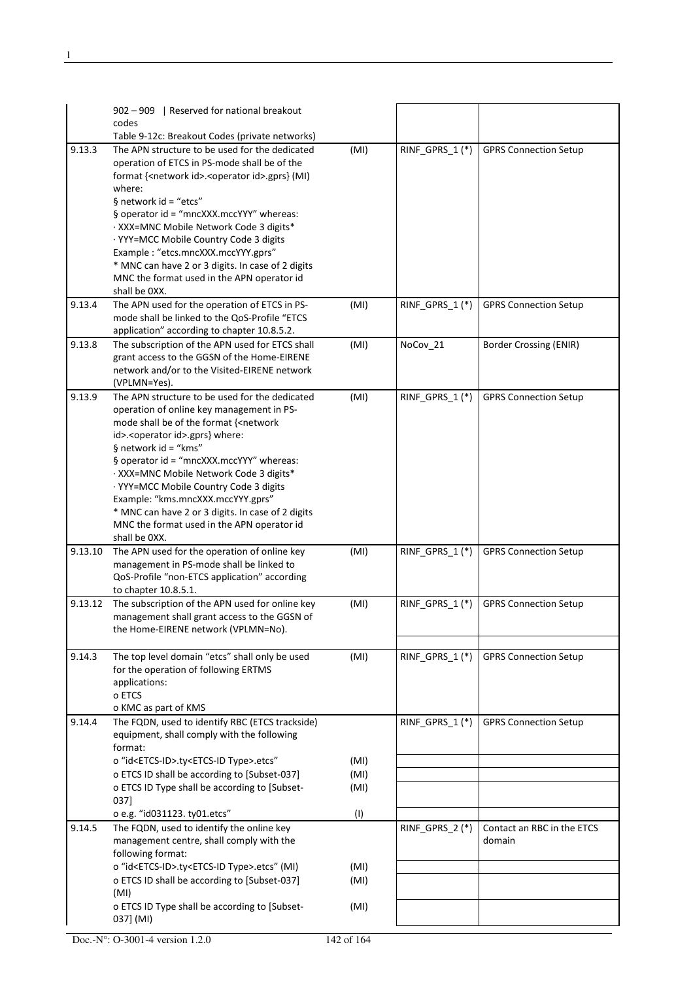|         | 902 - 909   Reserved for national breakout                                                    |      |                   |                               |
|---------|-----------------------------------------------------------------------------------------------|------|-------------------|-------------------------------|
|         | codes                                                                                         |      |                   |                               |
|         | Table 9-12c: Breakout Codes (private networks)                                                |      |                   |                               |
| 9.13.3  | The APN structure to be used for the dedicated                                                | (MI) | RINF_GPRS_1 $(*)$ | <b>GPRS Connection Setup</b>  |
|         | operation of ETCS in PS-mode shall be of the                                                  |      |                   |                               |
|         | format { <network id="">.<operator id="">.gprs} (MI)<br/>where:</operator></network>          |      |                   |                               |
|         | § network id = "etcs"                                                                         |      |                   |                               |
|         | § operator id = "mncXXX.mccYYY" whereas:                                                      |      |                   |                               |
|         | · XXX=MNC Mobile Network Code 3 digits*                                                       |      |                   |                               |
|         | · YYY=MCC Mobile Country Code 3 digits                                                        |      |                   |                               |
|         | Example: "etcs.mncXXX.mccYYY.gprs"                                                            |      |                   |                               |
|         | * MNC can have 2 or 3 digits. In case of 2 digits                                             |      |                   |                               |
|         | MNC the format used in the APN operator id                                                    |      |                   |                               |
|         | shall be OXX.                                                                                 |      |                   |                               |
| 9.13.4  | The APN used for the operation of ETCS in PS-                                                 | (MI) | RINF_GPRS_1(*)    | <b>GPRS Connection Setup</b>  |
|         | mode shall be linked to the QoS-Profile "ETCS                                                 |      |                   |                               |
|         | application" according to chapter 10.8.5.2.                                                   |      |                   |                               |
| 9.13.8  | The subscription of the APN used for ETCS shall                                               | (MI) | NoCov_21          | <b>Border Crossing (ENIR)</b> |
|         | grant access to the GGSN of the Home-EIRENE                                                   |      |                   |                               |
|         | network and/or to the Visited-EIRENE network<br>(VPLMN=Yes).                                  |      |                   |                               |
| 9.13.9  | The APN structure to be used for the dedicated                                                | (MI) | RINF_GPRS_1(*)    | <b>GPRS Connection Setup</b>  |
|         | operation of online key management in PS-                                                     |      |                   |                               |
|         | mode shall be of the format { <network< td=""><td></td><td></td><td></td></network<>          |      |                   |                               |
|         | id>. <operator id="">.gprs} where:</operator>                                                 |      |                   |                               |
|         | § network id = "kms"                                                                          |      |                   |                               |
|         | § operator id = "mncXXX.mccYYY" whereas:                                                      |      |                   |                               |
|         | · XXX=MNC Mobile Network Code 3 digits*                                                       |      |                   |                               |
|         | · YYY=MCC Mobile Country Code 3 digits                                                        |      |                   |                               |
|         | Example: "kms.mncXXX.mccYYY.gprs"                                                             |      |                   |                               |
|         | * MNC can have 2 or 3 digits. In case of 2 digits                                             |      |                   |                               |
|         | MNC the format used in the APN operator id                                                    |      |                   |                               |
|         | shall be OXX.                                                                                 |      |                   |                               |
| 9.13.10 | The APN used for the operation of online key<br>management in PS-mode shall be linked to      | (MI) | RINF_GPRS_1(*)    | <b>GPRS Connection Setup</b>  |
|         | QoS-Profile "non-ETCS application" according                                                  |      |                   |                               |
|         | to chapter 10.8.5.1.                                                                          |      |                   |                               |
| 9.13.12 | The subscription of the APN used for online key                                               | (MI) | RINF_GPRS_1 $(*)$ | <b>GPRS Connection Setup</b>  |
|         | management shall grant access to the GGSN of                                                  |      |                   |                               |
|         | the Home-EIRENE network (VPLMN=No).                                                           |      |                   |                               |
|         |                                                                                               |      |                   |                               |
| 9.14.3  | The top level domain "etcs" shall only be used                                                | (MI) | RINF_GPRS_1(*)    | <b>GPRS Connection Setup</b>  |
|         | for the operation of following ERTMS                                                          |      |                   |                               |
|         | applications:                                                                                 |      |                   |                               |
|         | o ETCS                                                                                        |      |                   |                               |
|         | o KMC as part of KMS                                                                          |      |                   |                               |
| 9.14.4  | The FQDN, used to identify RBC (ETCS trackside)                                               |      | RINF GPRS $1$ (*) | <b>GPRS Connection Setup</b>  |
|         | equipment, shall comply with the following                                                    |      |                   |                               |
|         | format:                                                                                       |      |                   |                               |
|         | o "id <etcs-id>.ty<etcs-id type="">.etcs"</etcs-id></etcs-id>                                 | (MI) |                   |                               |
|         | o ETCS ID shall be according to [Subset-037]<br>o ETCS ID Type shall be according to [Subset- | (MI) |                   |                               |
|         | 037]                                                                                          | (MI) |                   |                               |
|         | o e.g. "id031123. ty01.etcs"                                                                  | (1)  |                   |                               |
| 9.14.5  | The FQDN, used to identify the online key                                                     |      | RINF_GPRS_2 (*)   | Contact an RBC in the ETCS    |
|         | management centre, shall comply with the                                                      |      |                   | domain                        |
|         | following format:                                                                             |      |                   |                               |
|         | o "id <etcs-id>.ty<etcs-id type="">.etcs" (MI)</etcs-id></etcs-id>                            | (MI) |                   |                               |
|         | o ETCS ID shall be according to [Subset-037]                                                  | (MI) |                   |                               |
|         | (MI)                                                                                          |      |                   |                               |
|         | o ETCS ID Type shall be according to [Subset-                                                 | (MI) |                   |                               |
|         | 037] (MI)                                                                                     |      |                   |                               |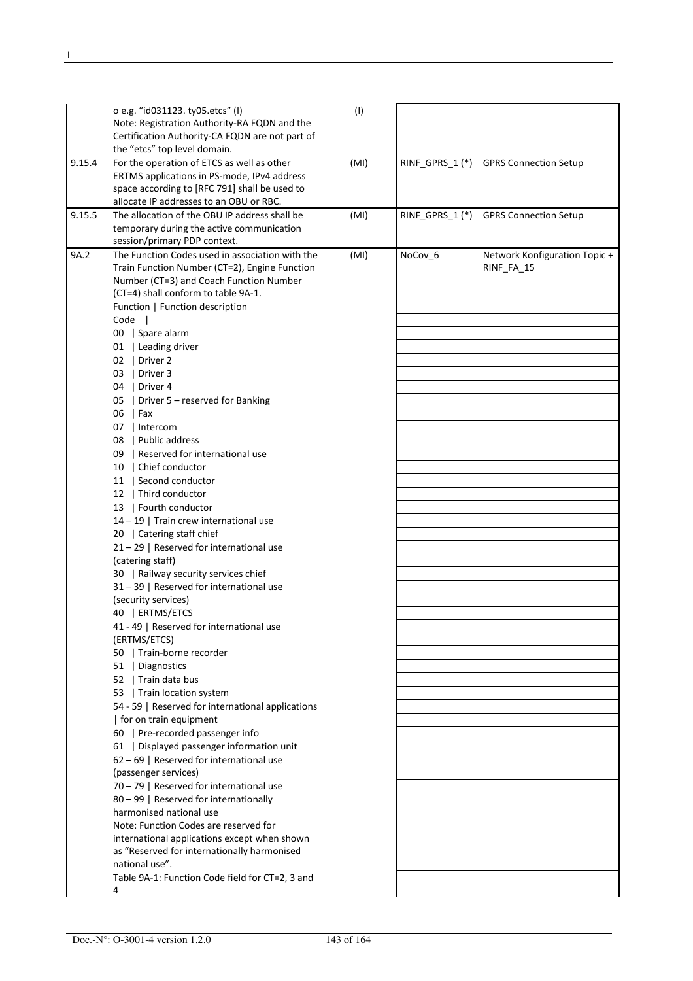|        | o e.g. "id031123. ty05.etcs" (I)<br>Note: Registration Authority-RA FQDN and the<br>Certification Authority-CA FQDN are not part of<br>the "etcs" top level domain.                                                                                                                                                                                                                                                                                                                                                                                                                                                                                                                                                                                                                                                                                                                                                                                                                                                                                                                                                                                                                                                                                                                       | (1)  |                |                                             |
|--------|-------------------------------------------------------------------------------------------------------------------------------------------------------------------------------------------------------------------------------------------------------------------------------------------------------------------------------------------------------------------------------------------------------------------------------------------------------------------------------------------------------------------------------------------------------------------------------------------------------------------------------------------------------------------------------------------------------------------------------------------------------------------------------------------------------------------------------------------------------------------------------------------------------------------------------------------------------------------------------------------------------------------------------------------------------------------------------------------------------------------------------------------------------------------------------------------------------------------------------------------------------------------------------------------|------|----------------|---------------------------------------------|
| 9.15.4 | For the operation of ETCS as well as other<br>ERTMS applications in PS-mode, IPv4 address<br>space according to [RFC 791] shall be used to<br>allocate IP addresses to an OBU or RBC.                                                                                                                                                                                                                                                                                                                                                                                                                                                                                                                                                                                                                                                                                                                                                                                                                                                                                                                                                                                                                                                                                                     | (MI) | RINF_GPRS_1(*) | <b>GPRS Connection Setup</b>                |
| 9.15.5 | The allocation of the OBU IP address shall be<br>temporary during the active communication<br>session/primary PDP context.                                                                                                                                                                                                                                                                                                                                                                                                                                                                                                                                                                                                                                                                                                                                                                                                                                                                                                                                                                                                                                                                                                                                                                | (MI) | RINF_GPRS_1(*) | <b>GPRS Connection Setup</b>                |
| 9A.2   | The Function Codes used in association with the<br>Train Function Number (CT=2), Engine Function<br>Number (CT=3) and Coach Function Number<br>(CT=4) shall conform to table 9A-1.<br>Function   Function description<br>Code  <br>00   Spare alarm<br>01   Leading driver<br>02   Driver 2<br>03   Driver 3<br>04   Driver 4<br>05   Driver 5 - reserved for Banking<br>$06$   Fax<br>07   Intercom<br>08   Public address<br>09   Reserved for international use<br>10   Chief conductor<br>11   Second conductor<br>12   Third conductor<br>13   Fourth conductor<br>14 - 19   Train crew international use<br>20   Catering staff chief<br>21-29   Reserved for international use<br>(catering staff)<br>30   Railway security services chief<br>31-39   Reserved for international use<br>(security services)<br>40   ERTMS/ETCS<br>41 - 49   Reserved for international use<br>(ERTMS/ETCS)<br>50   Train-borne recorder<br>51   Diagnostics<br>52   Train data bus<br>53   Train location system<br>54 - 59   Reserved for international applications<br>  for on train equipment<br>60   Pre-recorded passenger info<br>61   Displayed passenger information unit<br>62 - 69   Reserved for international use<br>(passenger services)<br>70 - 79   Reserved for international use | (MI) | NoCov_6        | Network Konfiguration Topic +<br>RINF_FA_15 |
|        | 80 - 99   Reserved for internationally<br>harmonised national use                                                                                                                                                                                                                                                                                                                                                                                                                                                                                                                                                                                                                                                                                                                                                                                                                                                                                                                                                                                                                                                                                                                                                                                                                         |      |                |                                             |
|        | Note: Function Codes are reserved for<br>international applications except when shown<br>as "Reserved for internationally harmonised<br>national use".                                                                                                                                                                                                                                                                                                                                                                                                                                                                                                                                                                                                                                                                                                                                                                                                                                                                                                                                                                                                                                                                                                                                    |      |                |                                             |
|        | Table 9A-1: Function Code field for CT=2, 3 and<br>4                                                                                                                                                                                                                                                                                                                                                                                                                                                                                                                                                                                                                                                                                                                                                                                                                                                                                                                                                                                                                                                                                                                                                                                                                                      |      |                |                                             |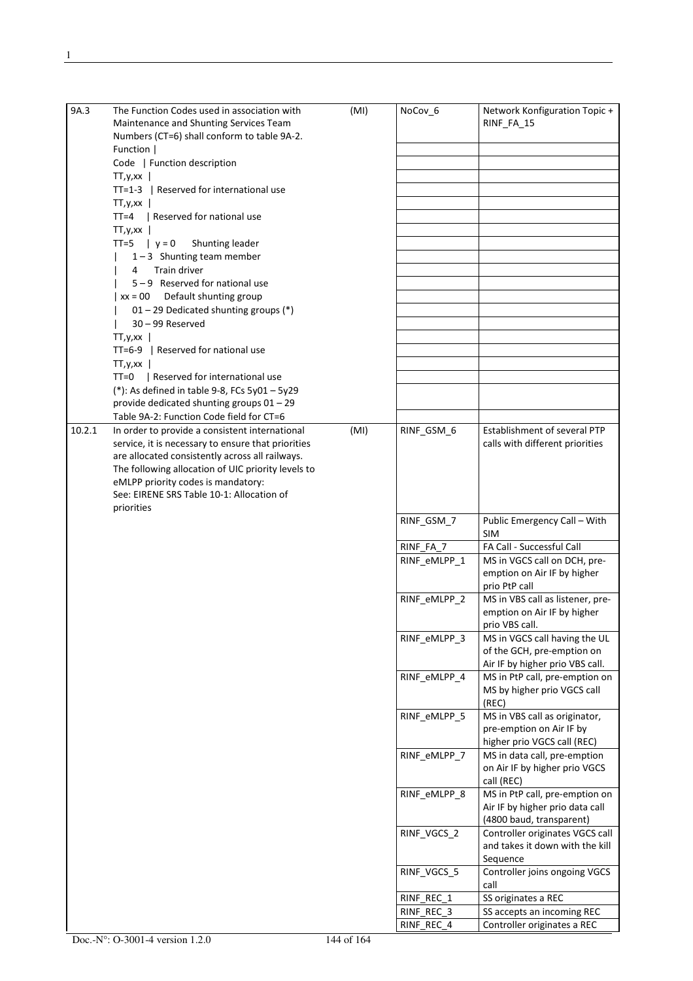| 9A.3   | The Function Codes used in association with        | (MI) | NoCov_6      | Network Konfiguration Topic +              |
|--------|----------------------------------------------------|------|--------------|--------------------------------------------|
|        | Maintenance and Shunting Services Team             |      |              | RINF_FA_15                                 |
|        | Numbers (CT=6) shall conform to table 9A-2.        |      |              |                                            |
|        | Function                                           |      |              |                                            |
|        | Code   Function description                        |      |              |                                            |
|        | TT, y, xx                                          |      |              |                                            |
|        | TT=1-3   Reserved for international use            |      |              |                                            |
|        | TT, y, xx                                          |      |              |                                            |
|        | TT=4   Reserved for national use<br>TT, y, xx      |      |              |                                            |
|        | TT=5 $ y=0$<br>Shunting leader                     |      |              |                                            |
|        | $1-3$ Shunting team member                         |      |              |                                            |
|        | Train driver<br>4                                  |      |              |                                            |
|        | $5 - 9$ Reserved for national use                  |      |              |                                            |
|        | xx = 00 Default shunting group                     |      |              |                                            |
|        | 01 - 29 Dedicated shunting groups (*)              |      |              |                                            |
|        | $30 - 99$ Reserved                                 |      |              |                                            |
|        | TT, y, xx                                          |      |              |                                            |
|        | TT=6-9   Reserved for national use                 |      |              |                                            |
|        | TT, y, xx                                          |      |              |                                            |
|        | TT=0   Reserved for international use              |      |              |                                            |
|        | (*): As defined in table 9-8, FCs $5y01 - 5y29$    |      |              |                                            |
|        | provide dedicated shunting groups 01 - 29          |      |              |                                            |
|        | Table 9A-2: Function Code field for CT=6           |      |              |                                            |
| 10.2.1 | In order to provide a consistent international     | (MI) | RINF_GSM_6   | Establishment of several PTP               |
|        | service, it is necessary to ensure that priorities |      |              | calls with different priorities            |
|        | are allocated consistently across all railways.    |      |              |                                            |
|        | The following allocation of UIC priority levels to |      |              |                                            |
|        | eMLPP priority codes is mandatory:                 |      |              |                                            |
|        | See: EIRENE SRS Table 10-1: Allocation of          |      |              |                                            |
|        | priorities                                         |      |              |                                            |
|        |                                                    |      | RINF_GSM_7   | Public Emergency Call - With<br><b>SIM</b> |
|        |                                                    |      | RINF FA 7    | FA Call - Successful Call                  |
|        |                                                    |      | RINF_eMLPP_1 | MS in VGCS call on DCH, pre-               |
|        |                                                    |      |              | emption on Air IF by higher                |
|        |                                                    |      |              | prio PtP call                              |
|        |                                                    |      | RINF_eMLPP 2 | MS in VBS call as listener, pre-           |
|        |                                                    |      |              | emption on Air IF by higher                |
|        |                                                    |      |              | prio VBS call.                             |
|        |                                                    |      | RINF_eMLPP_3 | MS in VGCS call having the UL              |
|        |                                                    |      |              | of the GCH, pre-emption on                 |
|        |                                                    |      |              | Air IF by higher prio VBS call.            |
|        |                                                    |      | RINF_eMLPP_4 | MS in PtP call, pre-emption on             |
|        |                                                    |      |              | MS by higher prio VGCS call                |
|        |                                                    |      | RINF_eMLPP_5 | (REC)<br>MS in VBS call as originator,     |
|        |                                                    |      |              | pre-emption on Air IF by                   |
|        |                                                    |      |              | higher prio VGCS call (REC)                |
|        |                                                    |      | RINF_eMLPP_7 | MS in data call, pre-emption               |
|        |                                                    |      |              | on Air IF by higher prio VGCS              |
|        |                                                    |      |              | call (REC)                                 |
|        |                                                    |      | RINF_eMLPP_8 | MS in PtP call, pre-emption on             |
|        |                                                    |      |              | Air IF by higher prio data call            |
|        |                                                    |      |              | (4800 baud, transparent)                   |
|        |                                                    |      | RINF_VGCS_2  | Controller originates VGCS call            |
|        |                                                    |      |              | and takes it down with the kill            |
|        |                                                    |      |              | Sequence                                   |
|        |                                                    |      | RINF_VGCS_5  | Controller joins ongoing VGCS              |
|        |                                                    |      |              | call                                       |
|        |                                                    |      | RINF_REC_1   | SS originates a REC                        |
|        |                                                    |      | RINF_REC_3   | SS accepts an incoming REC                 |
|        |                                                    |      | RINF_REC_4   | Controller originates a REC                |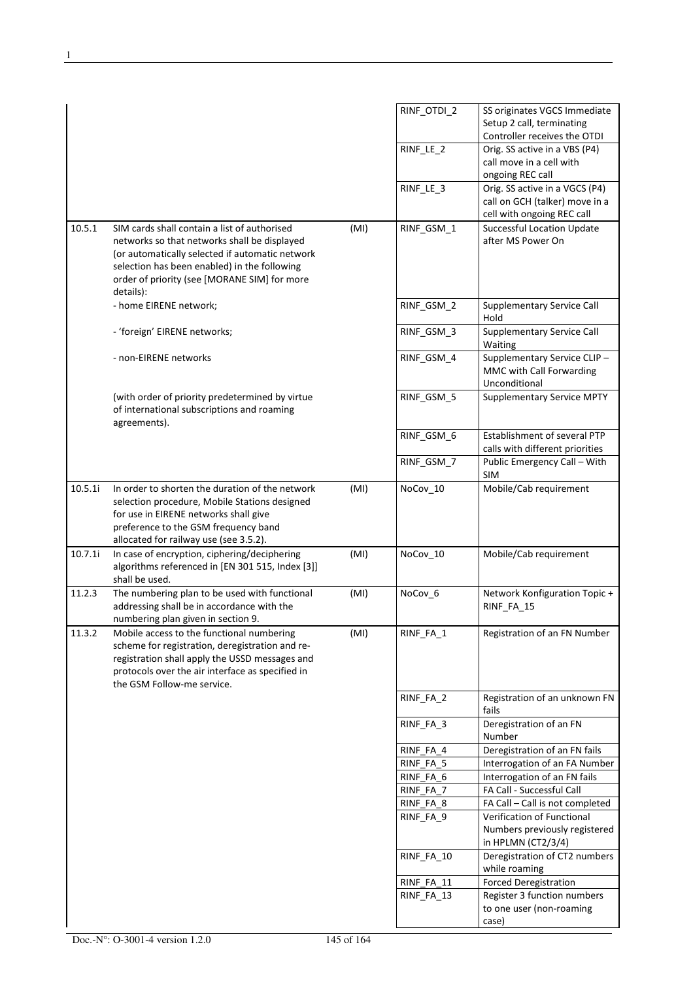|         |                                                  |      | RINF_OTDI_2 | SS originates VGCS Immediate      |
|---------|--------------------------------------------------|------|-------------|-----------------------------------|
|         |                                                  |      |             | Setup 2 call, terminating         |
|         |                                                  |      |             | Controller receives the OTDI      |
|         |                                                  |      | RINF_LE_2   | Orig. SS active in a VBS (P4)     |
|         |                                                  |      |             |                                   |
|         |                                                  |      |             | call move in a cell with          |
|         |                                                  |      |             | ongoing REC call                  |
|         |                                                  |      | RINF_LE_3   | Orig. SS active in a VGCS (P4)    |
|         |                                                  |      |             | call on GCH (talker) move in a    |
|         |                                                  |      |             | cell with ongoing REC call        |
| 10.5.1  | SIM cards shall contain a list of authorised     | (MI) | RINF_GSM_1  | <b>Successful Location Update</b> |
|         | networks so that networks shall be displayed     |      |             | after MS Power On                 |
|         | (or automatically selected if automatic network  |      |             |                                   |
|         | selection has been enabled) in the following     |      |             |                                   |
|         | order of priority (see [MORANE SIM] for more     |      |             |                                   |
|         | details):                                        |      |             |                                   |
|         |                                                  |      |             |                                   |
|         | - home EIRENE network;                           |      | RINF_GSM_2  | <b>Supplementary Service Call</b> |
|         |                                                  |      |             | Hold                              |
|         | - 'foreign' EIRENE networks;                     |      | RINF_GSM_3  | Supplementary Service Call        |
|         |                                                  |      |             | Waiting                           |
|         | - non-EIRENE networks                            |      | RINF_GSM_4  | Supplementary Service CLIP-       |
|         |                                                  |      |             | MMC with Call Forwarding          |
|         |                                                  |      |             | Unconditional                     |
|         | (with order of priority predetermined by virtue  |      | RINF_GSM_5  | <b>Supplementary Service MPTY</b> |
|         | of international subscriptions and roaming       |      |             |                                   |
|         | agreements).                                     |      |             |                                   |
|         |                                                  |      |             | Establishment of several PTP      |
|         |                                                  |      | RINF_GSM_6  |                                   |
|         |                                                  |      |             | calls with different priorities   |
|         |                                                  |      | RINF_GSM_7  | Public Emergency Call - With      |
|         |                                                  |      |             | <b>SIM</b>                        |
| 10.5.1i | In order to shorten the duration of the network  | (MI) | NoCov 10    | Mobile/Cab requirement            |
|         | selection procedure, Mobile Stations designed    |      |             |                                   |
|         | for use in EIRENE networks shall give            |      |             |                                   |
|         | preference to the GSM frequency band             |      |             |                                   |
|         | allocated for railway use (see 3.5.2).           |      |             |                                   |
| 10.7.1i | In case of encryption, ciphering/deciphering     | (MI) | NoCov_10    | Mobile/Cab requirement            |
|         | algorithms referenced in [EN 301 515, Index [3]] |      |             |                                   |
|         | shall be used.                                   |      |             |                                   |
|         |                                                  |      |             |                                   |
| 11.2.3  | The numbering plan to be used with functional    | (MI) | NoCov_6     | Network Konfiguration Topic +     |
|         | addressing shall be in accordance with the       |      |             | RINF_FA_15                        |
|         | numbering plan given in section 9.               |      |             |                                   |
| 11.3.2  | Mobile access to the functional numbering        | (MI) | RINF_FA_1   | Registration of an FN Number      |
|         | scheme for registration, deregistration and re-  |      |             |                                   |
|         | registration shall apply the USSD messages and   |      |             |                                   |
|         | protocols over the air interface as specified in |      |             |                                   |
|         | the GSM Follow-me service.                       |      |             |                                   |
|         |                                                  |      | RINF_FA_2   | Registration of an unknown FN     |
|         |                                                  |      |             | fails                             |
|         |                                                  |      |             |                                   |
|         |                                                  |      | RINF_FA_3   | Deregistration of an FN           |
|         |                                                  |      |             | Number                            |
|         |                                                  |      | RINF_FA_4   | Deregistration of an FN fails     |
|         |                                                  |      | RINF FA 5   | Interrogation of an FA Number     |
|         |                                                  |      | RINF_FA_6   | Interrogation of an FN fails      |
|         |                                                  |      | RINF_FA_7   | FA Call - Successful Call         |
|         |                                                  |      | RINF_FA_8   | FA Call - Call is not completed   |
|         |                                                  |      | RINF_FA_9   | Verification of Functional        |
|         |                                                  |      |             | Numbers previously registered     |
|         |                                                  |      |             |                                   |
|         |                                                  |      |             | in HPLMN (CT2/3/4)                |
|         |                                                  |      | RINF_FA_10  | Deregistration of CT2 numbers     |
|         |                                                  |      |             | while roaming                     |
|         |                                                  |      | RINF_FA_11  | <b>Forced Deregistration</b>      |
|         |                                                  |      | RINF_FA_13  | Register 3 function numbers       |
|         |                                                  |      |             | to one user (non-roaming          |
|         |                                                  |      |             | case)                             |
|         |                                                  |      |             |                                   |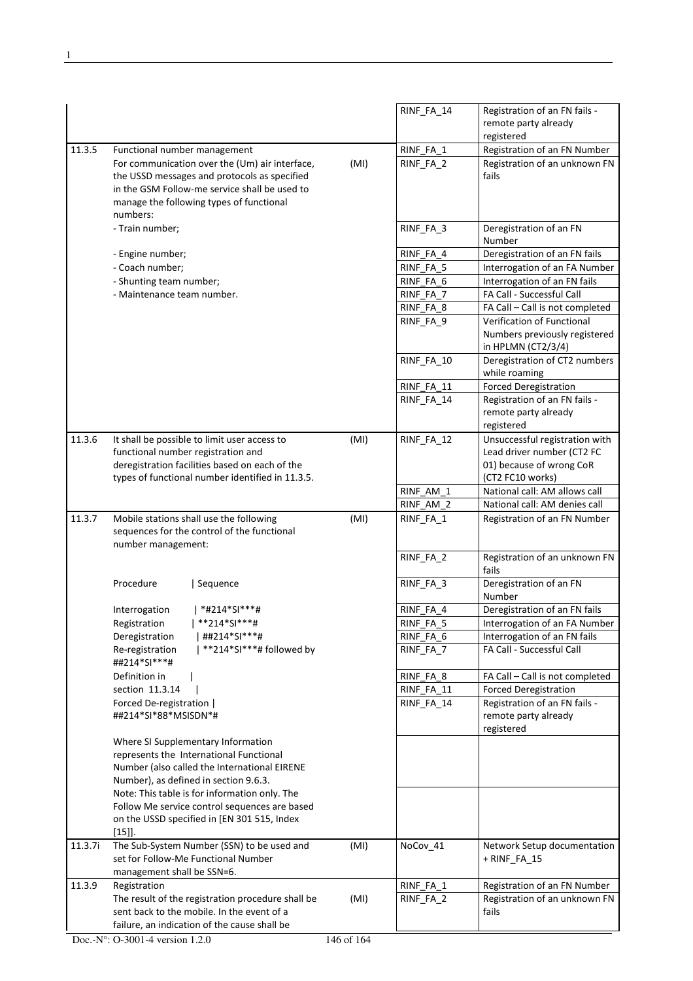|         |                                                                                                                                                                                                         |      | RINF_FA_14 | Registration of an FN fails -<br>remote party already<br>registered               |
|---------|---------------------------------------------------------------------------------------------------------------------------------------------------------------------------------------------------------|------|------------|-----------------------------------------------------------------------------------|
| 11.3.5  | Functional number management                                                                                                                                                                            |      | RINF_FA_1  | Registration of an FN Number                                                      |
|         | For communication over the (Um) air interface,<br>the USSD messages and protocols as specified<br>in the GSM Follow-me service shall be used to<br>manage the following types of functional<br>numbers: | (MI) | RINF_FA_2  | Registration of an unknown FN<br>fails                                            |
|         | - Train number;                                                                                                                                                                                         |      | RINF_FA_3  | Deregistration of an FN<br>Number                                                 |
|         | - Engine number;                                                                                                                                                                                        |      | RINF_FA_4  | Deregistration of an FN fails                                                     |
|         | - Coach number;                                                                                                                                                                                         |      | RINF_FA_5  | Interrogation of an FA Number                                                     |
|         | - Shunting team number;                                                                                                                                                                                 |      | RINF FA 6  | Interrogation of an FN fails                                                      |
|         | - Maintenance team number.                                                                                                                                                                              |      | RINF FA 7  | FA Call - Successful Call                                                         |
|         |                                                                                                                                                                                                         |      | RINF_FA_8  | FA Call - Call is not completed                                                   |
|         |                                                                                                                                                                                                         |      | RINF_FA_9  | Verification of Functional<br>Numbers previously registered<br>in HPLMN (CT2/3/4) |
|         |                                                                                                                                                                                                         |      | RINF_FA_10 | Deregistration of CT2 numbers<br>while roaming                                    |
|         |                                                                                                                                                                                                         |      | RINF_FA_11 | <b>Forced Deregistration</b>                                                      |
|         |                                                                                                                                                                                                         |      | RINF FA 14 | Registration of an FN fails -<br>remote party already<br>registered               |
| 11.3.6  | It shall be possible to limit user access to                                                                                                                                                            | (MI) | RINF_FA_12 | Unsuccessful registration with                                                    |
|         | functional number registration and                                                                                                                                                                      |      |            | Lead driver number (CT2 FC                                                        |
|         | deregistration facilities based on each of the                                                                                                                                                          |      |            | 01) because of wrong CoR                                                          |
|         | types of functional number identified in 11.3.5.                                                                                                                                                        |      |            | (CT2 FC10 works)                                                                  |
|         |                                                                                                                                                                                                         |      | RINF_AM_1  | National call: AM allows call                                                     |
|         |                                                                                                                                                                                                         |      | RINF AM 2  | National call: AM denies call                                                     |
| 11.3.7  | Mobile stations shall use the following<br>sequences for the control of the functional<br>number management:                                                                                            | (MI) | RINF_FA_1  | Registration of an FN Number                                                      |
|         |                                                                                                                                                                                                         |      | RINF_FA_2  | Registration of an unknown FN<br>fails                                            |
|         | Procedure<br>Sequence                                                                                                                                                                                   |      | RINF_FA_3  | Deregistration of an FN<br>Number                                                 |
|         | *#214*SI***#<br>Interrogation                                                                                                                                                                           |      | RINF FA 4  | Deregistration of an FN fails                                                     |
|         | **214*SI***#<br>Registration                                                                                                                                                                            |      | RINF_FA_5  | Interrogation of an FA Number                                                     |
|         | ##214*SI***#<br>Deregistration                                                                                                                                                                          |      | RINF_FA_6  | Interrogation of an FN fails                                                      |
|         | **214*SI***# followed by<br>Re-registration<br>##214*SI***#                                                                                                                                             |      | RINF FA 7  | FA Call - Successful Call                                                         |
|         | Definition in                                                                                                                                                                                           |      | RINF_FA_8  | FA Call - Call is not completed                                                   |
|         | section 11.3.14                                                                                                                                                                                         |      | RINF_FA_11 | <b>Forced Deregistration</b>                                                      |
|         | Forced De-registration  <br>##214*SI*88*MSISDN*#                                                                                                                                                        |      | RINF_FA_14 | Registration of an FN fails -<br>remote party already<br>registered               |
|         | Where SI Supplementary Information                                                                                                                                                                      |      |            |                                                                                   |
|         | represents the International Functional                                                                                                                                                                 |      |            |                                                                                   |
|         | Number (also called the International EIRENE                                                                                                                                                            |      |            |                                                                                   |
|         | Number), as defined in section 9.6.3.                                                                                                                                                                   |      |            |                                                                                   |
|         | Note: This table is for information only. The                                                                                                                                                           |      |            |                                                                                   |
|         | Follow Me service control sequences are based<br>on the USSD specified in [EN 301 515, Index                                                                                                            |      |            |                                                                                   |
|         | $[15]$ .                                                                                                                                                                                                |      |            |                                                                                   |
| 11.3.7i | The Sub-System Number (SSN) to be used and<br>set for Follow-Me Functional Number                                                                                                                       | (MI) | NoCov_41   | Network Setup documentation<br>+ RINF FA 15                                       |
|         | management shall be SSN=6.                                                                                                                                                                              |      |            |                                                                                   |
| 11.3.9  | Registration                                                                                                                                                                                            |      | RINF_FA_1  | Registration of an FN Number                                                      |
|         | The result of the registration procedure shall be<br>sent back to the mobile. In the event of a                                                                                                         | (MI) | RINF_FA_2  | Registration of an unknown FN<br>fails                                            |
|         | failure, an indication of the cause shall be                                                                                                                                                            |      |            |                                                                                   |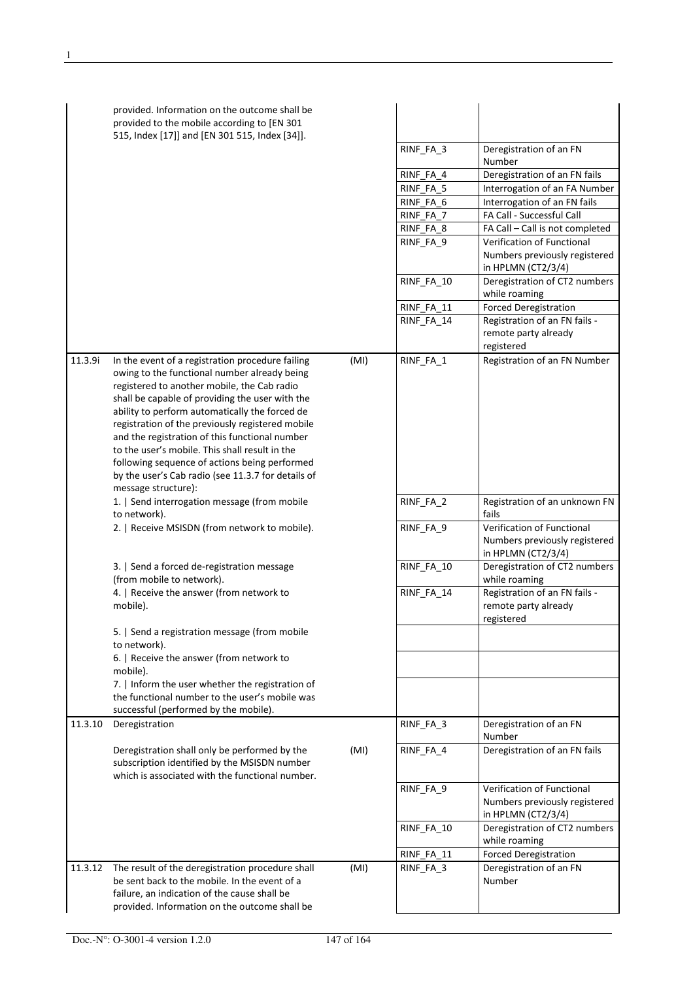|         | provided. Information on the outcome shall be<br>provided to the mobile according to [EN 301<br>515, Index [17]] and [EN 301 515, Index [34]].                                                                                                                                                                                                                                                                                                                                                                                             |      | RINF_FA_3<br>RINF_FA_4<br>RINF_FA_5<br>RINF_FA_6<br>RINF_FA_7<br>RINF_FA_8<br>RINF FA 9<br>RINF_FA_10<br>RINF_FA_11<br>RINF FA 14 | Deregistration of an FN<br>Number<br>Deregistration of an FN fails<br>Interrogation of an FA Number<br>Interrogation of an FN fails<br>FA Call - Successful Call<br>FA Call - Call is not completed<br>Verification of Functional<br>Numbers previously registered<br>in HPLMN (CT2/3/4)<br>Deregistration of CT2 numbers<br>while roaming<br><b>Forced Deregistration</b><br>Registration of an FN fails -<br>remote party already |
|---------|--------------------------------------------------------------------------------------------------------------------------------------------------------------------------------------------------------------------------------------------------------------------------------------------------------------------------------------------------------------------------------------------------------------------------------------------------------------------------------------------------------------------------------------------|------|-----------------------------------------------------------------------------------------------------------------------------------|-------------------------------------------------------------------------------------------------------------------------------------------------------------------------------------------------------------------------------------------------------------------------------------------------------------------------------------------------------------------------------------------------------------------------------------|
| 11.3.9i | In the event of a registration procedure failing<br>owing to the functional number already being<br>registered to another mobile, the Cab radio<br>shall be capable of providing the user with the<br>ability to perform automatically the forced de<br>registration of the previously registered mobile<br>and the registration of this functional number<br>to the user's mobile. This shall result in the<br>following sequence of actions being performed<br>by the user's Cab radio (see 11.3.7 for details of<br>message structure): | (MI) | RINF_FA_1                                                                                                                         | registered<br>Registration of an FN Number                                                                                                                                                                                                                                                                                                                                                                                          |
|         | 1.   Send interrogation message (from mobile<br>to network).                                                                                                                                                                                                                                                                                                                                                                                                                                                                               |      | RINF_FA_2                                                                                                                         | Registration of an unknown FN<br>fails                                                                                                                                                                                                                                                                                                                                                                                              |
|         | 2.   Receive MSISDN (from network to mobile).                                                                                                                                                                                                                                                                                                                                                                                                                                                                                              |      | RINF_FA_9                                                                                                                         | Verification of Functional<br>Numbers previously registered<br>in HPLMN (CT2/3/4)                                                                                                                                                                                                                                                                                                                                                   |
|         | 3.   Send a forced de-registration message<br>(from mobile to network).                                                                                                                                                                                                                                                                                                                                                                                                                                                                    |      | RINF_FA_10                                                                                                                        | Deregistration of CT2 numbers<br>while roaming                                                                                                                                                                                                                                                                                                                                                                                      |
|         | 4.   Receive the answer (from network to<br>mobile).                                                                                                                                                                                                                                                                                                                                                                                                                                                                                       |      | RINF_FA_14                                                                                                                        | Registration of an FN fails -<br>remote party already<br>registered                                                                                                                                                                                                                                                                                                                                                                 |
|         | 5.   Send a registration message (from mobile<br>to network).                                                                                                                                                                                                                                                                                                                                                                                                                                                                              |      |                                                                                                                                   |                                                                                                                                                                                                                                                                                                                                                                                                                                     |
|         | 6.   Receive the answer (from network to<br>mobile).                                                                                                                                                                                                                                                                                                                                                                                                                                                                                       |      |                                                                                                                                   |                                                                                                                                                                                                                                                                                                                                                                                                                                     |
|         | 7.   Inform the user whether the registration of<br>the functional number to the user's mobile was<br>successful (performed by the mobile).                                                                                                                                                                                                                                                                                                                                                                                                |      |                                                                                                                                   |                                                                                                                                                                                                                                                                                                                                                                                                                                     |
| 11.3.10 | Deregistration                                                                                                                                                                                                                                                                                                                                                                                                                                                                                                                             |      | RINF_FA_3                                                                                                                         | Deregistration of an FN<br>Number                                                                                                                                                                                                                                                                                                                                                                                                   |
|         | Deregistration shall only be performed by the<br>subscription identified by the MSISDN number<br>which is associated with the functional number.                                                                                                                                                                                                                                                                                                                                                                                           | (MI) | RINF_FA_4                                                                                                                         | Deregistration of an FN fails                                                                                                                                                                                                                                                                                                                                                                                                       |
|         |                                                                                                                                                                                                                                                                                                                                                                                                                                                                                                                                            |      | RINF_FA_9                                                                                                                         | Verification of Functional<br>Numbers previously registered<br>in HPLMN (CT2/3/4)                                                                                                                                                                                                                                                                                                                                                   |
|         |                                                                                                                                                                                                                                                                                                                                                                                                                                                                                                                                            |      | RINF_FA_10                                                                                                                        | Deregistration of CT2 numbers<br>while roaming                                                                                                                                                                                                                                                                                                                                                                                      |
|         |                                                                                                                                                                                                                                                                                                                                                                                                                                                                                                                                            |      | RINF_FA_11                                                                                                                        | <b>Forced Deregistration</b>                                                                                                                                                                                                                                                                                                                                                                                                        |
| 11.3.12 | The result of the deregistration procedure shall<br>be sent back to the mobile. In the event of a<br>failure, an indication of the cause shall be<br>provided. Information on the outcome shall be                                                                                                                                                                                                                                                                                                                                         | (MI) | RINF_FA_3                                                                                                                         | Deregistration of an FN<br>Number                                                                                                                                                                                                                                                                                                                                                                                                   |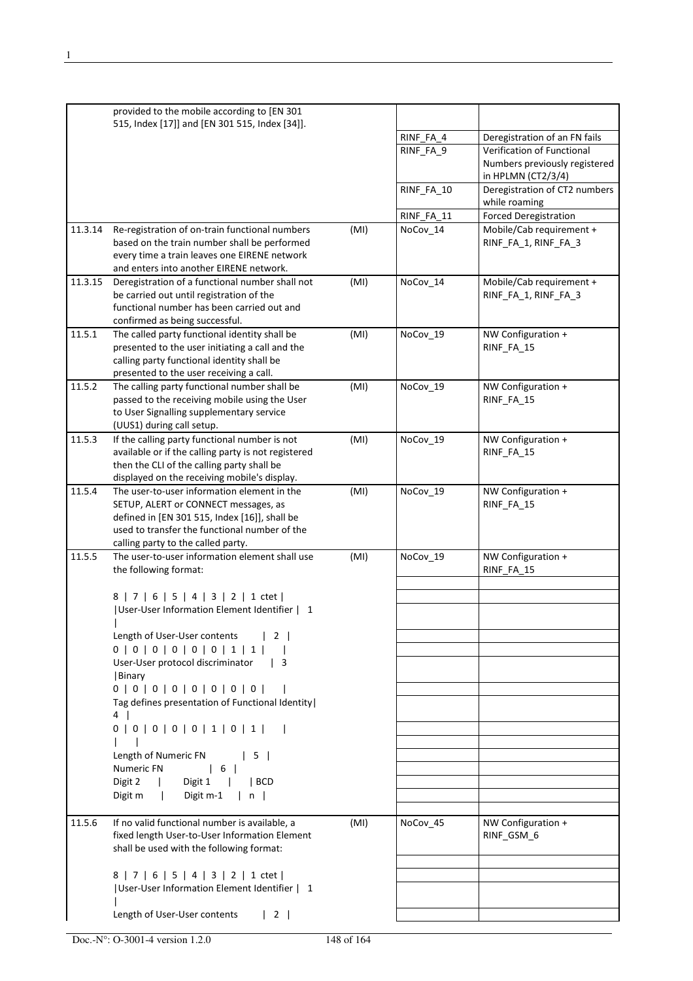|         | provided to the mobile according to [EN 301<br>515, Index [17]] and [EN 301 515, Index [34]].                                                                                             |      |            |                                                  |
|---------|-------------------------------------------------------------------------------------------------------------------------------------------------------------------------------------------|------|------------|--------------------------------------------------|
|         |                                                                                                                                                                                           |      | RINF_FA_4  | Deregistration of an FN fails                    |
|         |                                                                                                                                                                                           |      | RINF_FA_9  | Verification of Functional                       |
|         |                                                                                                                                                                                           |      |            | Numbers previously registered                    |
|         |                                                                                                                                                                                           |      |            | in HPLMN (CT2/3/4)                               |
|         |                                                                                                                                                                                           |      | RINF_FA_10 | Deregistration of CT2 numbers<br>while roaming   |
|         |                                                                                                                                                                                           |      | RINF_FA_11 | <b>Forced Deregistration</b>                     |
| 11.3.14 | Re-registration of on-train functional numbers                                                                                                                                            | (MI) | NoCov 14   | Mobile/Cab requirement +                         |
|         | based on the train number shall be performed<br>every time a train leaves one EIRENE network<br>and enters into another EIRENE network.                                                   |      |            | RINF_FA_1, RINF_FA_3                             |
| 11.3.15 | Deregistration of a functional number shall not<br>be carried out until registration of the<br>functional number has been carried out and<br>confirmed as being successful.               | (MI) | NoCov_14   | Mobile/Cab requirement +<br>RINF_FA_1, RINF_FA_3 |
| 11.5.1  | The called party functional identity shall be<br>presented to the user initiating a call and the<br>calling party functional identity shall be<br>presented to the user receiving a call. | (MI) | NoCov_19   | NW Configuration +<br>RINF_FA_15                 |
| 11.5.2  | The calling party functional number shall be                                                                                                                                              | (MI) | NoCov 19   | NW Configuration +                               |
|         | passed to the receiving mobile using the User<br>to User Signalling supplementary service<br>(UUS1) during call setup.                                                                    |      |            | RINF_FA_15                                       |
| 11.5.3  | If the calling party functional number is not                                                                                                                                             | (MI) | NoCov_19   | NW Configuration +                               |
|         | available or if the calling party is not registered                                                                                                                                       |      |            | RINF_FA_15                                       |
|         | then the CLI of the calling party shall be                                                                                                                                                |      |            |                                                  |
|         | displayed on the receiving mobile's display.                                                                                                                                              |      |            |                                                  |
| 11.5.4  | The user-to-user information element in the                                                                                                                                               | (MI) | NoCov_19   | NW Configuration +                               |
|         | SETUP, ALERT or CONNECT messages, as<br>defined in [EN 301 515, Index [16]], shall be<br>used to transfer the functional number of the<br>calling party to the called party.              |      |            | RINF_FA_15                                       |
| 11.5.5  | The user-to-user information element shall use                                                                                                                                            | (MI) | NoCov 19   | NW Configuration +                               |
|         | the following format:                                                                                                                                                                     |      |            | RINF FA 15                                       |
|         | 8   7   6   5   4   3   2   1 ctet                                                                                                                                                        |      |            |                                                  |
|         | User-User Information Element Identifier   1                                                                                                                                              |      |            |                                                  |
|         | Length of User-User contents<br>$\begin{array}{ccc} \end{array}$                                                                                                                          |      |            |                                                  |
|         | 0   0   0   0   0   0   1   1                                                                                                                                                             |      |            |                                                  |
|         | User-User protocol discriminator<br>$\vert$ 3                                                                                                                                             |      |            |                                                  |
|         | Binary                                                                                                                                                                                    |      |            |                                                  |
|         | 0   0   0   0   0   0   0   0                                                                                                                                                             |      |            |                                                  |
|         | Tag defines presentation of Functional Identity  <br>4                                                                                                                                    |      |            |                                                  |
|         | 0   0   0   0   0   1   0   1                                                                                                                                                             |      |            |                                                  |
|         |                                                                                                                                                                                           |      |            |                                                  |
|         | Length of Numeric FN<br>$\vert 5 \vert$                                                                                                                                                   |      |            |                                                  |
|         | Numeric FN<br>$\begin{array}{cc} \begin{array}{ccc} \end{array} & \begin{array}{ccc} \end{array} & \begin{array}{ccc} \end{array} & \end{array}$                                          |      |            |                                                  |
|         | Digit 2<br>Digit 1<br>$ $ BCD<br>$\mathbf{1}$                                                                                                                                             |      |            |                                                  |
|         | Digit m-1<br>Digit m<br> n                                                                                                                                                                |      |            |                                                  |
|         |                                                                                                                                                                                           |      |            |                                                  |
| 11.5.6  | If no valid functional number is available, a<br>fixed length User-to-User Information Element<br>shall be used with the following format:                                                | (MI) | NoCov_45   | NW Configuration +<br>RINF_GSM_6                 |
|         |                                                                                                                                                                                           |      |            |                                                  |
|         | 8   7   6   5   4   3   2   1 ctet  <br> User-User Information Element Identifier   1                                                                                                     |      |            |                                                  |
|         |                                                                                                                                                                                           |      |            |                                                  |
|         | Length of User-User contents<br>$\begin{array}{ccc} \end{array}$                                                                                                                          |      |            |                                                  |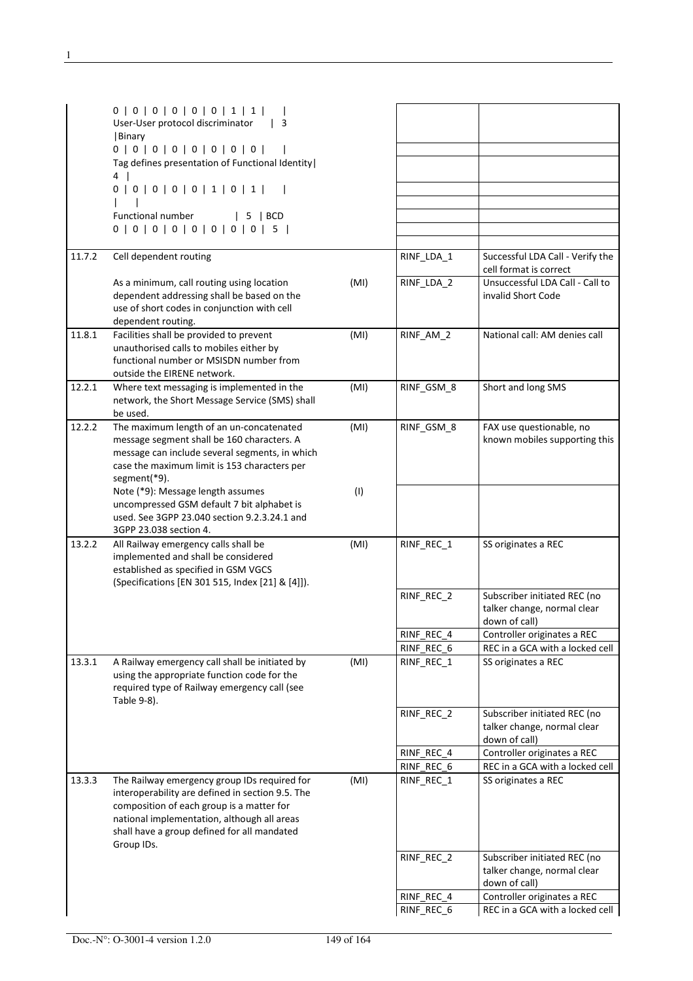|        | 0   0   0   0   0   0   1   1  <br>User-User protocol discriminator<br>$\vert$ 3              |      |            |                                                            |
|--------|-----------------------------------------------------------------------------------------------|------|------------|------------------------------------------------------------|
|        | Binary<br>0   0   0   0   0   0   0   0                                                       |      |            |                                                            |
|        | Tag defines presentation of Functional Identity                                               |      |            |                                                            |
|        | $4 \mid$                                                                                      |      |            |                                                            |
|        | 0   0   0   0   0   1   0   1                                                                 |      |            |                                                            |
|        |                                                                                               |      |            |                                                            |
|        | Functional number<br>$\vert$ 5 $\vert$ BCD<br>0   0   0   0   0   0   0   0   5               |      |            |                                                            |
|        |                                                                                               |      |            |                                                            |
| 11.7.2 | Cell dependent routing                                                                        |      | RINF_LDA_1 | Successful LDA Call - Verify the<br>cell format is correct |
|        | As a minimum, call routing using location                                                     | (MI) | RINF_LDA_2 | Unsuccessful LDA Call - Call to                            |
|        | dependent addressing shall be based on the<br>use of short codes in conjunction with cell     |      |            | invalid Short Code                                         |
|        | dependent routing.                                                                            |      |            |                                                            |
| 11.8.1 | Facilities shall be provided to prevent                                                       | (MI) | RINF AM 2  | National call: AM denies call                              |
|        | unauthorised calls to mobiles either by                                                       |      |            |                                                            |
|        | functional number or MSISDN number from<br>outside the EIRENE network.                        |      |            |                                                            |
| 12.2.1 | Where text messaging is implemented in the                                                    | (MI) | RINF GSM 8 | Short and long SMS                                         |
|        | network, the Short Message Service (SMS) shall<br>be used.                                    |      |            |                                                            |
| 12.2.2 | The maximum length of an un-concatenated                                                      | (MI) | RINF GSM 8 | FAX use questionable, no                                   |
|        | message segment shall be 160 characters. A<br>message can include several segments, in which  |      |            | known mobiles supporting this                              |
|        | case the maximum limit is 153 characters per                                                  |      |            |                                                            |
|        | segment(*9).                                                                                  |      |            |                                                            |
|        | Note (*9): Message length assumes                                                             | (1)  |            |                                                            |
|        | uncompressed GSM default 7 bit alphabet is                                                    |      |            |                                                            |
|        | used. See 3GPP 23.040 section 9.2.3.24.1 and<br>3GPP 23.038 section 4.                        |      |            |                                                            |
| 13.2.2 | All Railway emergency calls shall be                                                          | (MI) | RINF_REC_1 | SS originates a REC                                        |
|        | implemented and shall be considered                                                           |      |            |                                                            |
|        | established as specified in GSM VGCS                                                          |      |            |                                                            |
|        | (Specifications [EN 301 515, Index [21] & [4]]).                                              |      | RINF_REC_2 | Subscriber initiated REC (no                               |
|        |                                                                                               |      |            | talker change, normal clear                                |
|        |                                                                                               |      |            | down of call)                                              |
|        |                                                                                               |      | RINF REC 4 | Controller originates a REC                                |
|        |                                                                                               |      | RINF REC 6 | REC in a GCA with a locked cell                            |
| 13.3.1 | A Railway emergency call shall be initiated by<br>using the appropriate function code for the | (MI) | RINF REC 1 | SS originates a REC                                        |
|        | required type of Railway emergency call (see                                                  |      |            |                                                            |
|        | Table 9-8).                                                                                   |      |            |                                                            |
|        |                                                                                               |      | RINF_REC_2 | Subscriber initiated REC (no                               |
|        |                                                                                               |      |            | talker change, normal clear<br>down of call)               |
|        |                                                                                               |      | RINF REC 4 | Controller originates a REC                                |
|        |                                                                                               |      | RINF_REC_6 | REC in a GCA with a locked cell                            |
| 13.3.3 | The Railway emergency group IDs required for                                                  | (MI) | RINF_REC_1 | SS originates a REC                                        |
|        | interoperability are defined in section 9.5. The                                              |      |            |                                                            |
|        | composition of each group is a matter for<br>national implementation, although all areas      |      |            |                                                            |
|        | shall have a group defined for all mandated                                                   |      |            |                                                            |
|        | Group IDs.                                                                                    |      |            |                                                            |
|        |                                                                                               |      | RINF_REC_2 | Subscriber initiated REC (no                               |
|        |                                                                                               |      |            | talker change, normal clear<br>down of call)               |
|        |                                                                                               |      | RINF_REC_4 | Controller originates a REC                                |
|        |                                                                                               |      | RINF_REC_6 | REC in a GCA with a locked cell                            |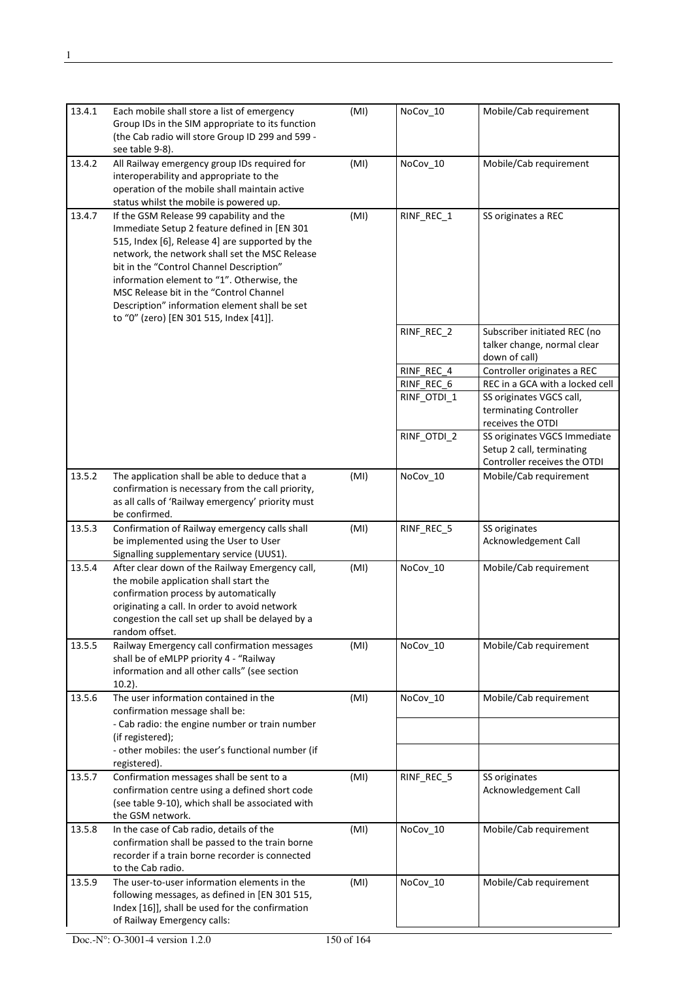| 13.4.1 | Each mobile shall store a list of emergency<br>Group IDs in the SIM appropriate to its function<br>(the Cab radio will store Group ID 299 and 599 -<br>see table 9-8).                                                                                                                                                                                                                                                         | (MI) | NoCov_10    | Mobile/Cab requirement                                                                    |
|--------|--------------------------------------------------------------------------------------------------------------------------------------------------------------------------------------------------------------------------------------------------------------------------------------------------------------------------------------------------------------------------------------------------------------------------------|------|-------------|-------------------------------------------------------------------------------------------|
| 13.4.2 | All Railway emergency group IDs required for<br>interoperability and appropriate to the<br>operation of the mobile shall maintain active<br>status whilst the mobile is powered up.                                                                                                                                                                                                                                            | (MI) | NoCov_10    | Mobile/Cab requirement                                                                    |
| 13.4.7 | If the GSM Release 99 capability and the<br>Immediate Setup 2 feature defined in [EN 301<br>515, Index [6], Release 4] are supported by the<br>network, the network shall set the MSC Release<br>bit in the "Control Channel Description"<br>information element to "1". Otherwise, the<br>MSC Release bit in the "Control Channel<br>Description" information element shall be set<br>to "0" (zero) [EN 301 515, Index [41]]. | (MI) | RINF_REC_1  | SS originates a REC                                                                       |
|        |                                                                                                                                                                                                                                                                                                                                                                                                                                |      | RINF_REC_2  | Subscriber initiated REC (no<br>talker change, normal clear<br>down of call)              |
|        |                                                                                                                                                                                                                                                                                                                                                                                                                                |      | RINF_REC_4  | Controller originates a REC                                                               |
|        |                                                                                                                                                                                                                                                                                                                                                                                                                                |      | RINF REC 6  | REC in a GCA with a locked cell                                                           |
|        |                                                                                                                                                                                                                                                                                                                                                                                                                                |      | RINF_OTDI_1 | SS originates VGCS call,<br>terminating Controller<br>receives the OTDI                   |
|        |                                                                                                                                                                                                                                                                                                                                                                                                                                |      | RINF_OTDI_2 | SS originates VGCS Immediate<br>Setup 2 call, terminating<br>Controller receives the OTDI |
| 13.5.2 | The application shall be able to deduce that a<br>confirmation is necessary from the call priority,<br>as all calls of 'Railway emergency' priority must<br>be confirmed.                                                                                                                                                                                                                                                      | (MI) | NoCov_10    | Mobile/Cab requirement                                                                    |
| 13.5.3 | Confirmation of Railway emergency calls shall<br>be implemented using the User to User<br>Signalling supplementary service (UUS1).                                                                                                                                                                                                                                                                                             | (MI) | RINF_REC_5  | SS originates<br>Acknowledgement Call                                                     |
| 13.5.4 | After clear down of the Railway Emergency call,<br>the mobile application shall start the<br>confirmation process by automatically<br>originating a call. In order to avoid network<br>congestion the call set up shall be delayed by a<br>random offset.                                                                                                                                                                      | (MI) | NoCov_10    | Mobile/Cab requirement                                                                    |
| 13.5.5 | Railway Emergency call confirmation messages<br>shall be of eMLPP priority 4 - "Railway<br>information and all other calls" (see section<br>$10.2$ ).                                                                                                                                                                                                                                                                          | (MI) | NoCov_10    | Mobile/Cab requirement                                                                    |
| 13.5.6 | The user information contained in the<br>confirmation message shall be:<br>- Cab radio: the engine number or train number<br>(if registered);<br>- other mobiles: the user's functional number (if                                                                                                                                                                                                                             | (MI) | NoCov_10    | Mobile/Cab requirement                                                                    |
|        | registered).                                                                                                                                                                                                                                                                                                                                                                                                                   |      |             |                                                                                           |
| 13.5.7 | Confirmation messages shall be sent to a<br>confirmation centre using a defined short code<br>(see table 9-10), which shall be associated with<br>the GSM network.                                                                                                                                                                                                                                                             | (MI) | RINF_REC_5  | SS originates<br>Acknowledgement Call                                                     |
| 13.5.8 | In the case of Cab radio, details of the<br>confirmation shall be passed to the train borne<br>recorder if a train borne recorder is connected<br>to the Cab radio.                                                                                                                                                                                                                                                            | (MI) | NoCov_10    | Mobile/Cab requirement                                                                    |
| 13.5.9 | The user-to-user information elements in the<br>following messages, as defined in [EN 301 515,<br>Index [16]], shall be used for the confirmation<br>of Railway Emergency calls:                                                                                                                                                                                                                                               | (MI) | NoCov_10    | Mobile/Cab requirement                                                                    |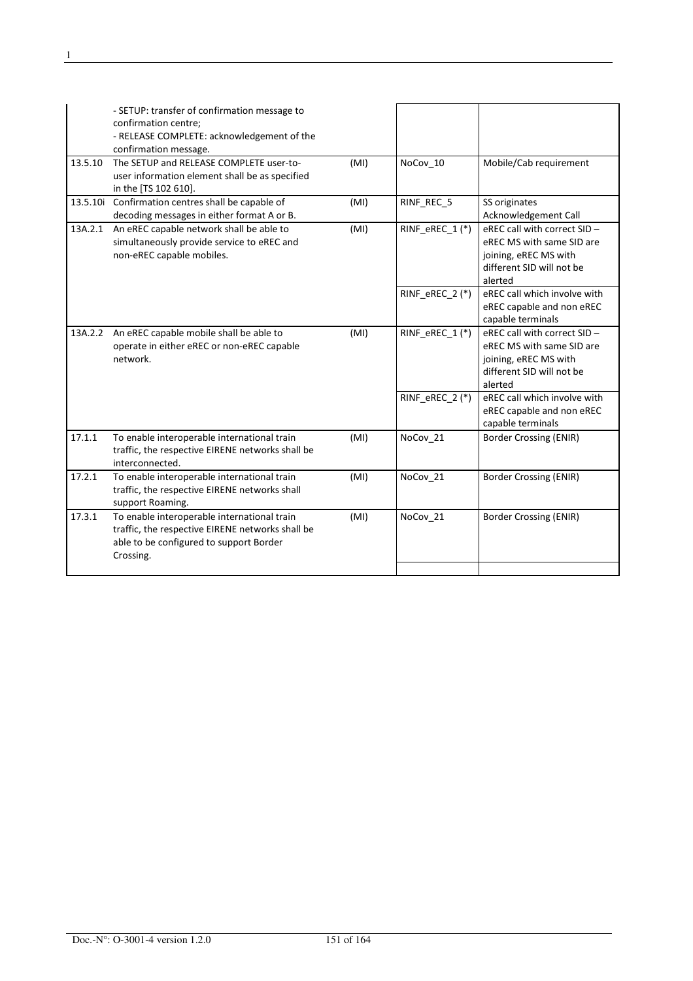|          | - SETUP: transfer of confirmation message to<br>confirmation centre;<br>- RELEASE COMPLETE: acknowledgement of the<br>confirmation message.             |      |                   |                                                                                                                            |
|----------|---------------------------------------------------------------------------------------------------------------------------------------------------------|------|-------------------|----------------------------------------------------------------------------------------------------------------------------|
| 13.5.10  | The SETUP and RELEASE COMPLETE user-to-<br>user information element shall be as specified<br>in the [TS 102 610].                                       | (MI) | NoCov_10          | Mobile/Cab requirement                                                                                                     |
| 13.5.10i | Confirmation centres shall be capable of<br>decoding messages in either format A or B.                                                                  | (MI) | RINF REC 5        | SS originates<br>Acknowledgement Call                                                                                      |
| 13A.2.1  | An eREC capable network shall be able to<br>simultaneously provide service to eREC and<br>non-eREC capable mobiles.                                     | (MI) | RINF eREC 1(*)    | eREC call with correct SID -<br>eREC MS with same SID are<br>joining, eREC MS with<br>different SID will not be<br>alerted |
|          |                                                                                                                                                         |      | RINF eREC $2$ (*) | eREC call which involve with<br>eREC capable and non eREC<br>capable terminals                                             |
| 13A.2.2  | An eREC capable mobile shall be able to<br>operate in either eREC or non-eREC capable<br>network.                                                       | (MI) | RINF_eREC_1(*)    | eREC call with correct SID -<br>eREC MS with same SID are<br>joining, eREC MS with<br>different SID will not be<br>alerted |
|          |                                                                                                                                                         |      | RINF_eREC_2(*)    | eREC call which involve with<br>eREC capable and non eREC<br>capable terminals                                             |
| 17.1.1   | To enable interoperable international train<br>traffic, the respective EIRENE networks shall be<br>interconnected.                                      | (MI) | NoCov_21          | <b>Border Crossing (ENIR)</b>                                                                                              |
| 17.2.1   | To enable interoperable international train<br>traffic, the respective EIRENE networks shall<br>support Roaming.                                        | (MI) | NoCov 21          | <b>Border Crossing (ENIR)</b>                                                                                              |
| 17.3.1   | To enable interoperable international train<br>traffic, the respective EIRENE networks shall be<br>able to be configured to support Border<br>Crossing. | (MI) | NoCov 21          | Border Crossing (ENIR)                                                                                                     |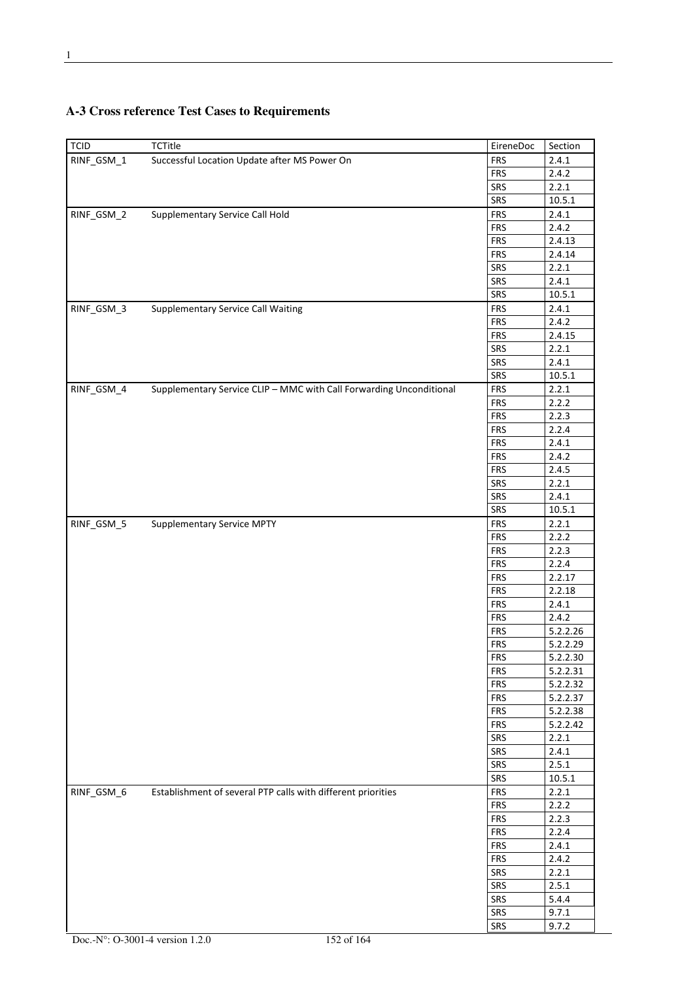| <b>TCID</b> | <b>TCTitle</b>                                                      | EireneDoc  | Section        |
|-------------|---------------------------------------------------------------------|------------|----------------|
| RINF GSM 1  | Successful Location Update after MS Power On                        | <b>FRS</b> | 2.4.1          |
|             |                                                                     | <b>FRS</b> | 2.4.2          |
|             |                                                                     | SRS        | 2.2.1          |
|             |                                                                     | SRS        | 10.5.1         |
| RINF_GSM_2  | Supplementary Service Call Hold                                     | <b>FRS</b> | 2.4.1          |
|             |                                                                     | <b>FRS</b> | 2.4.2          |
|             |                                                                     | <b>FRS</b> | 2.4.13         |
|             |                                                                     | <b>FRS</b> | 2.4.14         |
|             |                                                                     | SRS        | 2.2.1          |
|             |                                                                     | SRS        | 2.4.1          |
|             |                                                                     | SRS        | 10.5.1         |
| RINF_GSM_3  | <b>Supplementary Service Call Waiting</b>                           | <b>FRS</b> | 2.4.1          |
|             |                                                                     | <b>FRS</b> | 2.4.2          |
|             |                                                                     | <b>FRS</b> | 2.4.15         |
|             |                                                                     | SRS        | 2.2.1          |
|             |                                                                     | SRS        | 2.4.1          |
|             |                                                                     | SRS        | 10.5.1         |
| RINF_GSM_4  | Supplementary Service CLIP - MMC with Call Forwarding Unconditional | <b>FRS</b> | 2.2.1          |
|             |                                                                     | <b>FRS</b> | 2.2.2          |
|             |                                                                     | <b>FRS</b> | 2.2.3          |
|             |                                                                     | <b>FRS</b> | 2.2.4          |
|             |                                                                     | <b>FRS</b> | 2.4.1          |
|             |                                                                     | <b>FRS</b> | 2.4.2          |
|             |                                                                     | <b>FRS</b> | 2.4.5          |
|             |                                                                     | SRS        | 2.2.1          |
|             |                                                                     | SRS        | 2.4.1          |
|             |                                                                     | SRS        | 10.5.1         |
| RINF_GSM_5  | <b>Supplementary Service MPTY</b>                                   | <b>FRS</b> |                |
|             |                                                                     | <b>FRS</b> | 2.2.1<br>2.2.2 |
|             |                                                                     |            |                |
|             |                                                                     | <b>FRS</b> | 2.2.3          |
|             |                                                                     | <b>FRS</b> | 2.2.4          |
|             |                                                                     | <b>FRS</b> | 2.2.17         |
|             |                                                                     | <b>FRS</b> | 2.2.18         |
|             |                                                                     | <b>FRS</b> | 2.4.1<br>2.4.2 |
|             |                                                                     | <b>FRS</b> |                |
|             |                                                                     | <b>FRS</b> | 5.2.2.26       |
|             |                                                                     | <b>FRS</b> | 5.2.2.29       |
|             |                                                                     | <b>FRS</b> | 5.2.2.30       |
|             |                                                                     | <b>FRS</b> | 5.2.2.31       |
|             |                                                                     | <b>FRS</b> | 5.2.2.32       |
|             |                                                                     | <b>FRS</b> | 5.2.2.37       |
|             |                                                                     | <b>FRS</b> | 5.2.2.38       |
|             |                                                                     | <b>FRS</b> | 5.2.2.42       |
|             |                                                                     | SRS        | 2.2.1          |
|             |                                                                     | SRS        | 2.4.1          |
|             |                                                                     | SRS        | 2.5.1          |
|             |                                                                     | SRS        | 10.5.1         |
| RINF_GSM_6  | Establishment of several PTP calls with different priorities        | <b>FRS</b> | 2.2.1          |
|             |                                                                     | <b>FRS</b> | 2.2.2          |
|             |                                                                     | <b>FRS</b> | 2.2.3          |
|             |                                                                     | <b>FRS</b> | 2.2.4          |
|             |                                                                     | <b>FRS</b> | 2.4.1          |
|             |                                                                     | <b>FRS</b> | 2.4.2          |
|             |                                                                     | SRS        | 2.2.1          |
|             |                                                                     | SRS        | 2.5.1          |
|             |                                                                     | SRS        | 5.4.4          |
|             |                                                                     | SRS        | 9.7.1          |
|             |                                                                     | SRS        | 9.7.2          |

## **A-3 Cross reference Test Cases to Requirements**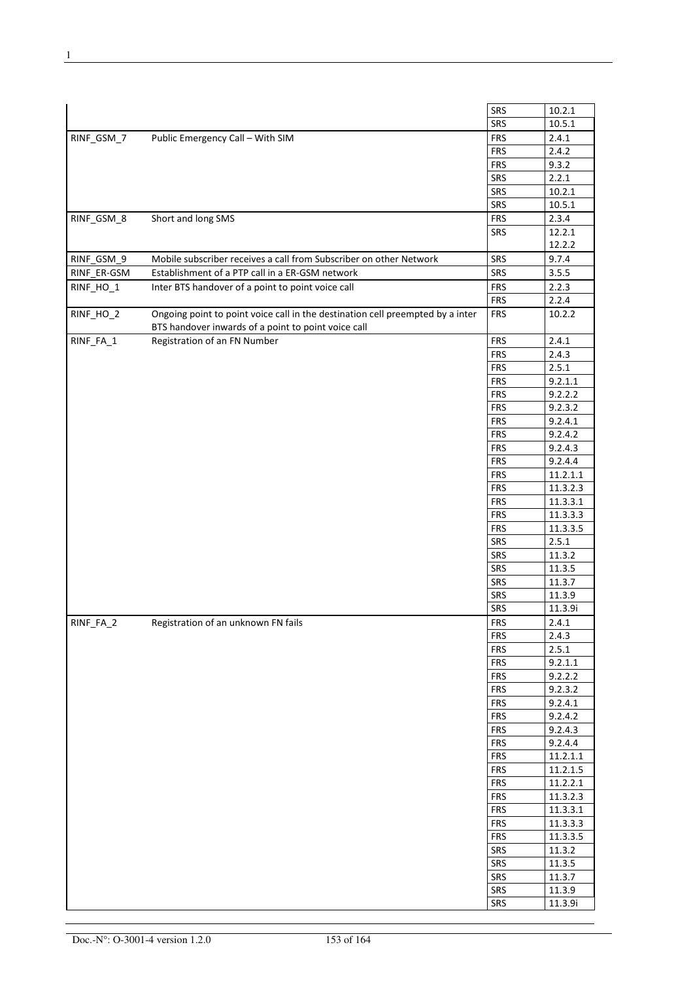|             |                                                                                | <b>SRS</b> | 10.2.1   |
|-------------|--------------------------------------------------------------------------------|------------|----------|
|             |                                                                                | SRS        | 10.5.1   |
| RINF_GSM_7  | Public Emergency Call - With SIM                                               | <b>FRS</b> | 2.4.1    |
|             |                                                                                | <b>FRS</b> | 2.4.2    |
|             |                                                                                | <b>FRS</b> | 9.3.2    |
|             |                                                                                | SRS        | 2.2.1    |
|             |                                                                                |            |          |
|             |                                                                                | SRS        | 10.2.1   |
|             |                                                                                | SRS        | 10.5.1   |
| RINF_GSM_8  | Short and long SMS                                                             | <b>FRS</b> | 2.3.4    |
|             |                                                                                | <b>SRS</b> | 12.2.1   |
|             |                                                                                |            | 12.2.2   |
| RINF_GSM_9  | Mobile subscriber receives a call from Subscriber on other Network             | SRS        | 9.7.4    |
| RINF_ER-GSM | Establishment of a PTP call in a ER-GSM network                                | SRS        | 3.5.5    |
| RINF_HO_1   | Inter BTS handover of a point to point voice call                              | <b>FRS</b> | 2.2.3    |
|             |                                                                                | <b>FRS</b> | 2.2.4    |
| RINF_HO_2   | Ongoing point to point voice call in the destination cell preempted by a inter | <b>FRS</b> | 10.2.2   |
|             | BTS handover inwards of a point to point voice call                            |            |          |
| RINF_FA_1   | Registration of an FN Number                                                   | <b>FRS</b> | 2.4.1    |
|             |                                                                                | <b>FRS</b> | 2.4.3    |
|             |                                                                                | <b>FRS</b> | 2.5.1    |
|             |                                                                                | <b>FRS</b> | 9.2.1.1  |
|             |                                                                                | <b>FRS</b> | 9.2.2.2  |
|             |                                                                                | <b>FRS</b> | 9.2.3.2  |
|             |                                                                                | <b>FRS</b> | 9.2.4.1  |
|             |                                                                                | <b>FRS</b> | 9.2.4.2  |
|             |                                                                                | <b>FRS</b> | 9.2.4.3  |
|             |                                                                                |            |          |
|             |                                                                                | <b>FRS</b> | 9.2.4.4  |
|             |                                                                                | <b>FRS</b> | 11.2.1.1 |
|             |                                                                                | <b>FRS</b> | 11.3.2.3 |
|             |                                                                                | <b>FRS</b> | 11.3.3.1 |
|             |                                                                                | <b>FRS</b> | 11.3.3.3 |
|             |                                                                                | <b>FRS</b> | 11.3.3.5 |
|             |                                                                                | SRS        | 2.5.1    |
|             |                                                                                | SRS        | 11.3.2   |
|             |                                                                                | SRS        | 11.3.5   |
|             |                                                                                | <b>SRS</b> | 11.3.7   |
|             |                                                                                | <b>SRS</b> | 11.3.9   |
|             |                                                                                | <b>SRS</b> | 11.3.9i  |
|             |                                                                                |            |          |
| RINF_FA_2   | Registration of an unknown FN fails                                            | <b>FRS</b> | 2.4.1    |
|             |                                                                                | <b>FRS</b> | 2.4.3    |
|             |                                                                                | <b>FRS</b> | 2.5.1    |
|             |                                                                                | <b>FRS</b> | 9.2.1.1  |
|             |                                                                                | <b>FRS</b> | 9.2.2.2  |
|             |                                                                                | <b>FRS</b> | 9.2.3.2  |
|             |                                                                                | <b>FRS</b> | 9.2.4.1  |
|             |                                                                                | <b>FRS</b> | 9.2.4.2  |
|             |                                                                                | <b>FRS</b> | 9.2.4.3  |
|             |                                                                                | <b>FRS</b> | 9.2.4.4  |
|             |                                                                                | <b>FRS</b> | 11.2.1.1 |
|             |                                                                                | <b>FRS</b> | 11.2.1.5 |
|             |                                                                                | <b>FRS</b> | 11.2.2.1 |
|             |                                                                                | <b>FRS</b> | 11.3.2.3 |
|             |                                                                                | <b>FRS</b> |          |
|             |                                                                                |            | 11.3.3.1 |
|             |                                                                                | <b>FRS</b> | 11.3.3.3 |
|             |                                                                                | <b>FRS</b> | 11.3.3.5 |
|             |                                                                                | SRS        | 11.3.2   |
|             |                                                                                | SRS        | 11.3.5   |
|             |                                                                                | SRS        | 11.3.7   |
|             |                                                                                | SRS        | 11.3.9   |
|             |                                                                                | SRS        | 11.3.9i  |
|             |                                                                                |            |          |

÷,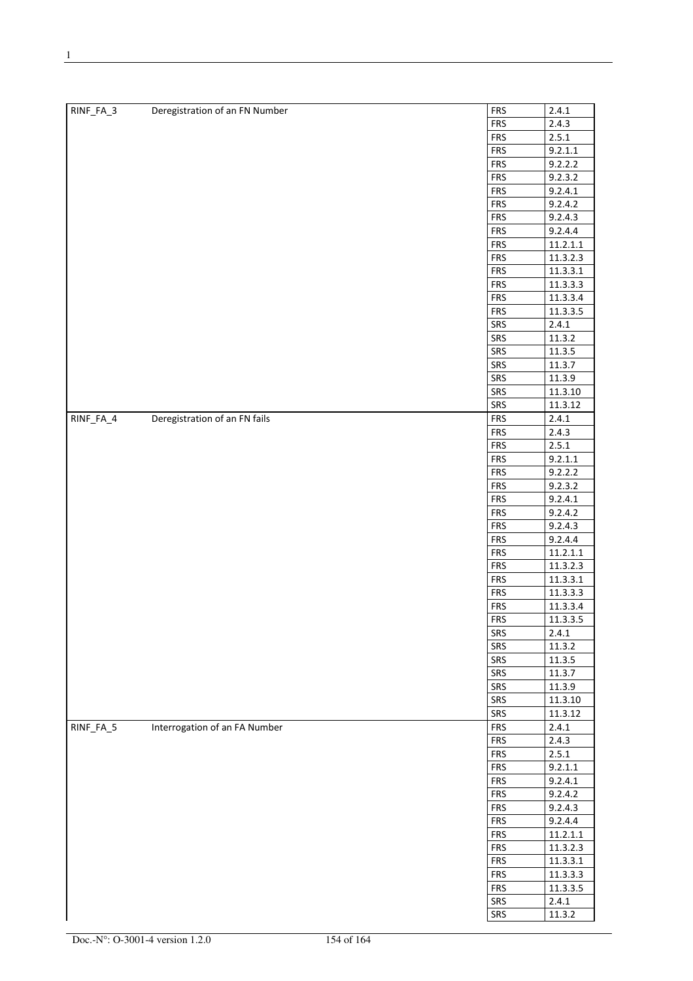| RINF_FA_3 | Deregistration of an FN Number | <b>FRS</b>               | 2.4.1              |
|-----------|--------------------------------|--------------------------|--------------------|
|           |                                | <b>FRS</b>               | 2.4.3              |
|           |                                | <b>FRS</b>               | 2.5.1              |
|           |                                | <b>FRS</b>               | 9.2.1.1            |
|           |                                | <b>FRS</b>               | 9.2.2.2            |
|           |                                | <b>FRS</b>               | 9.2.3.2            |
|           |                                | <b>FRS</b>               | 9.2.4.1            |
|           |                                | <b>FRS</b>               | 9.2.4.2            |
|           |                                | <b>FRS</b>               | 9.2.4.3            |
|           |                                | <b>FRS</b>               | 9.2.4.4            |
|           |                                | <b>FRS</b>               | 11.2.1.1           |
|           |                                | <b>FRS</b>               | 11.3.2.3           |
|           |                                | <b>FRS</b>               | 11.3.3.1           |
|           |                                | <b>FRS</b>               | 11.3.3.3           |
|           |                                | <b>FRS</b>               | 11.3.3.4           |
|           |                                | <b>FRS</b>               | 11.3.3.5           |
|           |                                | SRS                      | 2.4.1              |
|           |                                | SRS                      | 11.3.2             |
|           |                                | SRS                      | 11.3.5             |
|           |                                | SRS                      | 11.3.7             |
|           |                                | SRS                      | 11.3.9             |
|           |                                | SRS                      | 11.3.10            |
|           |                                | SRS                      | 11.3.12            |
| RINF_FA_4 | Deregistration of an FN fails  | <b>FRS</b>               | 2.4.1              |
|           |                                | <b>FRS</b>               | 2.4.3<br>2.5.1     |
|           |                                | <b>FRS</b>               |                    |
|           |                                | <b>FRS</b>               | 9.2.1.1            |
|           |                                | <b>FRS</b><br><b>FRS</b> | 9.2.2.2<br>9.2.3.2 |
|           |                                | <b>FRS</b>               | 9.2.4.1            |
|           |                                | <b>FRS</b>               | 9.2.4.2            |
|           |                                | <b>FRS</b>               | 9.2.4.3            |
|           |                                | <b>FRS</b>               | 9.2.4.4            |
|           |                                | <b>FRS</b>               | 11.2.1.1           |
|           |                                | <b>FRS</b>               | 11.3.2.3           |
|           |                                | <b>FRS</b>               | 11.3.3.1           |
|           |                                | <b>FRS</b>               | 11.3.3.3           |
|           |                                | <b>FRS</b>               | 11.3.3.4           |
|           |                                | <b>FRS</b>               | 11.3.3.5           |
|           |                                | SRS                      | 2.4.1              |
|           |                                | SRS                      | 11.3.2             |
|           |                                | SRS                      | 11.3.5             |
|           |                                | SRS                      | 11.3.7             |
|           |                                | SRS                      | 11.3.9             |
|           |                                | SRS                      | 11.3.10            |
|           |                                | SRS                      | 11.3.12            |
| RINF_FA_5 | Interrogation of an FA Number  | <b>FRS</b>               | 2.4.1              |
|           |                                | <b>FRS</b>               | 2.4.3              |
|           |                                | <b>FRS</b>               | 2.5.1              |
|           |                                | <b>FRS</b>               | 9.2.1.1            |
|           |                                | <b>FRS</b>               | 9.2.4.1            |
|           |                                | <b>FRS</b>               | 9.2.4.2            |
|           |                                | <b>FRS</b>               | 9.2.4.3            |
|           |                                | <b>FRS</b>               | 9.2.4.4            |
|           |                                | <b>FRS</b>               | 11.2.1.1           |
|           |                                | <b>FRS</b>               | 11.3.2.3           |
|           |                                | <b>FRS</b>               | 11.3.3.1           |
|           |                                | <b>FRS</b>               | 11.3.3.3           |
|           |                                | <b>FRS</b>               | 11.3.3.5           |
|           |                                | SRS                      | 2.4.1              |
|           |                                | SRS                      | 11.3.2             |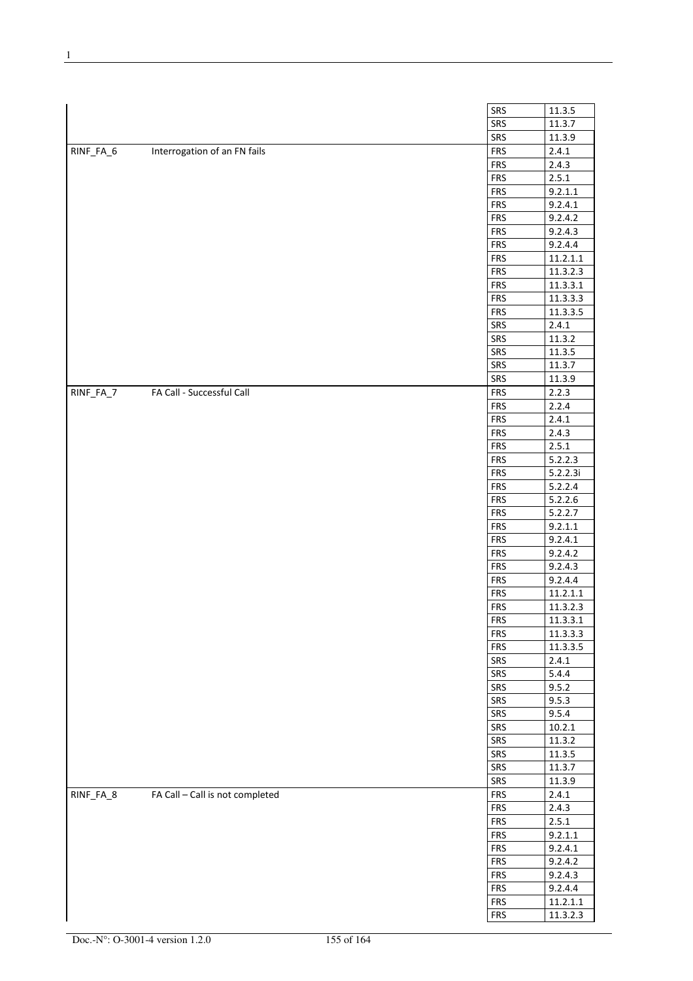|           |                                 | SRS<br>11.3.5                                  |
|-----------|---------------------------------|------------------------------------------------|
|           |                                 | SRS<br>11.3.7                                  |
|           |                                 | SRS<br>11.3.9                                  |
| RINF_FA_6 | Interrogation of an FN fails    | <b>FRS</b><br>2.4.1                            |
|           |                                 | <b>FRS</b><br>2.4.3                            |
|           |                                 | <b>FRS</b><br>2.5.1                            |
|           |                                 | <b>FRS</b><br>9.2.1.1                          |
|           |                                 | <b>FRS</b><br>9.2.4.1                          |
|           |                                 | <b>FRS</b><br>9.2.4.2                          |
|           |                                 | <b>FRS</b><br>9.2.4.3                          |
|           |                                 | <b>FRS</b><br>9.2.4.4                          |
|           |                                 | <b>FRS</b><br>11.2.1.1                         |
|           |                                 | <b>FRS</b><br>11.3.2.3                         |
|           |                                 | 11.3.3.1<br><b>FRS</b>                         |
|           |                                 | <b>FRS</b><br>11.3.3.3                         |
|           |                                 | <b>FRS</b><br>11.3.3.5                         |
|           |                                 | SRS<br>2.4.1                                   |
|           |                                 | SRS<br>11.3.2                                  |
|           |                                 | SRS<br>11.3.5                                  |
|           |                                 | SRS<br>11.3.7                                  |
|           |                                 | SRS<br>11.3.9                                  |
| RINF_FA_7 | FA Call - Successful Call       | <b>FRS</b><br>2.2.3                            |
|           |                                 | <b>FRS</b><br>2.2.4                            |
|           |                                 | <b>FRS</b><br>2.4.1                            |
|           |                                 | <b>FRS</b><br>2.4.3                            |
|           |                                 | <b>FRS</b><br>2.5.1                            |
|           |                                 | <b>FRS</b><br>5.2.2.3                          |
|           |                                 | <b>FRS</b><br>5.2.2.3i                         |
|           |                                 | <b>FRS</b><br>5.2.2.4                          |
|           |                                 | <b>FRS</b><br>5.2.2.6                          |
|           |                                 |                                                |
|           |                                 | <b>FRS</b><br>5.2.2.7<br><b>FRS</b><br>9.2.1.1 |
|           |                                 | <b>FRS</b>                                     |
|           |                                 | 9.2.4.1                                        |
|           |                                 | <b>FRS</b><br>9.2.4.2                          |
|           |                                 | <b>FRS</b><br>9.2.4.3                          |
|           |                                 | <b>FRS</b><br>9.2.4.4                          |
|           |                                 | <b>FRS</b><br>11.2.1.1                         |
|           |                                 | <b>FRS</b><br>11.3.2.3                         |
|           |                                 | <b>FRS</b><br>11.3.3.1                         |
|           |                                 | <b>FRS</b><br>11.3.3.3                         |
|           |                                 | 11.3.3.5<br><b>FRS</b>                         |
|           |                                 | SRS<br>2.4.1                                   |
|           |                                 | SRS<br>5.4.4                                   |
|           |                                 | SRS<br>9.5.2                                   |
|           |                                 | SRS<br>9.5.3                                   |
|           |                                 | SRS<br>9.5.4                                   |
|           |                                 | SRS<br>10.2.1                                  |
|           |                                 | SRS<br>11.3.2                                  |
|           |                                 | SRS<br>$11.3.\overline{5}$                     |
|           |                                 | 11.3.7<br>SRS                                  |
|           |                                 | SRS<br>11.3.9                                  |
| RINF_FA_8 | FA Call - Call is not completed | <b>FRS</b><br>2.4.1                            |
|           |                                 | <b>FRS</b><br>2.4.3                            |
|           |                                 | 2.5.1<br><b>FRS</b>                            |
|           |                                 | <b>FRS</b><br>9.2.1.1                          |
|           |                                 | <b>FRS</b><br>9.2.4.1                          |
|           |                                 | <b>FRS</b><br>9.2.4.2                          |
|           |                                 | <b>FRS</b><br>9.2.4.3                          |
|           |                                 | <b>FRS</b><br>9.2.4.4                          |

 $FRS$  11.2.1.1  $FRS$  11.3.2.3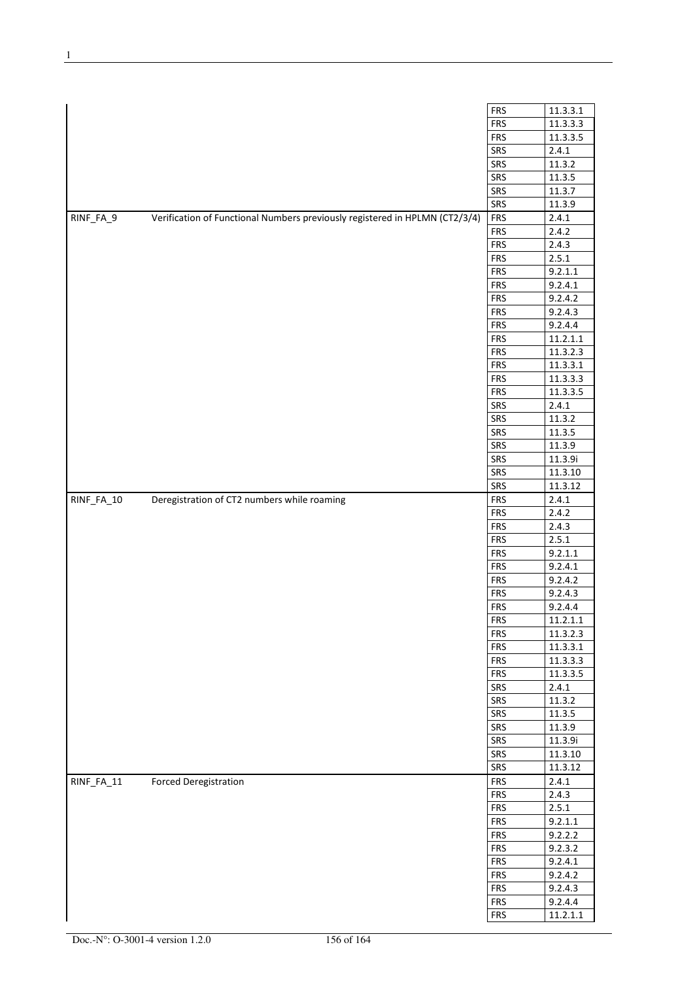|            |                                                                             | <b>FRS</b> | 11.3.3.1 |
|------------|-----------------------------------------------------------------------------|------------|----------|
|            |                                                                             | <b>FRS</b> | 11.3.3.3 |
|            |                                                                             | <b>FRS</b> | 11.3.3.5 |
|            |                                                                             | SRS        | 2.4.1    |
|            |                                                                             | SRS        | 11.3.2   |
|            |                                                                             | SRS        | 11.3.5   |
|            |                                                                             | SRS        | 11.3.7   |
|            |                                                                             | SRS        | 11.3.9   |
| RINF_FA_9  | Verification of Functional Numbers previously registered in HPLMN (CT2/3/4) | <b>FRS</b> | 2.4.1    |
|            |                                                                             | <b>FRS</b> | 2.4.2    |
|            |                                                                             | <b>FRS</b> | 2.4.3    |
|            |                                                                             | <b>FRS</b> | 2.5.1    |
|            |                                                                             | <b>FRS</b> | 9.2.1.1  |
|            |                                                                             | <b>FRS</b> | 9.2.4.1  |
|            |                                                                             | <b>FRS</b> | 9.2.4.2  |
|            |                                                                             | <b>FRS</b> | 9.2.4.3  |
|            |                                                                             | <b>FRS</b> | 9.2.4.4  |
|            |                                                                             | <b>FRS</b> | 11.2.1.1 |
|            |                                                                             | <b>FRS</b> | 11.3.2.3 |
|            |                                                                             | <b>FRS</b> | 11.3.3.1 |
|            |                                                                             | <b>FRS</b> | 11.3.3.3 |
|            |                                                                             | <b>FRS</b> | 11.3.3.5 |
|            |                                                                             | SRS        | 2.4.1    |
|            |                                                                             | SRS        | 11.3.2   |
|            |                                                                             | SRS        | 11.3.5   |
|            |                                                                             | SRS        | 11.3.9   |
|            |                                                                             | SRS        | 11.3.9i  |
|            |                                                                             | SRS        | 11.3.10  |
|            |                                                                             | SRS        | 11.3.12  |
| RINF_FA_10 | Deregistration of CT2 numbers while roaming                                 | <b>FRS</b> | 2.4.1    |
|            |                                                                             | <b>FRS</b> | 2.4.2    |
|            |                                                                             | <b>FRS</b> | 2.4.3    |
|            |                                                                             | <b>FRS</b> | 2.5.1    |
|            |                                                                             | <b>FRS</b> | 9.2.1.1  |
|            |                                                                             | <b>FRS</b> | 9.2.4.1  |
|            |                                                                             | <b>FRS</b> | 9.2.4.2  |
|            |                                                                             | <b>FRS</b> | 9.2.4.3  |
|            |                                                                             | <b>FRS</b> |          |
|            |                                                                             |            | 9.2.4.4  |
|            |                                                                             | <b>FRS</b> | 11.2.1.1 |
|            |                                                                             | <b>FRS</b> | 11.3.2.3 |
|            |                                                                             | <b>FRS</b> | 11.3.3.1 |
|            |                                                                             | <b>FRS</b> | 11.3.3.3 |
|            |                                                                             | <b>FRS</b> | 11.3.3.5 |
|            |                                                                             | SRS        | 2.4.1    |
|            |                                                                             | SRS<br>SRS | 11.3.2   |
|            |                                                                             |            | 11.3.5   |
|            |                                                                             | SRS        | 11.3.9   |
|            |                                                                             | SRS        | 11.3.9i  |
|            |                                                                             | SRS        | 11.3.10  |
|            |                                                                             | SRS        | 11.3.12  |
| RINF_FA_11 | <b>Forced Deregistration</b>                                                | <b>FRS</b> | 2.4.1    |
|            |                                                                             | <b>FRS</b> | 2.4.3    |
|            |                                                                             | <b>FRS</b> | 2.5.1    |
|            |                                                                             | <b>FRS</b> | 9.2.1.1  |
|            |                                                                             | <b>FRS</b> | 9.2.2.2  |
|            |                                                                             | <b>FRS</b> | 9.2.3.2  |
|            |                                                                             | <b>FRS</b> | 9.2.4.1  |
|            |                                                                             | <b>FRS</b> | 9.2.4.2  |
|            |                                                                             | <b>FRS</b> | 9.2.4.3  |
|            |                                                                             | <b>FRS</b> | 9.2.4.4  |
|            |                                                                             | <b>FRS</b> | 11.2.1.1 |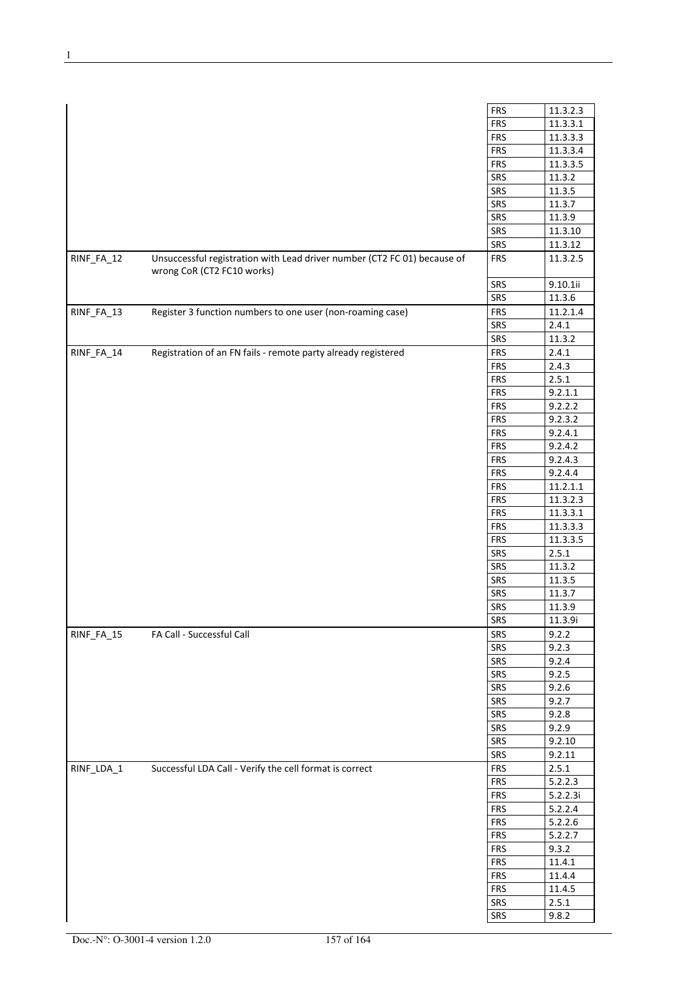|            |                                                                                                        | <b>FRS</b>               | 11.3.2.3             |
|------------|--------------------------------------------------------------------------------------------------------|--------------------------|----------------------|
|            |                                                                                                        | <b>FRS</b>               | 11.3.3.1             |
|            |                                                                                                        | <b>FRS</b>               | 11.3.3.3             |
|            |                                                                                                        | <b>FRS</b><br><b>FRS</b> | 11.3.3.4<br>11.3.3.5 |
|            |                                                                                                        |                          |                      |
|            |                                                                                                        | SRS                      | 11.3.2               |
|            |                                                                                                        | SRS                      | 11.3.5               |
|            |                                                                                                        | SRS                      | 11.3.7               |
|            |                                                                                                        | SRS                      | 11.3.9               |
|            |                                                                                                        | SRS                      | 11.3.10              |
|            |                                                                                                        | SRS                      | 11.3.12              |
| RINF_FA_12 | Unsuccessful registration with Lead driver number (CT2 FC 01) because of<br>wrong CoR (CT2 FC10 works) | <b>FRS</b>               | 11.3.2.5             |
|            |                                                                                                        | SRS                      | 9.10.1ii             |
|            |                                                                                                        | SRS                      | 11.3.6               |
| RINF_FA_13 | Register 3 function numbers to one user (non-roaming case)                                             | <b>FRS</b>               | 11.2.1.4             |
|            |                                                                                                        | SRS                      | 2.4.1                |
|            |                                                                                                        | SRS                      | 11.3.2               |
| RINF_FA_14 | Registration of an FN fails - remote party already registered                                          | <b>FRS</b>               | 2.4.1                |
|            |                                                                                                        | <b>FRS</b>               | 2.4.3                |
|            |                                                                                                        | <b>FRS</b>               | 2.5.1                |
|            |                                                                                                        | <b>FRS</b>               | 9.2.1.1              |
|            |                                                                                                        | <b>FRS</b>               | 9.2.2.2              |
|            |                                                                                                        | <b>FRS</b>               | 9.2.3.2              |
|            |                                                                                                        | <b>FRS</b>               | 9.2.4.1              |
|            |                                                                                                        | <b>FRS</b>               | 9.2.4.2              |
|            |                                                                                                        | <b>FRS</b>               | 9.2.4.3              |
|            |                                                                                                        | <b>FRS</b>               | 9.2.4.4              |
|            |                                                                                                        | <b>FRS</b>               | 11.2.1.1             |
|            |                                                                                                        | <b>FRS</b>               | 11.3.2.3             |
|            |                                                                                                        | <b>FRS</b>               | 11.3.3.1             |
|            |                                                                                                        | <b>FRS</b>               | 11.3.3.3             |
|            |                                                                                                        | <b>FRS</b>               | 11.3.3.5             |
|            |                                                                                                        | SRS                      | 2.5.1                |
|            |                                                                                                        | SRS                      | 11.3.2               |
|            |                                                                                                        | SRS                      | 11.3.5               |
|            |                                                                                                        | SRS                      | 11.3.7               |
|            |                                                                                                        | SRS                      | 11.3.9               |
|            |                                                                                                        | SRS                      | 11.3.9i              |
| RINF_FA_15 | FA Call - Successful Call                                                                              | SRS                      | 9.2.2                |
|            |                                                                                                        | SRS                      | 9.2.3                |
|            |                                                                                                        | SRS                      | 9.2.4                |
|            |                                                                                                        | SRS                      | 9.2.5                |
|            |                                                                                                        | SRS                      | 9.2.6                |
|            |                                                                                                        | SRS                      | 9.2.7                |
|            |                                                                                                        | SRS                      | 9.2.8                |
|            |                                                                                                        | SRS                      | 9.2.9                |
|            |                                                                                                        | SRS                      | 9.2.10               |
|            |                                                                                                        | SRS                      | 9.2.11               |
| RINF_LDA_1 | Successful LDA Call - Verify the cell format is correct                                                | <b>FRS</b>               | 2.5.1                |
|            |                                                                                                        | <b>FRS</b>               | 5.2.2.3              |
|            |                                                                                                        | <b>FRS</b>               | 5.2.2.3i             |
|            |                                                                                                        | <b>FRS</b>               | 5.2.2.4              |
|            |                                                                                                        | <b>FRS</b>               | 5.2.2.6              |
|            |                                                                                                        | <b>FRS</b>               | 5.2.2.7              |
|            |                                                                                                        | <b>FRS</b>               | 9.3.2                |
|            |                                                                                                        | <b>FRS</b>               | 11.4.1               |
|            |                                                                                                        | <b>FRS</b>               | 11.4.4               |
|            |                                                                                                        | <b>FRS</b>               | 11.4.5               |
|            |                                                                                                        | SRS                      | 2.5.1                |
|            |                                                                                                        | SRS                      |                      |
|            |                                                                                                        |                          | 9.8.2                |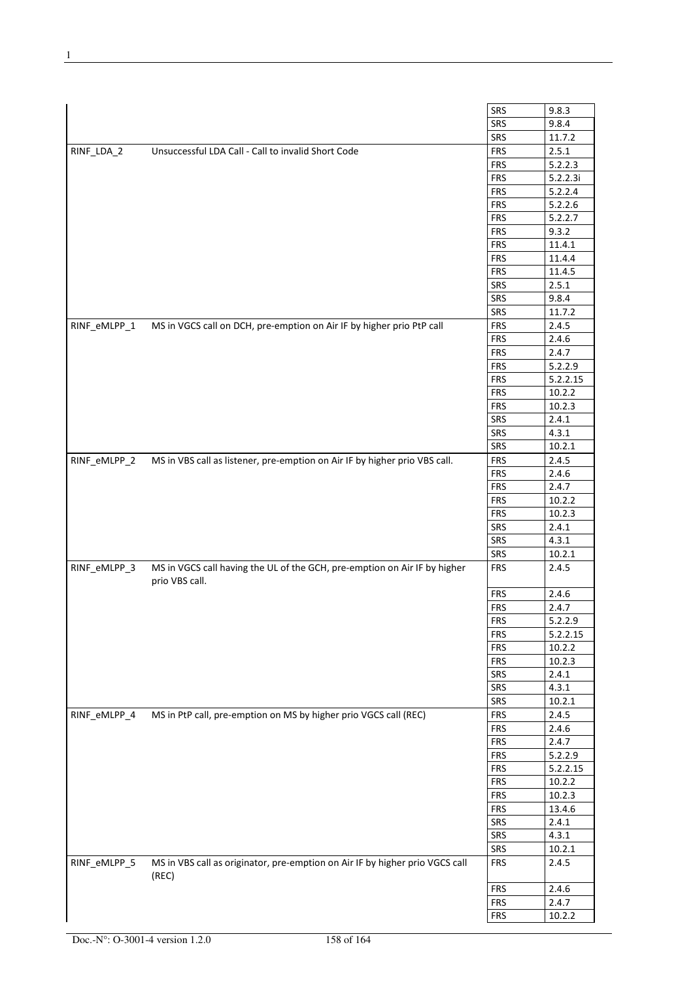|              |                                                                                             | SRS        | 9.8.3    |
|--------------|---------------------------------------------------------------------------------------------|------------|----------|
|              |                                                                                             | SRS        | 9.8.4    |
|              |                                                                                             | SRS        | 11.7.2   |
| RINF_LDA_2   | Unsuccessful LDA Call - Call to invalid Short Code                                          | <b>FRS</b> | 2.5.1    |
|              |                                                                                             | <b>FRS</b> | 5.2.2.3  |
|              |                                                                                             | <b>FRS</b> | 5.2.2.3i |
|              |                                                                                             | <b>FRS</b> | 5.2.2.4  |
|              |                                                                                             | <b>FRS</b> | 5.2.2.6  |
|              |                                                                                             | <b>FRS</b> | 5.2.2.7  |
|              |                                                                                             | <b>FRS</b> | 9.3.2    |
|              |                                                                                             | <b>FRS</b> | 11.4.1   |
|              |                                                                                             | <b>FRS</b> | 11.4.4   |
|              |                                                                                             | <b>FRS</b> | 11.4.5   |
|              |                                                                                             | SRS        | 2.5.1    |
|              |                                                                                             | SRS        | 9.8.4    |
|              |                                                                                             | SRS        | 11.7.2   |
| RINF_eMLPP_1 | MS in VGCS call on DCH, pre-emption on Air IF by higher prio PtP call                       | <b>FRS</b> | 2.4.5    |
|              |                                                                                             | <b>FRS</b> | 2.4.6    |
|              |                                                                                             | <b>FRS</b> | 2.4.7    |
|              |                                                                                             | <b>FRS</b> | 5.2.2.9  |
|              |                                                                                             | <b>FRS</b> | 5.2.2.15 |
|              |                                                                                             | <b>FRS</b> | 10.2.2   |
|              |                                                                                             | <b>FRS</b> | 10.2.3   |
|              |                                                                                             | <b>SRS</b> | 2.4.1    |
|              |                                                                                             | SRS        | 4.3.1    |
|              |                                                                                             | SRS        | 10.2.1   |
| RINF_eMLPP_2 | MS in VBS call as listener, pre-emption on Air IF by higher prio VBS call.                  | <b>FRS</b> | 2.4.5    |
|              |                                                                                             | <b>FRS</b> | 2.4.6    |
|              |                                                                                             | <b>FRS</b> | 2.4.7    |
|              |                                                                                             | <b>FRS</b> | 10.2.2   |
|              |                                                                                             | <b>FRS</b> | 10.2.3   |
|              |                                                                                             | SRS        | 2.4.1    |
|              |                                                                                             | SRS        | 4.3.1    |
|              |                                                                                             | SRS        | 10.2.1   |
| RINF eMLPP 3 | MS in VGCS call having the UL of the GCH, pre-emption on Air IF by higher<br>prio VBS call. | <b>FRS</b> | 2.4.5    |
|              |                                                                                             | <b>FRS</b> | 2.4.6    |
|              |                                                                                             | <b>FRS</b> | 2.4.7    |
|              |                                                                                             | <b>FRS</b> | 5.2.2.9  |
|              |                                                                                             | <b>FRS</b> | 5.2.2.15 |
|              |                                                                                             | <b>FRS</b> | 10.2.2   |
|              |                                                                                             | <b>FRS</b> | 10.2.3   |
|              |                                                                                             | SRS        | 2.4.1    |
|              |                                                                                             | SRS        | 4.3.1    |
|              |                                                                                             | SRS        | 10.2.1   |
| RINF eMLPP 4 | MS in PtP call, pre-emption on MS by higher prio VGCS call (REC)                            | <b>FRS</b> | 2.4.5    |
|              |                                                                                             | <b>FRS</b> | 2.4.6    |
|              |                                                                                             | <b>FRS</b> | 2.4.7    |
|              |                                                                                             | <b>FRS</b> | 5.2.2.9  |
|              |                                                                                             | <b>FRS</b> | 5.2.2.15 |
|              |                                                                                             | <b>FRS</b> | 10.2.2   |
|              |                                                                                             | <b>FRS</b> | 10.2.3   |
|              |                                                                                             | <b>FRS</b> | 13.4.6   |
|              |                                                                                             | SRS        | 2.4.1    |
|              |                                                                                             | SRS        | 4.3.1    |
|              |                                                                                             | SRS        | 10.2.1   |
| RINF_eMLPP_5 | MS in VBS call as originator, pre-emption on Air IF by higher prio VGCS call<br>(REC)       | <b>FRS</b> | 2.4.5    |
|              |                                                                                             | <b>FRS</b> | 2.4.6    |
|              |                                                                                             | <b>FRS</b> | 2.4.7    |
|              |                                                                                             | <b>FRS</b> | 10.2.2   |
|              |                                                                                             |            |          |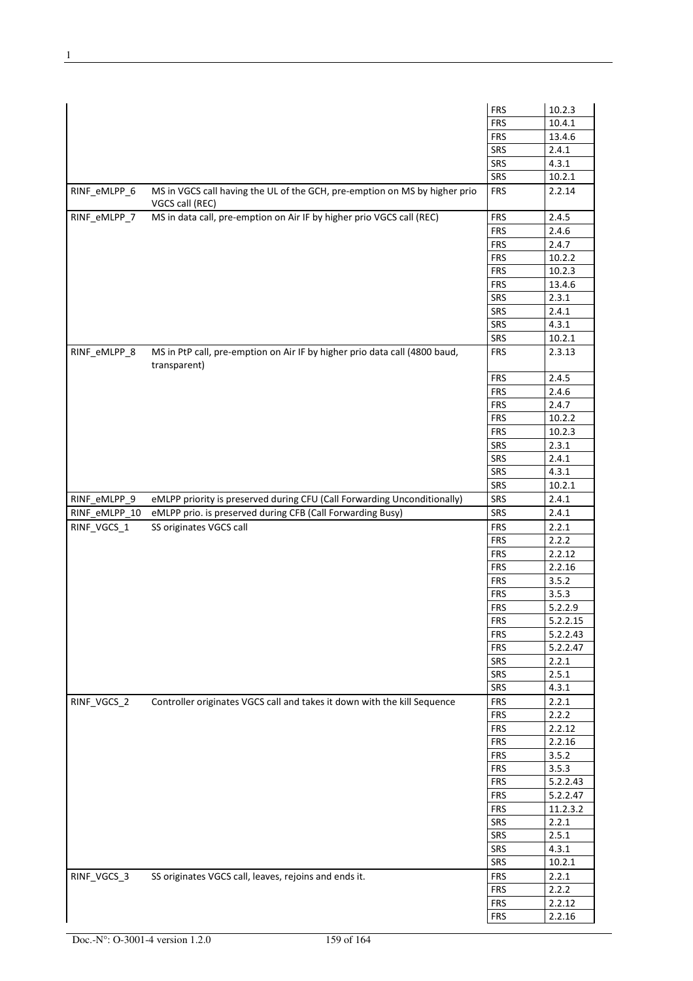|               |                                                                                               | <b>FRS</b>               | 10.2.3                |
|---------------|-----------------------------------------------------------------------------------------------|--------------------------|-----------------------|
|               |                                                                                               | <b>FRS</b>               | 10.4.1                |
|               |                                                                                               |                          |                       |
|               |                                                                                               | <b>FRS</b>               | 13.4.6                |
|               |                                                                                               | SRS                      | 2.4.1                 |
|               |                                                                                               | SRS                      | 4.3.1                 |
|               |                                                                                               | SRS                      | 10.2.1                |
| RINF_eMLPP_6  | MS in VGCS call having the UL of the GCH, pre-emption on MS by higher prio<br>VGCS call (REC) | <b>FRS</b>               | 2.2.14                |
| RINF_eMLPP_7  | MS in data call, pre-emption on Air IF by higher prio VGCS call (REC)                         | <b>FRS</b>               | 2.4.5                 |
|               |                                                                                               | <b>FRS</b>               | 2.4.6                 |
|               |                                                                                               | <b>FRS</b>               | 2.4.7                 |
|               |                                                                                               | <b>FRS</b>               | 10.2.2                |
|               |                                                                                               | <b>FRS</b>               | 10.2.3                |
|               |                                                                                               | <b>FRS</b>               | 13.4.6                |
|               |                                                                                               | SRS                      | 2.3.1                 |
|               |                                                                                               | SRS                      | 2.4.1                 |
|               |                                                                                               | SRS                      | 4.3.1                 |
|               |                                                                                               | SRS                      | 10.2.1                |
| RINF_eMLPP_8  | MS in PtP call, pre-emption on Air IF by higher prio data call (4800 baud,<br>transparent)    | <b>FRS</b>               | 2.3.13                |
|               |                                                                                               | <b>FRS</b>               | 2.4.5                 |
|               |                                                                                               | <b>FRS</b>               | 2.4.6                 |
|               |                                                                                               | <b>FRS</b>               | 2.4.7                 |
|               |                                                                                               | <b>FRS</b>               | 10.2.2                |
|               |                                                                                               | <b>FRS</b>               | 10.2.3                |
|               |                                                                                               | SRS                      | 2.3.1                 |
|               |                                                                                               | <b>SRS</b>               | 2.4.1                 |
|               |                                                                                               | SRS                      | 4.3.1                 |
|               |                                                                                               | SRS                      | 10.2.1                |
| RINF_eMLPP_9  | eMLPP priority is preserved during CFU (Call Forwarding Unconditionally)                      | SRS                      | 2.4.1                 |
| RINF_eMLPP_10 | eMLPP prio. is preserved during CFB (Call Forwarding Busy)                                    | SRS                      | 2.4.1                 |
| RINF_VGCS_1   | SS originates VGCS call                                                                       | <b>FRS</b>               | 2.2.1                 |
|               |                                                                                               | <b>FRS</b>               | 2.2.2                 |
|               |                                                                                               | <b>FRS</b>               | 2.2.12                |
|               |                                                                                               | <b>FRS</b>               | 2.2.16                |
|               |                                                                                               | <b>FRS</b>               | 3.5.2                 |
|               |                                                                                               | <b>FRS</b>               | 3.5.3                 |
|               |                                                                                               | <b>FRS</b>               | 5.2.2.9               |
|               |                                                                                               | <b>FRS</b>               | 5.2.2.15              |
|               |                                                                                               | <b>FRS</b>               | 5.2.2.43              |
|               |                                                                                               | <b>FRS</b>               | 5.2.2.47              |
|               |                                                                                               | SRS                      | 2.2.1                 |
|               |                                                                                               | SRS                      | 2.5.1                 |
|               |                                                                                               | SRS                      | 4.3.1                 |
| RINF VGCS 2   | Controller originates VGCS call and takes it down with the kill Sequence                      | <b>FRS</b>               | 2.2.1                 |
|               |                                                                                               | <b>FRS</b>               | 2.2.2                 |
|               |                                                                                               | <b>FRS</b>               | 2.2.12                |
|               |                                                                                               | <b>FRS</b>               | 2.2.16                |
|               |                                                                                               | <b>FRS</b>               | 3.5.2                 |
|               |                                                                                               | <b>FRS</b>               | 3.5.3                 |
|               |                                                                                               | <b>FRS</b>               | $\overline{5.2.2.43}$ |
|               |                                                                                               | <b>FRS</b>               | 5.2.2.47              |
|               |                                                                                               | <b>FRS</b>               | 11.2.3.2              |
|               |                                                                                               | SRS                      | 2.2.1                 |
|               |                                                                                               | SRS                      | 2.5.1                 |
|               |                                                                                               | SRS                      | 4.3.1                 |
|               |                                                                                               | SRS                      | 10.2.1                |
|               |                                                                                               |                          |                       |
| RINF_VGCS_3   | SS originates VGCS call, leaves, rejoins and ends it.                                         | <b>FRS</b>               | 2.2.1                 |
|               |                                                                                               |                          |                       |
|               |                                                                                               | <b>FRS</b>               | 2.2.2                 |
|               |                                                                                               | <b>FRS</b><br><b>FRS</b> | 2.2.12<br>2.2.16      |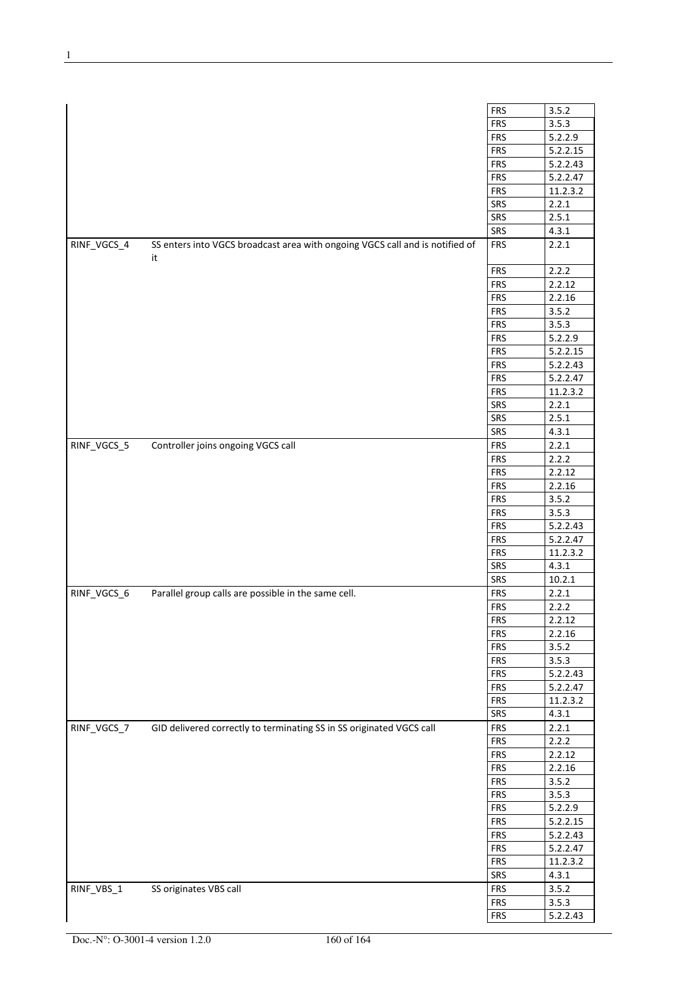|             |                                                                              | <b>FRS</b> | 3.5.2    |
|-------------|------------------------------------------------------------------------------|------------|----------|
|             |                                                                              | <b>FRS</b> | 3.5.3    |
|             |                                                                              | <b>FRS</b> | 5.2.2.9  |
|             |                                                                              | <b>FRS</b> | 5.2.2.15 |
|             |                                                                              | <b>FRS</b> |          |
|             |                                                                              |            | 5.2.2.43 |
|             |                                                                              | <b>FRS</b> | 5.2.2.47 |
|             |                                                                              | <b>FRS</b> | 11.2.3.2 |
|             |                                                                              | SRS        | 2.2.1    |
|             |                                                                              | SRS        | 2.5.1    |
|             |                                                                              | SRS        | 4.3.1    |
| RINF_VGCS_4 | SS enters into VGCS broadcast area with ongoing VGCS call and is notified of | <b>FRS</b> | 2.2.1    |
|             | it                                                                           |            |          |
|             |                                                                              |            |          |
|             |                                                                              | <b>FRS</b> | 2.2.2    |
|             |                                                                              | <b>FRS</b> | 2.2.12   |
|             |                                                                              | <b>FRS</b> | 2.2.16   |
|             |                                                                              | <b>FRS</b> | 3.5.2    |
|             |                                                                              | <b>FRS</b> | 3.5.3    |
|             |                                                                              | <b>FRS</b> | 5.2.2.9  |
|             |                                                                              | <b>FRS</b> | 5.2.2.15 |
|             |                                                                              | <b>FRS</b> | 5.2.2.43 |
|             |                                                                              | <b>FRS</b> |          |
|             |                                                                              |            | 5.2.2.47 |
|             |                                                                              | <b>FRS</b> | 11.2.3.2 |
|             |                                                                              | SRS        | 2.2.1    |
|             |                                                                              | SRS        | 2.5.1    |
|             |                                                                              | SRS        | 4.3.1    |
| RINF_VGCS_5 | Controller joins ongoing VGCS call                                           | <b>FRS</b> | 2.2.1    |
|             |                                                                              | <b>FRS</b> | 2.2.2    |
|             |                                                                              | <b>FRS</b> | 2.2.12   |
|             |                                                                              | <b>FRS</b> | 2.2.16   |
|             |                                                                              |            |          |
|             |                                                                              | <b>FRS</b> | 3.5.2    |
|             |                                                                              | <b>FRS</b> | 3.5.3    |
|             |                                                                              | <b>FRS</b> | 5.2.2.43 |
|             |                                                                              | <b>FRS</b> | 5.2.2.47 |
|             |                                                                              | <b>FRS</b> | 11.2.3.2 |
|             |                                                                              | SRS        | 4.3.1    |
|             |                                                                              | SRS        | 10.2.1   |
| RINF_VGCS_6 | Parallel group calls are possible in the same cell.                          | <b>FRS</b> | 2.2.1    |
|             |                                                                              |            |          |
|             |                                                                              | <b>FRS</b> | 2.2.2    |
|             |                                                                              | <b>FRS</b> | 2.2.12   |
|             |                                                                              | <b>FRS</b> | 2.2.16   |
|             |                                                                              | <b>FRS</b> | 3.5.2    |
|             |                                                                              | <b>FRS</b> | 3.5.3    |
|             |                                                                              | <b>FRS</b> | 5.2.2.43 |
|             |                                                                              | <b>FRS</b> | 5.2.2.47 |
|             |                                                                              | <b>FRS</b> | 11.2.3.2 |
|             |                                                                              | SRS        | 4.3.1    |
|             |                                                                              |            |          |
| RINF_VGCS_7 | GID delivered correctly to terminating SS in SS originated VGCS call         | <b>FRS</b> | 2.2.1    |
|             |                                                                              | <b>FRS</b> | 2.2.2    |
|             |                                                                              | <b>FRS</b> | 2.2.12   |
|             |                                                                              | <b>FRS</b> | 2.2.16   |
|             |                                                                              | <b>FRS</b> | 3.5.2    |
|             |                                                                              | <b>FRS</b> | 3.5.3    |
|             |                                                                              | <b>FRS</b> | 5.2.2.9  |
|             |                                                                              | <b>FRS</b> | 5.2.2.15 |
|             |                                                                              |            |          |
|             |                                                                              | <b>FRS</b> | 5.2.2.43 |
|             |                                                                              | <b>FRS</b> | 5.2.2.47 |
|             |                                                                              | <b>FRS</b> | 11.2.3.2 |
|             |                                                                              | SRS        | 4.3.1    |
| RINF_VBS_1  | SS originates VBS call                                                       | <b>FRS</b> | 3.5.2    |
|             |                                                                              | <b>FRS</b> | 3.5.3    |
|             |                                                                              | <b>FRS</b> | 5.2.2.43 |
|             |                                                                              |            |          |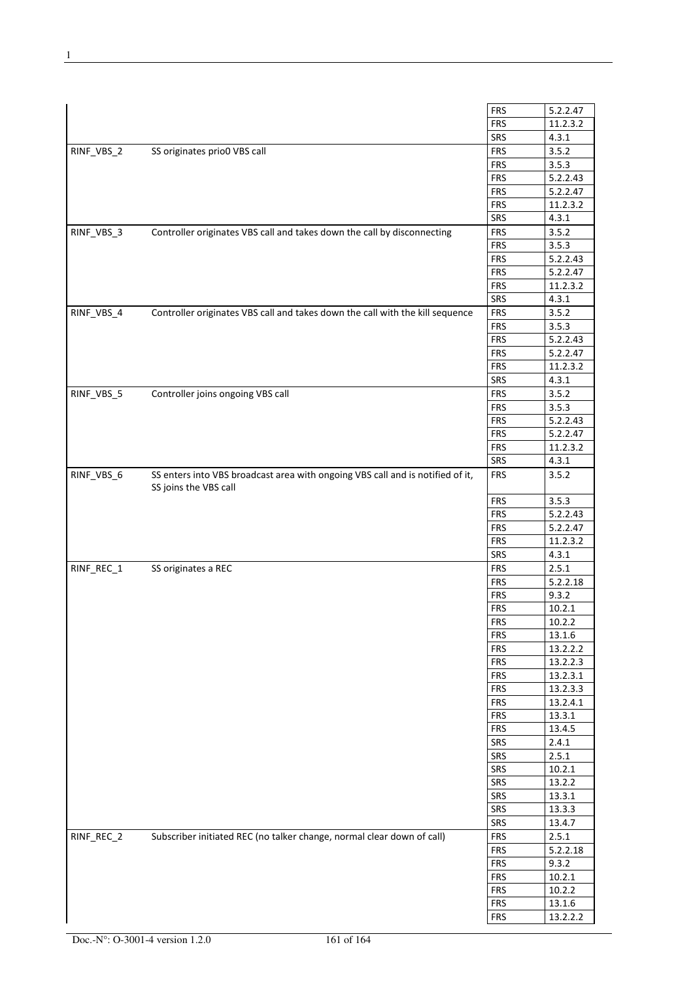|            |                                                                                | <b>FRS</b> | 5.2.2.47 |
|------------|--------------------------------------------------------------------------------|------------|----------|
|            |                                                                                | <b>FRS</b> | 11.2.3.2 |
|            |                                                                                | SRS        | 4.3.1    |
| RINF_VBS_2 | SS originates prio0 VBS call                                                   | <b>FRS</b> | 3.5.2    |
|            |                                                                                | <b>FRS</b> | 3.5.3    |
|            |                                                                                | <b>FRS</b> | 5.2.2.43 |
|            |                                                                                | <b>FRS</b> | 5.2.2.47 |
|            |                                                                                | <b>FRS</b> | 11.2.3.2 |
|            |                                                                                | SRS        | 4.3.1    |
|            |                                                                                |            |          |
| RINF_VBS_3 | Controller originates VBS call and takes down the call by disconnecting        | <b>FRS</b> | 3.5.2    |
|            |                                                                                | <b>FRS</b> | 3.5.3    |
|            |                                                                                | <b>FRS</b> | 5.2.2.43 |
|            |                                                                                | <b>FRS</b> | 5.2.2.47 |
|            |                                                                                | <b>FRS</b> | 11.2.3.2 |
|            |                                                                                | SRS        | 4.3.1    |
| RINF_VBS_4 | Controller originates VBS call and takes down the call with the kill sequence  | <b>FRS</b> | 3.5.2    |
|            |                                                                                | <b>FRS</b> | 3.5.3    |
|            |                                                                                | <b>FRS</b> | 5.2.2.43 |
|            |                                                                                | <b>FRS</b> | 5.2.2.47 |
|            |                                                                                | <b>FRS</b> | 11.2.3.2 |
|            |                                                                                | SRS        | 4.3.1    |
| RINF_VBS_5 | Controller joins ongoing VBS call                                              | <b>FRS</b> | 3.5.2    |
|            |                                                                                | <b>FRS</b> | 3.5.3    |
|            |                                                                                | <b>FRS</b> | 5.2.2.43 |
|            |                                                                                | <b>FRS</b> | 5.2.2.47 |
|            |                                                                                | <b>FRS</b> | 11.2.3.2 |
|            |                                                                                | SRS        | 4.3.1    |
| RINF_VBS_6 | SS enters into VBS broadcast area with ongoing VBS call and is notified of it, | <b>FRS</b> | 3.5.2    |
|            | SS joins the VBS call                                                          |            |          |
|            |                                                                                | <b>FRS</b> | 3.5.3    |
|            |                                                                                | <b>FRS</b> | 5.2.2.43 |
|            |                                                                                | <b>FRS</b> | 5.2.2.47 |
|            |                                                                                | <b>FRS</b> | 11.2.3.2 |
|            |                                                                                | SRS        | 4.3.1    |
| RINF_REC_1 | SS originates a REC                                                            | <b>FRS</b> | 2.5.1    |
|            |                                                                                | <b>FRS</b> | 5.2.2.18 |
|            |                                                                                | <b>FRS</b> | 9.3.2    |
|            |                                                                                | <b>FRS</b> | 10.2.1   |
|            |                                                                                | <b>FRS</b> | 10.2.2   |
|            |                                                                                | <b>FRS</b> | 13.1.6   |
|            |                                                                                | <b>FRS</b> | 13.2.2.2 |
|            |                                                                                | <b>FRS</b> | 13.2.2.3 |
|            |                                                                                | <b>FRS</b> | 13.2.3.1 |
|            |                                                                                | <b>FRS</b> | 13.2.3.3 |
|            |                                                                                | <b>FRS</b> | 13.2.4.1 |
|            |                                                                                | <b>FRS</b> | 13.3.1   |
|            |                                                                                | <b>FRS</b> | 13.4.5   |
|            |                                                                                | SRS        | 2.4.1    |
|            |                                                                                | SRS        | 2.5.1    |
|            |                                                                                |            |          |
|            |                                                                                | SRS        | 10.2.1   |
|            |                                                                                | SRS        | 13.2.2   |
|            |                                                                                | SRS        | 13.3.1   |
|            |                                                                                | SRS        | 13.3.3   |
|            |                                                                                | SRS        | 13.4.7   |
| RINF_REC_2 | Subscriber initiated REC (no talker change, normal clear down of call)         | <b>FRS</b> | 2.5.1    |
|            |                                                                                | <b>FRS</b> | 5.2.2.18 |
|            |                                                                                | <b>FRS</b> | 9.3.2    |
|            |                                                                                | <b>FRS</b> | 10.2.1   |
|            |                                                                                | <b>FRS</b> | 10.2.2   |
|            |                                                                                | <b>FRS</b> | 13.1.6   |
|            |                                                                                | <b>FRS</b> | 13.2.2.2 |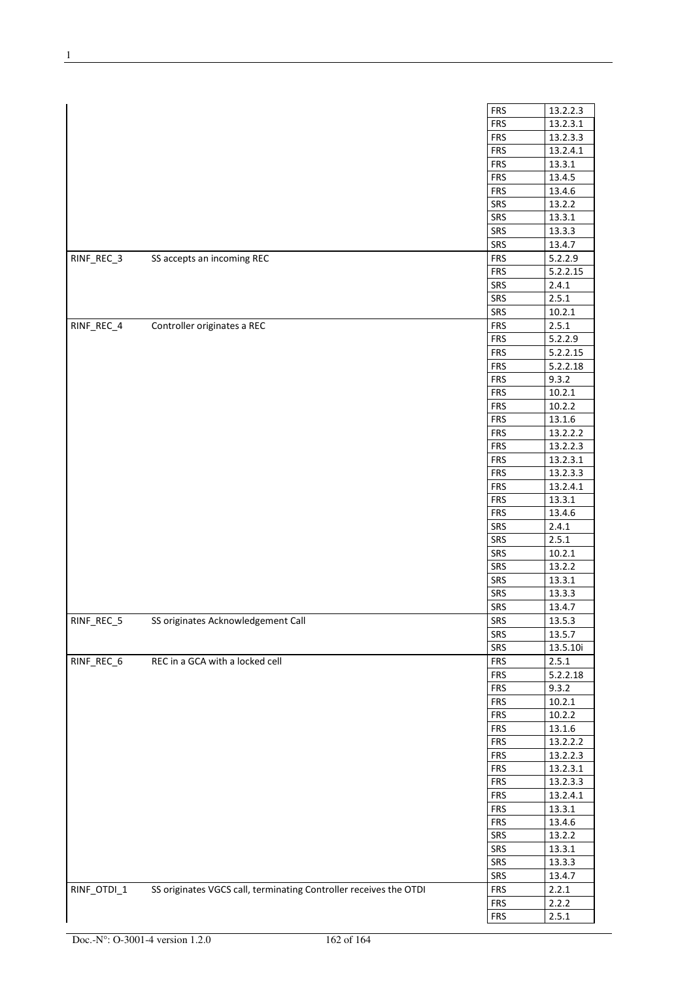|             |                                                                   | <b>FRS</b> | 13.2.2.3              |
|-------------|-------------------------------------------------------------------|------------|-----------------------|
|             |                                                                   | <b>FRS</b> | 13.2.3.1              |
|             |                                                                   | <b>FRS</b> | 13.2.3.3              |
|             |                                                                   | <b>FRS</b> | 13.2.4.1              |
|             |                                                                   | <b>FRS</b> | 13.3.1                |
|             |                                                                   | <b>FRS</b> | 13.4.5                |
|             |                                                                   | <b>FRS</b> | 13.4.6                |
|             |                                                                   |            |                       |
|             |                                                                   | SRS<br>SRS | 13.2.2                |
|             |                                                                   |            | 13.3.1                |
|             |                                                                   | SRS        | 13.3.3                |
|             |                                                                   | SRS        | 13.4.7                |
| RINF_REC_3  | SS accepts an incoming REC                                        | <b>FRS</b> | 5.2.2.9               |
|             |                                                                   | <b>FRS</b> | 5.2.2.15              |
|             |                                                                   | SRS        | 2.4.1                 |
|             |                                                                   | SRS        | 2.5.1                 |
|             |                                                                   | SRS        | 10.2.1                |
| RINF_REC_4  | Controller originates a REC                                       | <b>FRS</b> | 2.5.1                 |
|             |                                                                   | <b>FRS</b> | 5.2.2.9               |
|             |                                                                   | <b>FRS</b> | 5.2.2.15              |
|             |                                                                   | <b>FRS</b> | 5.2.2.18              |
|             |                                                                   | <b>FRS</b> | 9.3.2                 |
|             |                                                                   | <b>FRS</b> | 10.2.1                |
|             |                                                                   | <b>FRS</b> | 10.2.2                |
|             |                                                                   | <b>FRS</b> | 13.1.6                |
|             |                                                                   | <b>FRS</b> | 13.2.2.2              |
|             |                                                                   | <b>FRS</b> | 13.2.2.3              |
|             |                                                                   | <b>FRS</b> | 13.2.3.1              |
|             |                                                                   | <b>FRS</b> | 13.2.3.3              |
|             |                                                                   | <b>FRS</b> | 13.2.4.1              |
|             |                                                                   | <b>FRS</b> | 13.3.1                |
|             |                                                                   | <b>FRS</b> | 13.4.6                |
|             |                                                                   | SRS        | 2.4.1                 |
|             |                                                                   | SRS        | 2.5.1                 |
|             |                                                                   | SRS        | 10.2.1                |
|             |                                                                   | SRS        | 13.2.2                |
|             |                                                                   | SRS        | 13.3.1                |
|             |                                                                   | SRS        | 13.3.3                |
|             |                                                                   | SRS        | 13.4.7                |
| RINF_REC_5  | SS originates Acknowledgement Call                                | SRS        | 13.5.3                |
|             |                                                                   | SRS        | 13.5.7                |
|             |                                                                   | SRS        | 13.5.10i              |
| RINF_REC_6  | REC in a GCA with a locked cell                                   | <b>FRS</b> | 2.5.1                 |
|             |                                                                   | <b>FRS</b> | $\overline{5.2.2.18}$ |
|             |                                                                   | <b>FRS</b> | 9.3.2                 |
|             |                                                                   | <b>FRS</b> | 10.2.1                |
|             |                                                                   | <b>FRS</b> | 10.2.2                |
|             |                                                                   | <b>FRS</b> | 13.1.6                |
|             |                                                                   | <b>FRS</b> | 13.2.2.2              |
|             |                                                                   | <b>FRS</b> | 13.2.2.3              |
|             |                                                                   | <b>FRS</b> | 13.2.3.1              |
|             |                                                                   | <b>FRS</b> | 13.2.3.3              |
|             |                                                                   | <b>FRS</b> | 13.2.4.1              |
|             |                                                                   | <b>FRS</b> | 13.3.1                |
|             |                                                                   | <b>FRS</b> | 13.4.6                |
|             |                                                                   | SRS        | 13.2.2                |
|             |                                                                   | SRS        | 13.3.1                |
|             |                                                                   | SRS        | 13.3.3                |
|             |                                                                   | SRS        | 13.4.7                |
| RINF_OTDI_1 | SS originates VGCS call, terminating Controller receives the OTDI | <b>FRS</b> | 2.2.1                 |
|             |                                                                   | <b>FRS</b> | 2.2.2                 |
|             |                                                                   | <b>FRS</b> | 2.5.1                 |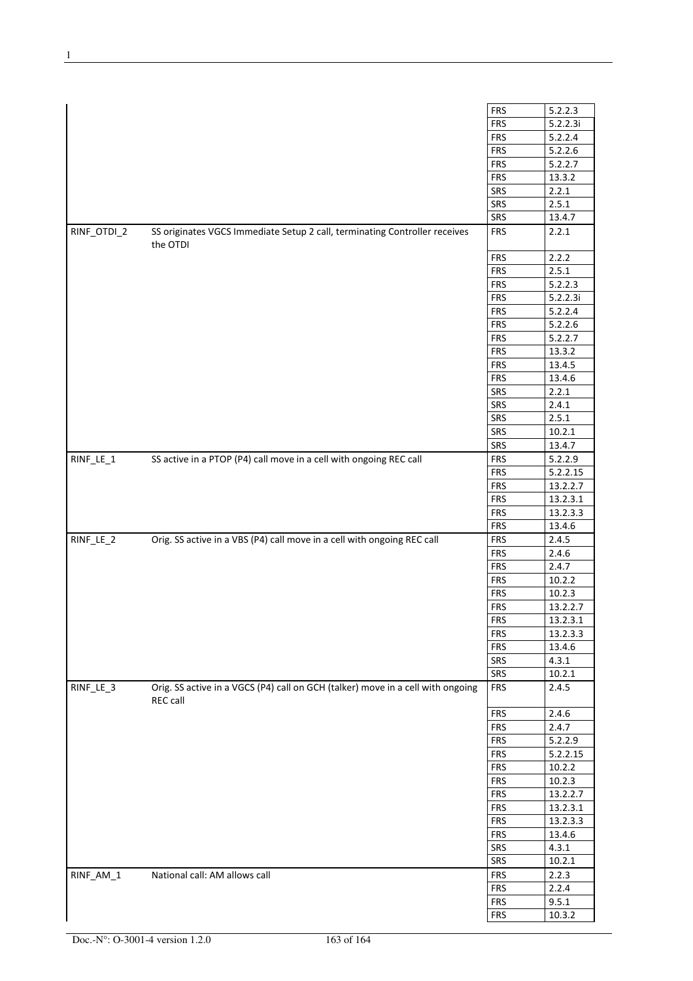|             |                                                                                             | <b>FRS</b> | 5.2.2.3  |
|-------------|---------------------------------------------------------------------------------------------|------------|----------|
|             |                                                                                             | <b>FRS</b> | 5.2.2.3i |
|             |                                                                                             | <b>FRS</b> | 5.2.2.4  |
|             |                                                                                             |            |          |
|             |                                                                                             | <b>FRS</b> | 5.2.2.6  |
|             |                                                                                             | <b>FRS</b> | 5.2.2.7  |
|             |                                                                                             | <b>FRS</b> | 13.3.2   |
|             |                                                                                             | SRS        | 2.2.1    |
|             |                                                                                             | SRS        | 2.5.1    |
|             |                                                                                             | SRS        | 13.4.7   |
| RINF_OTDI_2 | SS originates VGCS Immediate Setup 2 call, terminating Controller receives<br>the OTDI      | <b>FRS</b> | 2.2.1    |
|             |                                                                                             | <b>FRS</b> | 2.2.2    |
|             |                                                                                             | <b>FRS</b> | 2.5.1    |
|             |                                                                                             | <b>FRS</b> | 5.2.2.3  |
|             |                                                                                             | <b>FRS</b> | 5.2.2.3i |
|             |                                                                                             | <b>FRS</b> | 5.2.2.4  |
|             |                                                                                             | <b>FRS</b> | 5.2.2.6  |
|             |                                                                                             | <b>FRS</b> | 5.2.2.7  |
|             |                                                                                             |            |          |
|             |                                                                                             | <b>FRS</b> | 13.3.2   |
|             |                                                                                             | <b>FRS</b> | 13.4.5   |
|             |                                                                                             | <b>FRS</b> | 13.4.6   |
|             |                                                                                             | SRS        | 2.2.1    |
|             |                                                                                             | SRS        | 2.4.1    |
|             |                                                                                             | SRS        | 2.5.1    |
|             |                                                                                             | SRS        | 10.2.1   |
|             |                                                                                             | SRS        | 13.4.7   |
| RINF_LE_1   | SS active in a PTOP (P4) call move in a cell with ongoing REC call                          | <b>FRS</b> | 5.2.2.9  |
|             |                                                                                             | <b>FRS</b> | 5.2.2.15 |
|             |                                                                                             | <b>FRS</b> | 13.2.2.7 |
|             |                                                                                             | <b>FRS</b> | 13.2.3.1 |
|             |                                                                                             | <b>FRS</b> | 13.2.3.3 |
|             |                                                                                             |            |          |
|             |                                                                                             | <b>FRS</b> | 13.4.6   |
| RINF_LE_2   | Orig. SS active in a VBS (P4) call move in a cell with ongoing REC call                     | <b>FRS</b> | 2.4.5    |
|             |                                                                                             | <b>FRS</b> | 2.4.6    |
|             |                                                                                             | <b>FRS</b> | 2.4.7    |
|             |                                                                                             | <b>FRS</b> | 10.2.2   |
|             |                                                                                             | <b>FRS</b> | 10.2.3   |
|             |                                                                                             | <b>FRS</b> | 13.2.2.7 |
|             |                                                                                             | FRS        | 13.2.3.1 |
|             |                                                                                             | <b>FRS</b> | 13.2.3.3 |
|             |                                                                                             | <b>FRS</b> | 13.4.6   |
|             |                                                                                             | SRS        | 4.3.1    |
|             |                                                                                             | SRS        | 10.2.1   |
| RINF_LE_3   | Orig. SS active in a VGCS (P4) call on GCH (talker) move in a cell with ongoing<br>REC call | <b>FRS</b> | 2.4.5    |
|             |                                                                                             | <b>FRS</b> | 2.4.6    |
|             |                                                                                             | <b>FRS</b> | 2.4.7    |
|             |                                                                                             | <b>FRS</b> | 5.2.2.9  |
|             |                                                                                             | <b>FRS</b> | 5.2.2.15 |
|             |                                                                                             | <b>FRS</b> |          |
|             |                                                                                             |            | 10.2.2   |
|             |                                                                                             | <b>FRS</b> | 10.2.3   |
|             |                                                                                             | <b>FRS</b> | 13.2.2.7 |
|             |                                                                                             | <b>FRS</b> | 13.2.3.1 |
|             |                                                                                             | <b>FRS</b> | 13.2.3.3 |
|             |                                                                                             | <b>FRS</b> | 13.4.6   |
|             |                                                                                             | SRS        | 4.3.1    |
|             |                                                                                             | SRS        | 10.2.1   |
| RINF_AM_1   | National call: AM allows call                                                               | <b>FRS</b> | 2.2.3    |
|             |                                                                                             | <b>FRS</b> | 2.2.4    |
|             |                                                                                             | <b>FRS</b> | 9.5.1    |
|             |                                                                                             | <b>FRS</b> | 10.3.2   |
|             |                                                                                             |            |          |